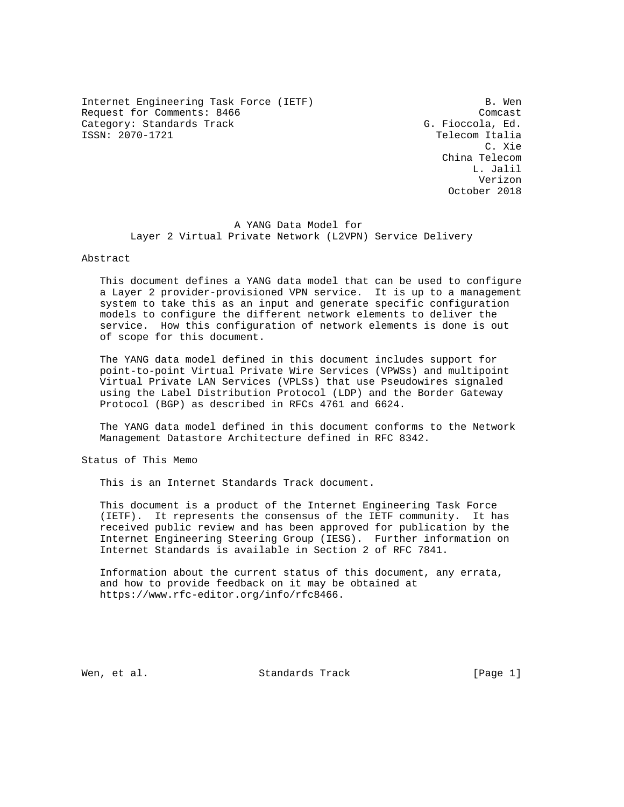Internet Engineering Task Force (IETF) B. Wen Request for Comments: 8466 Company Company Company Company Company Company Company Company Company Company Company Category: Standards Track G. Fioccola, Ed. (G. Fioccola, Ed. 5)

Telecom Italia C. Xie China Telecom L. Jalil Verizon October 2018

> A YANG Data Model for Layer 2 Virtual Private Network (L2VPN) Service Delivery

## Abstract

 This document defines a YANG data model that can be used to configure a Layer 2 provider-provisioned VPN service. It is up to a management system to take this as an input and generate specific configuration models to configure the different network elements to deliver the service. How this configuration of network elements is done is out of scope for this document.

 The YANG data model defined in this document includes support for point-to-point Virtual Private Wire Services (VPWSs) and multipoint Virtual Private LAN Services (VPLSs) that use Pseudowires signaled using the Label Distribution Protocol (LDP) and the Border Gateway Protocol (BGP) as described in RFCs 4761 and 6624.

 The YANG data model defined in this document conforms to the Network Management Datastore Architecture defined in RFC 8342.

Status of This Memo

This is an Internet Standards Track document.

 This document is a product of the Internet Engineering Task Force (IETF). It represents the consensus of the IETF community. It has received public review and has been approved for publication by the Internet Engineering Steering Group (IESG). Further information on Internet Standards is available in Section 2 of RFC 7841.

 Information about the current status of this document, any errata, and how to provide feedback on it may be obtained at https://www.rfc-editor.org/info/rfc8466.

Wen, et al. Standards Track [Page 1]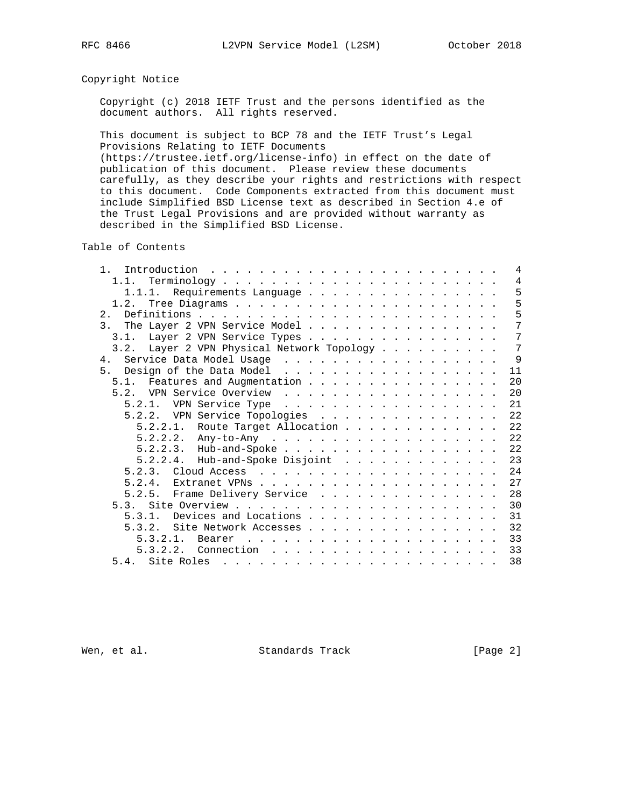# Copyright Notice

 Copyright (c) 2018 IETF Trust and the persons identified as the document authors. All rights reserved.

 This document is subject to BCP 78 and the IETF Trust's Legal Provisions Relating to IETF Documents

 (https://trustee.ietf.org/license-info) in effect on the date of publication of this document. Please review these documents carefully, as they describe your rights and restrictions with respect to this document. Code Components extracted from this document must include Simplified BSD License text as described in Section 4.e of the Trust Legal Provisions and are provided without warranty as described in the Simplified BSD License.

Table of Contents

| 1 <sup>1</sup>                                                                                                                                                                                                                                    | $\overline{4}$ |
|---------------------------------------------------------------------------------------------------------------------------------------------------------------------------------------------------------------------------------------------------|----------------|
|                                                                                                                                                                                                                                                   | $\overline{4}$ |
| 1.1.1. Requirements Language                                                                                                                                                                                                                      | 5              |
|                                                                                                                                                                                                                                                   | 5              |
| 2 <sub>1</sub>                                                                                                                                                                                                                                    | 5              |
| 3.<br>The Layer 2 VPN Service Model                                                                                                                                                                                                               | 7              |
| 3.1. Layer 2 VPN Service Types                                                                                                                                                                                                                    | 7              |
| 3.2. Layer 2 VPN Physical Network Topology                                                                                                                                                                                                        | 7              |
|                                                                                                                                                                                                                                                   | $\overline{9}$ |
| Design of the Data Model<br>5 <sub>1</sub>                                                                                                                                                                                                        | 11             |
| 5.1. Features and Augmentation                                                                                                                                                                                                                    | 20             |
| 5.2. VPN Service Overview                                                                                                                                                                                                                         | 20             |
| VPN Service Type<br>5.2.1.                                                                                                                                                                                                                        | 21             |
| 5.2.2. VPN Service Topologies                                                                                                                                                                                                                     | 22             |
| $5.2.2.1.$ Route Target Allocation                                                                                                                                                                                                                | 22             |
|                                                                                                                                                                                                                                                   | 22             |
| $5.2.2.3$ . Hub-and-Spoke                                                                                                                                                                                                                         | 22             |
| $5.2.2.4$ . Hub-and-Spoke Disjoint                                                                                                                                                                                                                | 23             |
|                                                                                                                                                                                                                                                   | 24             |
| 5.2.4.                                                                                                                                                                                                                                            | 27             |
| 5.2.5. Frame Delivery Service                                                                                                                                                                                                                     | 28             |
|                                                                                                                                                                                                                                                   | 30             |
| Devices and Locations<br>5.3.1.                                                                                                                                                                                                                   | 31             |
| 5.3.2.                                                                                                                                                                                                                                            | 32             |
| Site Network Accesses                                                                                                                                                                                                                             | 33             |
| 5.3.2.1.                                                                                                                                                                                                                                          |                |
|                                                                                                                                                                                                                                                   | 33             |
| 5.4. Site Roles<br>a constitution of the contract of the contract of the contract of the contract of the contract of the contract of the contract of the contract of the contract of the contract of the contract of the contract of the contract | 38             |

Wen, et al. Standards Track [Page 2]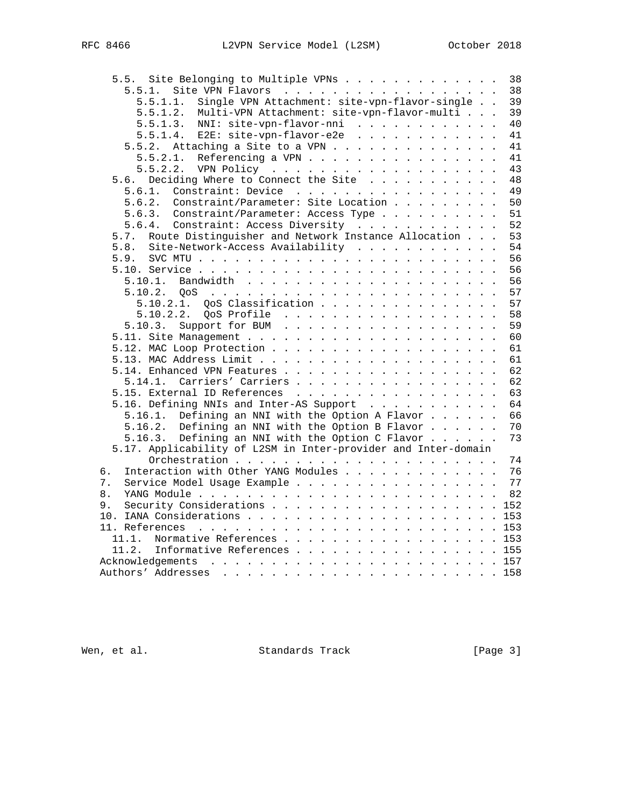|    | Site Belonging to Multiple VPNs<br>5.5.                        | 38    |
|----|----------------------------------------------------------------|-------|
|    | Site VPN Flavors<br>5.5.1.                                     | 38    |
|    | Single VPN Attachment: site-vpn-flavor-single<br>5.5.1.1.      | 39    |
|    | Multi-VPN Attachment: site-vpn-flavor-multi<br>5.5.1.2.        | 39    |
|    | NNI: site-vpn-flavor-nni<br>5.5.1.3.                           | 40    |
|    | E2E: site-vpn-flavor-e2e<br>5.5.1.4.                           | 41    |
|    | Attaching a Site to a VPN<br>5.5.2.                            | 41    |
|    | Referencing a VPN<br>5.5.2.1.                                  | 41    |
|    |                                                                | 43    |
|    | Deciding Where to Connect the Site<br>5.6.                     | 48    |
|    | Constraint: Device<br>5.6.1.                                   | 49    |
|    | Constraint/Parameter: Site Location<br>5.6.2.                  | 50    |
|    | Constraint/Parameter: Access Type<br>5.6.3.                    | 51    |
|    | 5.6.4. Constraint: Access Diversity                            | 52    |
|    | Route Distinguisher and Network Instance Allocation<br>5.7.    | 53    |
|    | Site-Network-Access Availability<br>5.8.                       | 54    |
|    | 5.9.                                                           | 56    |
|    |                                                                | 56    |
|    |                                                                | 56    |
|    |                                                                | 57    |
|    | 5.10.2.1. QoS Classification                                   | 57    |
|    | 5.10.2.2. OoS Profile                                          | 58    |
|    | Support for BUM<br>5.10.3.                                     | 59    |
|    |                                                                | 60    |
|    |                                                                | 61    |
|    |                                                                | 61    |
|    | 5.14. Enhanced VPN Features                                    | 62    |
|    | 5.14.1. Carriers' Carriers                                     | 62    |
|    | 5.15. External ID References                                   | 63    |
|    | 5.16. Defining NNIs and Inter-AS Support                       | 64    |
|    | 5.16.1. Defining an NNI with the Option A Flavor               | 66    |
|    | 5.16.2. Defining an NNI with the Option B Flavor               | 70    |
|    | 5.16.3. Defining an NNI with the Option C Flavor               | 73    |
|    | 5.17. Applicability of L2SM in Inter-provider and Inter-domain |       |
|    |                                                                | 74    |
| б. | Interaction with Other YANG Modules                            | 76    |
| 7. | Service Model Usage Example                                    | 77    |
| 8. |                                                                | 82    |
| 9. | Security Considerations 152                                    |       |
|    |                                                                |       |
|    |                                                                |       |
|    |                                                                |       |
|    | Normative References 153<br>11.1.                              |       |
|    | 11.2.<br>Informative References 155                            |       |
|    |                                                                |       |
|    |                                                                | . 158 |

Wen, et al. Standards Track [Page 3]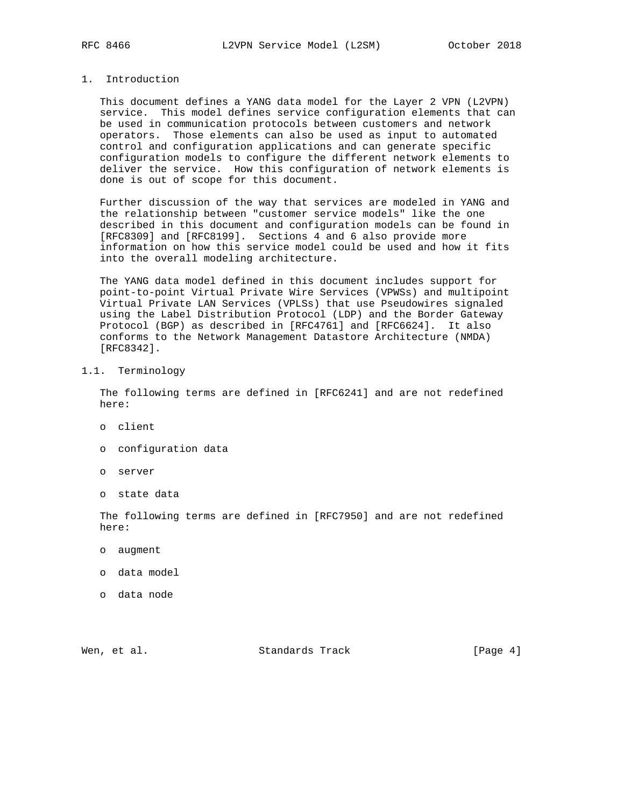# 1. Introduction

 This document defines a YANG data model for the Layer 2 VPN (L2VPN) service. This model defines service configuration elements that can be used in communication protocols between customers and network operators. Those elements can also be used as input to automated control and configuration applications and can generate specific configuration models to configure the different network elements to deliver the service. How this configuration of network elements is done is out of scope for this document.

 Further discussion of the way that services are modeled in YANG and the relationship between "customer service models" like the one described in this document and configuration models can be found in [RFC8309] and [RFC8199]. Sections 4 and 6 also provide more information on how this service model could be used and how it fits into the overall modeling architecture.

 The YANG data model defined in this document includes support for point-to-point Virtual Private Wire Services (VPWSs) and multipoint Virtual Private LAN Services (VPLSs) that use Pseudowires signaled using the Label Distribution Protocol (LDP) and the Border Gateway Protocol (BGP) as described in [RFC4761] and [RFC6624]. It also conforms to the Network Management Datastore Architecture (NMDA) [RFC8342].

## 1.1. Terminology

 The following terms are defined in [RFC6241] and are not redefined here:

- o client
- o configuration data
- o server
- o state data

 The following terms are defined in [RFC7950] and are not redefined here:

- o augment
- o data model
- o data node

Wen, et al. Standards Track [Page 4]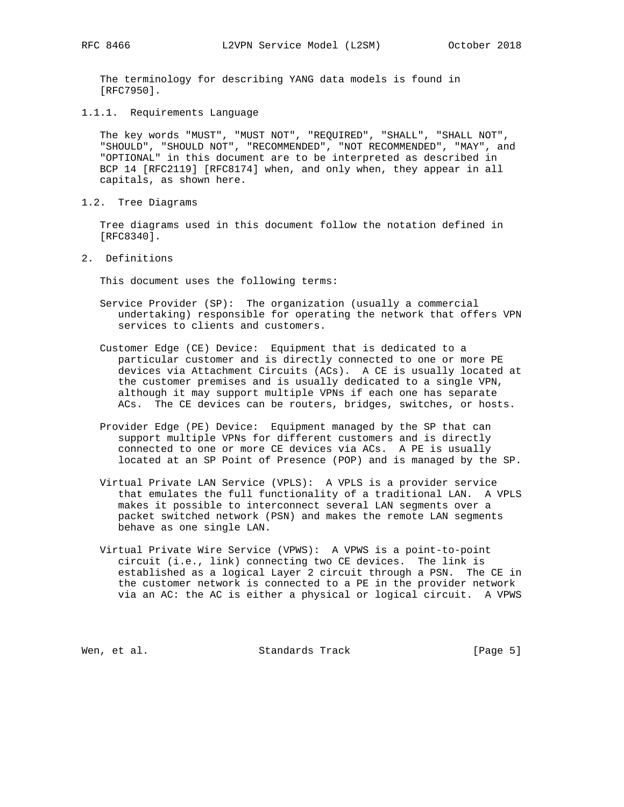The terminology for describing YANG data models is found in [RFC7950].

1.1.1. Requirements Language

 The key words "MUST", "MUST NOT", "REQUIRED", "SHALL", "SHALL NOT", "SHOULD", "SHOULD NOT", "RECOMMENDED", "NOT RECOMMENDED", "MAY", and "OPTIONAL" in this document are to be interpreted as described in BCP 14 [RFC2119] [RFC8174] when, and only when, they appear in all capitals, as shown here.

1.2. Tree Diagrams

 Tree diagrams used in this document follow the notation defined in [RFC8340].

2. Definitions

This document uses the following terms:

- Service Provider (SP): The organization (usually a commercial undertaking) responsible for operating the network that offers VPN services to clients and customers.
- Customer Edge (CE) Device: Equipment that is dedicated to a particular customer and is directly connected to one or more PE devices via Attachment Circuits (ACs). A CE is usually located at the customer premises and is usually dedicated to a single VPN, although it may support multiple VPNs if each one has separate ACs. The CE devices can be routers, bridges, switches, or hosts.
- Provider Edge (PE) Device: Equipment managed by the SP that can support multiple VPNs for different customers and is directly connected to one or more CE devices via ACs. A PE is usually located at an SP Point of Presence (POP) and is managed by the SP.
- Virtual Private LAN Service (VPLS): A VPLS is a provider service that emulates the full functionality of a traditional LAN. A VPLS makes it possible to interconnect several LAN segments over a packet switched network (PSN) and makes the remote LAN segments behave as one single LAN.
- Virtual Private Wire Service (VPWS): A VPWS is a point-to-point circuit (i.e., link) connecting two CE devices. The link is established as a logical Layer 2 circuit through a PSN. The CE in the customer network is connected to a PE in the provider network via an AC: the AC is either a physical or logical circuit. A VPWS

Wen, et al. Standards Track [Page 5]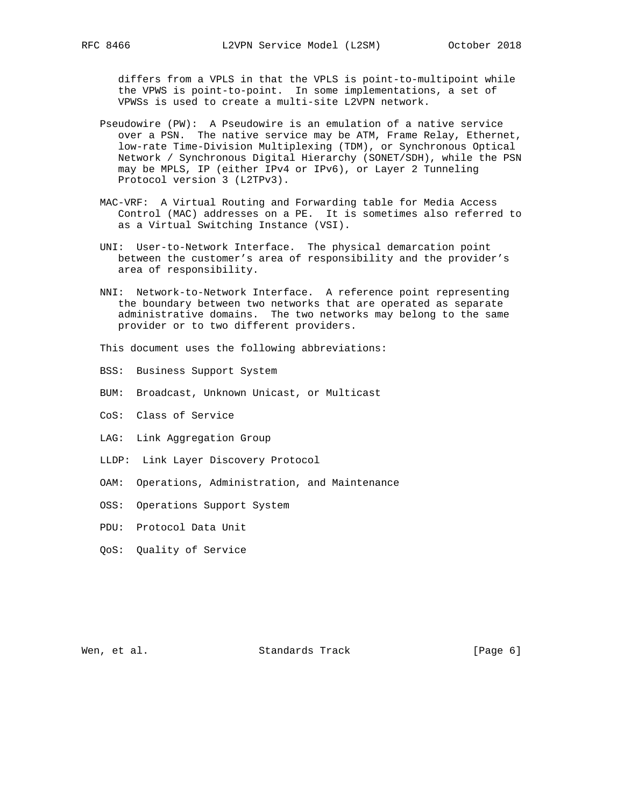differs from a VPLS in that the VPLS is point-to-multipoint while the VPWS is point-to-point. In some implementations, a set of VPWSs is used to create a multi-site L2VPN network.

- Pseudowire (PW): A Pseudowire is an emulation of a native service over a PSN. The native service may be ATM, Frame Relay, Ethernet, low-rate Time-Division Multiplexing (TDM), or Synchronous Optical Network / Synchronous Digital Hierarchy (SONET/SDH), while the PSN may be MPLS, IP (either IPv4 or IPv6), or Layer 2 Tunneling Protocol version 3 (L2TPv3).
- MAC-VRF: A Virtual Routing and Forwarding table for Media Access Control (MAC) addresses on a PE. It is sometimes also referred to as a Virtual Switching Instance (VSI).
- UNI: User-to-Network Interface. The physical demarcation point between the customer's area of responsibility and the provider's area of responsibility.
- NNI: Network-to-Network Interface. A reference point representing the boundary between two networks that are operated as separate administrative domains. The two networks may belong to the same provider or to two different providers.
- This document uses the following abbreviations:
- BSS: Business Support System
- BUM: Broadcast, Unknown Unicast, or Multicast
- CoS: Class of Service
- LAG: Link Aggregation Group
- LLDP: Link Layer Discovery Protocol
- OAM: Operations, Administration, and Maintenance
- OSS: Operations Support System
- PDU: Protocol Data Unit
- QoS: Quality of Service

Wen, et al. Standards Track [Page 6]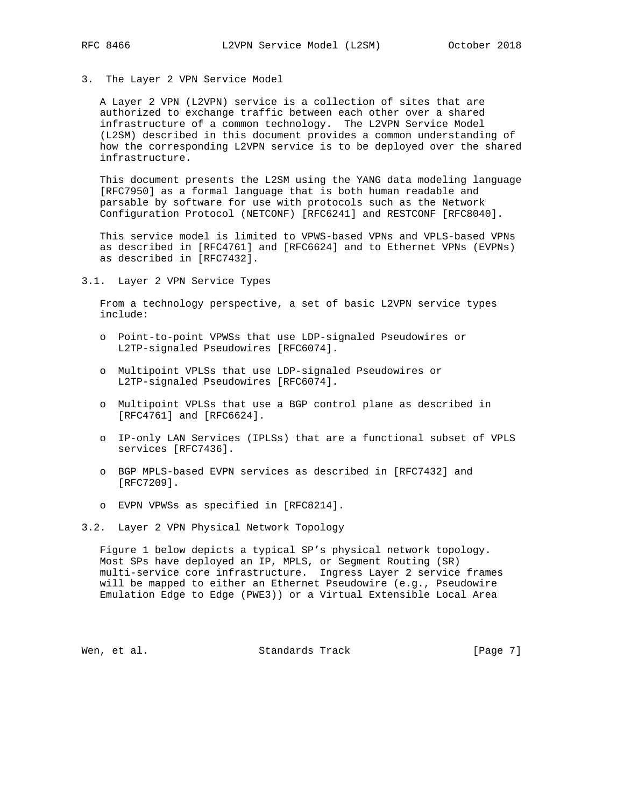3. The Layer 2 VPN Service Model

 A Layer 2 VPN (L2VPN) service is a collection of sites that are authorized to exchange traffic between each other over a shared infrastructure of a common technology. The L2VPN Service Model (L2SM) described in this document provides a common understanding of how the corresponding L2VPN service is to be deployed over the shared infrastructure.

 This document presents the L2SM using the YANG data modeling language [RFC7950] as a formal language that is both human readable and parsable by software for use with protocols such as the Network Configuration Protocol (NETCONF) [RFC6241] and RESTCONF [RFC8040].

 This service model is limited to VPWS-based VPNs and VPLS-based VPNs as described in [RFC4761] and [RFC6624] and to Ethernet VPNs (EVPNs) as described in [RFC7432].

3.1. Layer 2 VPN Service Types

 From a technology perspective, a set of basic L2VPN service types include:

- o Point-to-point VPWSs that use LDP-signaled Pseudowires or L2TP-signaled Pseudowires [RFC6074].
- o Multipoint VPLSs that use LDP-signaled Pseudowires or L2TP-signaled Pseudowires [RFC6074].
- o Multipoint VPLSs that use a BGP control plane as described in [RFC4761] and [RFC6624].
- o IP-only LAN Services (IPLSs) that are a functional subset of VPLS services [RFC7436].
- o BGP MPLS-based EVPN services as described in [RFC7432] and [RFC7209].
- o EVPN VPWSs as specified in [RFC8214].
- 3.2. Layer 2 VPN Physical Network Topology

 Figure 1 below depicts a typical SP's physical network topology. Most SPs have deployed an IP, MPLS, or Segment Routing (SR) multi-service core infrastructure. Ingress Layer 2 service frames will be mapped to either an Ethernet Pseudowire (e.g., Pseudowire Emulation Edge to Edge (PWE3)) or a Virtual Extensible Local Area

Wen, et al. Standards Track [Page 7]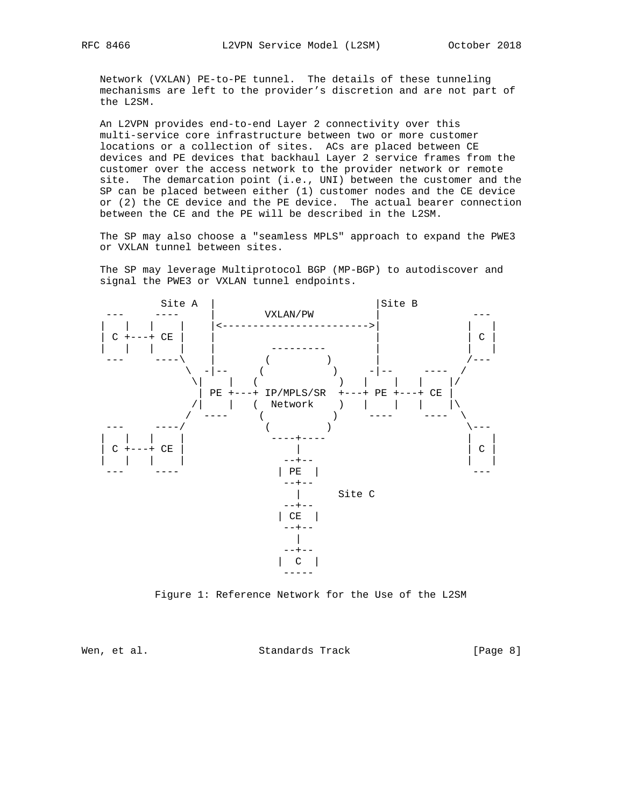Network (VXLAN) PE-to-PE tunnel. The details of these tunneling mechanisms are left to the provider's discretion and are not part of the L2SM.

 An L2VPN provides end-to-end Layer 2 connectivity over this multi-service core infrastructure between two or more customer locations or a collection of sites. ACs are placed between CE devices and PE devices that backhaul Layer 2 service frames from the customer over the access network to the provider network or remote site. The demarcation point (i.e., UNI) between the customer and the SP can be placed between either (1) customer nodes and the CE device or (2) the CE device and the PE device. The actual bearer connection between the CE and the PE will be described in the L2SM.

 The SP may also choose a "seamless MPLS" approach to expand the PWE3 or VXLAN tunnel between sites.

 The SP may leverage Multiprotocol BGP (MP-BGP) to autodiscover and signal the PWE3 or VXLAN tunnel endpoints.



Figure 1: Reference Network for the Use of the L2SM

Wen, et al. Standards Track [Page 8]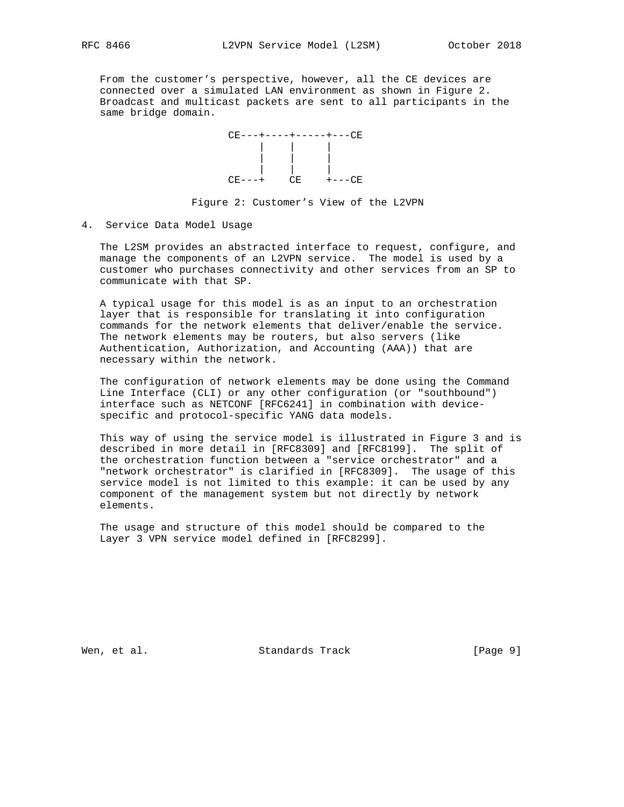From the customer's perspective, however, all the CE devices are connected over a simulated LAN environment as shown in Figure 2. Broadcast and multicast packets are sent to all participants in the same bridge domain.



### Figure 2: Customer's View of the L2VPN

4. Service Data Model Usage

 The L2SM provides an abstracted interface to request, configure, and manage the components of an L2VPN service. The model is used by a customer who purchases connectivity and other services from an SP to communicate with that SP.

 A typical usage for this model is as an input to an orchestration layer that is responsible for translating it into configuration commands for the network elements that deliver/enable the service. The network elements may be routers, but also servers (like Authentication, Authorization, and Accounting (AAA)) that are necessary within the network.

 The configuration of network elements may be done using the Command Line Interface (CLI) or any other configuration (or "southbound") interface such as NETCONF [RFC6241] in combination with device specific and protocol-specific YANG data models.

 This way of using the service model is illustrated in Figure 3 and is described in more detail in [RFC8309] and [RFC8199]. The split of the orchestration function between a "service orchestrator" and a "network orchestrator" is clarified in [RFC8309]. The usage of this service model is not limited to this example: it can be used by any component of the management system but not directly by network elements.

 The usage and structure of this model should be compared to the Layer 3 VPN service model defined in [RFC8299].

Wen, et al. Standards Track and Exemple 19 (Page 9)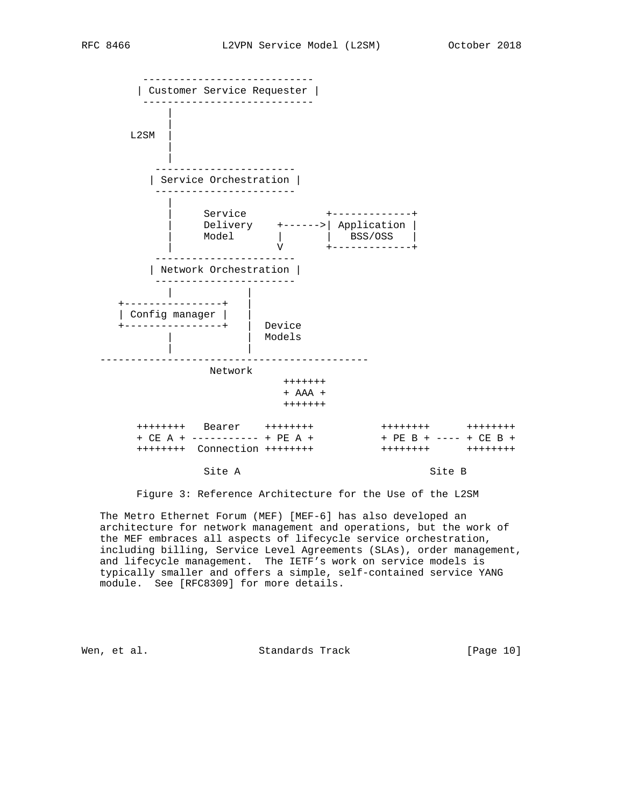

Figure 3: Reference Architecture for the Use of the L2SM

 The Metro Ethernet Forum (MEF) [MEF-6] has also developed an architecture for network management and operations, but the work of the MEF embraces all aspects of lifecycle service orchestration, including billing, Service Level Agreements (SLAs), order management, and lifecycle management. The IETF's work on service models is typically smaller and offers a simple, self-contained service YANG module. See [RFC8309] for more details.

Wen, et al. Standards Track [Page 10]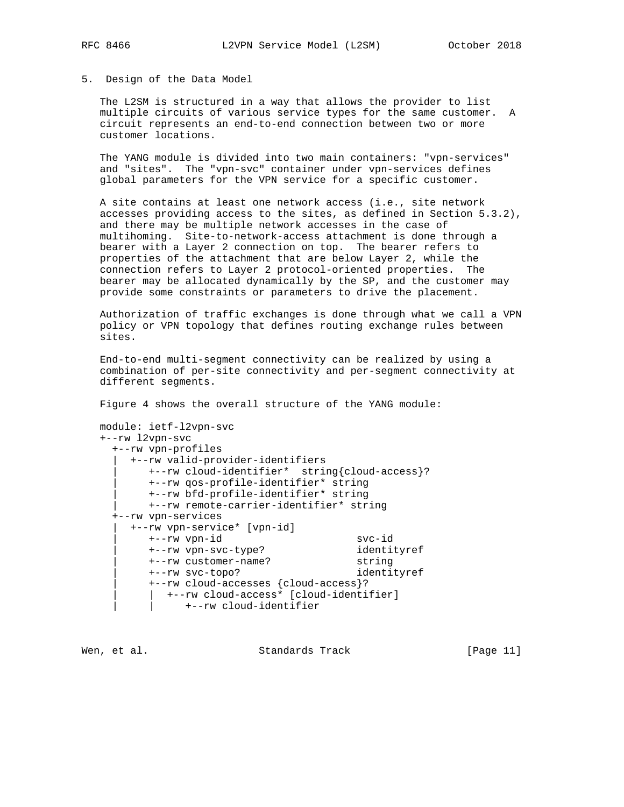## 5. Design of the Data Model

 The L2SM is structured in a way that allows the provider to list multiple circuits of various service types for the same customer. A circuit represents an end-to-end connection between two or more customer locations.

 The YANG module is divided into two main containers: "vpn-services" and "sites". The "vpn-svc" container under vpn-services defines global parameters for the VPN service for a specific customer.

 A site contains at least one network access (i.e., site network accesses providing access to the sites, as defined in Section 5.3.2), and there may be multiple network accesses in the case of multihoming. Site-to-network-access attachment is done through a bearer with a Layer 2 connection on top. The bearer refers to properties of the attachment that are below Layer 2, while the connection refers to Layer 2 protocol-oriented properties. The bearer may be allocated dynamically by the SP, and the customer may provide some constraints or parameters to drive the placement.

 Authorization of traffic exchanges is done through what we call a VPN policy or VPN topology that defines routing exchange rules between sites.

 End-to-end multi-segment connectivity can be realized by using a combination of per-site connectivity and per-segment connectivity at different segments.

Figure 4 shows the overall structure of the YANG module:

```
 module: ietf-l2vpn-svc
```
+--rw l2vpn-svc

| +--rw vpn-profiles                            |             |  |  |
|-----------------------------------------------|-------------|--|--|
| +--rw valid-provider-identifiers              |             |  |  |
| +--rw cloud-identifier* string{cloud-access}? |             |  |  |
| +--rw qos-profile-identifier* string          |             |  |  |
| +--rw bfd-profile-identifier* string          |             |  |  |
| +--rw remote-carrier-identifier* string       |             |  |  |
| +--rw vpn-services                            |             |  |  |
| +--rw vpn-service* [vpn-id]                   |             |  |  |
| $+--rw$ vpn-id                                | $svc-id$    |  |  |
| +--rw vpn-svc-type?                           | identityref |  |  |
| +--rw customer-name?                          | string      |  |  |
| +--rw svc-topo?                               | identityref |  |  |
| +--rw cloud-accesses {cloud-access}?          |             |  |  |
| +--rw cloud-access* [cloud-identifier]        |             |  |  |
| +--rw cloud-identifier                        |             |  |  |
|                                               |             |  |  |

Wen, et al. Standards Track [Page 11]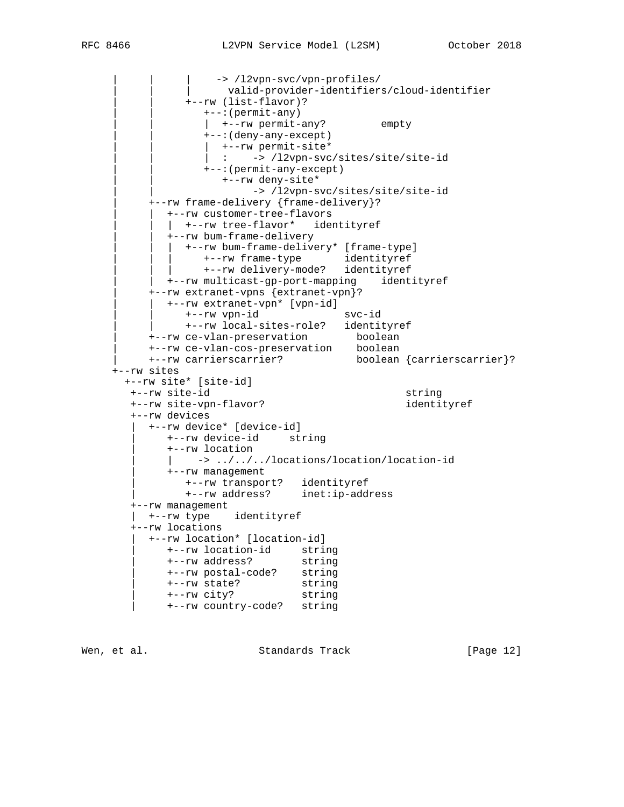```
-> /l2vpn-svc/vpn-profiles/
                     | | | valid-provider-identifiers/cloud-identifier
               | | +--rw (list-flavor)?
                 | | +--:(permit-any)
                 | +--rw permit-any? empty
                  | | +--:(deny-any-except)
                 | +--rw permit-site*
                 | : -> /12vpn-svc/sites/site/site-id
                  | | +--:(permit-any-except)
                     | | +--rw deny-site*
                        -> /l2vpn-svc/sites/site/site-id
          | +--rw frame-delivery {frame-delivery}?
            | | +--rw customer-tree-flavors
            | +-rw tree-flavor* identityref
             | | +--rw bum-frame-delivery
              | | | +--rw bum-frame-delivery* [frame-type]
 | | | +--rw frame-type identityref
 | | | +--rw delivery-mode? identityref
            | | +--rw multicast-gp-port-mapping identityref
          | +--rw extranet-vpns {extranet-vpn}?
           | | +--rw extranet-vpn* [vpn-id]
               | | +--rw vpn-id svc-id
              | | +--rw local-sites-role? identityref
 | +--rw ce-vlan-preservation boolean
 | +--rw ce-vlan-cos-preservation boolean
          | +--rw carrierscarrier? boolean {carrierscarrier}?
     +--rw sites
       +--rw site* [site-id]
       +--rw site-id string
       +--rw site-vpn-flavor? identityref
       +--rw devices
          | +--rw device* [device-id]
             | +--rw device-id string
             | +--rw location
              -> ../../../locations/location/location-id
             | +--rw management
 | +--rw transport? identityref
 | +--rw address? inet:ip-address
       +--rw management
         | +--rw type identityref
       +--rw locations
          | +--rw location* [location-id]
            | +--rw location-id string
 | +--rw address? string
 | +--rw postal-code? string
 | +--rw state? string
 | +--rw city? string
             | +--rw country-code? string
```
Wen, et al. Standards Track [Page 12]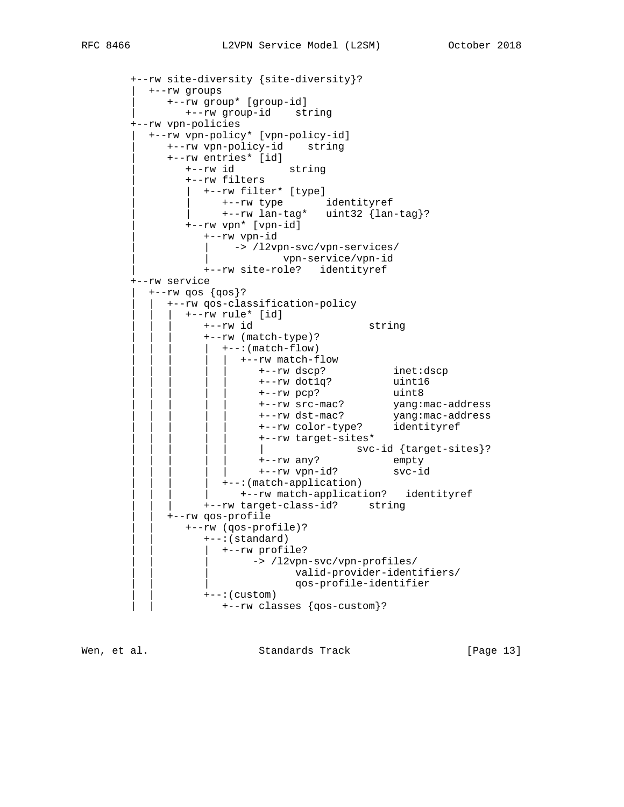```
 +--rw site-diversity {site-diversity}?
          | +--rw groups
             | +--rw group* [group-id]
                | +--rw group-id string
        +--rw vpn-policies
          | +--rw vpn-policy* [vpn-policy-id]
             | +--rw vpn-policy-id string
             | +--rw entries* [id]
                | +--rw id string
                | +--rw filters
                  | | +--rw filter* [type]
                     | | +--rw type identityref
                    | | +--rw lan-tag* uint32 {lan-tag}?
                | +--rw vpn* [vpn-id]
                   | +--rw vpn-id
                      -> /l2vpn-svc/vpn-services/
                              | | vpn-service/vpn-id
                   | +--rw site-role? identityref
        +--rw service
         +--rw qos \{gos\}?
            | | +--rw qos-classification-policy
                | | | +--rw rule* [id]
                  | | | +--rw id string
                   | | | +--rw (match-type)?
                    +--:(\text{match-flow}) | | | | | +--rw match-flow
 | | | | | +--rw dscp? inet:dscp
 | | | | | +--rw dot1q? uint16
 | | | | | +--rw pcp? uint8
 | | | | | +--rw src-mac? yang:mac-address
 | | | | | +--rw dst-mac? yang:mac-address
 | | | | | +--rw color-type? identityref
 | | | | | +--rw target-sites*
 | | | | | | svc-id {target-sites}?
 | | | | | +--rw any? empty
                           | | | | | +--rw vpn-id? svc-id
                    +--: (match-application)
                       | | | | +--rw match-application? identityref
                   | | | +--rw target-class-id? string
             | | +--rw qos-profile
                | | +--rw (qos-profile)?
                  | | +--:(standard)
                    | | | +--rw profile?
                        -> /l2vpn-svc/vpn-profiles/
                                | | | valid-provider-identifiers/
                                | | | qos-profile-identifier
                   | | +--:(custom)
                     | | +--rw classes {qos-custom}?
```
Wen, et al. Standards Track [Page 13]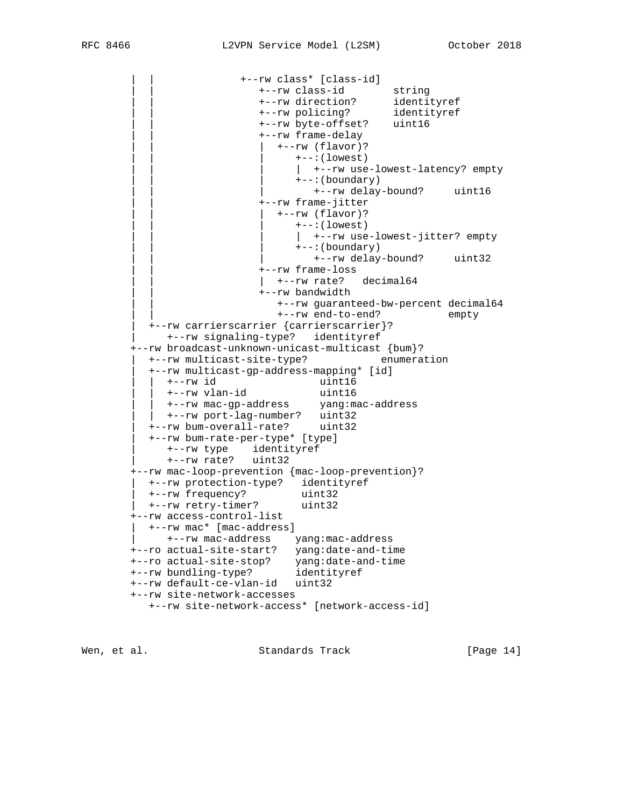```
 | | +--rw class* [class-id]
 | | +--rw class-id string
 | | +--rw direction? identityref
 | | +--rw policing? identityref
 | | +--rw byte-offset? uint16
                          | | +--rw frame-delay
                           | | | +--rw (flavor)?
                              +--:(lowest)
                              | +-rw use-lowest-latency? empty
                               | | | +--:(boundary)
                                 | | | +--rw delay-bound? uint16
                          | | +--rw frame-jitter
                            | | | +--rw (flavor)?
                              +--:( lowest)
                              | +--rw use-lowest-jitter? empty
                               | | | +--:(boundary)
                                 | | | +--rw delay-bound? uint32
                          | | +--rw frame-loss
                         \vert +--rw rate? decimal64
                          | | +--rw bandwidth
                            | | +--rw guaranteed-bw-percent decimal64
                            | | +--rw end-to-end? empty
          | +--rw carrierscarrier {carrierscarrier}?
            | +--rw signaling-type? identityref
        +--rw broadcast-unknown-unicast-multicast {bum}?
          | +--rw multicast-site-type? enumeration
          | +--rw multicast-gp-address-mapping* [id]
 | | +--rw id uint16
 | | +--rw vlan-id uint16
 | | +--rw mac-gp-address yang:mac-address
 | | +--rw port-lag-number? uint32
 | +--rw bum-overall-rate? uint32
          | +--rw bum-rate-per-type* [type]
            | +--rw type identityref
            | +--rw rate? uint32
        +--rw mac-loop-prevention {mac-loop-prevention}?
 | +--rw protection-type? identityref
 | +--rw frequency? uint32
 | +--rw retry-timer? uint32
       +--rw access-control-list
         | +--rw mac* [mac-address]
            | +--rw mac-address yang:mac-address
       +--ro actual-site-start? yang:date-and-time
 +--ro actual-site-stop? yang:date-and-time
 +--rw bundling-type? identityref
       +--rw default-ce-vlan-id uint32
       +--rw site-network-accesses
          +--rw site-network-access* [network-access-id]
```
Wen, et al. Standards Track [Page 14]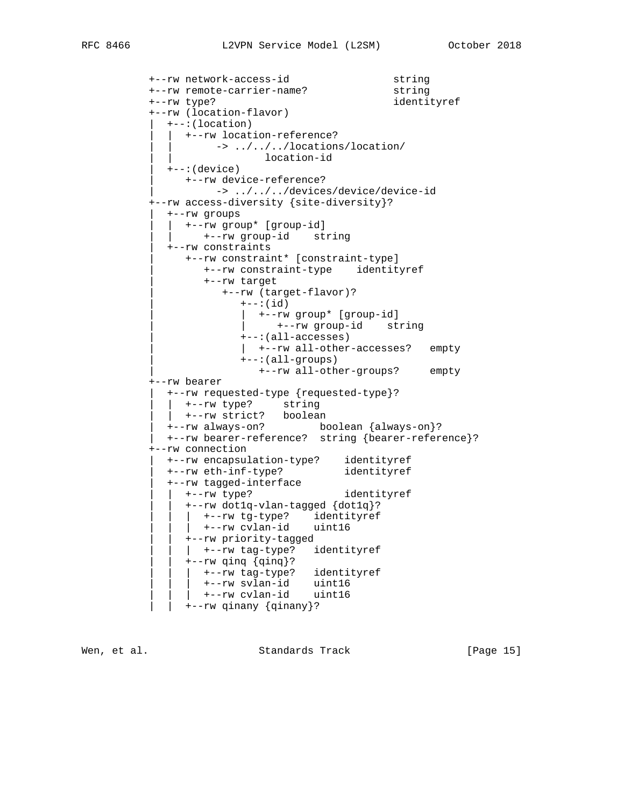```
 +--rw network-access-id string
 +--rw remote-carrier-name? string
 +--rw type? identityref
           +--rw (location-flavor)
            | +--:(location)
               | | +--rw location-reference?
                  -> ../../../locations/location/
                          location-id
            | +--:(device)
               | +--rw device-reference?
                    | -> ../../../devices/device/device-id
           +--rw access-diversity {site-diversity}?
             | +--rw groups
               | | +--rw group* [group-id]
                  | | +--rw group-id string
             | +--rw constraints
               | +--rw constraint* [constraint-type]
                  | +--rw constraint-type identityref
                  | +--rw target
                      | +--rw (target-flavor)?
                       +--:(id) | | +--rw group* [group-id]
                         | | +--rw group-id string
                        | +--:(all-accesses)
                        | | +--rw all-other-accesses? empty
                        | +--:(all-groups)
                          | +--rw all-other-groups? empty
           +--rw bearer
            | +--rw requested-type {requested-type}?
             | | +--rw type? string
            | +--rw strict? boolean
             | +--rw always-on? boolean {always-on}?
             | +--rw bearer-reference? string {bearer-reference}?
           +--rw connection
 | +--rw encapsulation-type? identityref
 | +--rw eth-inf-type? identityref
 | +--rw tagged-interface
 | | +--rw type? identityref
                | | +--rw dot1q-vlan-tagged {dot1q}?
               | +--rw tg-type? identityref
               | +--rw cvlan-id uint16
                | | +--rw priority-tagged
               | +--rw tag-type? identityref
                | | +--rw qinq {qinq}?
               | +--rw tag-type? identityref
               | +--rw svlan-id uint16
               | +--rw cvlan-id uint16
                | | +--rw qinany {qinany}?
```
Wen, et al. Standards Track [Page 15]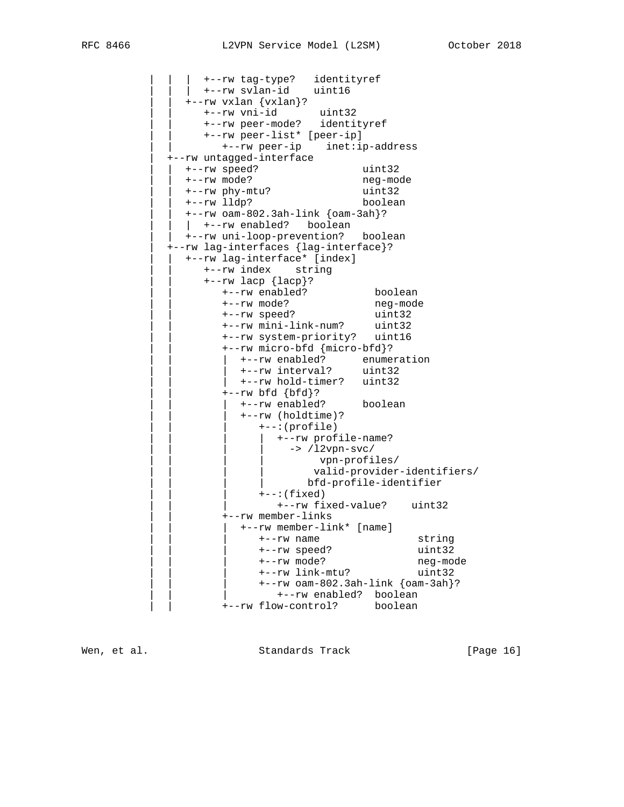| | | +--rw tag-type? identityref | | | +--rw svlan-id uint16 | | +--rw vxlan {vxlan}? | | +--rw vni-id uint32 | | +--rw peer-mode? identityref | | +--rw peer-list\* [peer-ip] | | +--rw peer-ip inet:ip-address | +--rw untagged-interface | | +--rw speed? uint32 | | +--rw mode? neg-mode | | +--rw phy-mtu? uint32 | | +--rw lldp? boolean  $+--rw$  oam-802.3ah-link  $\{oam-3ah\}$ ? | +--rw enabled? boolean | | +--rw uni-loop-prevention? boolean | +--rw lag-interfaces {lag-interface}? | | +--rw lag-interface\* [index] | | +--rw index string | | +--rw lacp {lacp}? | | +--rw enabled? boolean | | +--rw mode? neg-mode | | +--rw speed? uint32 | | +--rw mini-link-num? uint32 | | +--rw system-priority? uint16 | | +--rw micro-bfd {micro-bfd}? | | | +--rw enabled? enumeration | | | +--rw interval? uint32 | +--rw hold-timer? uint32 | | +--rw bfd {bfd}? | | | +--rw enabled? boolean | | | +--rw (holdtime)? | | | +--:(profile) |  $+--rw$  profile-name? -> /12vpn-svc/ vpn-profiles/ | | | | valid-provider-identifiers/ | | | | bfd-profile-identifier | | | +--:(fixed) | | | +--rw fixed-value? uint32 | | +--rw member-links | | | +--rw member-link\* [name] | | | +--rw name string | | | +--rw speed? uint32 | | | +--rw mode? neg-mode | | | +--rw link-mtu? uint32  $+--rw$  oam-802.3ah-link  $\{oam-3ah\}$ ? | | | +--rw enabled? boolean | | +--rw flow-control? boolean

Wen, et al. Standards Track [Page 16]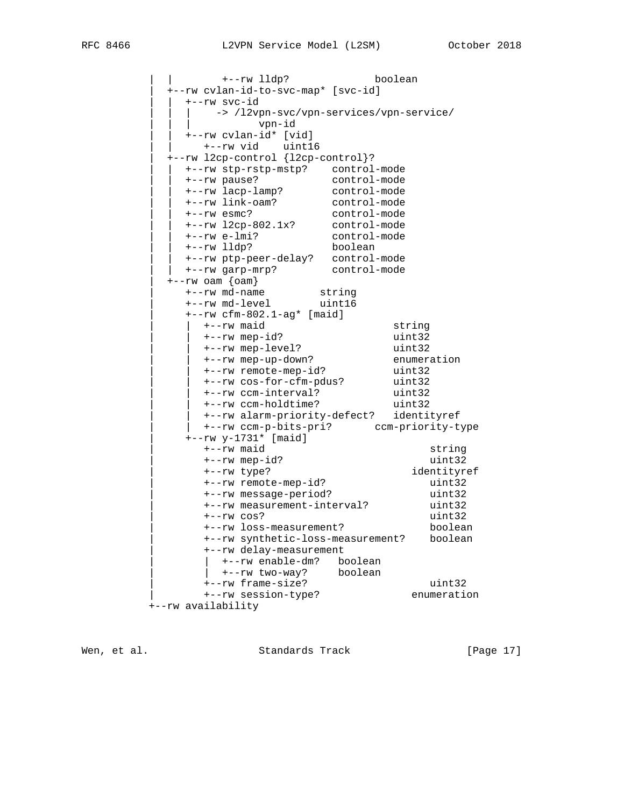| | +--rw lldp? boolean | +--rw cvlan-id-to-svc-map\* [svc-id] | | +--rw svc-id | | | -> /l2vpn-svc/vpn-services/vpn-service/ | | | vpn-id | | +--rw cvlan-id\* [vid] | | +--rw vid uint16 | +--rw l2cp-control {l2cp-control}? | | +--rw stp-rstp-mstp? control-mode | | +--rw pause? control-mode | | +--rw lacp-lamp? control-mode | | +--rw link-oam? control-mode | | +--rw esmc? control-mode | | +--rw l2cp-802.1x? control-mode | | +--rw e-lmi? control-mode | | +--rw lldp? boolean | | +--rw ptp-peer-delay? control-mode | | +--rw garp-mrp? control-mode | +--rw oam {oam} | +--rw md-name string | +--rw md-level uint16 | +--rw cfm-802.1-ag\* [maid] | | +--rw maid string | | +--rw mep-id? uint32 | | +--rw mep-level? uint32 | | +--rw mep-up-down? enumeration | | +--rw remote-mep-id? uint32 | | +--rw cos-for-cfm-pdus? uint32 | | +--rw ccm-interval? uint32 | | +--rw ccm-holdtime? uint32 | | +--rw alarm-priority-defect? identityref |  $+--rw \text{ccm-p-bits-pri}$ ? ccm-priority-type | +--rw y-1731\* [maid] | +--rw maid string  $+--rw$  mep-id? uint32 | +--rw type? identityref | +--rw remote-mep-id? uint32 | +--rw message-period? uint32 | +--rw measurement-interval? uint32  $+--rw cos?$  uint32 | +--rw loss-measurement? boolean | +--rw synthetic-loss-measurement? boolean | +--rw delay-measurement | | +--rw enable-dm? boolean | | +--rw two-way? boolean | +--rw frame-size? uint32 | +--rw session-type? enumeration +--rw availability

Wen, et al. Standards Track [Page 17]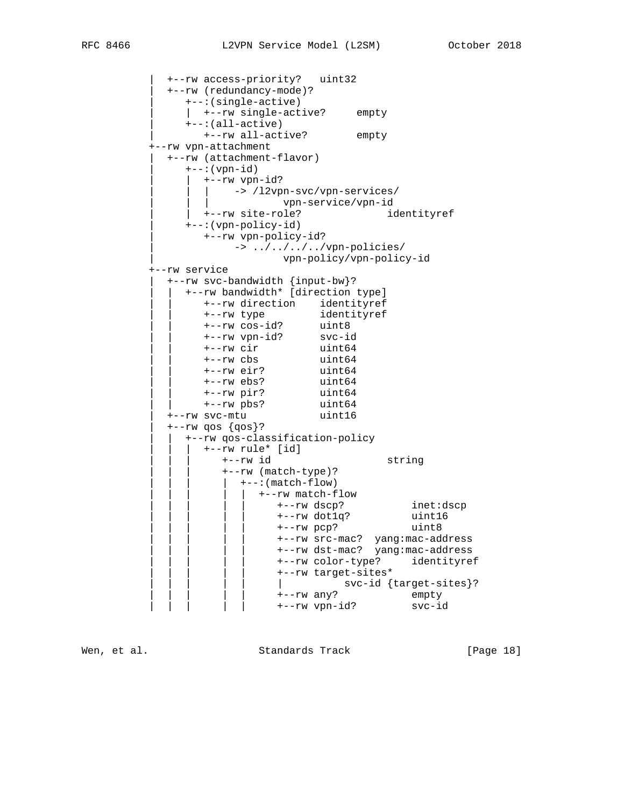| +--rw access-priority? uint32 | +--rw (redundancy-mode)? | +--:(single-active) | | +--rw single-active? empty | +--:(all-active) | +--rw all-active? empty +--rw vpn-attachment | +--rw (attachment-flavor) | +--:(vpn-id) | | +--rw vpn-id? -> /l2vpn-svc/vpn-services/ | | | vpn-service/vpn-id | +--rw site-role? identityref | +--:(vpn-policy-id) | +--rw vpn-policy-id? | -> ../../../../vpn-policies/ | vpn-policy/vpn-policy-id +--rw service | +--rw svc-bandwidth {input-bw}? | | +--rw bandwidth\* [direction type] | | +--rw direction identityref | | +--rw type identityref | | +--rw cos-id? uint8 | | +--rw vpn-id? svc-id | | +--rw cir uint64 | | +--rw cbs uint64 | | +--rw eir? uint64 | | +--rw ebs? uint64 | | +--rw pir? uint64 | | +--rw pbs? uint64 | +--rw svc-mtu uint16  $+--rw$  qos  $\{qos\}$ ? | | +--rw qos-classification-policy | | | +--rw rule\* [id] | | | +--rw id string | | | +--rw (match-type)? | | | | +--:(match-flow) | | | | | +--rw match-flow | | | | | +--rw dscp? inet:dscp | | | | | +--rw dot1q? uint16 | | | | | +--rw pcp? uint8 | | | | | +--rw src-mac? yang:mac-address | | | | | +--rw dst-mac? yang:mac-address | | | | | +--rw color-type? identityref | | | | | +--rw target-sites\* | svc-id {target-sites}?<br>+--rw any? empty | | | | | +--rw any? empty | | | | | +--rw vpn-id? svc-id

Wen, et al. Standards Track [Page 18]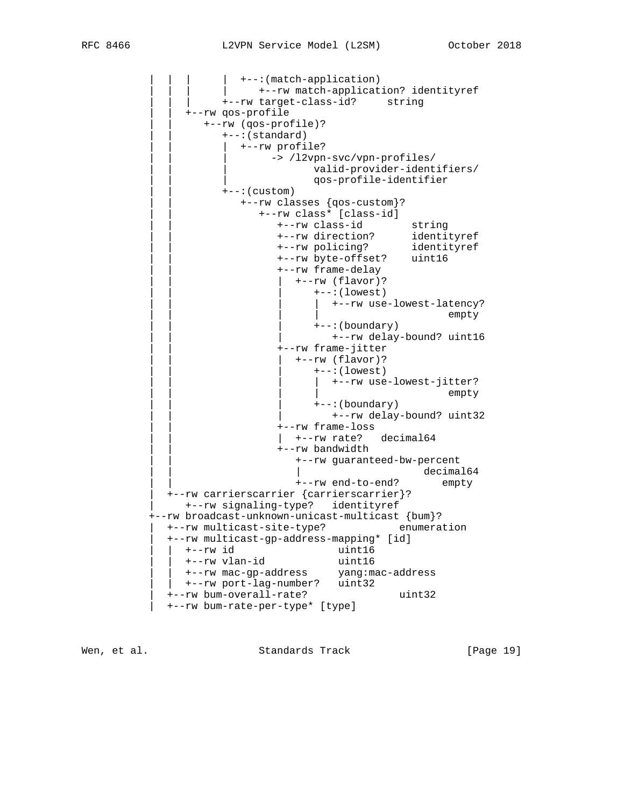```
 | | | | +--:(match-application)
                      | +--rw match-application? identityref
                      | | | +--rw target-class-id? string
                | | +--rw qos-profile
                   | | +--rw (qos-profile)?
                       | | +--:(standard)
                         | | | +--rw profile?
                             -> /l2vpn-svc/vpn-profiles/
                                    valid-provider-identifiers/
                                     | | | qos-profile-identifier
                       | | +--:(custom)
                         | | +--rw classes {qos-custom}?
                            | | +--rw class* [class-id]
 | | +--rw class-id string
 | | +--rw direction? identityref
 | | +--rw policing? identityref
                               | | +--rw byte-offset? uint16
                               | | +--rw frame-delay
                                 | | | +--rw (flavor)?
                                    +--:(lowest)
                                       | | | | +--rw use-lowest-latency?
 | | | | empty
                                     | | | +--:(boundary)
                                       | | | +--rw delay-bound? uint16
                               | | +--rw frame-jitter
                                  | | | +--rw (flavor)?
                                    ---:(lower) | | | | +--rw use-lowest-jitter?
 | | | | empty
                                    | | | +--:(boundary)
                                     | | | +--rw delay-bound? uint32
                               | | +--rw frame-loss
                               | +--rw rate? decimal64
                               | | +--rw bandwidth
                                  | | +--rw guaranteed-bw-percent
                                                    decimal64
                                  | | +--rw end-to-end? empty
              | +--rw carrierscarrier {carrierscarrier}?
                | +--rw signaling-type? identityref
          +--rw broadcast-unknown-unicast-multicast {bum}?<br>| +--rw multicast-site-type? enumeration
             +--rw multicast-site-type?
              | +--rw multicast-gp-address-mapping* [id]
               +--rw id uint16<br>+--rw vlan-id uint16
 | | +--rw vlan-id uint16
 | | +--rw mac-gp-address yang:mac-address
             \overline{\qquad \qquad } +--rw port-lag-number? uint32
              | +--rw bum-overall-rate? uint32
              | +--rw bum-rate-per-type* [type]
```
Wen, et al. Standards Track [Page 19]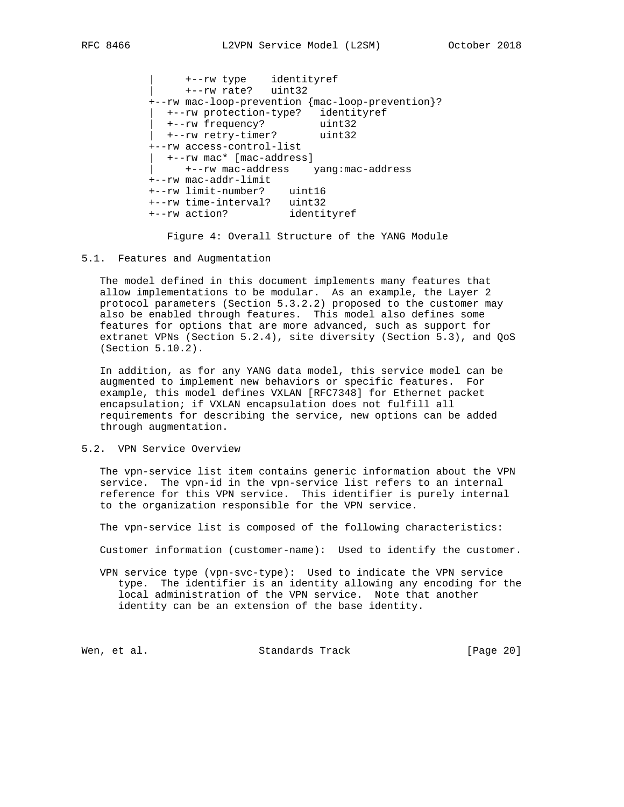| +--rw type identityref | +--rw rate? uint32 +--rw mac-loop-prevention {mac-loop-prevention}? | +--rw protection-type? identityref | +--rw frequency? uint32 | +--rw retry-timer? uint32 +--rw access-control-list | +--rw mac\* [mac-address] | +--rw mac-address yang:mac-address +--rw mac-addr-limit +--rw limit-number? uint16 +--rw time-interval? uint32<br>+--rw action? identityref +--rw action?

Figure 4: Overall Structure of the YANG Module

### 5.1. Features and Augmentation

 The model defined in this document implements many features that allow implementations to be modular. As an example, the Layer 2 protocol parameters (Section 5.3.2.2) proposed to the customer may also be enabled through features. This model also defines some features for options that are more advanced, such as support for extranet VPNs (Section 5.2.4), site diversity (Section 5.3), and QoS (Section 5.10.2).

 In addition, as for any YANG data model, this service model can be augmented to implement new behaviors or specific features. For example, this model defines VXLAN [RFC7348] for Ethernet packet encapsulation; if VXLAN encapsulation does not fulfill all requirements for describing the service, new options can be added through augmentation.

### 5.2. VPN Service Overview

 The vpn-service list item contains generic information about the VPN service. The vpn-id in the vpn-service list refers to an internal reference for this VPN service. This identifier is purely internal to the organization responsible for the VPN service.

The vpn-service list is composed of the following characteristics:

Customer information (customer-name): Used to identify the customer.

 VPN service type (vpn-svc-type): Used to indicate the VPN service type. The identifier is an identity allowing any encoding for the local administration of the VPN service. Note that another identity can be an extension of the base identity.

Wen, et al. Standards Track [Page 20]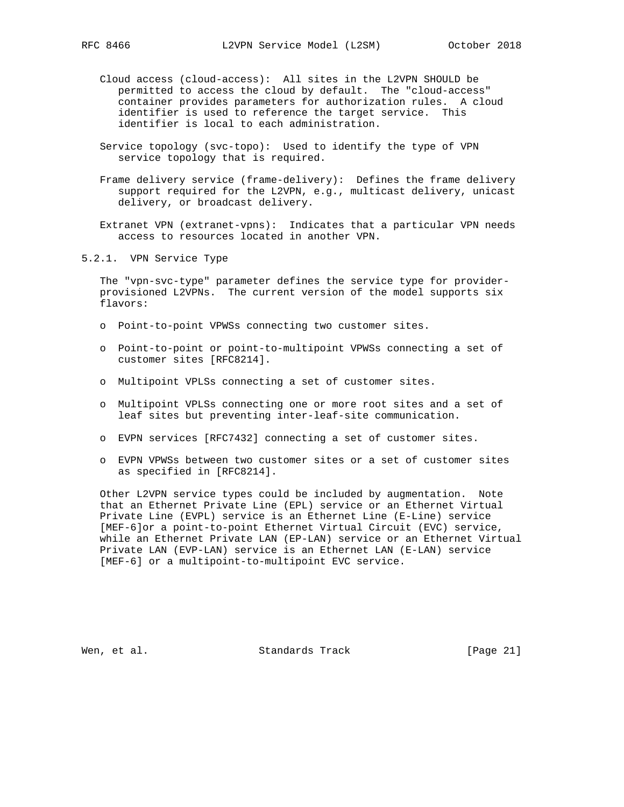- - Cloud access (cloud-access): All sites in the L2VPN SHOULD be permitted to access the cloud by default. The "cloud-access" container provides parameters for authorization rules. A cloud identifier is used to reference the target service. This identifier is local to each administration.
	- Service topology (svc-topo): Used to identify the type of VPN service topology that is required.
	- Frame delivery service (frame-delivery): Defines the frame delivery support required for the L2VPN, e.g., multicast delivery, unicast delivery, or broadcast delivery.

 Extranet VPN (extranet-vpns): Indicates that a particular VPN needs access to resources located in another VPN.

5.2.1. VPN Service Type

 The "vpn-svc-type" parameter defines the service type for provider provisioned L2VPNs. The current version of the model supports six flavors:

- o Point-to-point VPWSs connecting two customer sites.
- o Point-to-point or point-to-multipoint VPWSs connecting a set of customer sites [RFC8214].
- o Multipoint VPLSs connecting a set of customer sites.
- o Multipoint VPLSs connecting one or more root sites and a set of leaf sites but preventing inter-leaf-site communication.
- o EVPN services [RFC7432] connecting a set of customer sites.
- o EVPN VPWSs between two customer sites or a set of customer sites as specified in [RFC8214].

 Other L2VPN service types could be included by augmentation. Note that an Ethernet Private Line (EPL) service or an Ethernet Virtual Private Line (EVPL) service is an Ethernet Line (E-Line) service [MEF-6]or a point-to-point Ethernet Virtual Circuit (EVC) service, while an Ethernet Private LAN (EP-LAN) service or an Ethernet Virtual Private LAN (EVP-LAN) service is an Ethernet LAN (E-LAN) service [MEF-6] or a multipoint-to-multipoint EVC service.

Wen, et al. Standards Track [Page 21]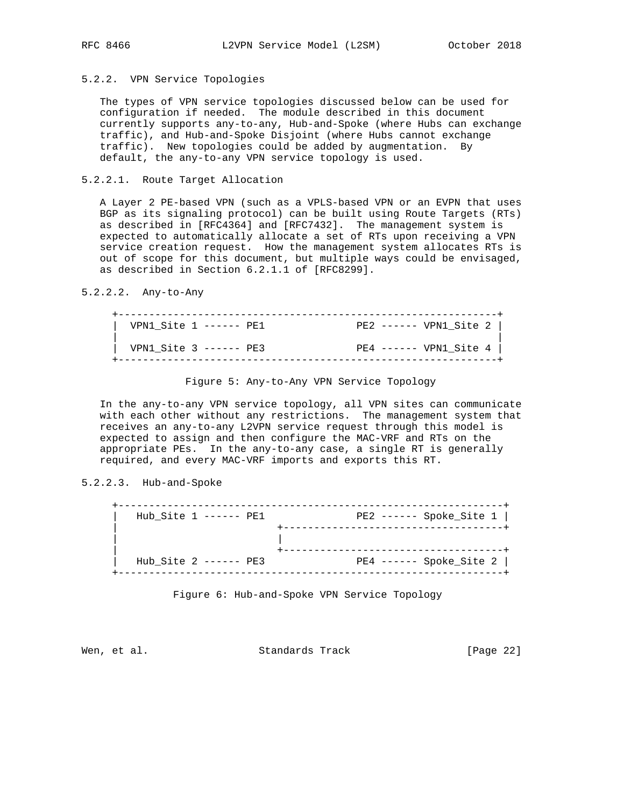## 5.2.2. VPN Service Topologies

 The types of VPN service topologies discussed below can be used for configuration if needed. The module described in this document currently supports any-to-any, Hub-and-Spoke (where Hubs can exchange traffic), and Hub-and-Spoke Disjoint (where Hubs cannot exchange traffic). New topologies could be added by augmentation. By default, the any-to-any VPN service topology is used.

## 5.2.2.1. Route Target Allocation

 A Layer 2 PE-based VPN (such as a VPLS-based VPN or an EVPN that uses BGP as its signaling protocol) can be built using Route Targets (RTs) as described in [RFC4364] and [RFC7432]. The management system is expected to automatically allocate a set of RTs upon receiving a VPN service creation request. How the management system allocates RTs is out of scope for this document, but multiple ways could be envisaged, as described in Section 6.2.1.1 of [RFC8299].

### 5.2.2.2. Any-to-Any

| VPN1 Site $1$ ------ PE1   | $PE2$ ------ VPN1_Site 2 |
|----------------------------|--------------------------|
| $VPN1_Site$ 3 ------ $PE3$ | $PE4$ ------ VPN1_Site 4 |

Figure 5: Any-to-Any VPN Service Topology

 In the any-to-any VPN service topology, all VPN sites can communicate with each other without any restrictions. The management system that receives an any-to-any L2VPN service request through this model is expected to assign and then configure the MAC-VRF and RTs on the appropriate PEs. In the any-to-any case, a single RT is generally required, and every MAC-VRF imports and exports this RT.

# 5.2.2.3. Hub-and-Spoke

| Hub_Site 1 ------ PE1   | $PE2$ ------ Spoke_Site 1 |
|-------------------------|---------------------------|
|                         |                           |
| Hub Site $2$ ------ PE3 | $PE4$ ------ Spoke_Site 2 |

Figure 6: Hub-and-Spoke VPN Service Topology

Wen, et al. Standards Track [Page 22]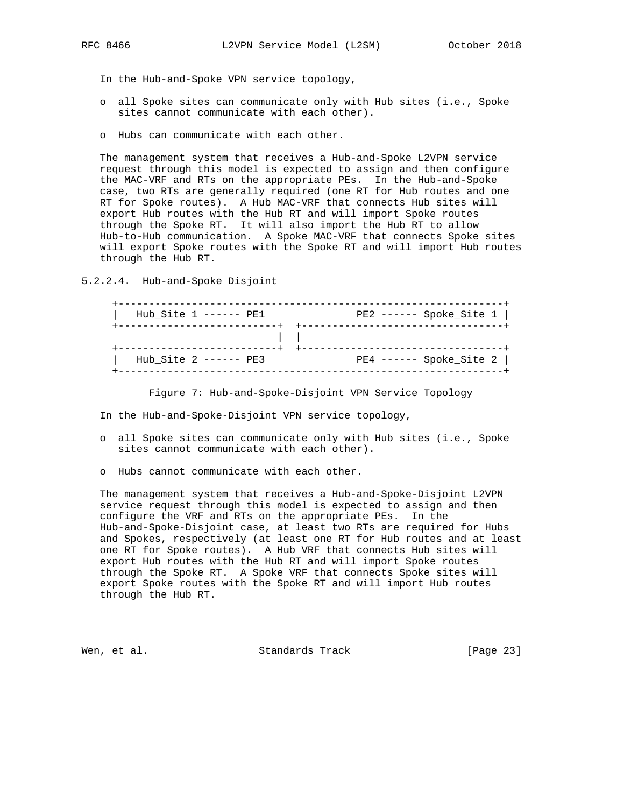- In the Hub-and-Spoke VPN service topology,
- o all Spoke sites can communicate only with Hub sites (i.e., Spoke sites cannot communicate with each other).
- o Hubs can communicate with each other.

 The management system that receives a Hub-and-Spoke L2VPN service request through this model is expected to assign and then configure the MAC-VRF and RTs on the appropriate PEs. In the Hub-and-Spoke case, two RTs are generally required (one RT for Hub routes and one RT for Spoke routes). A Hub MAC-VRF that connects Hub sites will export Hub routes with the Hub RT and will import Spoke routes through the Spoke RT. It will also import the Hub RT to allow Hub-to-Hub communication. A Spoke MAC-VRF that connects Spoke sites will export Spoke routes with the Spoke RT and will import Hub routes through the Hub RT.

5.2.2.4. Hub-and-Spoke Disjoint

 +---------------------------------------------------------------+ | Hub\_Site 1 ------ PE1 PE2 ------ Spoke\_Site 1 | +--------------------------+ +---------------------------------+ | | +--------------------------+ +---------------------------------+ | Hub\_Site 2 ------ PE3 PE4 ------ Spoke\_Site 2 | +---------------------------------------------------------------+

Figure 7: Hub-and-Spoke-Disjoint VPN Service Topology

- In the Hub-and-Spoke-Disjoint VPN service topology,
- o all Spoke sites can communicate only with Hub sites (i.e., Spoke sites cannot communicate with each other).
- o Hubs cannot communicate with each other.

 The management system that receives a Hub-and-Spoke-Disjoint L2VPN service request through this model is expected to assign and then configure the VRF and RTs on the appropriate PEs. In the Hub-and-Spoke-Disjoint case, at least two RTs are required for Hubs and Spokes, respectively (at least one RT for Hub routes and at least one RT for Spoke routes). A Hub VRF that connects Hub sites will export Hub routes with the Hub RT and will import Spoke routes through the Spoke RT. A Spoke VRF that connects Spoke sites will export Spoke routes with the Spoke RT and will import Hub routes through the Hub RT.

Wen, et al. Standards Track [Page 23]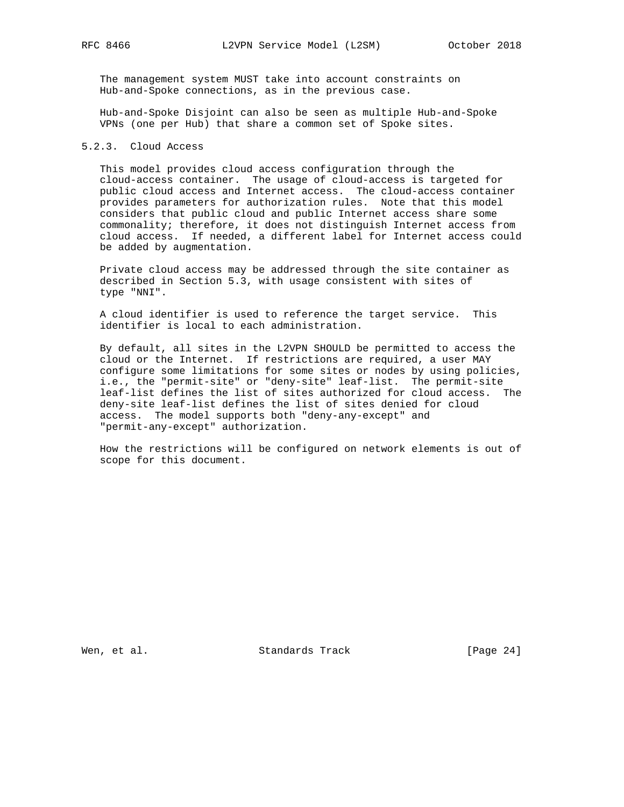The management system MUST take into account constraints on Hub-and-Spoke connections, as in the previous case.

 Hub-and-Spoke Disjoint can also be seen as multiple Hub-and-Spoke VPNs (one per Hub) that share a common set of Spoke sites.

### 5.2.3. Cloud Access

 This model provides cloud access configuration through the cloud-access container. The usage of cloud-access is targeted for public cloud access and Internet access. The cloud-access container provides parameters for authorization rules. Note that this model considers that public cloud and public Internet access share some commonality; therefore, it does not distinguish Internet access from cloud access. If needed, a different label for Internet access could be added by augmentation.

 Private cloud access may be addressed through the site container as described in Section 5.3, with usage consistent with sites of type "NNI".

 A cloud identifier is used to reference the target service. This identifier is local to each administration.

 By default, all sites in the L2VPN SHOULD be permitted to access the cloud or the Internet. If restrictions are required, a user MAY configure some limitations for some sites or nodes by using policies, i.e., the "permit-site" or "deny-site" leaf-list. The permit-site leaf-list defines the list of sites authorized for cloud access. The deny-site leaf-list defines the list of sites denied for cloud access. The model supports both "deny-any-except" and "permit-any-except" authorization.

 How the restrictions will be configured on network elements is out of scope for this document.

Wen, et al. Standards Track [Page 24]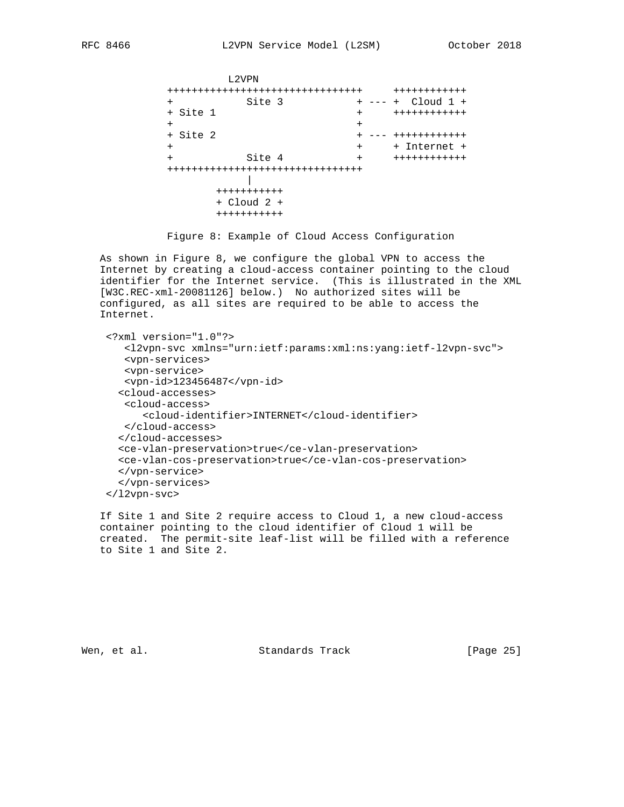```
 L2VPN
             ++++++++++++++++++++++++++++++++ ++++++++++++
             + Site 3 + --- + Cloud 1 +
                                         + Site 1 + ++++++++++++
+ + + + + + + + + + + + + + + + + + + + + + + + + + + + + + + + + + + + + + + + + + + + + + + + + + + + + + + + + + + + + + + + + + + + + + + + + +
            + Site 2 + --- +++++++++++++
 + + + Internet +
 + Site 4 + ++++++++++++
             ++++++++++++++++++++++++++++++++
 |
                    +++++++++++
                    + Cloud 2 +
                    +++++++++++
```
Figure 8: Example of Cloud Access Configuration

 As shown in Figure 8, we configure the global VPN to access the Internet by creating a cloud-access container pointing to the cloud identifier for the Internet service. (This is illustrated in the XML [W3C.REC-xml-20081126] below.) No authorized sites will be configured, as all sites are required to be able to access the Internet.

```
 <?xml version="1.0"?>
    <l2vpn-svc xmlns="urn:ietf:params:xml:ns:yang:ietf-l2vpn-svc">
    <vpn-services>
    <vpn-service>
   <vpn-id>123456487</vpn-id>
   <cloud-accesses>
   <cloud-access>
       <cloud-identifier>INTERNET</cloud-identifier>
   </cloud-access>
   </cloud-accesses>
   <ce-vlan-preservation>true</ce-vlan-preservation>
   <ce-vlan-cos-preservation>true</ce-vlan-cos-preservation>
   </vpn-service>
   </vpn-services>
 </l2vpn-svc>
```
 If Site 1 and Site 2 require access to Cloud 1, a new cloud-access container pointing to the cloud identifier of Cloud 1 will be created. The permit-site leaf-list will be filled with a reference to Site 1 and Site 2.

Wen, et al. Standards Track [Page 25]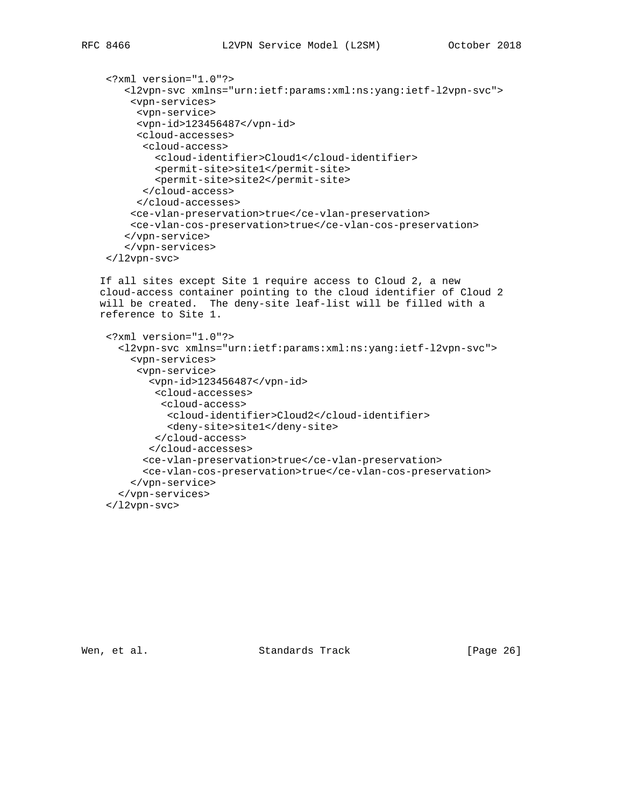```
 <?xml version="1.0"?>
    <l2vpn-svc xmlns="urn:ietf:params:xml:ns:yang:ietf-l2vpn-svc">
     <vpn-services>
      <vpn-service>
      <vpn-id>123456487</vpn-id>
      <cloud-accesses>
      <cloud-access>
         <cloud-identifier>Cloud1</cloud-identifier>
         <permit-site>site1</permit-site>
         <permit-site>site2</permit-site>
       </cloud-access>
      </cloud-accesses>
     <ce-vlan-preservation>true</ce-vlan-preservation>
     <ce-vlan-cos-preservation>true</ce-vlan-cos-preservation>
    </vpn-service>
    </vpn-services>
 </l2vpn-svc>
```
 If all sites except Site 1 require access to Cloud 2, a new cloud-access container pointing to the cloud identifier of Cloud 2 will be created. The deny-site leaf-list will be filled with a reference to Site 1.

```
 <?xml version="1.0"?>
   <l2vpn-svc xmlns="urn:ietf:params:xml:ns:yang:ietf-l2vpn-svc">
     <vpn-services>
      <vpn-service>
        <vpn-id>123456487</vpn-id>
         <cloud-accesses>
          <cloud-access>
           <cloud-identifier>Cloud2</cloud-identifier>
           <deny-site>site1</deny-site>
         </cloud-access>
        </cloud-accesses>
       <ce-vlan-preservation>true</ce-vlan-preservation>
       <ce-vlan-cos-preservation>true</ce-vlan-cos-preservation>
     </vpn-service>
   </vpn-services>
 </l2vpn-svc>
```
Wen, et al. Standards Track [Page 26]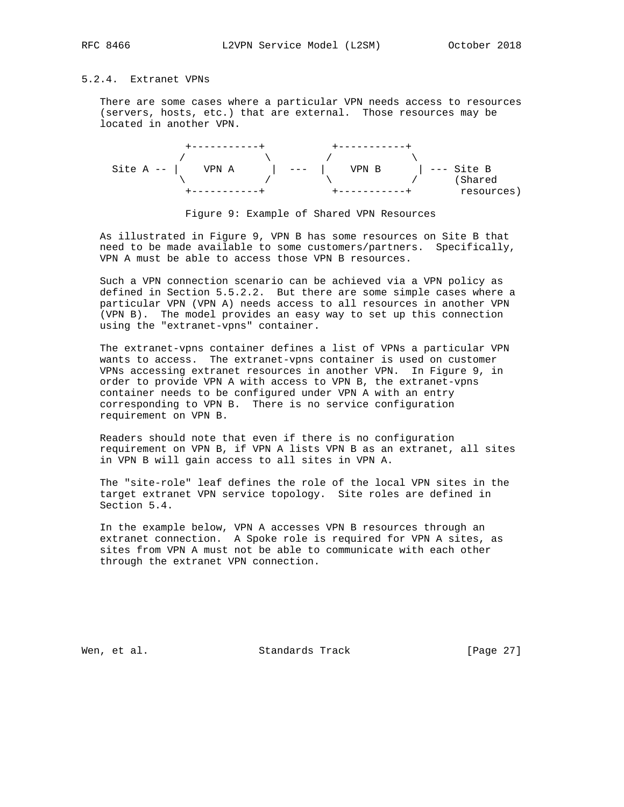## 5.2.4. Extranet VPNs

 There are some cases where a particular VPN needs access to resources (servers, hosts, etc.) that are external. Those resources may be located in another VPN.





 As illustrated in Figure 9, VPN B has some resources on Site B that need to be made available to some customers/partners. Specifically, VPN A must be able to access those VPN B resources.

 Such a VPN connection scenario can be achieved via a VPN policy as defined in Section 5.5.2.2. But there are some simple cases where a particular VPN (VPN A) needs access to all resources in another VPN (VPN B). The model provides an easy way to set up this connection using the "extranet-vpns" container.

 The extranet-vpns container defines a list of VPNs a particular VPN wants to access. The extranet-vpns container is used on customer VPNs accessing extranet resources in another VPN. In Figure 9, in order to provide VPN A with access to VPN B, the extranet-vpns container needs to be configured under VPN A with an entry corresponding to VPN B. There is no service configuration requirement on VPN B.

 Readers should note that even if there is no configuration requirement on VPN B, if VPN A lists VPN B as an extranet, all sites in VPN B will gain access to all sites in VPN A.

 The "site-role" leaf defines the role of the local VPN sites in the target extranet VPN service topology. Site roles are defined in Section 5.4.

 In the example below, VPN A accesses VPN B resources through an extranet connection. A Spoke role is required for VPN A sites, as sites from VPN A must not be able to communicate with each other through the extranet VPN connection.

Wen, et al. Standards Track [Page 27]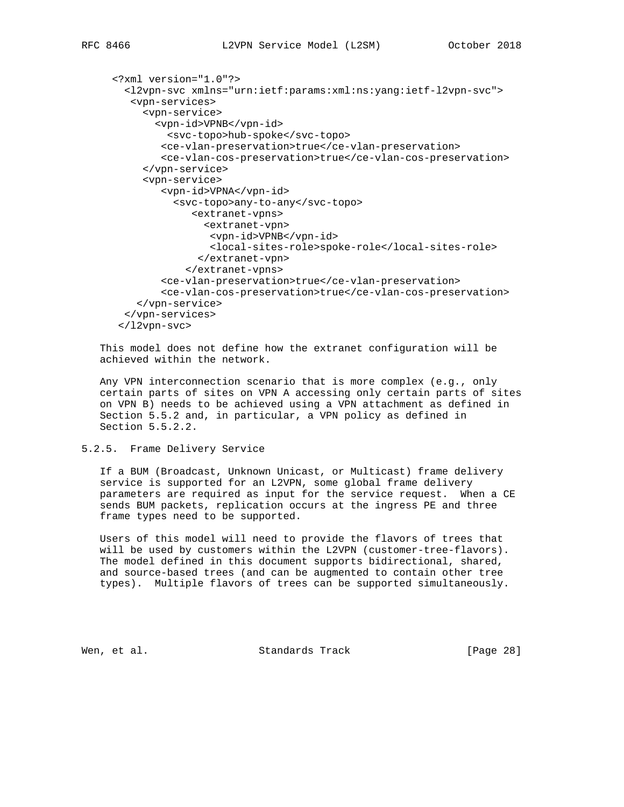```
 <?xml version="1.0"?>
  <l2vpn-svc xmlns="urn:ietf:params:xml:ns:yang:ietf-l2vpn-svc">
    <vpn-services>
      <vpn-service>
        <vpn-id>VPNB</vpn-id>
          <svc-topo>hub-spoke</svc-topo>
         <ce-vlan-preservation>true</ce-vlan-preservation>
         <ce-vlan-cos-preservation>true</ce-vlan-cos-preservation>
      </vpn-service>
      <vpn-service>
         <vpn-id>VPNA</vpn-id>
           <svc-topo>any-to-any</svc-topo>
              <extranet-vpns>
                <extranet-vpn>
                 <vpn-id>VPNB</vpn-id>
                 <local-sites-role>spoke-role</local-sites-role>
               </extranet-vpn>
             </extranet-vpns>
         <ce-vlan-preservation>true</ce-vlan-preservation>
         <ce-vlan-cos-preservation>true</ce-vlan-cos-preservation>
     </vpn-service>
  </vpn-services>
  </l2vpn-svc>
```
 This model does not define how the extranet configuration will be achieved within the network.

 Any VPN interconnection scenario that is more complex (e.g., only certain parts of sites on VPN A accessing only certain parts of sites on VPN B) needs to be achieved using a VPN attachment as defined in Section 5.5.2 and, in particular, a VPN policy as defined in Section 5.5.2.2.

5.2.5. Frame Delivery Service

 If a BUM (Broadcast, Unknown Unicast, or Multicast) frame delivery service is supported for an L2VPN, some global frame delivery parameters are required as input for the service request. When a CE sends BUM packets, replication occurs at the ingress PE and three frame types need to be supported.

 Users of this model will need to provide the flavors of trees that will be used by customers within the L2VPN (customer-tree-flavors). The model defined in this document supports bidirectional, shared, and source-based trees (and can be augmented to contain other tree types). Multiple flavors of trees can be supported simultaneously.

Wen, et al. Standards Track [Page 28]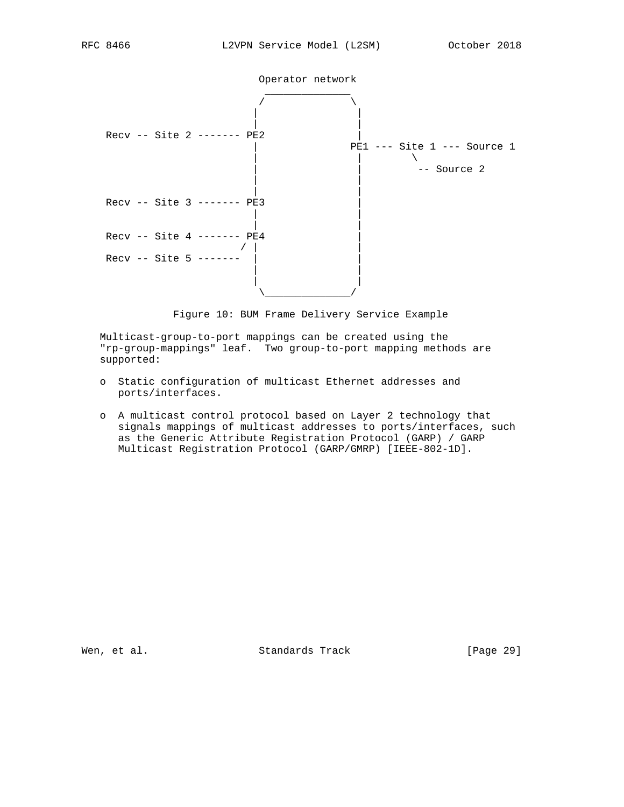

 | | | |

 | | | | \\_\_\_\_\_\_\_\_\_\_\_\_\_\_/

 $/$  |

 $Recv$  -- Site 4 -------  $pE4$ 

 $Recv -- Site 5 -----$ 

Figure 10: BUM Frame Delivery Service Example

 Multicast-group-to-port mappings can be created using the "rp-group-mappings" leaf. Two group-to-port mapping methods are supported:

- o Static configuration of multicast Ethernet addresses and ports/interfaces.
- o A multicast control protocol based on Layer 2 technology that signals mappings of multicast addresses to ports/interfaces, such as the Generic Attribute Registration Protocol (GARP) / GARP Multicast Registration Protocol (GARP/GMRP) [IEEE-802-1D].

Wen, et al. Standards Track [Page 29]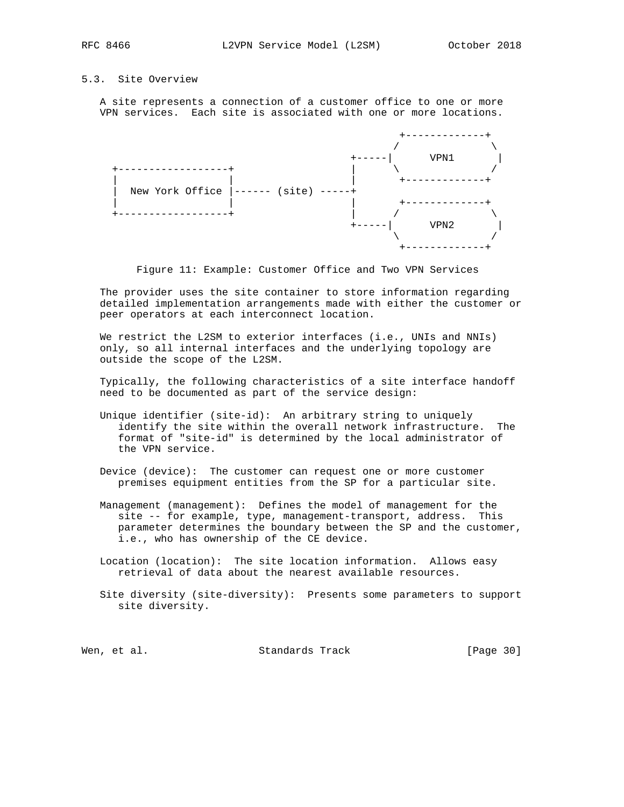## 5.3. Site Overview

 A site represents a connection of a customer office to one or more VPN services. Each site is associated with one or more locations.



Figure 11: Example: Customer Office and Two VPN Services

 The provider uses the site container to store information regarding detailed implementation arrangements made with either the customer or peer operators at each interconnect location.

We restrict the L2SM to exterior interfaces (i.e., UNIs and NNIs) only, so all internal interfaces and the underlying topology are outside the scope of the L2SM.

 Typically, the following characteristics of a site interface handoff need to be documented as part of the service design:

- Unique identifier (site-id): An arbitrary string to uniquely identify the site within the overall network infrastructure. The format of "site-id" is determined by the local administrator of the VPN service.
- Device (device): The customer can request one or more customer premises equipment entities from the SP for a particular site.
- Management (management): Defines the model of management for the site -- for example, type, management-transport, address. This parameter determines the boundary between the SP and the customer, i.e., who has ownership of the CE device.
- Location (location): The site location information. Allows easy retrieval of data about the nearest available resources.
- Site diversity (site-diversity): Presents some parameters to support site diversity.

Wen, et al. Standards Track [Page 30]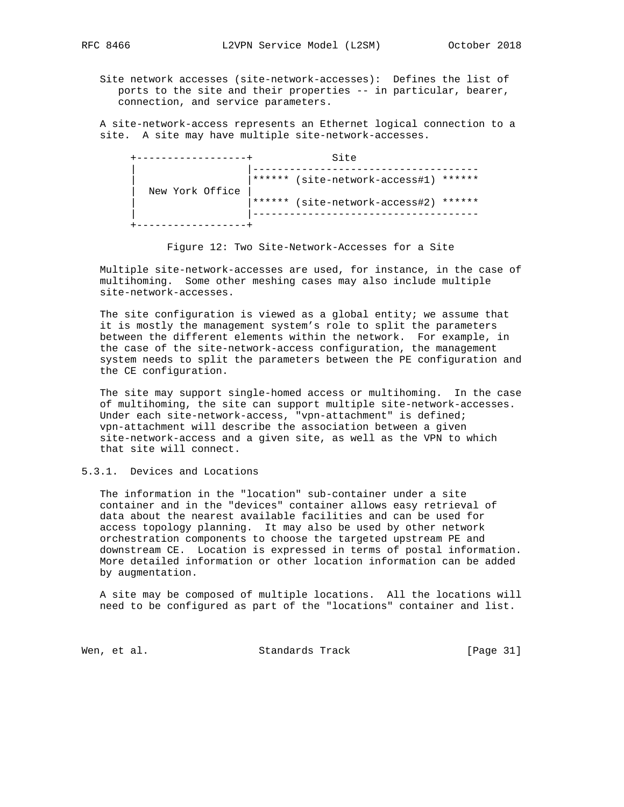Site network accesses (site-network-accesses): Defines the list of ports to the site and their properties -- in particular, bearer, connection, and service parameters.

 A site-network-access represents an Ethernet logical connection to a site. A site may have multiple site-network-accesses.

|                 | Site                                  |
|-----------------|---------------------------------------|
|                 | ****** (site-network-access#1) ****** |
| New York Office | ****** (site-network-access#2) ****** |
|                 |                                       |

Figure 12: Two Site-Network-Accesses for a Site

 Multiple site-network-accesses are used, for instance, in the case of multihoming. Some other meshing cases may also include multiple site-network-accesses.

 The site configuration is viewed as a global entity; we assume that it is mostly the management system's role to split the parameters between the different elements within the network. For example, in the case of the site-network-access configuration, the management system needs to split the parameters between the PE configuration and the CE configuration.

 The site may support single-homed access or multihoming. In the case of multihoming, the site can support multiple site-network-accesses. Under each site-network-access, "vpn-attachment" is defined; vpn-attachment will describe the association between a given site-network-access and a given site, as well as the VPN to which that site will connect.

## 5.3.1. Devices and Locations

 The information in the "location" sub-container under a site container and in the "devices" container allows easy retrieval of data about the nearest available facilities and can be used for access topology planning. It may also be used by other network orchestration components to choose the targeted upstream PE and downstream CE. Location is expressed in terms of postal information. More detailed information or other location information can be added by augmentation.

 A site may be composed of multiple locations. All the locations will need to be configured as part of the "locations" container and list.

Wen, et al. Standards Track [Page 31]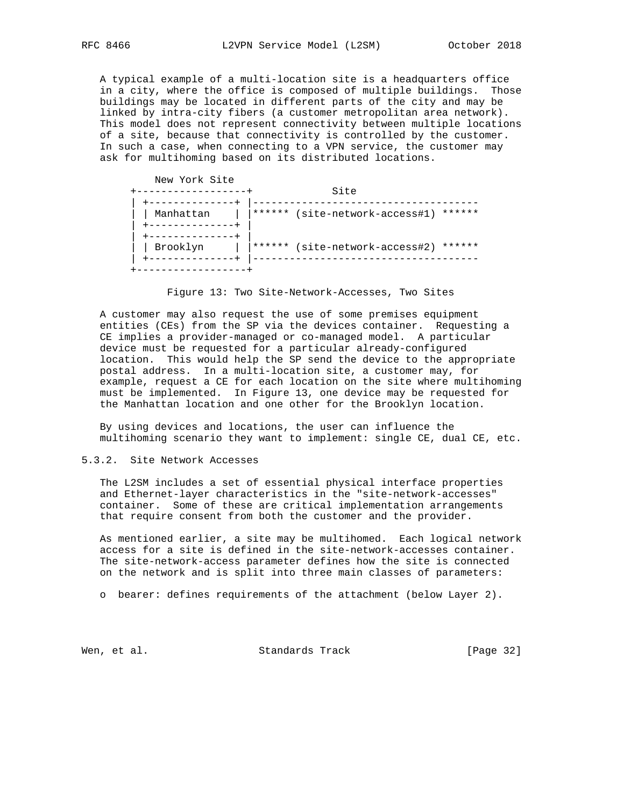A typical example of a multi-location site is a headquarters office in a city, where the office is composed of multiple buildings. Those buildings may be located in different parts of the city and may be linked by intra-city fibers (a customer metropolitan area network). This model does not represent connectivity between multiple locations of a site, because that connectivity is controlled by the customer. In such a case, when connecting to a VPN service, the customer may ask for multihoming based on its distributed locations.

| New York Site | Site                                        |
|---------------|---------------------------------------------|
| Manhattan     | ******<br>(site-network-access#1)<br>****** |
| Brooklyn      | ******<br>(site-network-access#2)<br>****** |



 A customer may also request the use of some premises equipment entities (CEs) from the SP via the devices container. Requesting a CE implies a provider-managed or co-managed model. A particular device must be requested for a particular already-configured location. This would help the SP send the device to the appropriate postal address. In a multi-location site, a customer may, for example, request a CE for each location on the site where multihoming must be implemented. In Figure 13, one device may be requested for the Manhattan location and one other for the Brooklyn location.

 By using devices and locations, the user can influence the multihoming scenario they want to implement: single CE, dual CE, etc.

### 5.3.2. Site Network Accesses

 The L2SM includes a set of essential physical interface properties and Ethernet-layer characteristics in the "site-network-accesses" container. Some of these are critical implementation arrangements that require consent from both the customer and the provider.

 As mentioned earlier, a site may be multihomed. Each logical network access for a site is defined in the site-network-accesses container. The site-network-access parameter defines how the site is connected on the network and is split into three main classes of parameters:

o bearer: defines requirements of the attachment (below Layer 2).

Wen, et al. Standards Track [Page 32]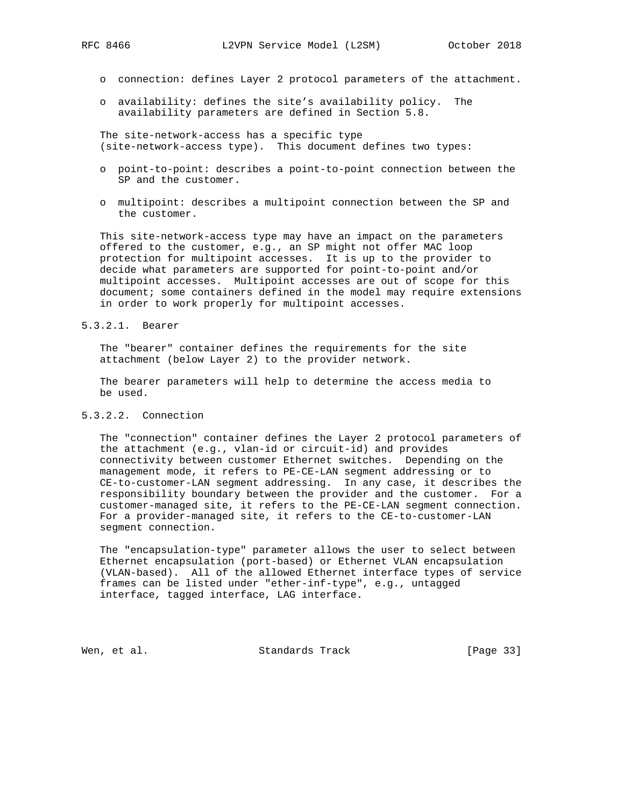- o connection: defines Layer 2 protocol parameters of the attachment.
- o availability: defines the site's availability policy. The availability parameters are defined in Section 5.8.

 The site-network-access has a specific type (site-network-access type). This document defines two types:

- o point-to-point: describes a point-to-point connection between the SP and the customer.
- o multipoint: describes a multipoint connection between the SP and the customer.

 This site-network-access type may have an impact on the parameters offered to the customer, e.g., an SP might not offer MAC loop protection for multipoint accesses. It is up to the provider to decide what parameters are supported for point-to-point and/or multipoint accesses. Multipoint accesses are out of scope for this document; some containers defined in the model may require extensions in order to work properly for multipoint accesses.

### 5.3.2.1. Bearer

 The "bearer" container defines the requirements for the site attachment (below Layer 2) to the provider network.

 The bearer parameters will help to determine the access media to be used.

## 5.3.2.2. Connection

 The "connection" container defines the Layer 2 protocol parameters of the attachment (e.g., vlan-id or circuit-id) and provides connectivity between customer Ethernet switches. Depending on the management mode, it refers to PE-CE-LAN segment addressing or to CE-to-customer-LAN segment addressing. In any case, it describes the responsibility boundary between the provider and the customer. For a customer-managed site, it refers to the PE-CE-LAN segment connection. For a provider-managed site, it refers to the CE-to-customer-LAN segment connection.

 The "encapsulation-type" parameter allows the user to select between Ethernet encapsulation (port-based) or Ethernet VLAN encapsulation (VLAN-based). All of the allowed Ethernet interface types of service frames can be listed under "ether-inf-type", e.g., untagged interface, tagged interface, LAG interface.

Wen, et al. Standards Track [Page 33]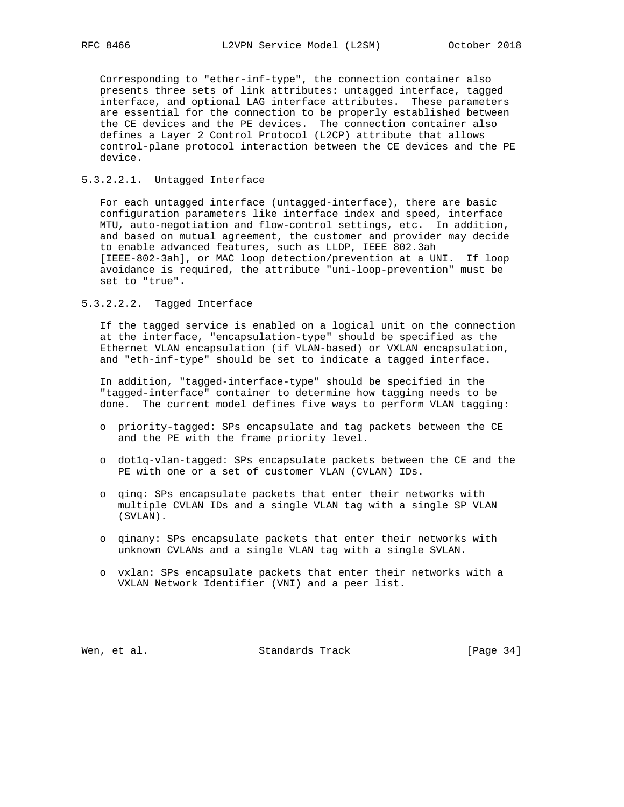Corresponding to "ether-inf-type", the connection container also presents three sets of link attributes: untagged interface, tagged interface, and optional LAG interface attributes. These parameters are essential for the connection to be properly established between the CE devices and the PE devices. The connection container also defines a Layer 2 Control Protocol (L2CP) attribute that allows control-plane protocol interaction between the CE devices and the PE device.

## 5.3.2.2.1. Untagged Interface

 For each untagged interface (untagged-interface), there are basic configuration parameters like interface index and speed, interface MTU, auto-negotiation and flow-control settings, etc. In addition, and based on mutual agreement, the customer and provider may decide to enable advanced features, such as LLDP, IEEE 802.3ah [IEEE-802-3ah], or MAC loop detection/prevention at a UNI. If loop avoidance is required, the attribute "uni-loop-prevention" must be set to "true".

## 5.3.2.2.2. Tagged Interface

 If the tagged service is enabled on a logical unit on the connection at the interface, "encapsulation-type" should be specified as the Ethernet VLAN encapsulation (if VLAN-based) or VXLAN encapsulation, and "eth-inf-type" should be set to indicate a tagged interface.

 In addition, "tagged-interface-type" should be specified in the "tagged-interface" container to determine how tagging needs to be done. The current model defines five ways to perform VLAN tagging:

- o priority-tagged: SPs encapsulate and tag packets between the CE and the PE with the frame priority level.
- o dot1q-vlan-tagged: SPs encapsulate packets between the CE and the PE with one or a set of customer VLAN (CVLAN) IDs.
- o qinq: SPs encapsulate packets that enter their networks with multiple CVLAN IDs and a single VLAN tag with a single SP VLAN (SVLAN).
- o qinany: SPs encapsulate packets that enter their networks with unknown CVLANs and a single VLAN tag with a single SVLAN.
- o vxlan: SPs encapsulate packets that enter their networks with a VXLAN Network Identifier (VNI) and a peer list.

Wen, et al. Standards Track [Page 34]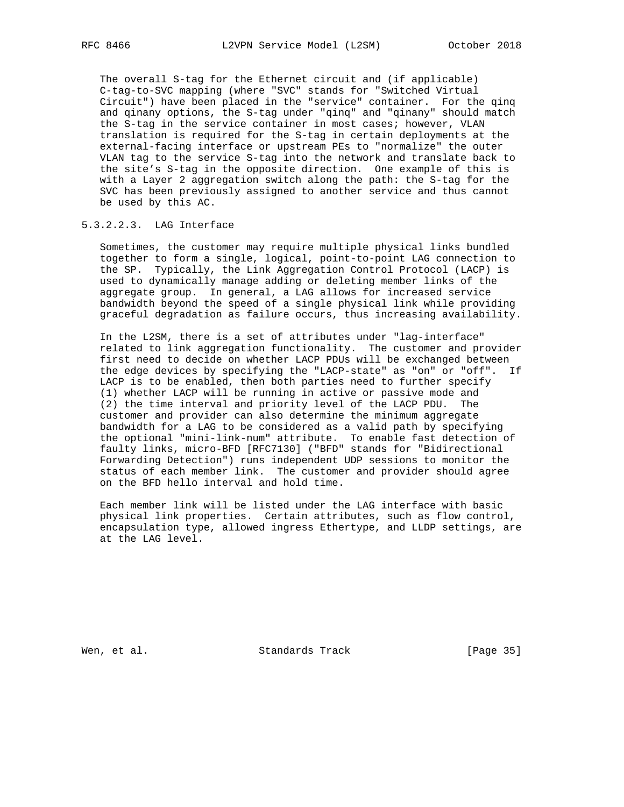The overall S-tag for the Ethernet circuit and (if applicable) C-tag-to-SVC mapping (where "SVC" stands for "Switched Virtual Circuit") have been placed in the "service" container. For the qinq and qinany options, the S-tag under "qinq" and "qinany" should match the S-tag in the service container in most cases; however, VLAN translation is required for the S-tag in certain deployments at the external-facing interface or upstream PEs to "normalize" the outer VLAN tag to the service S-tag into the network and translate back to the site's S-tag in the opposite direction. One example of this is with a Layer 2 aggregation switch along the path: the S-tag for the SVC has been previously assigned to another service and thus cannot be used by this AC.

# 5.3.2.2.3. LAG Interface

 Sometimes, the customer may require multiple physical links bundled together to form a single, logical, point-to-point LAG connection to the SP. Typically, the Link Aggregation Control Protocol (LACP) is used to dynamically manage adding or deleting member links of the aggregate group. In general, a LAG allows for increased service bandwidth beyond the speed of a single physical link while providing graceful degradation as failure occurs, thus increasing availability.

 In the L2SM, there is a set of attributes under "lag-interface" related to link aggregation functionality. The customer and provider first need to decide on whether LACP PDUs will be exchanged between the edge devices by specifying the "LACP-state" as "on" or "off". If LACP is to be enabled, then both parties need to further specify (1) whether LACP will be running in active or passive mode and (2) the time interval and priority level of the LACP PDU. The customer and provider can also determine the minimum aggregate bandwidth for a LAG to be considered as a valid path by specifying the optional "mini-link-num" attribute. To enable fast detection of faulty links, micro-BFD [RFC7130] ("BFD" stands for "Bidirectional Forwarding Detection") runs independent UDP sessions to monitor the status of each member link. The customer and provider should agree on the BFD hello interval and hold time.

 Each member link will be listed under the LAG interface with basic physical link properties. Certain attributes, such as flow control, encapsulation type, allowed ingress Ethertype, and LLDP settings, are at the LAG level.

Wen, et al. Standards Track [Page 35]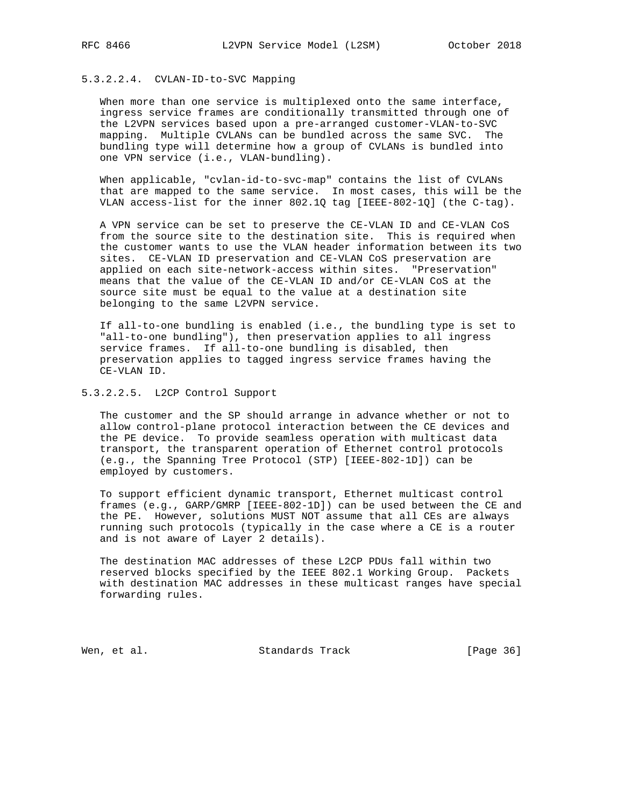# 5.3.2.2.4. CVLAN-ID-to-SVC Mapping

 When more than one service is multiplexed onto the same interface, ingress service frames are conditionally transmitted through one of the L2VPN services based upon a pre-arranged customer-VLAN-to-SVC mapping. Multiple CVLANs can be bundled across the same SVC. The bundling type will determine how a group of CVLANs is bundled into one VPN service (i.e., VLAN-bundling).

 When applicable, "cvlan-id-to-svc-map" contains the list of CVLANs that are mapped to the same service. In most cases, this will be the VLAN access-list for the inner 802.1Q tag [IEEE-802-1Q] (the C-tag).

 A VPN service can be set to preserve the CE-VLAN ID and CE-VLAN CoS from the source site to the destination site. This is required when the customer wants to use the VLAN header information between its two sites. CE-VLAN ID preservation and CE-VLAN CoS preservation are applied on each site-network-access within sites. "Preservation" means that the value of the CE-VLAN ID and/or CE-VLAN CoS at the source site must be equal to the value at a destination site belonging to the same L2VPN service.

 If all-to-one bundling is enabled (i.e., the bundling type is set to "all-to-one bundling"), then preservation applies to all ingress service frames. If all-to-one bundling is disabled, then preservation applies to tagged ingress service frames having the CE-VLAN ID.

5.3.2.2.5. L2CP Control Support

 The customer and the SP should arrange in advance whether or not to allow control-plane protocol interaction between the CE devices and the PE device. To provide seamless operation with multicast data transport, the transparent operation of Ethernet control protocols (e.g., the Spanning Tree Protocol (STP) [IEEE-802-1D]) can be employed by customers.

 To support efficient dynamic transport, Ethernet multicast control frames (e.g., GARP/GMRP [IEEE-802-1D]) can be used between the CE and the PE. However, solutions MUST NOT assume that all CEs are always running such protocols (typically in the case where a CE is a router and is not aware of Layer 2 details).

 The destination MAC addresses of these L2CP PDUs fall within two reserved blocks specified by the IEEE 802.1 Working Group. Packets with destination MAC addresses in these multicast ranges have special forwarding rules.

Wen, et al. Standards Track [Page 36]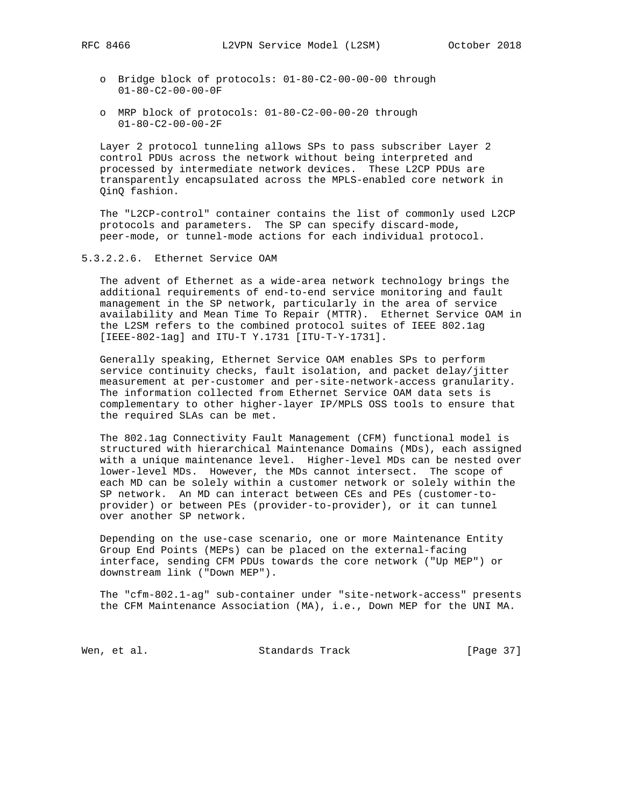- o Bridge block of protocols: 01-80-C2-00-00-00 through 01-80-C2-00-00-0F
- o MRP block of protocols: 01-80-C2-00-00-20 through 01-80-C2-00-00-2F

 Layer 2 protocol tunneling allows SPs to pass subscriber Layer 2 control PDUs across the network without being interpreted and processed by intermediate network devices. These L2CP PDUs are transparently encapsulated across the MPLS-enabled core network in QinQ fashion.

 The "L2CP-control" container contains the list of commonly used L2CP protocols and parameters. The SP can specify discard-mode, peer-mode, or tunnel-mode actions for each individual protocol.

### 5.3.2.2.6. Ethernet Service OAM

 The advent of Ethernet as a wide-area network technology brings the additional requirements of end-to-end service monitoring and fault management in the SP network, particularly in the area of service availability and Mean Time To Repair (MTTR). Ethernet Service OAM in the L2SM refers to the combined protocol suites of IEEE 802.1ag [IEEE-802-1ag] and ITU-T Y.1731 [ITU-T-Y-1731].

 Generally speaking, Ethernet Service OAM enables SPs to perform service continuity checks, fault isolation, and packet delay/jitter measurement at per-customer and per-site-network-access granularity. The information collected from Ethernet Service OAM data sets is complementary to other higher-layer IP/MPLS OSS tools to ensure that the required SLAs can be met.

 The 802.1ag Connectivity Fault Management (CFM) functional model is structured with hierarchical Maintenance Domains (MDs), each assigned with a unique maintenance level. Higher-level MDs can be nested over lower-level MDs. However, the MDs cannot intersect. The scope of each MD can be solely within a customer network or solely within the SP network. An MD can interact between CEs and PEs (customer-to provider) or between PEs (provider-to-provider), or it can tunnel over another SP network.

 Depending on the use-case scenario, one or more Maintenance Entity Group End Points (MEPs) can be placed on the external-facing interface, sending CFM PDUs towards the core network ("Up MEP") or downstream link ("Down MEP").

 The "cfm-802.1-ag" sub-container under "site-network-access" presents the CFM Maintenance Association (MA), i.e., Down MEP for the UNI MA.

Wen, et al. Standards Track [Page 37]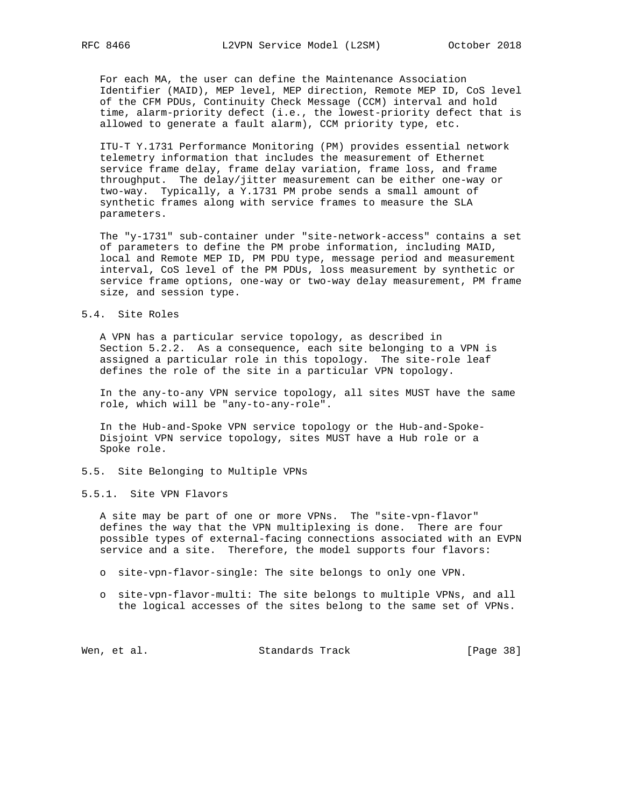For each MA, the user can define the Maintenance Association Identifier (MAID), MEP level, MEP direction, Remote MEP ID, CoS level of the CFM PDUs, Continuity Check Message (CCM) interval and hold time, alarm-priority defect (i.e., the lowest-priority defect that is allowed to generate a fault alarm), CCM priority type, etc.

 ITU-T Y.1731 Performance Monitoring (PM) provides essential network telemetry information that includes the measurement of Ethernet service frame delay, frame delay variation, frame loss, and frame throughput. The delay/jitter measurement can be either one-way or two-way. Typically, a Y.1731 PM probe sends a small amount of synthetic frames along with service frames to measure the SLA parameters.

 The "y-1731" sub-container under "site-network-access" contains a set of parameters to define the PM probe information, including MAID, local and Remote MEP ID, PM PDU type, message period and measurement interval, CoS level of the PM PDUs, loss measurement by synthetic or service frame options, one-way or two-way delay measurement, PM frame size, and session type.

#### 5.4. Site Roles

 A VPN has a particular service topology, as described in Section 5.2.2. As a consequence, each site belonging to a VPN is assigned a particular role in this topology. The site-role leaf defines the role of the site in a particular VPN topology.

 In the any-to-any VPN service topology, all sites MUST have the same role, which will be "any-to-any-role".

 In the Hub-and-Spoke VPN service topology or the Hub-and-Spoke- Disjoint VPN service topology, sites MUST have a Hub role or a Spoke role.

5.5. Site Belonging to Multiple VPNs

## 5.5.1. Site VPN Flavors

 A site may be part of one or more VPNs. The "site-vpn-flavor" defines the way that the VPN multiplexing is done. There are four possible types of external-facing connections associated with an EVPN service and a site. Therefore, the model supports four flavors:

- o site-vpn-flavor-single: The site belongs to only one VPN.
- o site-vpn-flavor-multi: The site belongs to multiple VPNs, and all the logical accesses of the sites belong to the same set of VPNs.

Wen, et al. Standards Track [Page 38]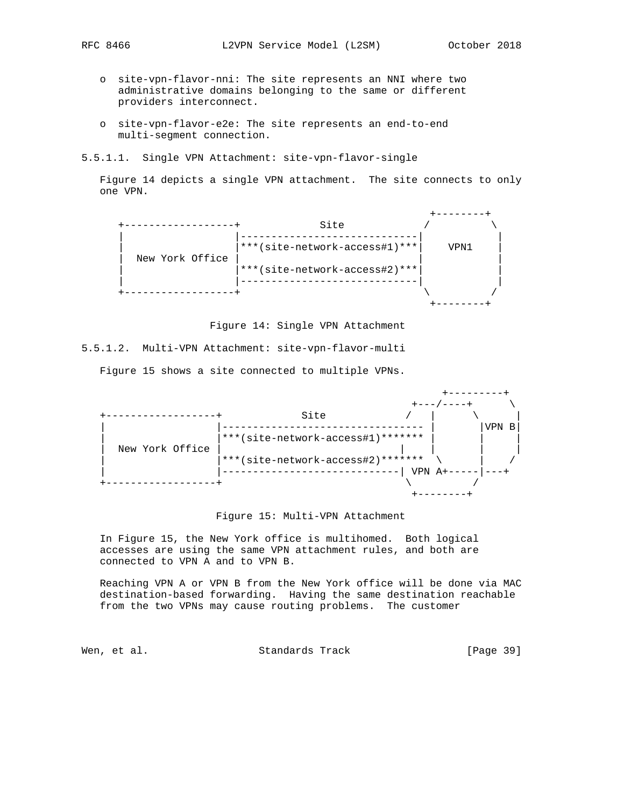- - o site-vpn-flavor-nni: The site represents an NNI where two administrative domains belonging to the same or different providers interconnect.
	- o site-vpn-flavor-e2e: The site represents an end-to-end multi-segment connection.
- 5.5.1.1. Single VPN Attachment: site-vpn-flavor-single

 Figure 14 depicts a single VPN attachment. The site connects to only one VPN.



Figure 14: Single VPN Attachment

5.5.1.2. Multi-VPN Attachment: site-vpn-flavor-multi

Figure 15 shows a site connected to multiple VPNs.



## Figure 15: Multi-VPN Attachment

 In Figure 15, the New York office is multihomed. Both logical accesses are using the same VPN attachment rules, and both are connected to VPN A and to VPN B.

 Reaching VPN A or VPN B from the New York office will be done via MAC destination-based forwarding. Having the same destination reachable from the two VPNs may cause routing problems. The customer

Wen, et al. Standards Track [Page 39]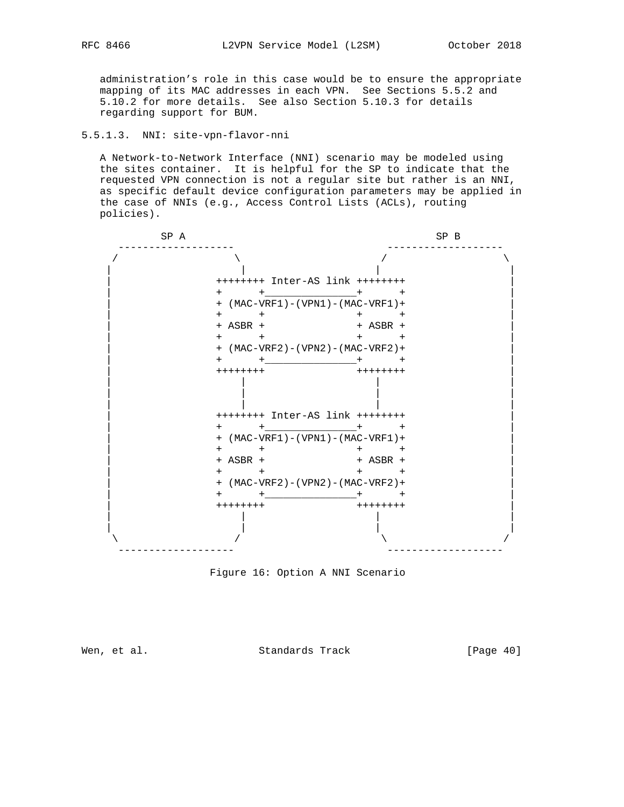administration's role in this case would be to ensure the appropriate mapping of its MAC addresses in each VPN. See Sections 5.5.2 and 5.10.2 for more details. See also Section 5.10.3 for details regarding support for BUM.

# 5.5.1.3. NNI: site-vpn-flavor-nni

 A Network-to-Network Interface (NNI) scenario may be modeled using the sites container. It is helpful for the SP to indicate that the requested VPN connection is not a regular site but rather is an NNI, as specific default device configuration parameters may be applied in the case of NNIs (e.g., Access Control Lists (ACLs), routing policies).

| SP A |                  | SP B                                   |  |
|------|------------------|----------------------------------------|--|
|      |                  |                                        |  |
|      |                  | ++++++++ Inter-AS link ++++++++        |  |
|      | $+$              | $+$ $+$ $+$ $+$                        |  |
|      |                  | + (MAC-VRF1) - (VPN1) - (MAC-VRF1) +   |  |
|      | $+$ $+$          | $+$<br>$+$                             |  |
|      | + ASBR +         | $+$ ASBR $+$                           |  |
|      | $+$ $+$          | $ +$                                   |  |
|      |                  | + (MAC-VRF2) - (VPN2) - (MAC-VRF2) +   |  |
|      | $+$ $ -$         | $^{+}$                                 |  |
|      | ++++++++         | $+ + + + + + + +$                      |  |
|      |                  | $++++++$ Inter-AS $link$ ++++++++      |  |
|      | $+$ $+$ $ +$ $+$ | $+$                                    |  |
|      |                  | + (MAC-VRF1) - (VPN1) - (MAC-VRF1) +   |  |
|      | $+$ $+$          | $+$<br>$ +$                            |  |
|      | $+$ ASBR $+$     | $+$ ASBR $+$                           |  |
|      | $+$ $+$          | $+$ $+$                                |  |
|      |                  | $+$ (MAC-VRF2) – (VPN2) – (MAC-VRF2) + |  |
|      | $+$ $-$          | $+$ $+$ $+$                            |  |
|      | $++++++$         | $+ + + + + + + +$                      |  |
|      |                  |                                        |  |
|      |                  |                                        |  |

Figure 16: Option A NNI Scenario

Wen, et al. Standards Track [Page 40]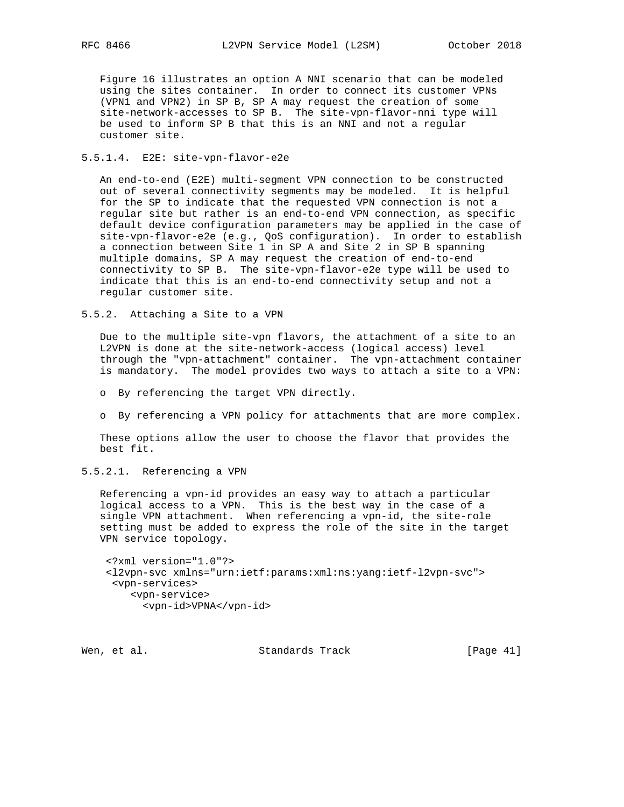Figure 16 illustrates an option A NNI scenario that can be modeled using the sites container. In order to connect its customer VPNs (VPN1 and VPN2) in SP B, SP A may request the creation of some site-network-accesses to SP B. The site-vpn-flavor-nni type will be used to inform SP B that this is an NNI and not a regular customer site.

#### 5.5.1.4. E2E: site-vpn-flavor-e2e

 An end-to-end (E2E) multi-segment VPN connection to be constructed out of several connectivity segments may be modeled. It is helpful for the SP to indicate that the requested VPN connection is not a regular site but rather is an end-to-end VPN connection, as specific default device configuration parameters may be applied in the case of site-vpn-flavor-e2e (e.g., QoS configuration). In order to establish a connection between Site 1 in SP A and Site 2 in SP B spanning multiple domains, SP A may request the creation of end-to-end connectivity to SP B. The site-vpn-flavor-e2e type will be used to indicate that this is an end-to-end connectivity setup and not a regular customer site.

5.5.2. Attaching a Site to a VPN

 Due to the multiple site-vpn flavors, the attachment of a site to an L2VPN is done at the site-network-access (logical access) level through the "vpn-attachment" container. The vpn-attachment container is mandatory. The model provides two ways to attach a site to a VPN:

- o By referencing the target VPN directly.
- o By referencing a VPN policy for attachments that are more complex.

 These options allow the user to choose the flavor that provides the best fit.

5.5.2.1. Referencing a VPN

 Referencing a vpn-id provides an easy way to attach a particular logical access to a VPN. This is the best way in the case of a single VPN attachment. When referencing a vpn-id, the site-role setting must be added to express the role of the site in the target VPN service topology.

```
 <?xml version="1.0"?>
<l2vpn-svc xmlns="urn:ietf:params:xml:ns:yang:ietf-l2vpn-svc">
<vpn-services>
   <vpn-service>
      <vpn-id>VPNA</vpn-id>
```
Wen, et al. Standards Track [Page 41]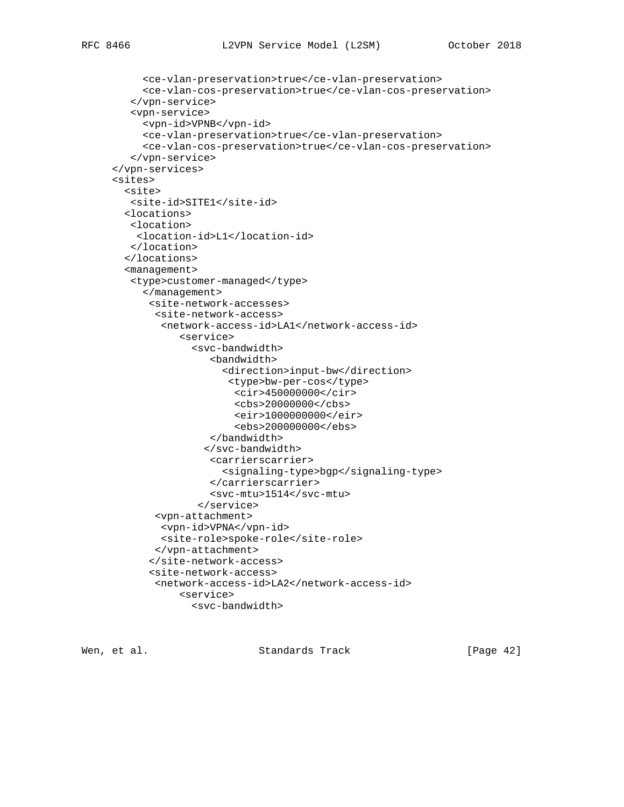```
 <ce-vlan-preservation>true</ce-vlan-preservation>
     <ce-vlan-cos-preservation>true</ce-vlan-cos-preservation>
   </vpn-service>
   <vpn-service>
     <vpn-id>VPNB</vpn-id>
     <ce-vlan-preservation>true</ce-vlan-preservation>
     <ce-vlan-cos-preservation>true</ce-vlan-cos-preservation>
   </vpn-service>
</vpn-services>
<sites>
  <site>
  <site-id>SITE1</site-id>
  <locations>
  <location>
    <location-id>L1</location-id>
   </location>
  </locations>
  <management>
   <type>customer-managed</type>
     </management>
      <site-network-accesses>
       <site-network-access>
        <network-access-id>LA1</network-access-id>
           <service>
             <svc-bandwidth>
                 <bandwidth>
                   <direction>input-bw</direction>
                    <type>bw-per-cos</type>
                     <cir>450000000</cir>
                     <cbs>20000000</cbs>
                     <eir>1000000000</eir>
                     <ebs>200000000</ebs>
                 </bandwidth>
                </svc-bandwidth>
                 <carrierscarrier>
                   <signaling-type>bgp</signaling-type>
                </carrierscarrier>
                 <svc-mtu>1514</svc-mtu>
              </service>
       <vpn-attachment>
        <vpn-id>VPNA</vpn-id>
        <site-role>spoke-role</site-role>
       </vpn-attachment>
      </site-network-access>
      <site-network-access>
       <network-access-id>LA2</network-access-id>
           <service>
             <svc-bandwidth>
```
Wen, et al. Standards Track [Page 42]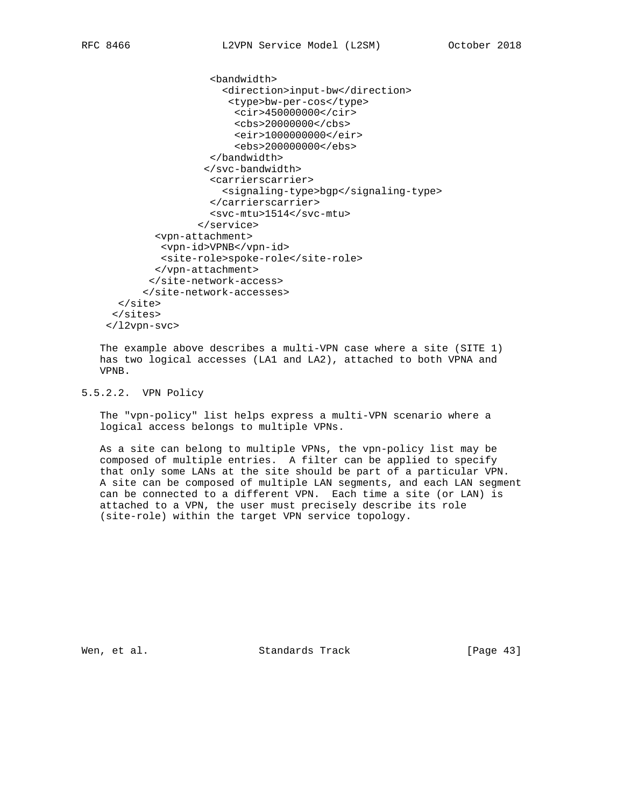```
 <bandwidth>
                    <direction>input-bw</direction>
                     <type>bw-per-cos</type>
                      <cir>450000000</cir>
                      <cbs>20000000</cbs>
                      <eir>1000000000</eir>
                      <ebs>200000000</ebs>
                  </bandwidth>
                 </svc-bandwidth>
                  <carrierscarrier>
                    <signaling-type>bgp</signaling-type>
                  </carrierscarrier>
                  <svc-mtu>1514</svc-mtu>
                </service>
        <vpn-attachment>
         <vpn-id>VPNB</vpn-id>
         <site-role>spoke-role</site-role>
        </vpn-attachment>
       </site-network-access>
      </site-network-accesses>
  </site>
</sites>
</l2vpn-svc>
```
 The example above describes a multi-VPN case where a site (SITE 1) has two logical accesses (LA1 and LA2), attached to both VPNA and VPNB.

5.5.2.2. VPN Policy

 The "vpn-policy" list helps express a multi-VPN scenario where a logical access belongs to multiple VPNs.

 As a site can belong to multiple VPNs, the vpn-policy list may be composed of multiple entries. A filter can be applied to specify that only some LANs at the site should be part of a particular VPN. A site can be composed of multiple LAN segments, and each LAN segment can be connected to a different VPN. Each time a site (or LAN) is attached to a VPN, the user must precisely describe its role (site-role) within the target VPN service topology.

Wen, et al. Standards Track [Page 43]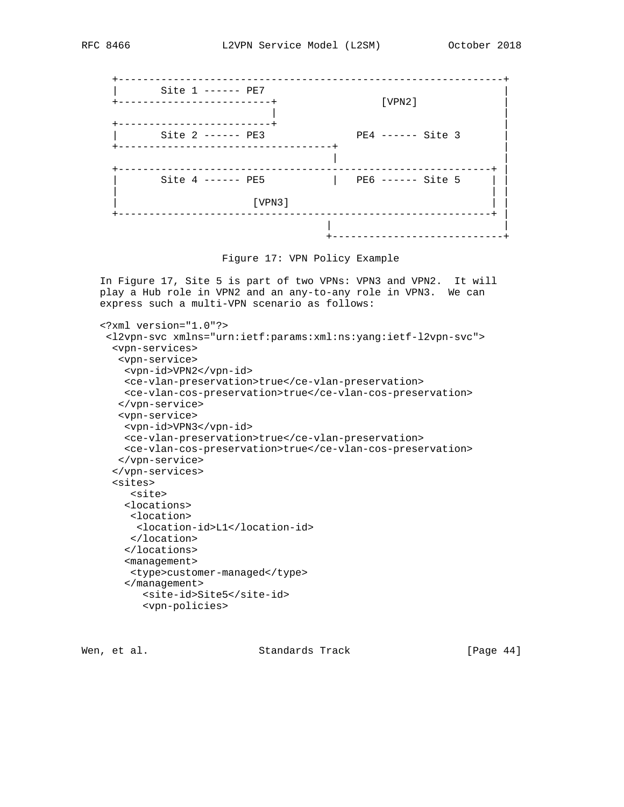



 In Figure 17, Site 5 is part of two VPNs: VPN3 and VPN2. It will play a Hub role in VPN2 and an any-to-any role in VPN3. We can express such a multi-VPN scenario as follows:

```
 <?xml version="1.0"?>
<l2vpn-svc xmlns="urn:ietf:params:xml:ns:yang:ietf-l2vpn-svc">
  <vpn-services>
   <vpn-service>
   <vpn-id>VPN2</vpn-id>
   <ce-vlan-preservation>true</ce-vlan-preservation>
   <ce-vlan-cos-preservation>true</ce-vlan-cos-preservation>
   </vpn-service>
   <vpn-service>
   <vpn-id>VPN3</vpn-id>
   <ce-vlan-preservation>true</ce-vlan-preservation>
   <ce-vlan-cos-preservation>true</ce-vlan-cos-preservation>
   </vpn-service>
  </vpn-services>
  <sites>
     <site>
    <locations>
     <location>
     <location-id>L1</location-id>
     </location>
    </locations>
    <management>
     <type>customer-managed</type>
    </management>
       <site-id>Site5</site-id>
       <vpn-policies>
```
Wen, et al. Standards Track [Page 44]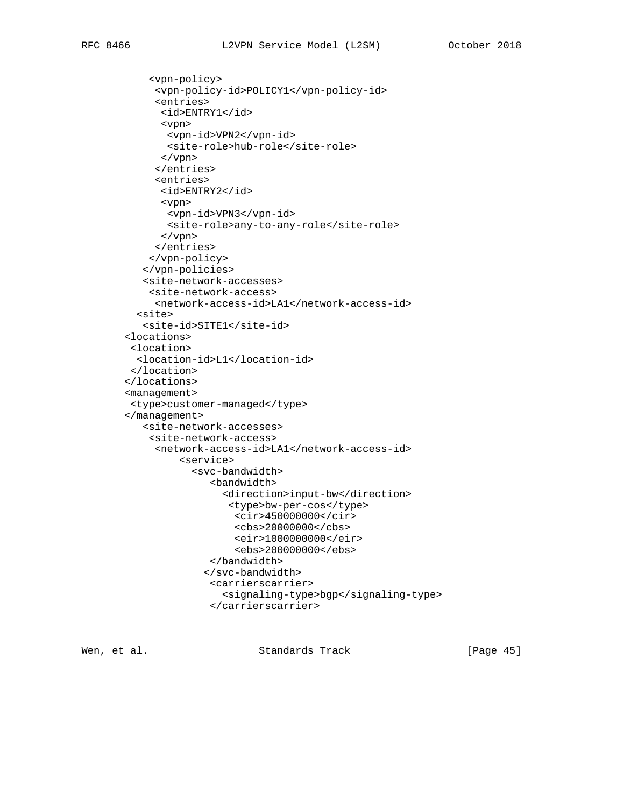```
 <vpn-policy>
     <vpn-policy-id>POLICY1</vpn-policy-id>
     <entries>
      <id>ENTRY1</id>
      <vpn>
       <vpn-id>VPN2</vpn-id>
       <site-role>hub-role</site-role>
      </vpn>
     </entries>
     <entries>
      <id>ENTRY2</id>
      <vpn>
       <vpn-id>VPN3</vpn-id>
       <site-role>any-to-any-role</site-role>
      </vpn>
     </entries>
    </vpn-policy>
   </vpn-policies>
   <site-network-accesses>
    <site-network-access>
     <network-access-id>LA1</network-access-id>
  <site>
   <site-id>SITE1</site-id>
<locations>
 <location>
  <location-id>L1</location-id>
</location>
</locations>
<management>
<type>customer-managed</type>
</management>
   <site-network-accesses>
    <site-network-access>
     <network-access-id>LA1</network-access-id>
         <service>
           <svc-bandwidth>
               <bandwidth>
                 <direction>input-bw</direction>
                  <type>bw-per-cos</type>
                   <cir>450000000</cir>
                   <cbs>20000000</cbs>
                   <eir>1000000000</eir>
                   <ebs>200000000</ebs>
               </bandwidth>
              </svc-bandwidth>
               <carrierscarrier>
                 <signaling-type>bgp</signaling-type>
               </carrierscarrier>
```
Wen, et al. Standards Track [Page 45]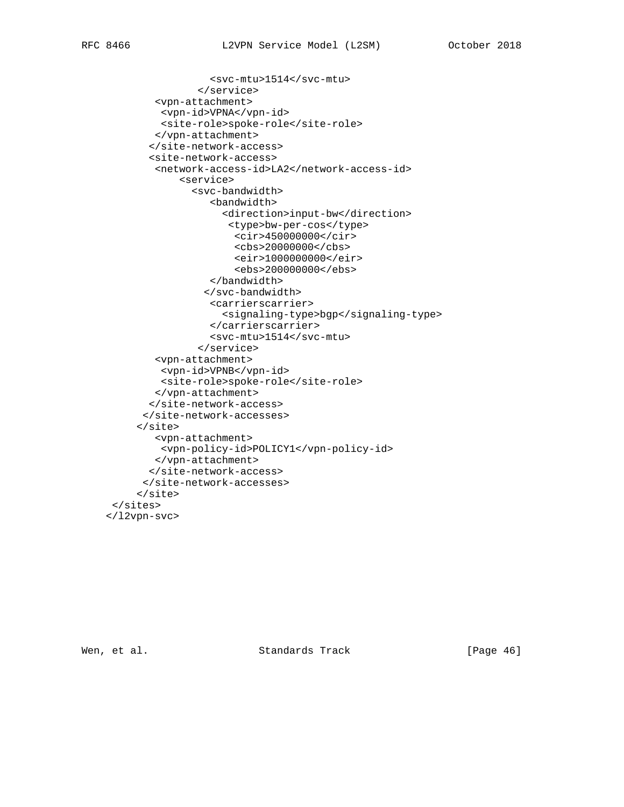```
 <svc-mtu>1514</svc-mtu>
                </service>
        <vpn-attachment>
         <vpn-id>VPNA</vpn-id>
         <site-role>spoke-role</site-role>
        </vpn-attachment>
       </site-network-access>
       <site-network-access>
        <network-access-id>LA2</network-access-id>
            <service>
              <svc-bandwidth>
                 <bandwidth>
                    <direction>input-bw</direction>
                     <type>bw-per-cos</type>
                      <cir>450000000</cir>
                      <cbs>20000000</cbs>
                      <eir>1000000000</eir>
                      <ebs>200000000</ebs>
                  </bandwidth>
                 </svc-bandwidth>
                  <carrierscarrier>
                    <signaling-type>bgp</signaling-type>
                  </carrierscarrier>
                  <svc-mtu>1514</svc-mtu>
                </service>
        <vpn-attachment>
         <vpn-id>VPNB</vpn-id>
         <site-role>spoke-role</site-role>
        </vpn-attachment>
       </site-network-access>
      </site-network-accesses>
     </site>
        <vpn-attachment>
         <vpn-policy-id>POLICY1</vpn-policy-id>
        </vpn-attachment>
       </site-network-access>
      </site-network-accesses>
     </site>
</sites>
</l2vpn-svc>
```
Wen, et al. Standards Track [Page 46]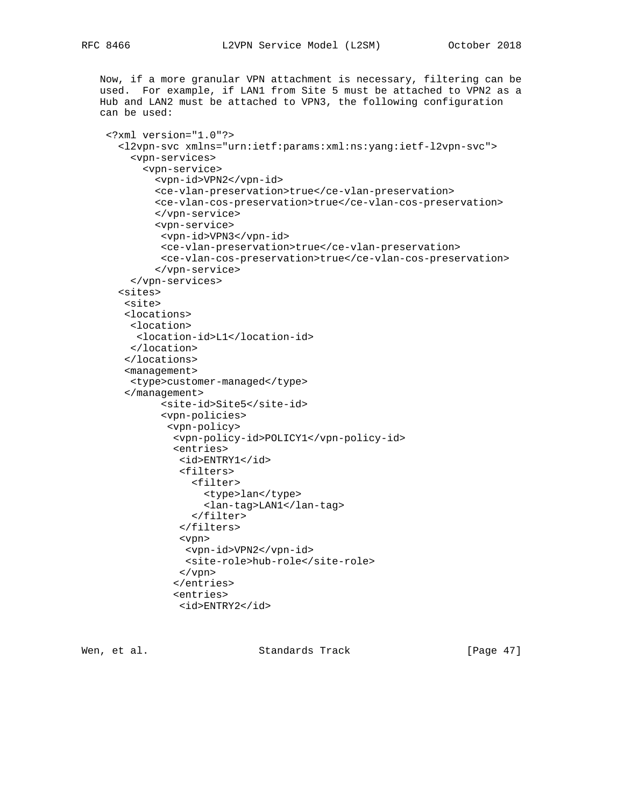Now, if a more granular VPN attachment is necessary, filtering can be

```
 used. For example, if LAN1 from Site 5 must be attached to VPN2 as a
Hub and LAN2 must be attached to VPN3, the following configuration
can be used:
 <?xml version="1.0"?>
   <l2vpn-svc xmlns="urn:ietf:params:xml:ns:yang:ietf-l2vpn-svc">
     <vpn-services>
       <vpn-service>
         <vpn-id>VPN2</vpn-id>
         <ce-vlan-preservation>true</ce-vlan-preservation>
         <ce-vlan-cos-preservation>true</ce-vlan-cos-preservation>
         </vpn-service>
         <vpn-service>
          <vpn-id>VPN3</vpn-id>
          <ce-vlan-preservation>true</ce-vlan-preservation>
          <ce-vlan-cos-preservation>true</ce-vlan-cos-preservation>
         </vpn-service>
     </vpn-services>
   <sites>
    <site>
    <locations>
     <location>
      <location-id>L1</location-id>
     </location>
    </locations>
    <management>
     <type>customer-managed</type>
    </management>
          <site-id>Site5</site-id>
          <vpn-policies>
           <vpn-policy>
            <vpn-policy-id>POLICY1</vpn-policy-id>
            <entries>
             <id>ENTRY1</id>
             <filters>
                <filter>
                  <type>lan</type>
                  <lan-tag>LAN1</lan-tag>
                </filter>
              </filters>
              <vpn>
              <vpn-id>VPN2</vpn-id>
              <site-role>hub-role</site-role>
             </vpn>
            </entries>
            <entries>
```
<id>ENTRY2</id>

Wen, et al. Standards Track [Page 47]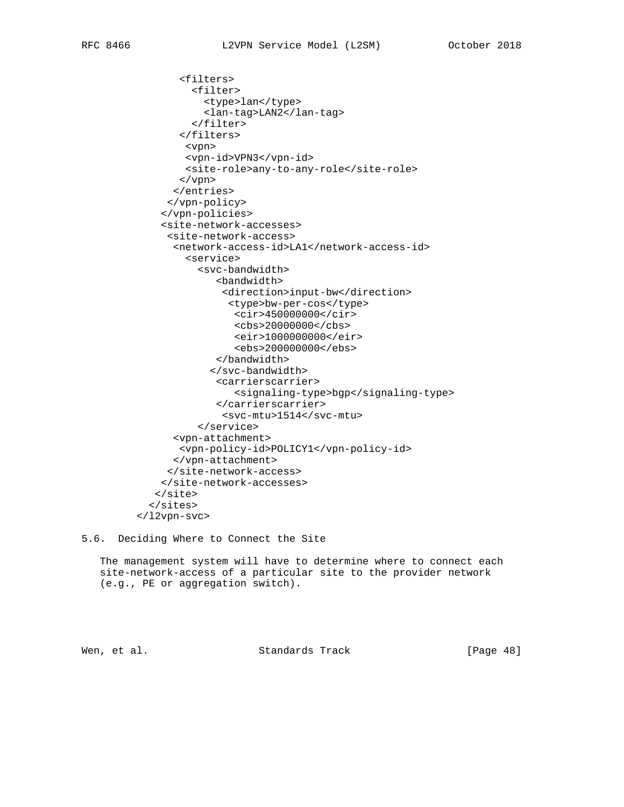```
 <filters>
         <filter>
           <type>lan</type>
           <lan-tag>LAN2</lan-tag>
         </filter>
       </filters>
        <vpn>
        <vpn-id>VPN3</vpn-id>
        <site-role>any-to-any-role</site-role>
       </vpn>
      </entries>
     </vpn-policy>
    </vpn-policies>
    <site-network-accesses>
     <site-network-access>
      <network-access-id>LA1</network-access-id>
        <service>
          <svc-bandwidth>
             <bandwidth>
              <direction>input-bw</direction>
               <type>bw-per-cos</type>
                <cir>450000000</cir>
                <cbs>20000000</cbs>
                <eir>1000000000</eir>
                 <ebs>200000000</ebs>
              </bandwidth>
             </svc-bandwidth>
             <carrierscarrier>
                 <signaling-type>bgp</signaling-type>
              </carrierscarrier>
              <svc-mtu>1514</svc-mtu>
          </service>
      <vpn-attachment>
       <vpn-policy-id>POLICY1</vpn-policy-id>
      </vpn-attachment>
     </site-network-access>
    </site-network-accesses>
   </site>
  </sites>
</l2vpn-svc>
```
5.6. Deciding Where to Connect the Site

 The management system will have to determine where to connect each site-network-access of a particular site to the provider network (e.g., PE or aggregation switch).

Wen, et al. Standards Track [Page 48]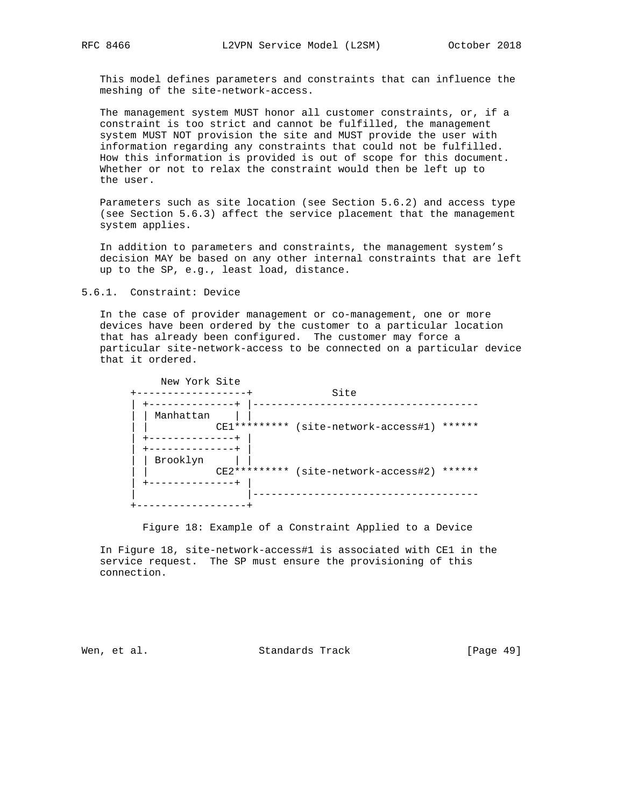This model defines parameters and constraints that can influence the meshing of the site-network-access.

 The management system MUST honor all customer constraints, or, if a constraint is too strict and cannot be fulfilled, the management system MUST NOT provision the site and MUST provide the user with information regarding any constraints that could not be fulfilled. How this information is provided is out of scope for this document. Whether or not to relax the constraint would then be left up to the user.

 Parameters such as site location (see Section 5.6.2) and access type (see Section 5.6.3) affect the service placement that the management system applies.

 In addition to parameters and constraints, the management system's decision MAY be based on any other internal constraints that are left up to the SP, e.g., least load, distance.

5.6.1. Constraint: Device

 In the case of provider management or co-management, one or more devices have been ordered by the customer to a particular location that has already been configured. The customer may force a particular site-network-access to be connected on a particular device that it ordered.

| New York Site | Site                                           |
|---------------|------------------------------------------------|
| Manhattan     | CE1********* (site-network-access#1)<br>****** |
| Brooklyn      | CE2********* (site-network-access#2)<br>****** |
|               |                                                |

Figure 18: Example of a Constraint Applied to a Device

 In Figure 18, site-network-access#1 is associated with CE1 in the service request. The SP must ensure the provisioning of this connection.

Wen, et al. Standards Track [Page 49]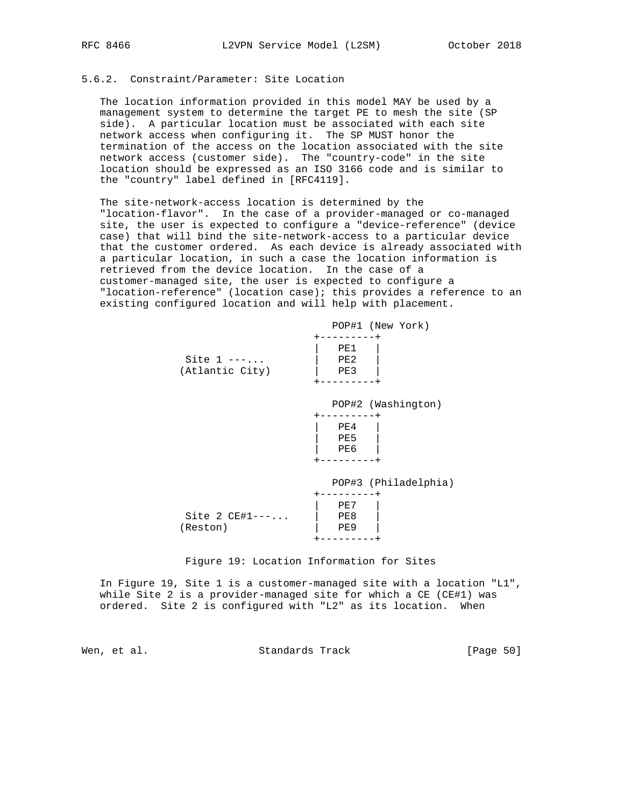# 5.6.2. Constraint/Parameter: Site Location

 The location information provided in this model MAY be used by a management system to determine the target PE to mesh the site (SP side). A particular location must be associated with each site network access when configuring it. The SP MUST honor the termination of the access on the location associated with the site network access (customer side). The "country-code" in the site location should be expressed as an ISO 3166 code and is similar to the "country" label defined in [RFC4119].

 The site-network-access location is determined by the "location-flavor". In the case of a provider-managed or co-managed site, the user is expected to configure a "device-reference" (device case) that will bind the site-network-access to a particular device that the customer ordered. As each device is already associated with a particular location, in such a case the location information is retrieved from the device location. In the case of a customer-managed site, the user is expected to configure a "location-reference" (location case); this provides a reference to an existing configured location and will help with placement.

|                                 | POP#1 (New York)     |
|---------------------------------|----------------------|
| Site $1$ ---<br>(Atlantic City) | PE1<br>PE2<br>PE3    |
|                                 | POP#2 (Washington)   |
|                                 | PE4<br>PE5<br>PE6    |
|                                 | POP#3 (Philadelphia) |
| Site 2 $CE#1---$<br>(Reston)    | PE7<br>PE8<br>PE9    |

Figure 19: Location Information for Sites

 In Figure 19, Site 1 is a customer-managed site with a location "L1", while Site 2 is a provider-managed site for which a CE (CE#1) was ordered. Site 2 is configured with "L2" as its location. When

Wen, et al. Standards Track [Page 50]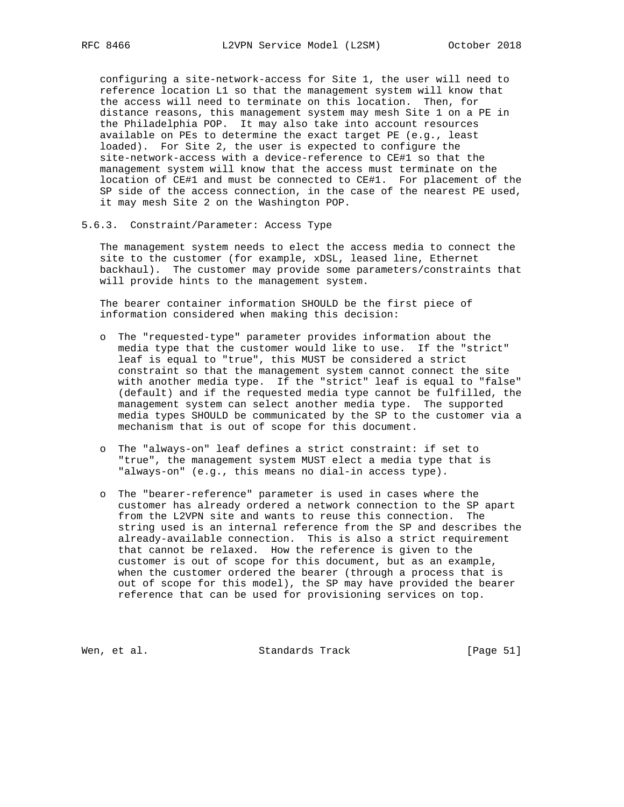configuring a site-network-access for Site 1, the user will need to reference location L1 so that the management system will know that the access will need to terminate on this location. Then, for distance reasons, this management system may mesh Site 1 on a PE in the Philadelphia POP. It may also take into account resources available on PEs to determine the exact target PE (e.g., least loaded). For Site 2, the user is expected to configure the site-network-access with a device-reference to CE#1 so that the management system will know that the access must terminate on the location of CE#1 and must be connected to CE#1. For placement of the SP side of the access connection, in the case of the nearest PE used, it may mesh Site 2 on the Washington POP.

## 5.6.3. Constraint/Parameter: Access Type

 The management system needs to elect the access media to connect the site to the customer (for example, xDSL, leased line, Ethernet backhaul). The customer may provide some parameters/constraints that will provide hints to the management system.

 The bearer container information SHOULD be the first piece of information considered when making this decision:

- o The "requested-type" parameter provides information about the media type that the customer would like to use. If the "strict" leaf is equal to "true", this MUST be considered a strict constraint so that the management system cannot connect the site with another media type. If the "strict" leaf is equal to "false" (default) and if the requested media type cannot be fulfilled, the management system can select another media type. The supported media types SHOULD be communicated by the SP to the customer via a mechanism that is out of scope for this document.
- o The "always-on" leaf defines a strict constraint: if set to "true", the management system MUST elect a media type that is "always-on" (e.g., this means no dial-in access type).
- o The "bearer-reference" parameter is used in cases where the customer has already ordered a network connection to the SP apart from the L2VPN site and wants to reuse this connection. The string used is an internal reference from the SP and describes the already-available connection. This is also a strict requirement that cannot be relaxed. How the reference is given to the customer is out of scope for this document, but as an example, when the customer ordered the bearer (through a process that is out of scope for this model), the SP may have provided the bearer reference that can be used for provisioning services on top.

Wen, et al. Standards Track [Page 51]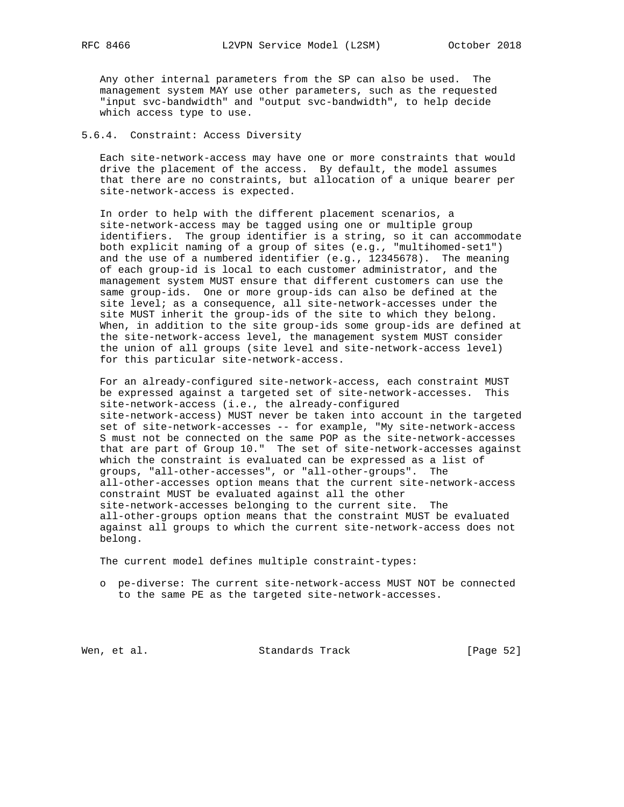Any other internal parameters from the SP can also be used. The management system MAY use other parameters, such as the requested "input svc-bandwidth" and "output svc-bandwidth", to help decide which access type to use.

## 5.6.4. Constraint: Access Diversity

 Each site-network-access may have one or more constraints that would drive the placement of the access. By default, the model assumes that there are no constraints, but allocation of a unique bearer per site-network-access is expected.

 In order to help with the different placement scenarios, a site-network-access may be tagged using one or multiple group identifiers. The group identifier is a string, so it can accommodate both explicit naming of a group of sites (e.g., "multihomed-set1") and the use of a numbered identifier (e.g., 12345678). The meaning of each group-id is local to each customer administrator, and the management system MUST ensure that different customers can use the same group-ids. One or more group-ids can also be defined at the site level; as a consequence, all site-network-accesses under the site MUST inherit the group-ids of the site to which they belong. When, in addition to the site group-ids some group-ids are defined at the site-network-access level, the management system MUST consider the union of all groups (site level and site-network-access level) for this particular site-network-access.

 For an already-configured site-network-access, each constraint MUST be expressed against a targeted set of site-network-accesses. This site-network-access (i.e., the already-configured site-network-access) MUST never be taken into account in the targeted set of site-network-accesses -- for example, "My site-network-access S must not be connected on the same POP as the site-network-accesses that are part of Group 10." The set of site-network-accesses against which the constraint is evaluated can be expressed as a list of groups, "all-other-accesses", or "all-other-groups". The all-other-accesses option means that the current site-network-access constraint MUST be evaluated against all the other site-network-accesses belonging to the current site. The all-other-groups option means that the constraint MUST be evaluated against all groups to which the current site-network-access does not belong.

The current model defines multiple constraint-types:

 o pe-diverse: The current site-network-access MUST NOT be connected to the same PE as the targeted site-network-accesses.

Wen, et al. Standards Track [Page 52]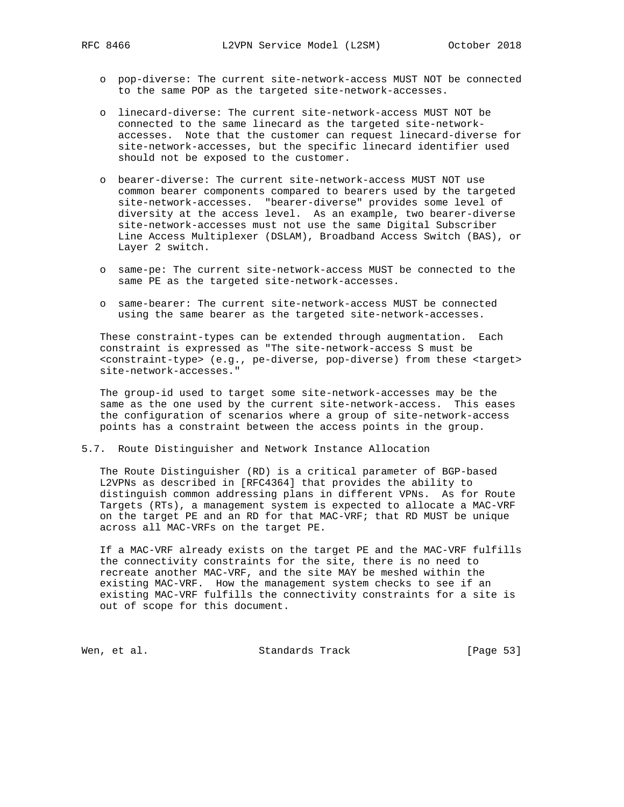- o pop-diverse: The current site-network-access MUST NOT be connected to the same POP as the targeted site-network-accesses.
- o linecard-diverse: The current site-network-access MUST NOT be connected to the same linecard as the targeted site-network accesses. Note that the customer can request linecard-diverse for site-network-accesses, but the specific linecard identifier used should not be exposed to the customer.
- o bearer-diverse: The current site-network-access MUST NOT use common bearer components compared to bearers used by the targeted site-network-accesses. "bearer-diverse" provides some level of diversity at the access level. As an example, two bearer-diverse site-network-accesses must not use the same Digital Subscriber Line Access Multiplexer (DSLAM), Broadband Access Switch (BAS), or Layer 2 switch.
- o same-pe: The current site-network-access MUST be connected to the same PE as the targeted site-network-accesses.
- o same-bearer: The current site-network-access MUST be connected using the same bearer as the targeted site-network-accesses.

 These constraint-types can be extended through augmentation. Each constraint is expressed as "The site-network-access S must be <constraint-type> (e.g., pe-diverse, pop-diverse) from these <target> site-network-accesses."

 The group-id used to target some site-network-accesses may be the same as the one used by the current site-network-access. This eases the configuration of scenarios where a group of site-network-access points has a constraint between the access points in the group.

5.7. Route Distinguisher and Network Instance Allocation

 The Route Distinguisher (RD) is a critical parameter of BGP-based L2VPNs as described in [RFC4364] that provides the ability to distinguish common addressing plans in different VPNs. As for Route Targets (RTs), a management system is expected to allocate a MAC-VRF on the target PE and an RD for that MAC-VRF; that RD MUST be unique across all MAC-VRFs on the target PE.

 If a MAC-VRF already exists on the target PE and the MAC-VRF fulfills the connectivity constraints for the site, there is no need to recreate another MAC-VRF, and the site MAY be meshed within the existing MAC-VRF. How the management system checks to see if an existing MAC-VRF fulfills the connectivity constraints for a site is out of scope for this document.

Wen, et al. Standards Track [Page 53]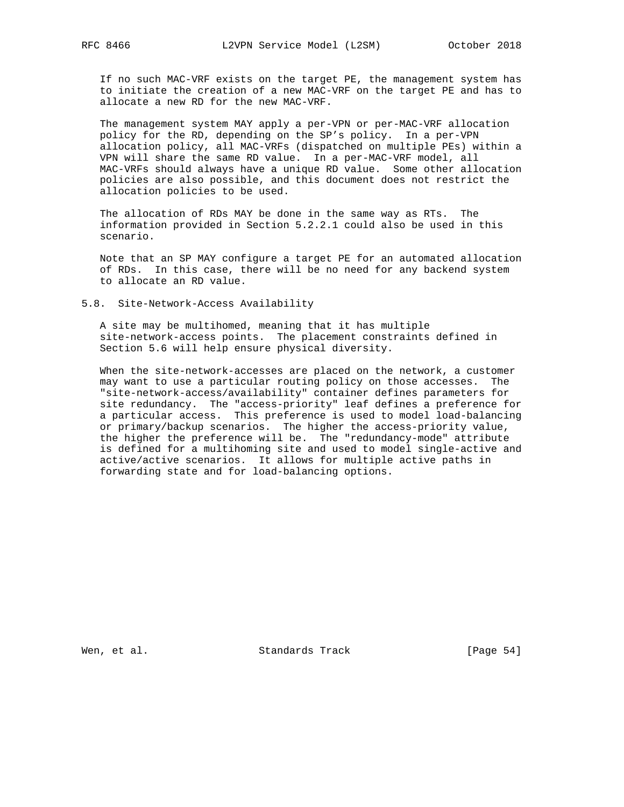If no such MAC-VRF exists on the target PE, the management system has to initiate the creation of a new MAC-VRF on the target PE and has to allocate a new RD for the new MAC-VRF.

 The management system MAY apply a per-VPN or per-MAC-VRF allocation policy for the RD, depending on the SP's policy. In a per-VPN allocation policy, all MAC-VRFs (dispatched on multiple PEs) within a VPN will share the same RD value. In a per-MAC-VRF model, all MAC-VRFs should always have a unique RD value. Some other allocation policies are also possible, and this document does not restrict the allocation policies to be used.

 The allocation of RDs MAY be done in the same way as RTs. The information provided in Section 5.2.2.1 could also be used in this scenario.

 Note that an SP MAY configure a target PE for an automated allocation of RDs. In this case, there will be no need for any backend system to allocate an RD value.

#### 5.8. Site-Network-Access Availability

 A site may be multihomed, meaning that it has multiple site-network-access points. The placement constraints defined in Section 5.6 will help ensure physical diversity.

 When the site-network-accesses are placed on the network, a customer may want to use a particular routing policy on those accesses. The "site-network-access/availability" container defines parameters for site redundancy. The "access-priority" leaf defines a preference for a particular access. This preference is used to model load-balancing or primary/backup scenarios. The higher the access-priority value, the higher the preference will be. The "redundancy-mode" attribute is defined for a multihoming site and used to model single-active and active/active scenarios. It allows for multiple active paths in forwarding state and for load-balancing options.

Wen, et al. Standards Track [Page 54]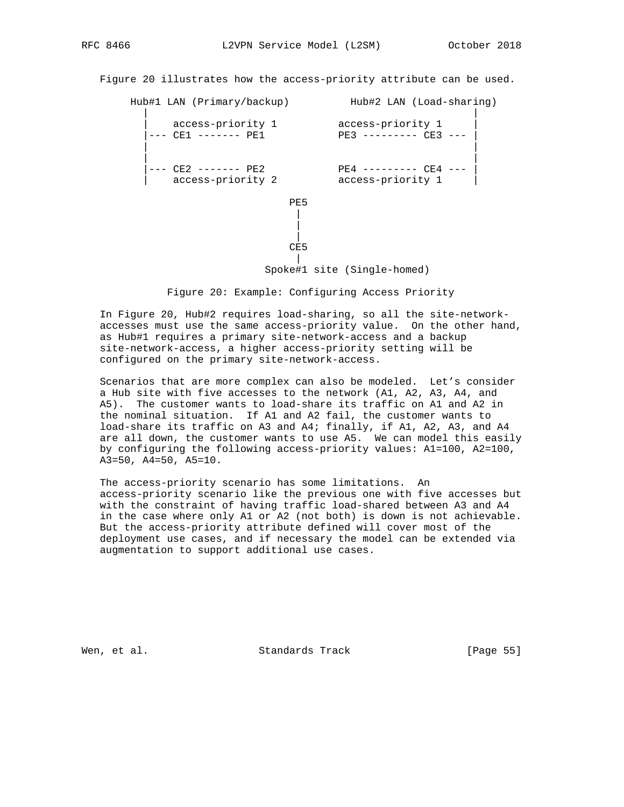Figure 20 illustrates how the access-priority attribute can be used.

Hub#1 LAN (Primary/backup) Hub#2 LAN (Load-sharing)

 | | | access-priority 1 access-priority 1 | |--- CE1 ------- PE1 PE3 --------- CE3 --- | | | | | |--- CE2 ------- PE2 PE4 --------- CE4 --- | | access-priority 2 access-priority 1 | **PE5**  | | | **CE5** |

Spoke#1 site (Single-homed)

Figure 20: Example: Configuring Access Priority

 In Figure 20, Hub#2 requires load-sharing, so all the site-network accesses must use the same access-priority value. On the other hand, as Hub#1 requires a primary site-network-access and a backup site-network-access, a higher access-priority setting will be configured on the primary site-network-access.

 Scenarios that are more complex can also be modeled. Let's consider a Hub site with five accesses to the network (A1, A2, A3, A4, and A5). The customer wants to load-share its traffic on A1 and A2 in the nominal situation. If A1 and A2 fail, the customer wants to load-share its traffic on A3 and A4; finally, if A1, A2, A3, and A4 are all down, the customer wants to use A5. We can model this easily by configuring the following access-priority values: A1=100, A2=100, A3=50, A4=50, A5=10.

 The access-priority scenario has some limitations. An access-priority scenario like the previous one with five accesses but with the constraint of having traffic load-shared between A3 and A4 in the case where only A1 or A2 (not both) is down is not achievable. But the access-priority attribute defined will cover most of the deployment use cases, and if necessary the model can be extended via augmentation to support additional use cases.

Wen, et al. Standards Track [Page 55]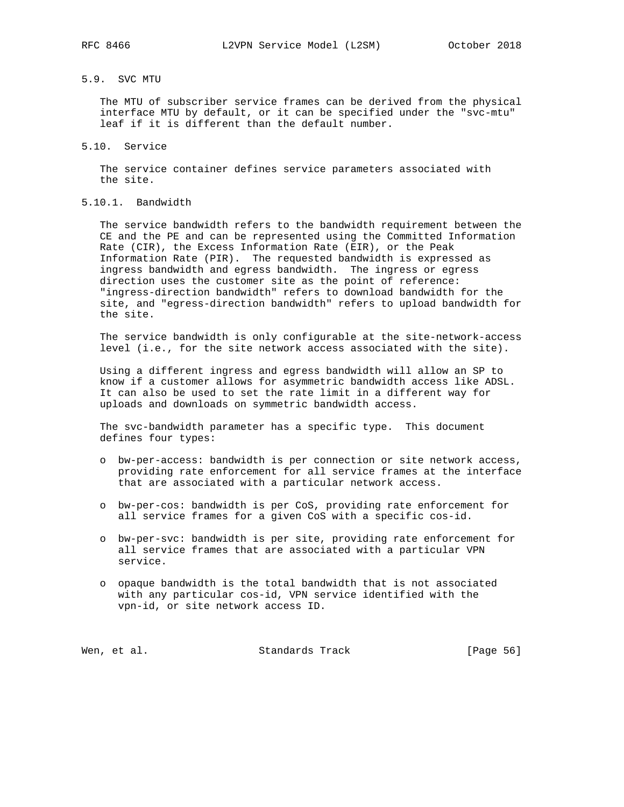# 5.9. SVC MTU

 The MTU of subscriber service frames can be derived from the physical interface MTU by default, or it can be specified under the "svc-mtu" leaf if it is different than the default number.

5.10. Service

 The service container defines service parameters associated with the site.

# 5.10.1. Bandwidth

 The service bandwidth refers to the bandwidth requirement between the CE and the PE and can be represented using the Committed Information Rate (CIR), the Excess Information Rate (EIR), or the Peak Information Rate (PIR). The requested bandwidth is expressed as ingress bandwidth and egress bandwidth. The ingress or egress direction uses the customer site as the point of reference: "ingress-direction bandwidth" refers to download bandwidth for the site, and "egress-direction bandwidth" refers to upload bandwidth for the site.

 The service bandwidth is only configurable at the site-network-access level (i.e., for the site network access associated with the site).

 Using a different ingress and egress bandwidth will allow an SP to know if a customer allows for asymmetric bandwidth access like ADSL. It can also be used to set the rate limit in a different way for uploads and downloads on symmetric bandwidth access.

 The svc-bandwidth parameter has a specific type. This document defines four types:

- o bw-per-access: bandwidth is per connection or site network access, providing rate enforcement for all service frames at the interface that are associated with a particular network access.
- o bw-per-cos: bandwidth is per CoS, providing rate enforcement for all service frames for a given CoS with a specific cos-id.
- o bw-per-svc: bandwidth is per site, providing rate enforcement for all service frames that are associated with a particular VPN service.
- o opaque bandwidth is the total bandwidth that is not associated with any particular cos-id, VPN service identified with the vpn-id, or site network access ID.

|  | Wen, et al. | Standards Track | [Page 56] |  |
|--|-------------|-----------------|-----------|--|
|--|-------------|-----------------|-----------|--|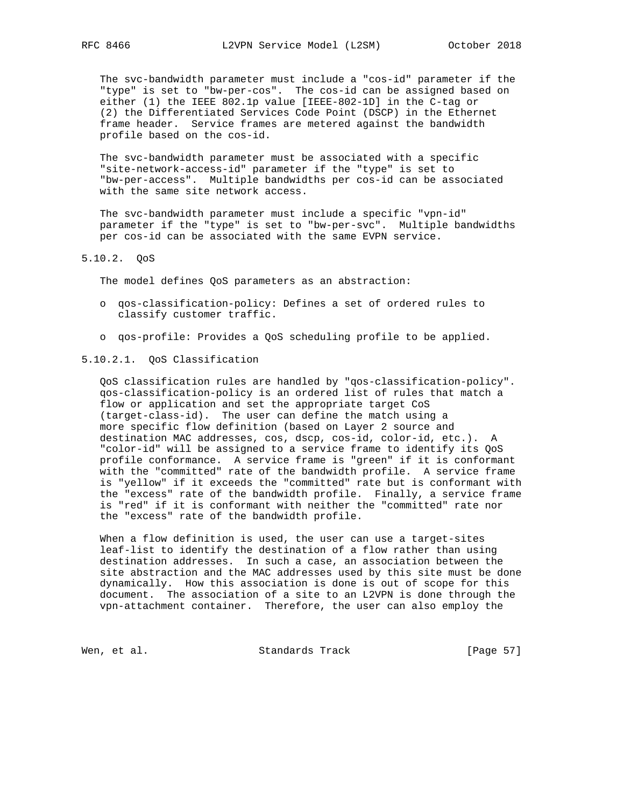The svc-bandwidth parameter must include a "cos-id" parameter if the "type" is set to "bw-per-cos". The cos-id can be assigned based on either (1) the IEEE 802.1p value [IEEE-802-1D] in the C-tag or (2) the Differentiated Services Code Point (DSCP) in the Ethernet frame header. Service frames are metered against the bandwidth profile based on the cos-id.

 The svc-bandwidth parameter must be associated with a specific "site-network-access-id" parameter if the "type" is set to "bw-per-access". Multiple bandwidths per cos-id can be associated with the same site network access.

 The svc-bandwidth parameter must include a specific "vpn-id" parameter if the "type" is set to "bw-per-svc". Multiple bandwidths per cos-id can be associated with the same EVPN service.

## 5.10.2. QoS

The model defines QoS parameters as an abstraction:

- o qos-classification-policy: Defines a set of ordered rules to classify customer traffic.
- o qos-profile: Provides a QoS scheduling profile to be applied.

### 5.10.2.1. QoS Classification

 QoS classification rules are handled by "qos-classification-policy". qos-classification-policy is an ordered list of rules that match a flow or application and set the appropriate target CoS (target-class-id). The user can define the match using a more specific flow definition (based on Layer 2 source and destination MAC addresses, cos, dscp, cos-id, color-id, etc.). A "color-id" will be assigned to a service frame to identify its QoS profile conformance. A service frame is "green" if it is conformant with the "committed" rate of the bandwidth profile. A service frame is "yellow" if it exceeds the "committed" rate but is conformant with the "excess" rate of the bandwidth profile. Finally, a service frame is "red" if it is conformant with neither the "committed" rate nor the "excess" rate of the bandwidth profile.

 When a flow definition is used, the user can use a target-sites leaf-list to identify the destination of a flow rather than using destination addresses. In such a case, an association between the site abstraction and the MAC addresses used by this site must be done dynamically. How this association is done is out of scope for this document. The association of a site to an L2VPN is done through the vpn-attachment container. Therefore, the user can also employ the

Wen, et al. Standards Track [Page 57]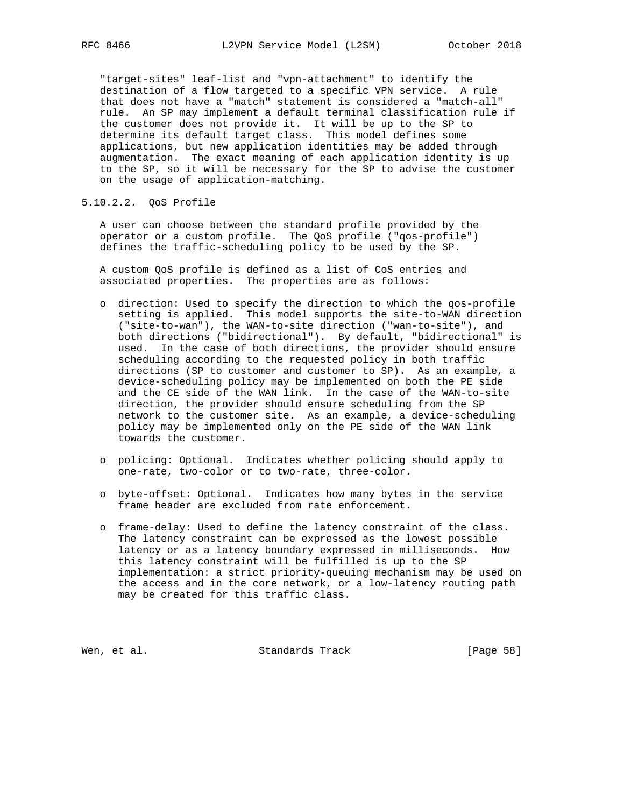"target-sites" leaf-list and "vpn-attachment" to identify the destination of a flow targeted to a specific VPN service. A rule that does not have a "match" statement is considered a "match-all" rule. An SP may implement a default terminal classification rule if the customer does not provide it. It will be up to the SP to determine its default target class. This model defines some applications, but new application identities may be added through augmentation. The exact meaning of each application identity is up to the SP, so it will be necessary for the SP to advise the customer on the usage of application-matching.

5.10.2.2. QoS Profile

 A user can choose between the standard profile provided by the operator or a custom profile. The QoS profile ("qos-profile") defines the traffic-scheduling policy to be used by the SP.

 A custom QoS profile is defined as a list of CoS entries and associated properties. The properties are as follows:

- o direction: Used to specify the direction to which the qos-profile setting is applied. This model supports the site-to-WAN direction ("site-to-wan"), the WAN-to-site direction ("wan-to-site"), and both directions ("bidirectional"). By default, "bidirectional" is used. In the case of both directions, the provider should ensure scheduling according to the requested policy in both traffic directions (SP to customer and customer to SP). As an example, a device-scheduling policy may be implemented on both the PE side and the CE side of the WAN link. In the case of the WAN-to-site direction, the provider should ensure scheduling from the SP network to the customer site. As an example, a device-scheduling policy may be implemented only on the PE side of the WAN link towards the customer.
- o policing: Optional. Indicates whether policing should apply to one-rate, two-color or to two-rate, three-color.
- o byte-offset: Optional. Indicates how many bytes in the service frame header are excluded from rate enforcement.
- o frame-delay: Used to define the latency constraint of the class. The latency constraint can be expressed as the lowest possible latency or as a latency boundary expressed in milliseconds. How this latency constraint will be fulfilled is up to the SP implementation: a strict priority-queuing mechanism may be used on the access and in the core network, or a low-latency routing path may be created for this traffic class.

Wen, et al. Standards Track [Page 58]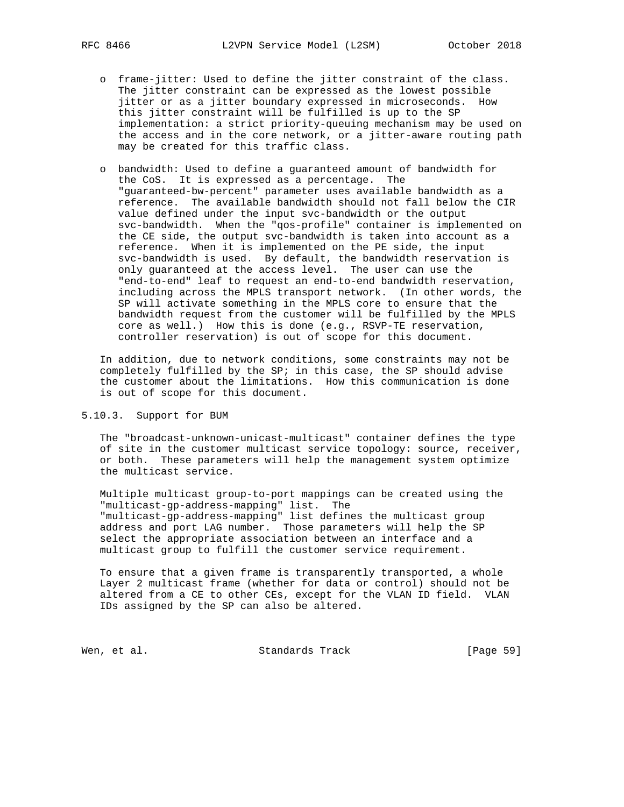- o frame-jitter: Used to define the jitter constraint of the class. The jitter constraint can be expressed as the lowest possible jitter or as a jitter boundary expressed in microseconds. How this jitter constraint will be fulfilled is up to the SP implementation: a strict priority-queuing mechanism may be used on the access and in the core network, or a jitter-aware routing path may be created for this traffic class.
- o bandwidth: Used to define a guaranteed amount of bandwidth for the CoS. It is expressed as a percentage. The "guaranteed-bw-percent" parameter uses available bandwidth as a reference. The available bandwidth should not fall below the CIR value defined under the input svc-bandwidth or the output svc-bandwidth. When the "qos-profile" container is implemented on the CE side, the output svc-bandwidth is taken into account as a reference. When it is implemented on the PE side, the input svc-bandwidth is used. By default, the bandwidth reservation is only guaranteed at the access level. The user can use the "end-to-end" leaf to request an end-to-end bandwidth reservation, including across the MPLS transport network. (In other words, the SP will activate something in the MPLS core to ensure that the bandwidth request from the customer will be fulfilled by the MPLS core as well.) How this is done (e.g., RSVP-TE reservation, controller reservation) is out of scope for this document.

 In addition, due to network conditions, some constraints may not be completely fulfilled by the SP; in this case, the SP should advise the customer about the limitations. How this communication is done is out of scope for this document.

## 5.10.3. Support for BUM

 The "broadcast-unknown-unicast-multicast" container defines the type of site in the customer multicast service topology: source, receiver, or both. These parameters will help the management system optimize the multicast service.

 Multiple multicast group-to-port mappings can be created using the "multicast-gp-address-mapping" list. The "multicast-gp-address-mapping" list defines the multicast group address and port LAG number. Those parameters will help the SP select the appropriate association between an interface and a multicast group to fulfill the customer service requirement.

 To ensure that a given frame is transparently transported, a whole Layer 2 multicast frame (whether for data or control) should not be altered from a CE to other CEs, except for the VLAN ID field. VLAN IDs assigned by the SP can also be altered.

Wen, et al. Standards Track [Page 59]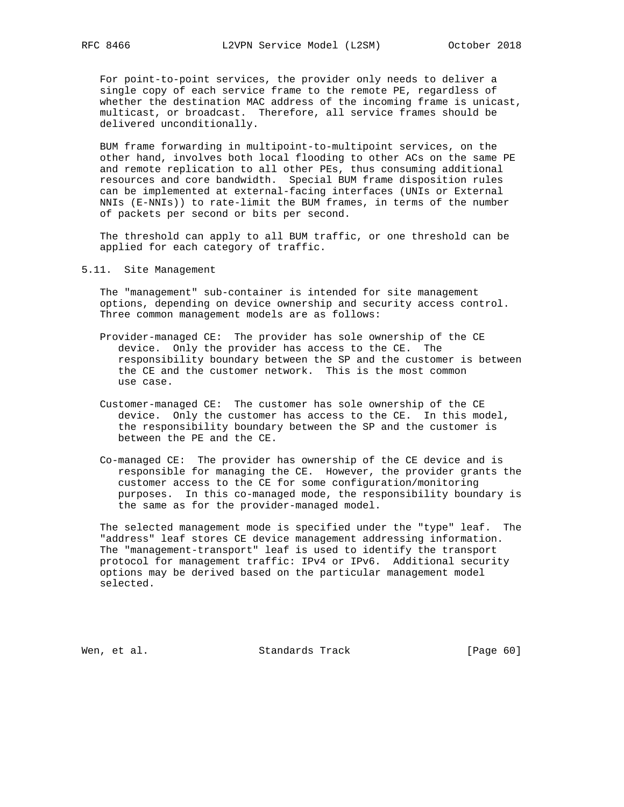For point-to-point services, the provider only needs to deliver a single copy of each service frame to the remote PE, regardless of whether the destination MAC address of the incoming frame is unicast, multicast, or broadcast. Therefore, all service frames should be delivered unconditionally.

 BUM frame forwarding in multipoint-to-multipoint services, on the other hand, involves both local flooding to other ACs on the same PE and remote replication to all other PEs, thus consuming additional resources and core bandwidth. Special BUM frame disposition rules can be implemented at external-facing interfaces (UNIs or External NNIs (E-NNIs)) to rate-limit the BUM frames, in terms of the number of packets per second or bits per second.

 The threshold can apply to all BUM traffic, or one threshold can be applied for each category of traffic.

5.11. Site Management

 The "management" sub-container is intended for site management options, depending on device ownership and security access control. Three common management models are as follows:

- Provider-managed CE: The provider has sole ownership of the CE device. Only the provider has access to the CE. The responsibility boundary between the SP and the customer is between the CE and the customer network. This is the most common use case.
- Customer-managed CE: The customer has sole ownership of the CE device. Only the customer has access to the CE. In this model, the responsibility boundary between the SP and the customer is between the PE and the CE.
- Co-managed CE: The provider has ownership of the CE device and is responsible for managing the CE. However, the provider grants the customer access to the CE for some configuration/monitoring purposes. In this co-managed mode, the responsibility boundary is the same as for the provider-managed model.

 The selected management mode is specified under the "type" leaf. The "address" leaf stores CE device management addressing information. The "management-transport" leaf is used to identify the transport protocol for management traffic: IPv4 or IPv6. Additional security options may be derived based on the particular management model selected.

Wen, et al. Standards Track [Page 60]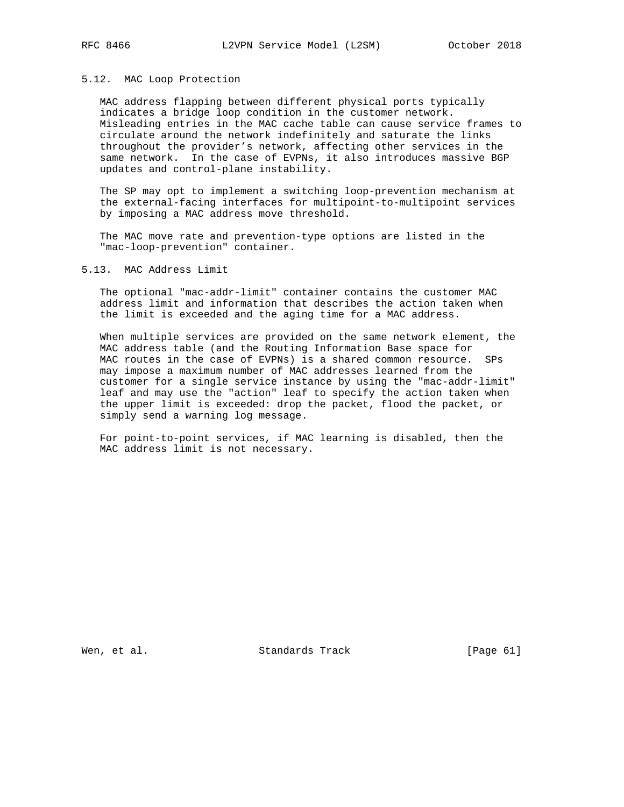#### 5.12. MAC Loop Protection

 MAC address flapping between different physical ports typically indicates a bridge loop condition in the customer network. Misleading entries in the MAC cache table can cause service frames to circulate around the network indefinitely and saturate the links throughout the provider's network, affecting other services in the same network. In the case of EVPNs, it also introduces massive BGP updates and control-plane instability.

 The SP may opt to implement a switching loop-prevention mechanism at the external-facing interfaces for multipoint-to-multipoint services by imposing a MAC address move threshold.

 The MAC move rate and prevention-type options are listed in the "mac-loop-prevention" container.

#### 5.13. MAC Address Limit

 The optional "mac-addr-limit" container contains the customer MAC address limit and information that describes the action taken when the limit is exceeded and the aging time for a MAC address.

 When multiple services are provided on the same network element, the MAC address table (and the Routing Information Base space for MAC routes in the case of EVPNs) is a shared common resource. SPs may impose a maximum number of MAC addresses learned from the customer for a single service instance by using the "mac-addr-limit" leaf and may use the "action" leaf to specify the action taken when the upper limit is exceeded: drop the packet, flood the packet, or simply send a warning log message.

 For point-to-point services, if MAC learning is disabled, then the MAC address limit is not necessary.

Wen, et al. Standards Track [Page 61]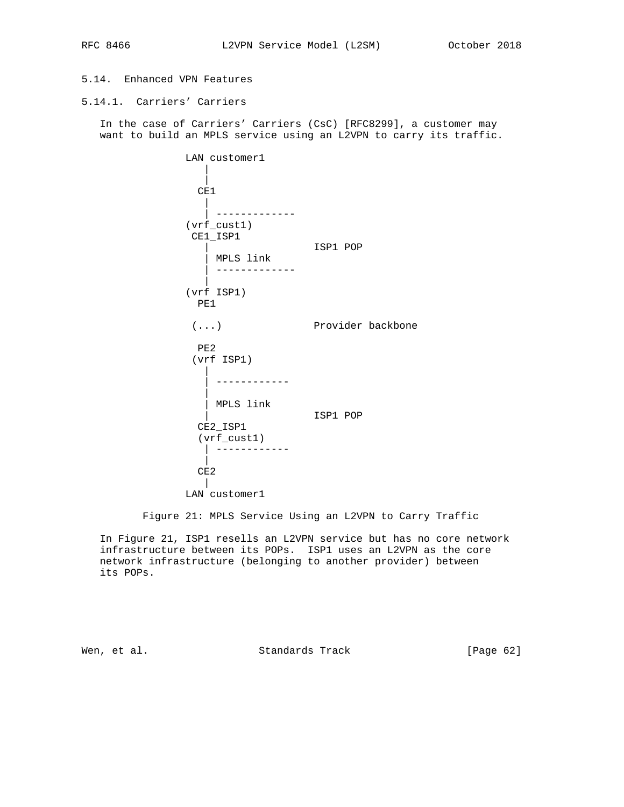# 5.14. Enhanced VPN Features

# 5.14.1. Carriers' Carriers

 In the case of Carriers' Carriers (CsC) [RFC8299], a customer may want to build an MPLS service using an L2VPN to carry its traffic.

```
 LAN customer1
|
|
         CE1
|
         | -------------
        (vrf_cust1)
        CE1_ISP1
| ISP1 POP
| MPLS link
| -------------
|
        (vrf ISP1)
         PE1
        (...) Provider backbone
         PE2
        (vrf ISP1)
|
          | ------------
|
| MPLS link
| ISP1 POP
CE2_ISP1
         (vrf_cust1)
          | ------------
|
         CE2
|
        LAN customer1
```
Figure 21: MPLS Service Using an L2VPN to Carry Traffic

 In Figure 21, ISP1 resells an L2VPN service but has no core network infrastructure between its POPs. ISP1 uses an L2VPN as the core network infrastructure (belonging to another provider) between its POPs.

Wen, et al. Standards Track [Page 62]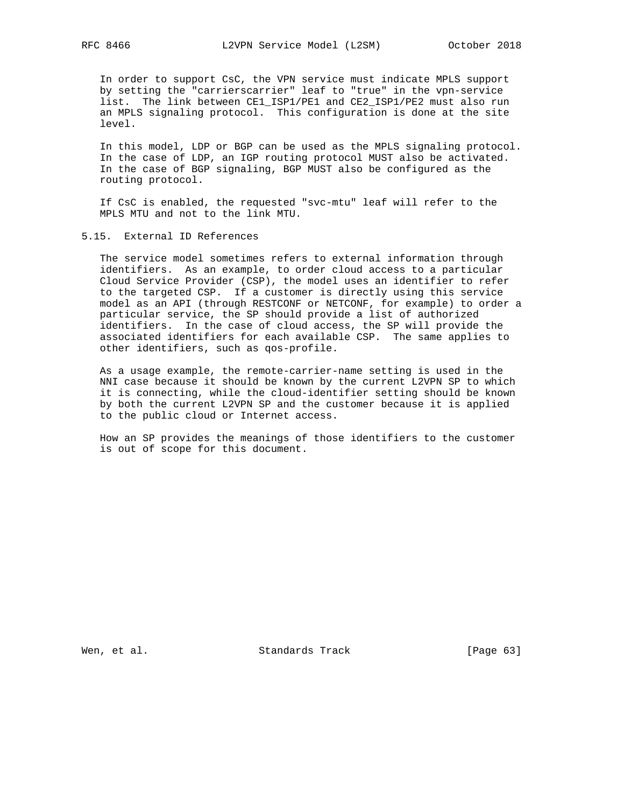In order to support CsC, the VPN service must indicate MPLS support by setting the "carrierscarrier" leaf to "true" in the vpn-service list. The link between CE1\_ISP1/PE1 and CE2\_ISP1/PE2 must also run an MPLS signaling protocol. This configuration is done at the site level.

 In this model, LDP or BGP can be used as the MPLS signaling protocol. In the case of LDP, an IGP routing protocol MUST also be activated. In the case of BGP signaling, BGP MUST also be configured as the routing protocol.

 If CsC is enabled, the requested "svc-mtu" leaf will refer to the MPLS MTU and not to the link MTU.

5.15. External ID References

 The service model sometimes refers to external information through identifiers. As an example, to order cloud access to a particular Cloud Service Provider (CSP), the model uses an identifier to refer to the targeted CSP. If a customer is directly using this service model as an API (through RESTCONF or NETCONF, for example) to order a particular service, the SP should provide a list of authorized identifiers. In the case of cloud access, the SP will provide the associated identifiers for each available CSP. The same applies to other identifiers, such as qos-profile.

 As a usage example, the remote-carrier-name setting is used in the NNI case because it should be known by the current L2VPN SP to which it is connecting, while the cloud-identifier setting should be known by both the current L2VPN SP and the customer because it is applied to the public cloud or Internet access.

 How an SP provides the meanings of those identifiers to the customer is out of scope for this document.

Wen, et al. Standards Track [Page 63]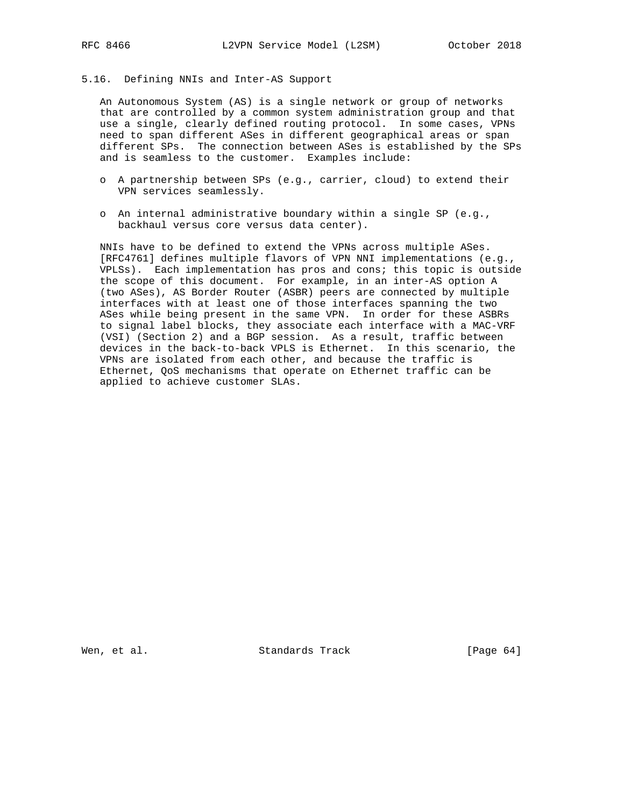#### 5.16. Defining NNIs and Inter-AS Support

 An Autonomous System (AS) is a single network or group of networks that are controlled by a common system administration group and that use a single, clearly defined routing protocol. In some cases, VPNs need to span different ASes in different geographical areas or span different SPs. The connection between ASes is established by the SPs and is seamless to the customer. Examples include:

- o A partnership between SPs (e.g., carrier, cloud) to extend their VPN services seamlessly.
- o An internal administrative boundary within a single SP (e.g., backhaul versus core versus data center).

 NNIs have to be defined to extend the VPNs across multiple ASes. [RFC4761] defines multiple flavors of VPN NNI implementations (e.g., VPLSs). Each implementation has pros and cons; this topic is outside the scope of this document. For example, in an inter-AS option A (two ASes), AS Border Router (ASBR) peers are connected by multiple interfaces with at least one of those interfaces spanning the two ASes while being present in the same VPN. In order for these ASBRs to signal label blocks, they associate each interface with a MAC-VRF (VSI) (Section 2) and a BGP session. As a result, traffic between devices in the back-to-back VPLS is Ethernet. In this scenario, the VPNs are isolated from each other, and because the traffic is Ethernet, QoS mechanisms that operate on Ethernet traffic can be applied to achieve customer SLAs.

Wen, et al. Standards Track [Page 64]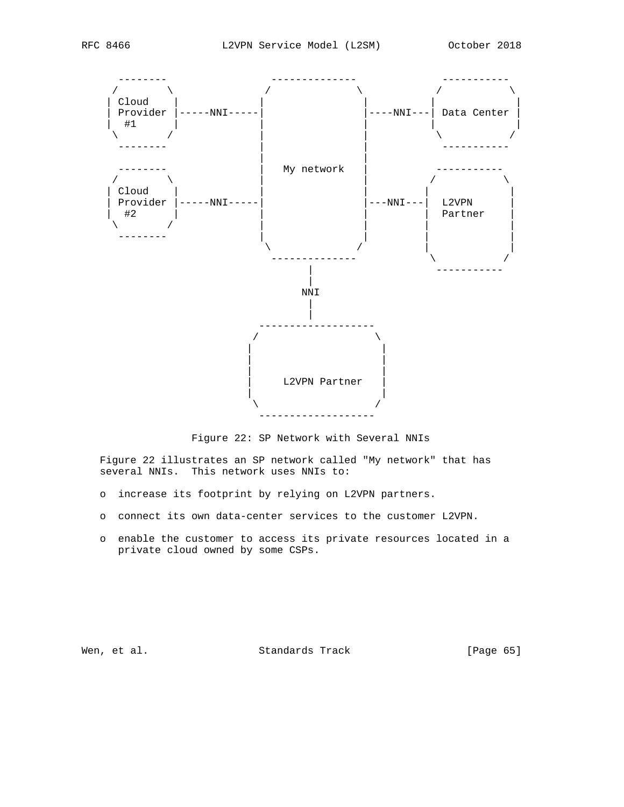

Figure 22: SP Network with Several NNIs

 Figure 22 illustrates an SP network called "My network" that has several NNIs. This network uses NNIs to:

- o increase its footprint by relying on L2VPN partners.
- o connect its own data-center services to the customer L2VPN.
- o enable the customer to access its private resources located in a private cloud owned by some CSPs.

Wen, et al. Standards Track [Page 65]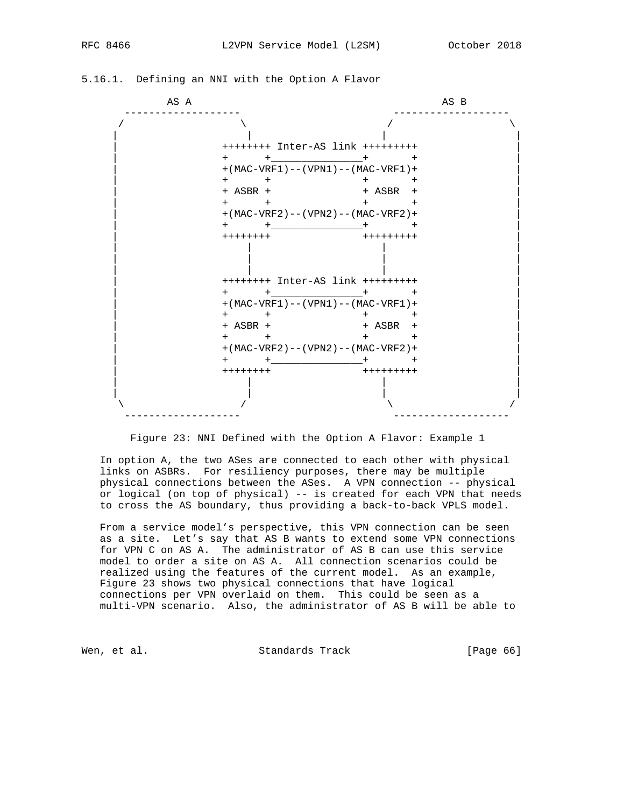| AS A |                                            | AS B      |  |
|------|--------------------------------------------|-----------|--|
|      |                                            |           |  |
|      | ++++++++ Inter-AS link +++++++++           |           |  |
|      | $+$ $+$ $+$ $+$ $+$ $+$                    | $+$       |  |
|      | $+$ (MAC-VRF1) -- (VPN1) -- (MAC-VRF1) +   |           |  |
|      | $+$ $+$                                    | $+$ $+$   |  |
|      | + ASBR +                                   | + ASBR +  |  |
|      | $+$ $+$                                    | $+$ $+$   |  |
|      | $+ (MAC-VRF2) - - (VPN2) - - (MAC-VRF2) +$ |           |  |
|      | $+$ $+$ $+$ $+$ $+$ $+$                    |           |  |
|      | ++++++++                                   | +++++++++ |  |
|      | ++++++++ Inter-AS link +++++++++           |           |  |
|      | $+$ $+$ $+$ $+$ $+$ $+$                    |           |  |
|      | $+$ (MAC-VRF1) -- (VPN1) -- (MAC-VRF1) +   |           |  |
|      | $+$ $+$                                    | $+$ $+$   |  |
|      | $+$ ASBR $+$                               | + ASBR +  |  |
|      | $+$ $+$                                    | $+$ $+$   |  |
|      | $+ (MAC-VRF2) -- (VPN2) -- (MAC-VRF2) +$   |           |  |
|      | $+$ $+$ $+$ $+$ $+$                        |           |  |
|      | ++++++++                                   | +++++++++ |  |
|      |                                            |           |  |
|      |                                            |           |  |

# 5.16.1. Defining an NNI with the Option A Flavor

Figure 23: NNI Defined with the Option A Flavor: Example 1

 In option A, the two ASes are connected to each other with physical links on ASBRs. For resiliency purposes, there may be multiple physical connections between the ASes. A VPN connection -- physical or logical (on top of physical) -- is created for each VPN that needs to cross the AS boundary, thus providing a back-to-back VPLS model.

 From a service model's perspective, this VPN connection can be seen as a site. Let's say that AS B wants to extend some VPN connections for VPN C on AS A. The administrator of AS B can use this service model to order a site on AS A. All connection scenarios could be realized using the features of the current model. As an example, Figure 23 shows two physical connections that have logical connections per VPN overlaid on them. This could be seen as a multi-VPN scenario. Also, the administrator of AS B will be able to

Wen, et al. Standards Track [Page 66]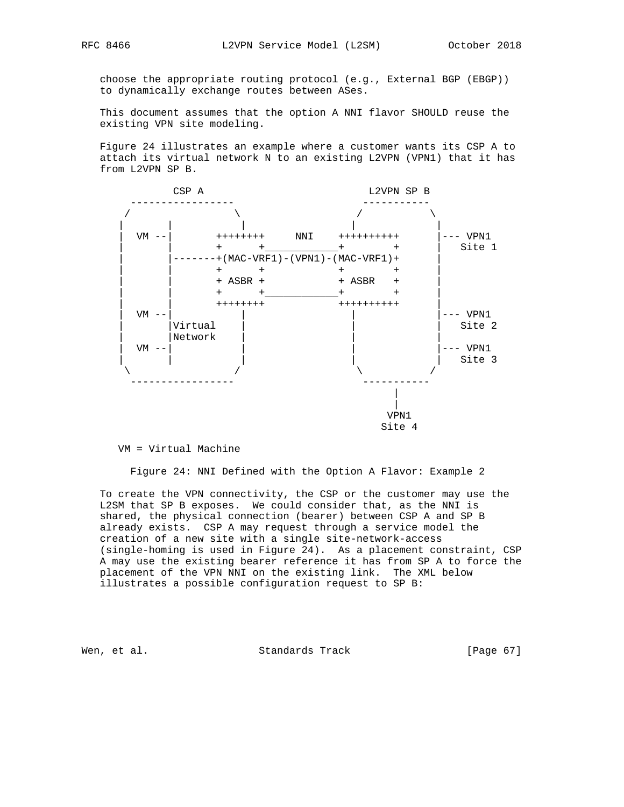choose the appropriate routing protocol (e.g., External BGP (EBGP)) to dynamically exchange routes between ASes.

 This document assumes that the option A NNI flavor SHOULD reuse the existing VPN site modeling.

 Figure 24 illustrates an example where a customer wants its CSP A to attach its virtual network N to an existing L2VPN (VPN1) that it has from L2VPN SP B.



#### VM = Virtual Machine

Figure 24: NNI Defined with the Option A Flavor: Example 2

 To create the VPN connectivity, the CSP or the customer may use the L2SM that SP B exposes. We could consider that, as the NNI is shared, the physical connection (bearer) between CSP A and SP B already exists. CSP A may request through a service model the creation of a new site with a single site-network-access (single-homing is used in Figure 24). As a placement constraint, CSP A may use the existing bearer reference it has from SP A to force the placement of the VPN NNI on the existing link. The XML below illustrates a possible configuration request to SP B:

Wen, et al. Standards Track [Page 67]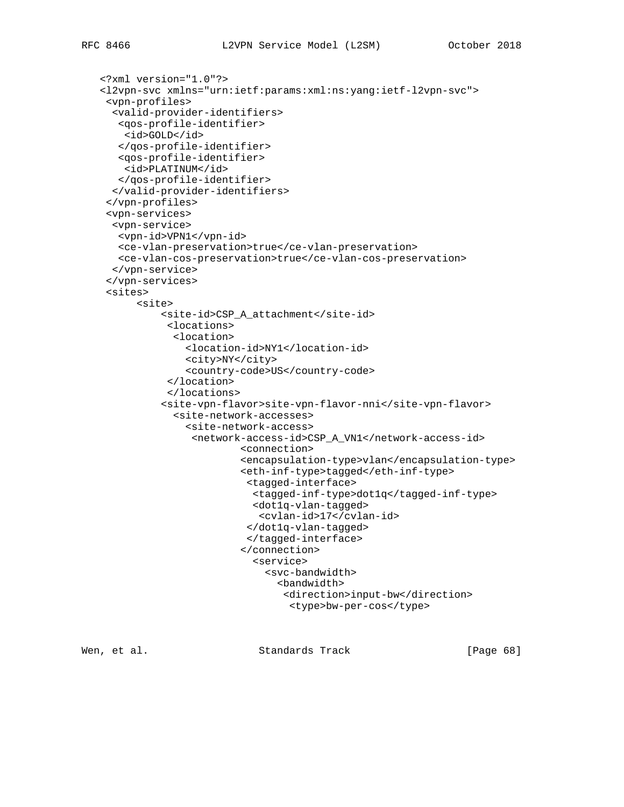```
 <?xml version="1.0"?>
<l2vpn-svc xmlns="urn:ietf:params:xml:ns:yang:ietf-l2vpn-svc">
 <vpn-profiles>
  <valid-provider-identifiers>
   <qos-profile-identifier>
   <id>GOLD</id>
   </qos-profile-identifier>
   <qos-profile-identifier>
    <id>PLATINUM</id>
  </qos-profile-identifier>
  </valid-provider-identifiers>
 </vpn-profiles>
 <vpn-services>
  <vpn-service>
   <vpn-id>VPN1</vpn-id>
   <ce-vlan-preservation>true</ce-vlan-preservation>
   <ce-vlan-cos-preservation>true</ce-vlan-cos-preservation>
  </vpn-service>
 </vpn-services>
 <sites>
      <site>
          <site-id>CSP_A_attachment</site-id>
           <locations>
            <location>
              <location-id>NY1</location-id>
              <city>NY</city>
              <country-code>US</country-code>
           </location>
           </locations>
          <site-vpn-flavor>site-vpn-flavor-nni</site-vpn-flavor>
            <site-network-accesses>
              <site-network-access>
                <network-access-id>CSP_A_VN1</network-access-id>
                        <connection>
                        <encapsulation-type>vlan</encapsulation-type>
                        <eth-inf-type>tagged</eth-inf-type>
                         <tagged-interface>
                          <tagged-inf-type>dot1q</tagged-inf-type>
                          <dot1q-vlan-tagged>
                           <cvlan-id>17</cvlan-id>
                         </dot1q-vlan-tagged>
                         </tagged-interface>
                        </connection>
                          <service>
                            <svc-bandwidth>
                              <bandwidth>
                                <direction>input-bw</direction>
                                <type>bw-per-cos</type>
```
Wen, et al. Standards Track [Page 68]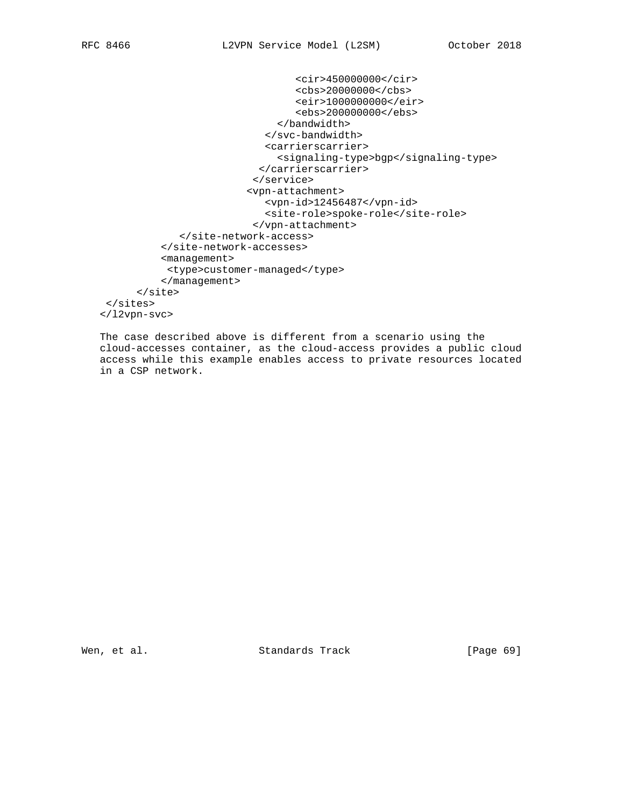```
 <cir>450000000</cir>
                                  <cbs>20000000</cbs>
                                  <eir>1000000000</eir>
                                  <ebs>200000000</ebs>
                               </bandwidth>
                            </svc-bandwidth>
                            <carrierscarrier>
                               <signaling-type>bgp</signaling-type>
                           </carrierscarrier>
                          </service>
                         <vpn-attachment>
                            <vpn-id>12456487</vpn-id>
                            <site-role>spoke-role</site-role>
                          </vpn-attachment>
             </site-network-access>
          </site-network-accesses>
          <management>
           <type>customer-managed</type>
          </management>
      </site>
 </sites>
</l2vpn-svc>
```
 The case described above is different from a scenario using the cloud-accesses container, as the cloud-access provides a public cloud access while this example enables access to private resources located in a CSP network.

Wen, et al. Standards Track [Page 69]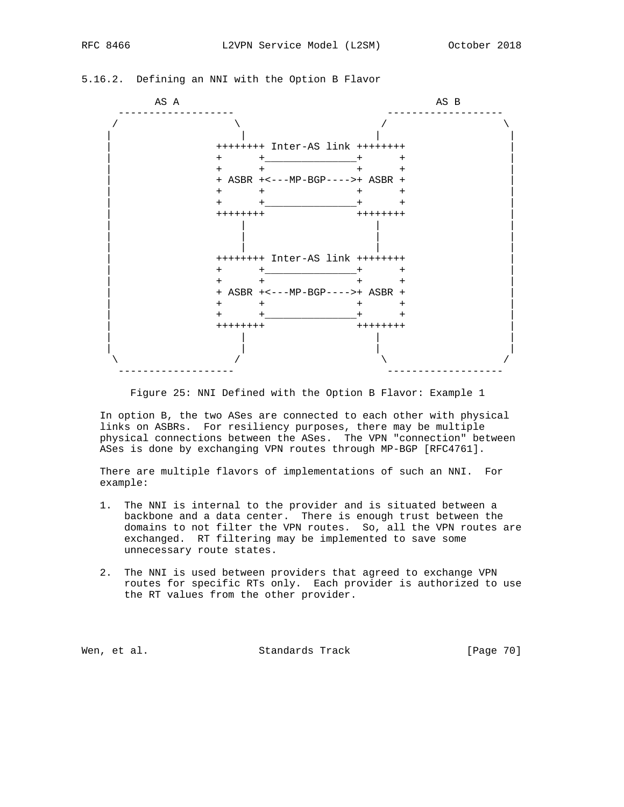| AS A |                      | AS B                            |  |
|------|----------------------|---------------------------------|--|
|      |                      |                                 |  |
|      |                      | ++++++++ Inter-AS link ++++++++ |  |
|      | $+$                  | $+$ $+$<br>+                    |  |
|      | $+$ $-$              | $\pm$                           |  |
|      |                      |                                 |  |
|      | $+$ $ -$<br>$+$      | $^{+}$<br>$\div$                |  |
|      | $+$ $+$ $ +$         | $\pm$                           |  |
|      | ++++++++             | ++++++++                        |  |
|      |                      | ++++++++ Inter-AS link ++++++++ |  |
|      | $+$ $-$<br>$+$ $  -$ | $^+$                            |  |
|      | $+$ $ -$<br>$+$      | $+$                             |  |
|      |                      | + ASBR +<---MP-BGP---->+ ASBR + |  |
|      | $+$ $+$              | $^{+}$<br>$^+$                  |  |
|      | $+$ $+$ $-$          | $+$ $+$<br>$^{+}$               |  |
|      | $++++++$             | ++++++++                        |  |
|      |                      |                                 |  |

## 5.16.2. Defining an NNI with the Option B Flavor

Figure 25: NNI Defined with the Option B Flavor: Example 1

 In option B, the two ASes are connected to each other with physical links on ASBRs. For resiliency purposes, there may be multiple physical connections between the ASes. The VPN "connection" between ASes is done by exchanging VPN routes through MP-BGP [RFC4761].

 There are multiple flavors of implementations of such an NNI. For example:

- 1. The NNI is internal to the provider and is situated between a backbone and a data center. There is enough trust between the domains to not filter the VPN routes. So, all the VPN routes are exchanged. RT filtering may be implemented to save some unnecessary route states.
- 2. The NNI is used between providers that agreed to exchange VPN routes for specific RTs only. Each provider is authorized to use the RT values from the other provider.

Wen, et al. Standards Track [Page 70]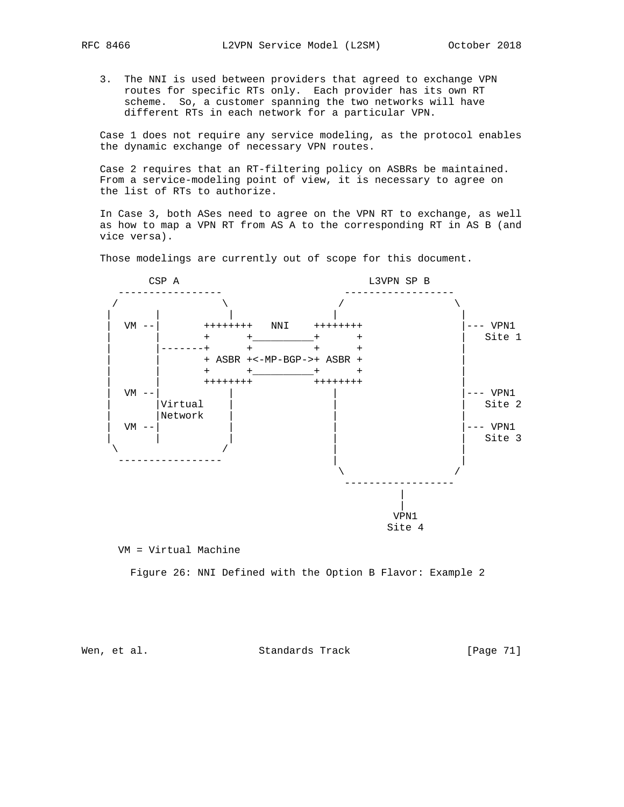- - 3. The NNI is used between providers that agreed to exchange VPN routes for specific RTs only. Each provider has its own RT scheme. So, a customer spanning the two networks will have different RTs in each network for a particular VPN.

 Case 1 does not require any service modeling, as the protocol enables the dynamic exchange of necessary VPN routes.

 Case 2 requires that an RT-filtering policy on ASBRs be maintained. From a service-modeling point of view, it is necessary to agree on the list of RTs to authorize.

 In Case 3, both ASes need to agree on the VPN RT to exchange, as well as how to map a VPN RT from AS A to the corresponding RT in AS B (and vice versa).

Those modelings are currently out of scope for this document.



VM = Virtual Machine

Figure 26: NNI Defined with the Option B Flavor: Example 2

Wen, et al. Standards Track [Page 71]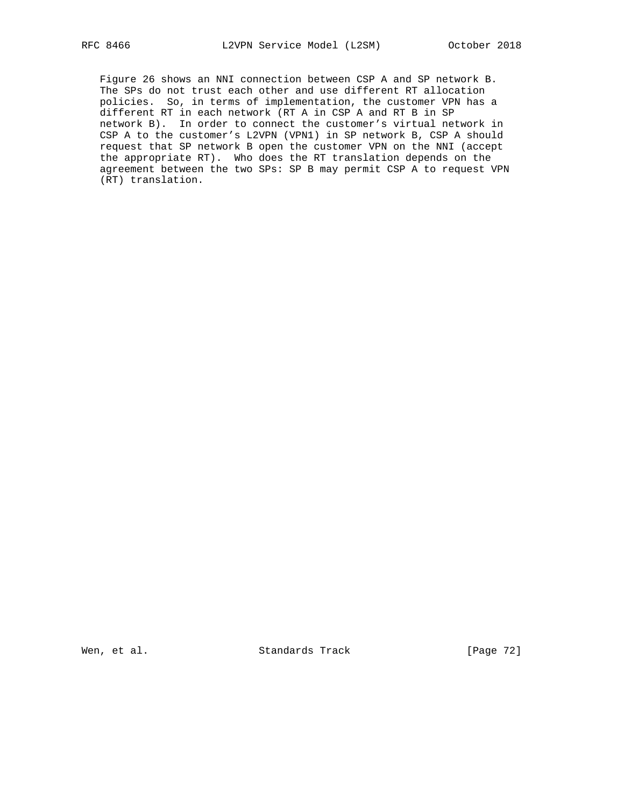Figure 26 shows an NNI connection between CSP A and SP network B. The SPs do not trust each other and use different RT allocation policies. So, in terms of implementation, the customer VPN has a different RT in each network (RT A in CSP A and RT B in SP network B). In order to connect the customer's virtual network in CSP A to the customer's L2VPN (VPN1) in SP network B, CSP A should request that SP network B open the customer VPN on the NNI (accept the appropriate RT). Who does the RT translation depends on the agreement between the two SPs: SP B may permit CSP A to request VPN (RT) translation.

Wen, et al. Standards Track [Page 72]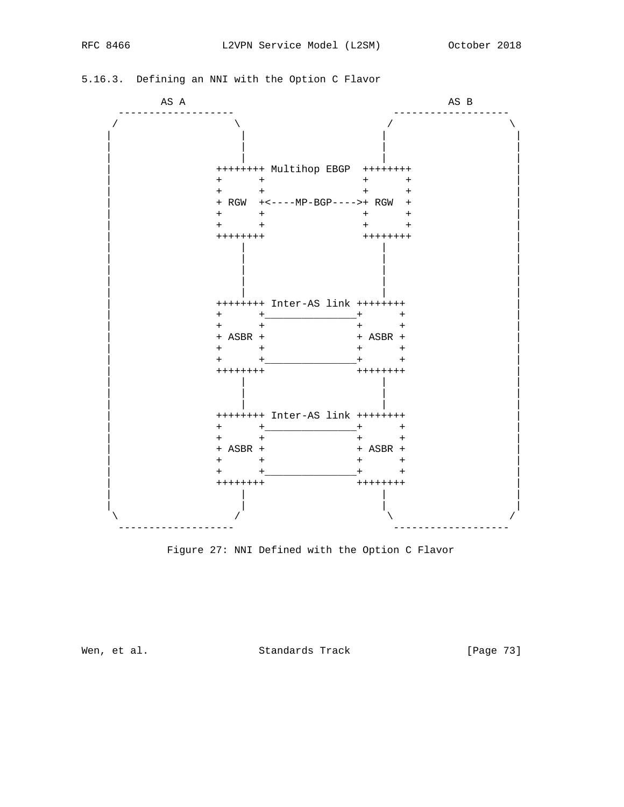## AS A CONSTRUCTION AS B ------------------- -------------------  $\prime$  /  $\prime$  /  $\prime$  /  $\prime$  /  $\prime$  /  $\prime$  | | | | | | | | | | | | | ++++++++ Multihop EBGP ++++++++ |  $\begin{array}{cccc} + & + & + \\ + & + & + \end{array}$  | + + + + | | + RGW +<----MP-BGP---->+ RGW + | | + + + + | | + + + + | | ++++++++ ++++++++ | | | | | | | | | | | | | | | | | | | | | | ++++++++ Inter-AS link ++++++++ | | + +\_\_\_\_\_\_\_\_\_\_\_\_\_\_\_+ + | | + + + + | | + ASBR + + ASBR + | | + + + + | | + +\_\_\_\_\_\_\_\_\_\_\_\_\_\_\_+ + | | ++++++++ ++++++++ | | | | | | | | | | | | | | ++++++++ Inter-AS link ++++++++ | | + +\_\_\_\_\_\_\_\_\_\_\_\_\_\_\_+ + | | + + + + | | + ASBR + + ASBR + | | + + + + | | + +\_\_\_\_\_\_\_\_\_\_\_\_\_\_\_+ + | | ++++++++ ++++++++ | | | | | | | | |  $\lambda$  /  $\lambda$  /  $\lambda$  /  $\lambda$  /  $\lambda$  /  $\lambda$ ------------------- -------------------

## 5.16.3. Defining an NNI with the Option C Flavor

Figure 27: NNI Defined with the Option C Flavor

Wen, et al. Standards Track [Page 73]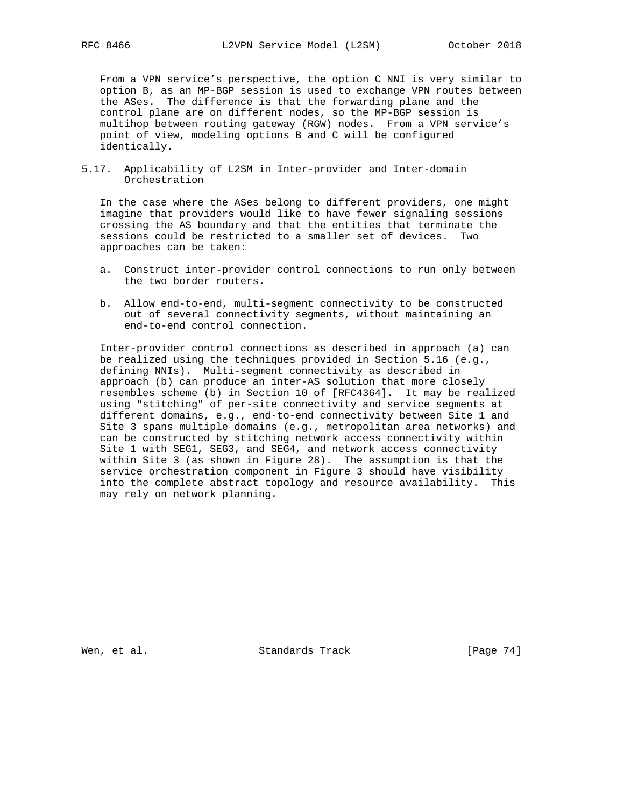From a VPN service's perspective, the option C NNI is very similar to option B, as an MP-BGP session is used to exchange VPN routes between the ASes. The difference is that the forwarding plane and the control plane are on different nodes, so the MP-BGP session is multihop between routing gateway (RGW) nodes. From a VPN service's point of view, modeling options B and C will be configured identically.

5.17. Applicability of L2SM in Inter-provider and Inter-domain Orchestration

 In the case where the ASes belong to different providers, one might imagine that providers would like to have fewer signaling sessions crossing the AS boundary and that the entities that terminate the sessions could be restricted to a smaller set of devices. Two approaches can be taken:

- a. Construct inter-provider control connections to run only between the two border routers.
- b. Allow end-to-end, multi-segment connectivity to be constructed out of several connectivity segments, without maintaining an end-to-end control connection.

 Inter-provider control connections as described in approach (a) can be realized using the techniques provided in Section 5.16 (e.g., defining NNIs). Multi-segment connectivity as described in approach (b) can produce an inter-AS solution that more closely resembles scheme (b) in Section 10 of [RFC4364]. It may be realized using "stitching" of per-site connectivity and service segments at different domains, e.g., end-to-end connectivity between Site 1 and Site 3 spans multiple domains (e.g., metropolitan area networks) and can be constructed by stitching network access connectivity within Site 1 with SEG1, SEG3, and SEG4, and network access connectivity within Site 3 (as shown in Figure 28). The assumption is that the service orchestration component in Figure 3 should have visibility into the complete abstract topology and resource availability. This may rely on network planning.

Wen, et al. Standards Track [Page 74]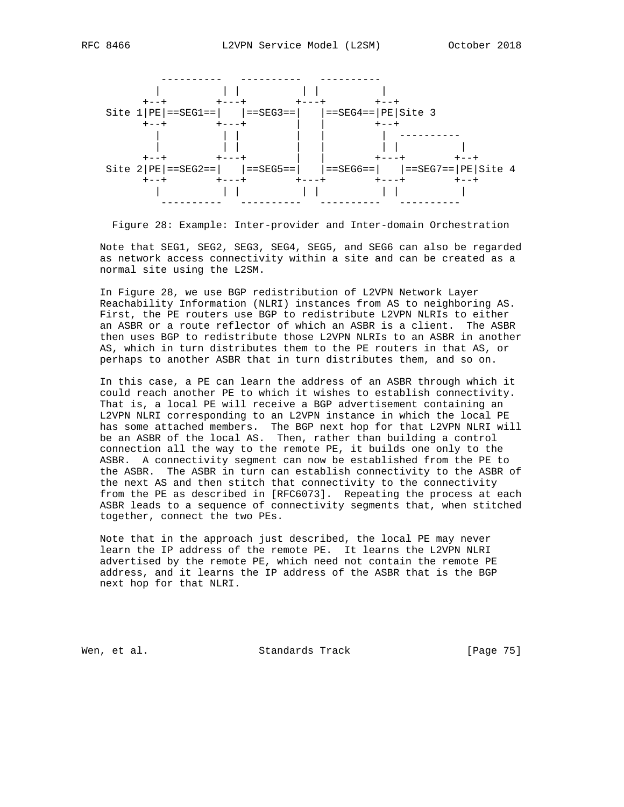

Figure 28: Example: Inter-provider and Inter-domain Orchestration

 Note that SEG1, SEG2, SEG3, SEG4, SEG5, and SEG6 can also be regarded as network access connectivity within a site and can be created as a normal site using the L2SM.

 In Figure 28, we use BGP redistribution of L2VPN Network Layer Reachability Information (NLRI) instances from AS to neighboring AS. First, the PE routers use BGP to redistribute L2VPN NLRIs to either an ASBR or a route reflector of which an ASBR is a client. The ASBR then uses BGP to redistribute those L2VPN NLRIs to an ASBR in another AS, which in turn distributes them to the PE routers in that AS, or perhaps to another ASBR that in turn distributes them, and so on.

 In this case, a PE can learn the address of an ASBR through which it could reach another PE to which it wishes to establish connectivity. That is, a local PE will receive a BGP advertisement containing an L2VPN NLRI corresponding to an L2VPN instance in which the local PE has some attached members. The BGP next hop for that L2VPN NLRI will be an ASBR of the local AS. Then, rather than building a control connection all the way to the remote PE, it builds one only to the ASBR. A connectivity segment can now be established from the PE to the ASBR. The ASBR in turn can establish connectivity to the ASBR of the next AS and then stitch that connectivity to the connectivity from the PE as described in [RFC6073]. Repeating the process at each ASBR leads to a sequence of connectivity segments that, when stitched together, connect the two PEs.

 Note that in the approach just described, the local PE may never learn the IP address of the remote PE. It learns the L2VPN NLRI advertised by the remote PE, which need not contain the remote PE address, and it learns the IP address of the ASBR that is the BGP next hop for that NLRI.

Wen, et al. Standards Track [Page 75]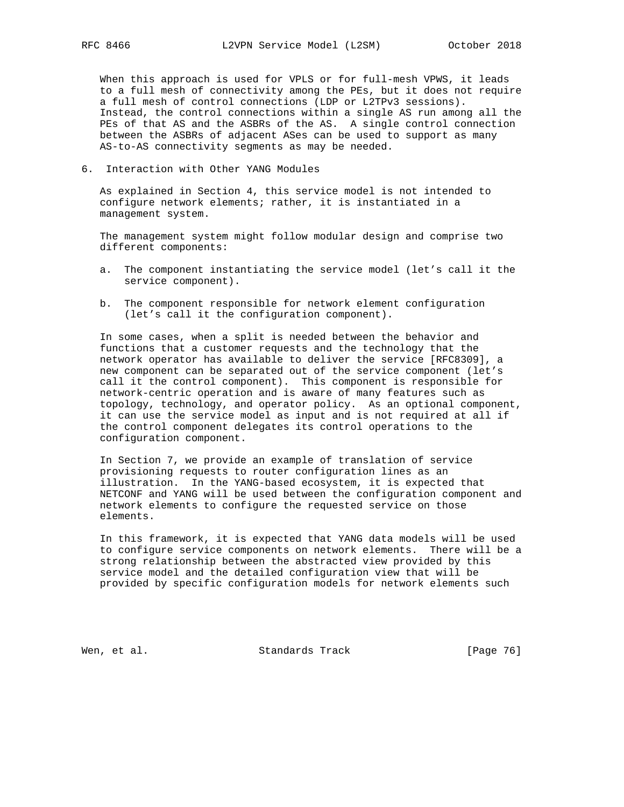When this approach is used for VPLS or for full-mesh VPWS, it leads to a full mesh of connectivity among the PEs, but it does not require a full mesh of control connections (LDP or L2TPv3 sessions). Instead, the control connections within a single AS run among all the PEs of that AS and the ASBRs of the AS. A single control connection between the ASBRs of adjacent ASes can be used to support as many AS-to-AS connectivity segments as may be needed.

## 6. Interaction with Other YANG Modules

 As explained in Section 4, this service model is not intended to configure network elements; rather, it is instantiated in a management system.

 The management system might follow modular design and comprise two different components:

- a. The component instantiating the service model (let's call it the service component).
- b. The component responsible for network element configuration (let's call it the configuration component).

 In some cases, when a split is needed between the behavior and functions that a customer requests and the technology that the network operator has available to deliver the service [RFC8309], a new component can be separated out of the service component (let's call it the control component). This component is responsible for network-centric operation and is aware of many features such as topology, technology, and operator policy. As an optional component, it can use the service model as input and is not required at all if the control component delegates its control operations to the configuration component.

 In Section 7, we provide an example of translation of service provisioning requests to router configuration lines as an illustration. In the YANG-based ecosystem, it is expected that NETCONF and YANG will be used between the configuration component and network elements to configure the requested service on those elements.

 In this framework, it is expected that YANG data models will be used to configure service components on network elements. There will be a strong relationship between the abstracted view provided by this service model and the detailed configuration view that will be provided by specific configuration models for network elements such

Wen, et al. Standards Track [Page 76]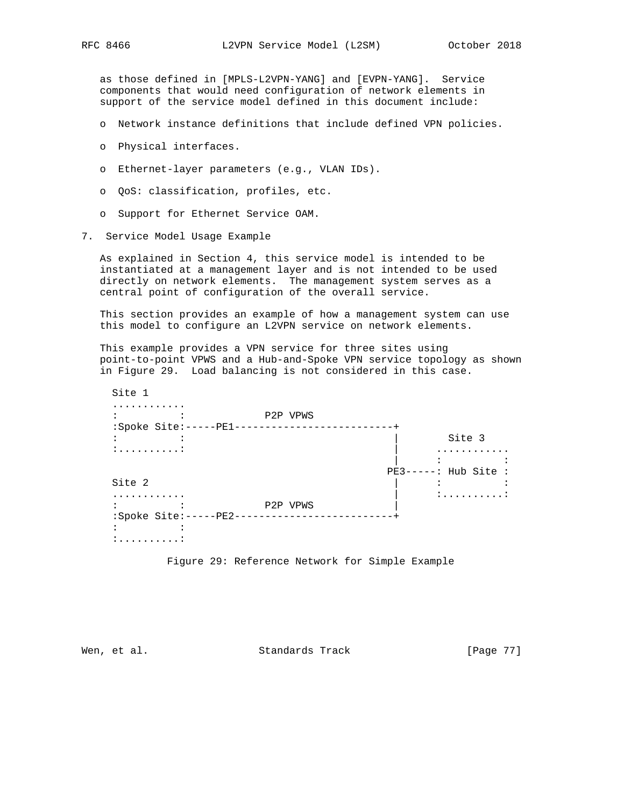as those defined in [MPLS-L2VPN-YANG] and [EVPN-YANG]. Service components that would need configuration of network elements in support of the service model defined in this document include:

- o Network instance definitions that include defined VPN policies.
- o Physical interfaces.
- o Ethernet-layer parameters (e.g., VLAN IDs).
- o QoS: classification, profiles, etc.
- o Support for Ethernet Service OAM.
- 7. Service Model Usage Example

 As explained in Section 4, this service model is intended to be instantiated at a management layer and is not intended to be used directly on network elements. The management system serves as a central point of configuration of the overall service.

 This section provides an example of how a management system can use this model to configure an L2VPN service on network elements.

 This example provides a VPN service for three sites using point-to-point VPWS and a Hub-and-Spoke VPN service topology as shown in Figure 29. Load balancing is not considered in this case.

| Site 1                |          |                      |
|-----------------------|----------|----------------------|
|                       |          |                      |
|                       | P2P VPWS |                      |
| :Spoke Site:-----PE1- |          |                      |
|                       |          | Site 3               |
|                       |          |                      |
|                       |          |                      |
|                       |          | $PE3----: Hub Site:$ |
| Site 2                |          |                      |
| .                     |          | <u>: :</u>           |
|                       | P2P VPWS |                      |
| :Spoke Site:-----PE2- |          |                      |
|                       |          |                      |
| :                     |          |                      |

Figure 29: Reference Network for Simple Example

Wen, et al. Standards Track [Page 77]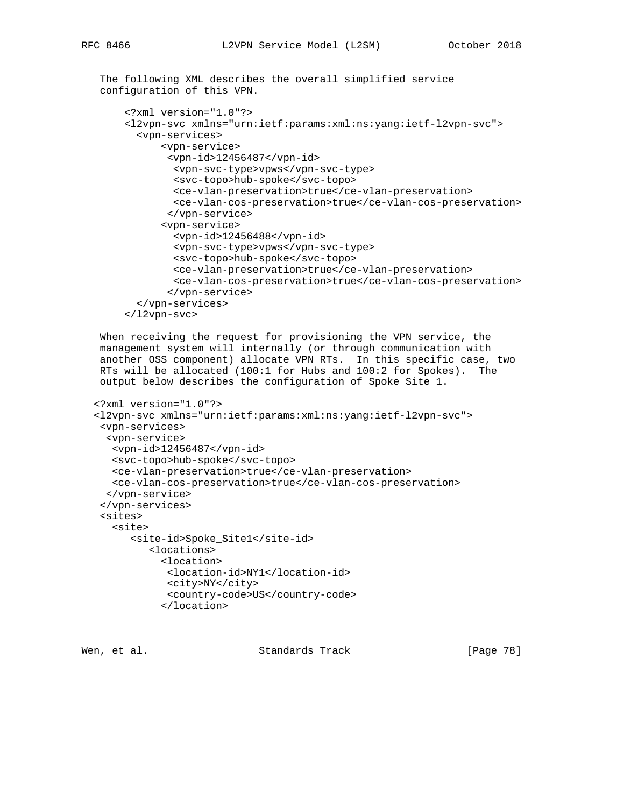The following XML describes the overall simplified service configuration of this VPN.

```
 <?xml version="1.0"?>
 <l2vpn-svc xmlns="urn:ietf:params:xml:ns:yang:ietf-l2vpn-svc">
   <vpn-services>
       <vpn-service>
        <vpn-id>12456487</vpn-id>
         <vpn-svc-type>vpws</vpn-svc-type>
         <svc-topo>hub-spoke</svc-topo>
         <ce-vlan-preservation>true</ce-vlan-preservation>
         <ce-vlan-cos-preservation>true</ce-vlan-cos-preservation>
        </vpn-service>
       <vpn-service>
         <vpn-id>12456488</vpn-id>
         <vpn-svc-type>vpws</vpn-svc-type>
         <svc-topo>hub-spoke</svc-topo>
         <ce-vlan-preservation>true</ce-vlan-preservation>
         <ce-vlan-cos-preservation>true</ce-vlan-cos-preservation>
        </vpn-service>
   </vpn-services>
 </l2vpn-svc>
```
 When receiving the request for provisioning the VPN service, the management system will internally (or through communication with another OSS component) allocate VPN RTs. In this specific case, two RTs will be allocated (100:1 for Hubs and 100:2 for Spokes). The output below describes the configuration of Spoke Site 1.

```
 <?xml version="1.0"?>
 <l2vpn-svc xmlns="urn:ietf:params:xml:ns:yang:ietf-l2vpn-svc">
  <vpn-services>
   <vpn-service>
    <vpn-id>12456487</vpn-id>
    <svc-topo>hub-spoke</svc-topo>
    <ce-vlan-preservation>true</ce-vlan-preservation>
    <ce-vlan-cos-preservation>true</ce-vlan-cos-preservation>
   </vpn-service>
  </vpn-services>
  <sites>
    <site>
       <site-id>Spoke_Site1</site-id>
          <locations>
            <location>
             <location-id>NY1</location-id>
             <city>NY</city>
             <country-code>US</country-code>
            </location>
```

```
Wen, et al. Standards Track [Page 78]
```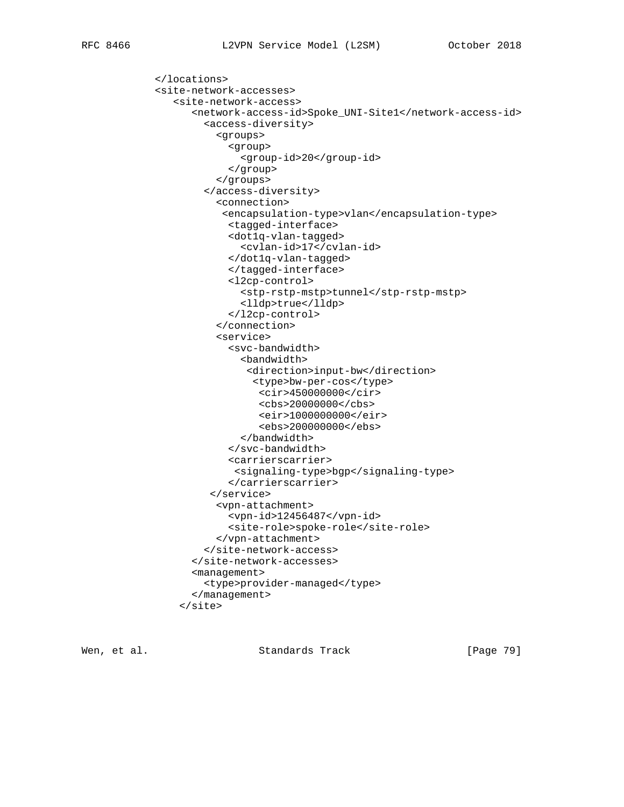```
 </locations>
 <site-network-accesses>
    <site-network-access>
       <network-access-id>Spoke_UNI-Site1</network-access-id>
         <access-diversity>
           <groups>
              <group>
                <group-id>20</group-id>
              </group>
           </groups>
         </access-diversity>
           <connection>
            <encapsulation-type>vlan</encapsulation-type>
              <tagged-interface>
             <dot1q-vlan-tagged>
                <cvlan-id>17</cvlan-id>
             </dot1q-vlan-tagged>
              </tagged-interface>
             <l2cp-control>
                <stp-rstp-mstp>tunnel</stp-rstp-mstp>
                <lldp>true</lldp>
              </l2cp-control>
           </connection>
           <service>
              <svc-bandwidth>
                <bandwidth>
                 <direction>input-bw</direction>
                  <type>bw-per-cos</type>
                   <cir>450000000</cir>
                   <cbs>20000000</cbs>
                   <eir>1000000000</eir>
                   <ebs>200000000</ebs>
                </bandwidth>
              </svc-bandwidth>
              <carrierscarrier>
              <signaling-type>bgp</signaling-type>
              </carrierscarrier>
          </service>
           <vpn-attachment>
              <vpn-id>12456487</vpn-id>
              <site-role>spoke-role</site-role>
           </vpn-attachment>
         </site-network-access>
       </site-network-accesses>
       <management>
         <type>provider-managed</type>
       </management>
     </site>
```
Wen, et al. Standards Track [Page 79]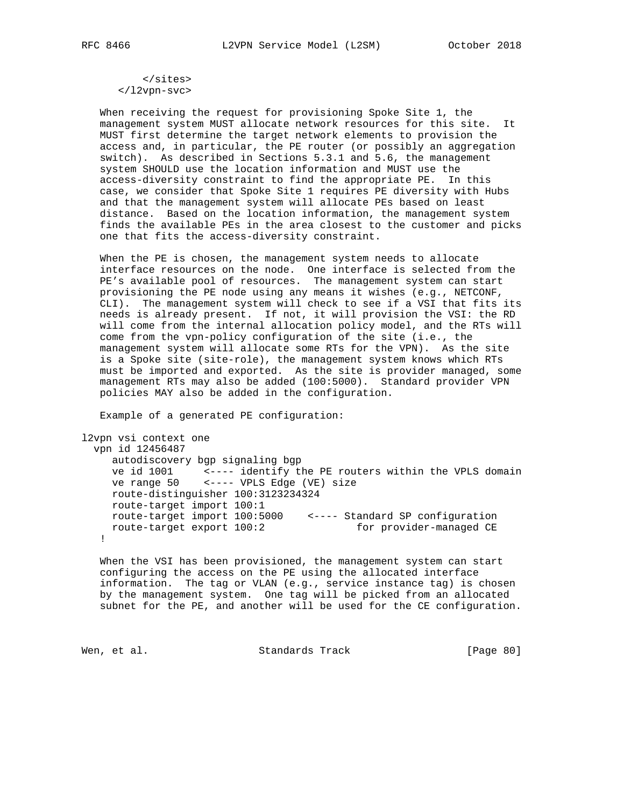</sites> </l2vpn-svc>

 When receiving the request for provisioning Spoke Site 1, the management system MUST allocate network resources for this site. It MUST first determine the target network elements to provision the access and, in particular, the PE router (or possibly an aggregation switch). As described in Sections 5.3.1 and 5.6, the management system SHOULD use the location information and MUST use the access-diversity constraint to find the appropriate PE. In this case, we consider that Spoke Site 1 requires PE diversity with Hubs and that the management system will allocate PEs based on least distance. Based on the location information, the management system finds the available PEs in the area closest to the customer and picks one that fits the access-diversity constraint.

 When the PE is chosen, the management system needs to allocate interface resources on the node. One interface is selected from the PE's available pool of resources. The management system can start provisioning the PE node using any means it wishes (e.g., NETCONF, CLI). The management system will check to see if a VSI that fits its needs is already present. If not, it will provision the VSI: the RD will come from the internal allocation policy model, and the RTs will come from the vpn-policy configuration of the site (i.e., the management system will allocate some RTs for the VPN). As the site is a Spoke site (site-role), the management system knows which RTs must be imported and exported. As the site is provider managed, some management RTs may also be added (100:5000). Standard provider VPN policies MAY also be added in the configuration.

Example of a generated PE configuration:

l2vpn vsi context one vpn id 12456487 autodiscovery bgp signaling bgp ve id 1001 <---- identify the PE routers within the VPLS domain ve range 50 <---- VPLS Edge (VE) size route-distinguisher 100:3123234324 route-target import 100:1 route-target import 100:5000 <---- Standard SP configuration route-target export 100:2 for provider-managed CE !

 When the VSI has been provisioned, the management system can start configuring the access on the PE using the allocated interface information. The tag or VLAN (e.g., service instance tag) is chosen by the management system. One tag will be picked from an allocated subnet for the PE, and another will be used for the CE configuration.

Wen, et al. Standards Track [Page 80]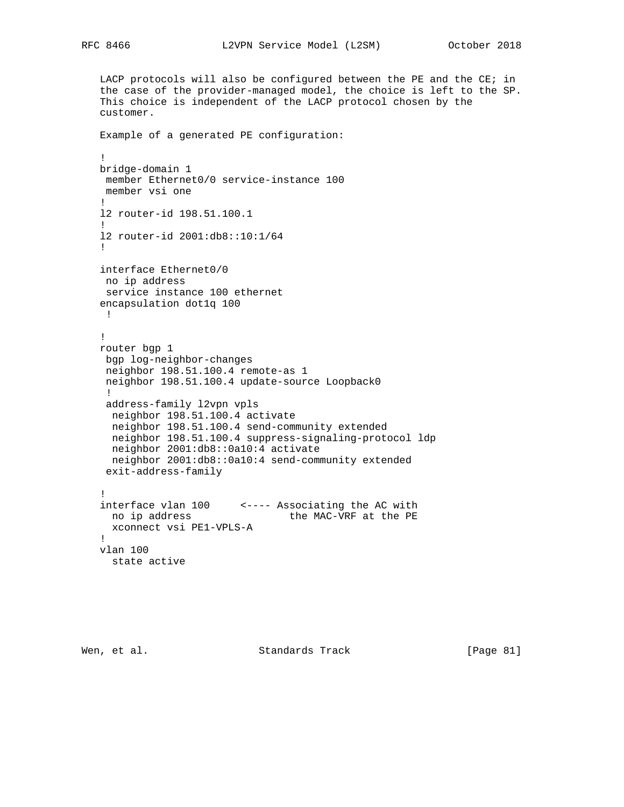```
 LACP protocols will also be configured between the PE and the CE; in
   the case of the provider-managed model, the choice is left to the SP.
   This choice is independent of the LACP protocol chosen by the
   customer.
   Example of a generated PE configuration:
   !
   bridge-domain 1
    member Ethernet0/0 service-instance 100
    member vsi one
   !
   l2 router-id 198.51.100.1
 !
   l2 router-id 2001:db8::10:1/64
   !
   interface Ethernet0/0
   no ip address
    service instance 100 ethernet
   encapsulation dot1q 100
    !
   !
   router bgp 1
    bgp log-neighbor-changes
    neighbor 198.51.100.4 remote-as 1
    neighbor 198.51.100.4 update-source Loopback0
    !
    address-family l2vpn vpls
    neighbor 198.51.100.4 activate
    neighbor 198.51.100.4 send-community extended
    neighbor 198.51.100.4 suppress-signaling-protocol ldp
    neighbor 2001:db8::0a10:4 activate
    neighbor 2001:db8::0a10:4 send-community extended
    exit-address-family
 !
 interface vlan 100 <---- Associating the AC with
no ip address the MAC-VRF at the PE
     xconnect vsi PE1-VPLS-A
   !
   vlan 100
    state active
```
Wen, et al. Standards Track [Page 81]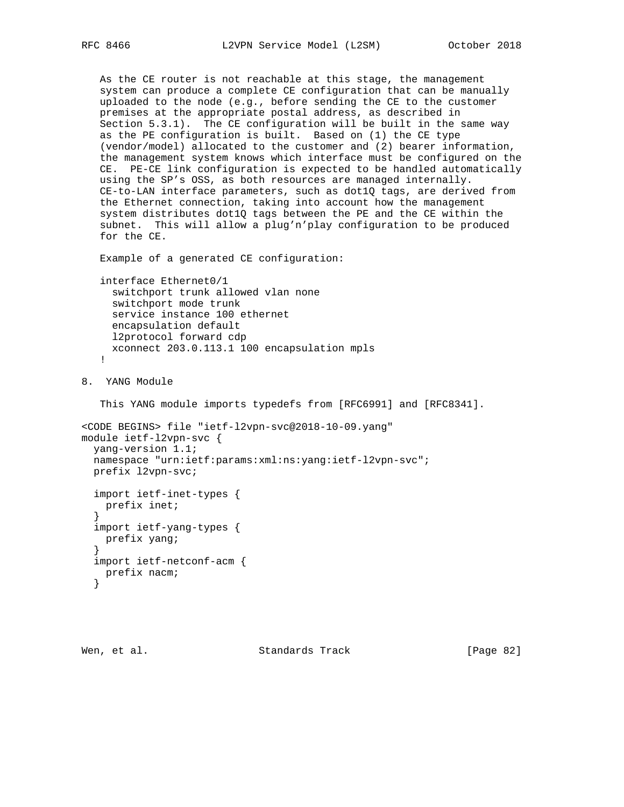```
 As the CE router is not reachable at this stage, the management
    system can produce a complete CE configuration that can be manually
   uploaded to the node (e.g., before sending the CE to the customer
   premises at the appropriate postal address, as described in
   Section 5.3.1). The CE configuration will be built in the same way
   as the PE configuration is built. Based on (1) the CE type
    (vendor/model) allocated to the customer and (2) bearer information,
    the management system knows which interface must be configured on the
   CE. PE-CE link configuration is expected to be handled automatically
   using the SP's OSS, as both resources are managed internally.
   CE-to-LAN interface parameters, such as dot1Q tags, are derived from
    the Ethernet connection, taking into account how the management
    system distributes dot1Q tags between the PE and the CE within the
    subnet. This will allow a plug'n'play configuration to be produced
    for the CE.
   Example of a generated CE configuration:
   interface Ethernet0/1
     switchport trunk allowed vlan none
     switchport mode trunk
     service instance 100 ethernet
     encapsulation default
     l2protocol forward cdp
     xconnect 203.0.113.1 100 encapsulation mpls
    !
8. YANG Module
    This YANG module imports typedefs from [RFC6991] and [RFC8341].
<CODE BEGINS> file "ietf-l2vpn-svc@2018-10-09.yang"
module ietf-l2vpn-svc {
  yang-version 1.1;
  namespace "urn:ietf:params:xml:ns:yang:ietf-l2vpn-svc";
  prefix l2vpn-svc;
   import ietf-inet-types {
    prefix inet;
 }
   import ietf-yang-types {
   prefix yang;
 }
   import ietf-netconf-acm {
    prefix nacm;
   }
```
Wen, et al. Standards Track [Page 82]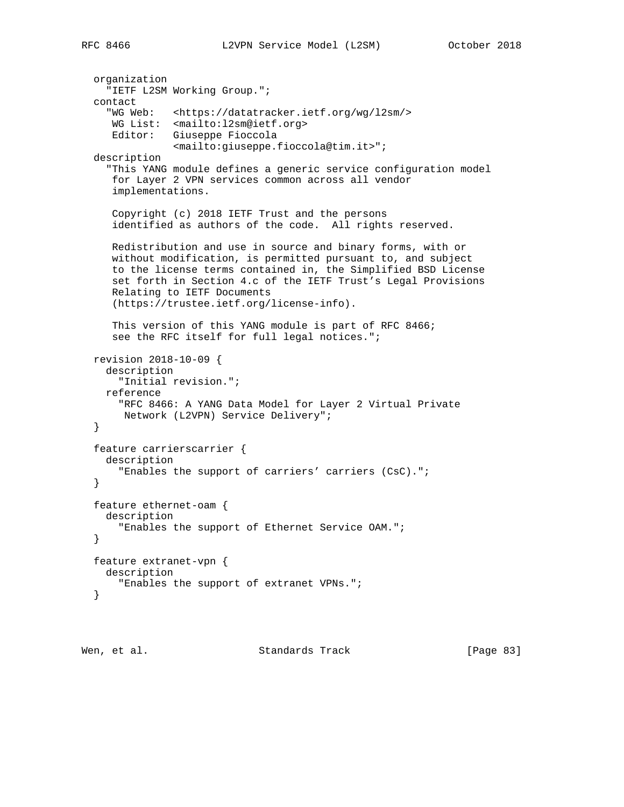```
 organization
   "IETF L2SM Working Group.";
 contact
   "WG Web: <https://datatracker.ietf.org/wg/l2sm/>
   WG List: <mailto:l2sm@ietf.org>
   Editor: Giuseppe Fioccola
              <mailto:giuseppe.fioccola@tim.it>";
 description
   "This YANG module defines a generic service configuration model
   for Layer 2 VPN services common across all vendor
    implementations.
    Copyright (c) 2018 IETF Trust and the persons
    identified as authors of the code. All rights reserved.
   Redistribution and use in source and binary forms, with or
   without modification, is permitted pursuant to, and subject
   to the license terms contained in, the Simplified BSD License
   set forth in Section 4.c of the IETF Trust's Legal Provisions
   Relating to IETF Documents
    (https://trustee.ietf.org/license-info).
   This version of this YANG module is part of RFC 8466;
    see the RFC itself for full legal notices.";
 revision 2018-10-09 {
  description
     "Initial revision.";
  reference
     "RFC 8466: A YANG Data Model for Layer 2 Virtual Private
     Network (L2VPN) Service Delivery";
 }
 feature carrierscarrier {
  description
     "Enables the support of carriers' carriers (CsC).";
 }
 feature ethernet-oam {
  description
     "Enables the support of Ethernet Service OAM.";
 }
 feature extranet-vpn {
  description
    "Enables the support of extranet VPNs.";
 }
```
Wen, et al. Standards Track [Page 83]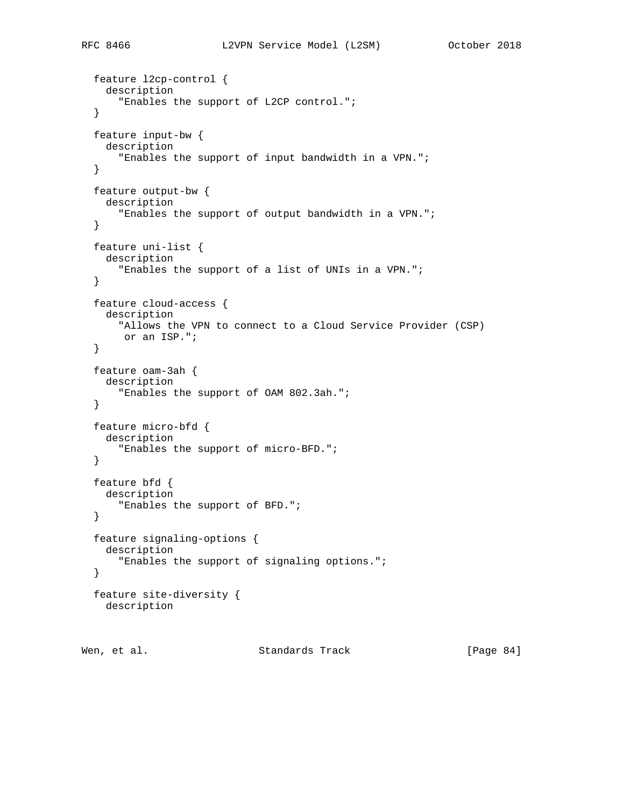```
 feature l2cp-control {
   description
     "Enables the support of L2CP control.";
 }
 feature input-bw {
   description
     "Enables the support of input bandwidth in a VPN.";
 }
 feature output-bw {
  description
     "Enables the support of output bandwidth in a VPN.";
 }
 feature uni-list {
  description
    "Enables the support of a list of UNIs in a VPN.";
 }
 feature cloud-access {
   description
     "Allows the VPN to connect to a Cloud Service Provider (CSP)
     or an ISP.";
 }
 feature oam-3ah {
   description
     "Enables the support of OAM 802.3ah.";
 }
 feature micro-bfd {
   description
     "Enables the support of micro-BFD.";
 }
 feature bfd {
  description
     "Enables the support of BFD.";
 }
 feature signaling-options {
  description
    "Enables the support of signaling options.";
 }
 feature site-diversity {
  description
```
Wen, et al. Standards Track [Page 84]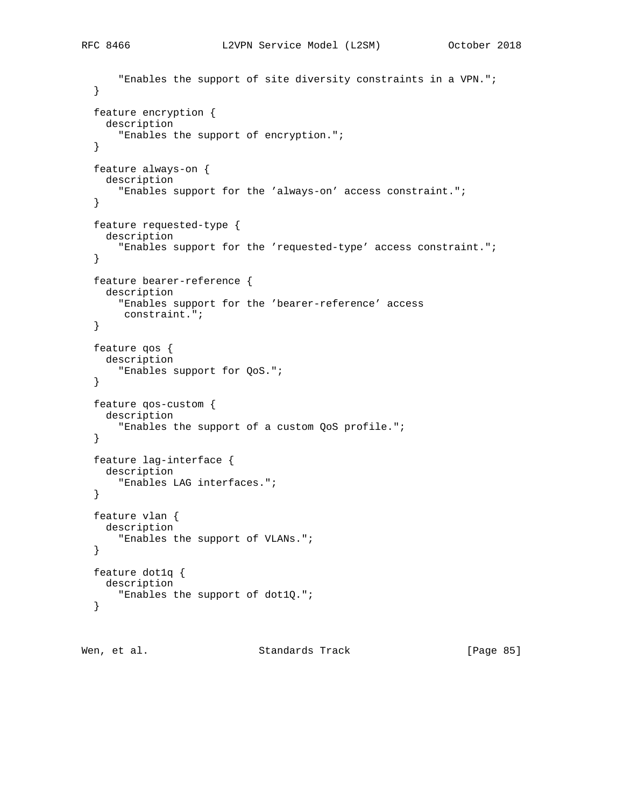```
 "Enables the support of site diversity constraints in a VPN.";
 }
 feature encryption {
   description
     "Enables the support of encryption.";
 }
 feature always-on {
  description
     "Enables support for the 'always-on' access constraint.";
 }
 feature requested-type {
  description
     "Enables support for the 'requested-type' access constraint.";
 }
 feature bearer-reference {
  description
    "Enables support for the 'bearer-reference' access
     constraint.";
 }
 feature qos {
   description
     "Enables support for QoS.";
 }
 feature qos-custom {
  description
    "Enables the support of a custom QoS profile.";
 }
 feature lag-interface {
  description
     "Enables LAG interfaces.";
 }
 feature vlan {
  description
    "Enables the support of VLANs.";
 }
 feature dot1q {
  description
     "Enables the support of dot1Q.";
 }
```
Wen, et al. Standards Track [Page 85]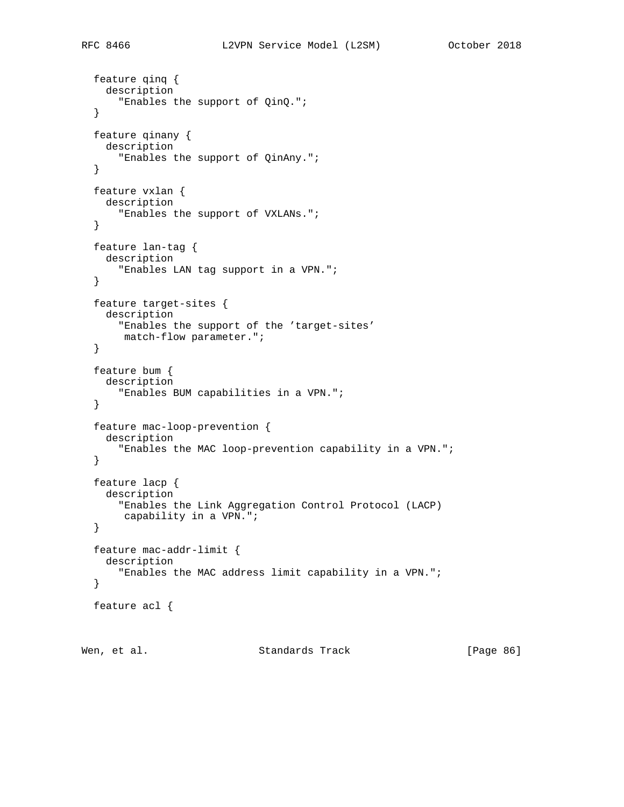```
 feature qinq {
   description
     "Enables the support of QinQ.";
 }
 feature qinany {
   description
     "Enables the support of QinAny.";
 }
 feature vxlan {
  description
     "Enables the support of VXLANs.";
 }
 feature lan-tag {
  description
    "Enables LAN tag support in a VPN.";
 }
 feature target-sites {
   description
     "Enables the support of the 'target-sites'
     match-flow parameter.";
 }
 feature bum {
   description
     "Enables BUM capabilities in a VPN.";
 }
 feature mac-loop-prevention {
   description
     "Enables the MAC loop-prevention capability in a VPN.";
 }
 feature lacp {
   description
     "Enables the Link Aggregation Control Protocol (LACP)
      capability in a VPN.";
 }
 feature mac-addr-limit {
  description
     "Enables the MAC address limit capability in a VPN.";
 }
 feature acl {
```
Wen, et al. Standards Track [Page 86]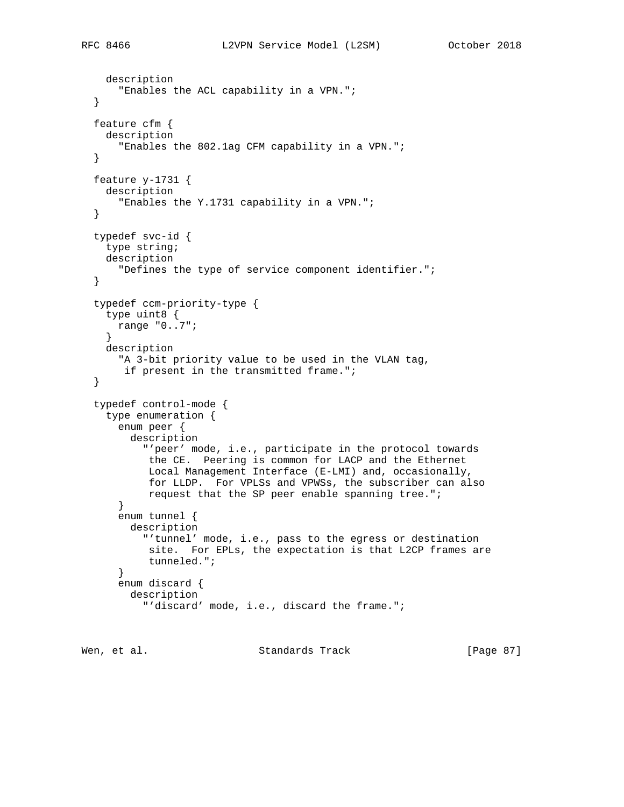```
 description
     "Enables the ACL capability in a VPN.";
 }
 feature cfm {
  description
     "Enables the 802.1ag CFM capability in a VPN.";
 }
 feature y-1731 {
  description
     "Enables the Y.1731 capability in a VPN.";
 }
 typedef svc-id {
  type string;
  description
    "Defines the type of service component identifier.";
 }
 typedef ccm-priority-type {
  type uint8 {
    range "0..7";
   }
  description
     "A 3-bit priority value to be used in the VLAN tag,
      if present in the transmitted frame.";
 }
 typedef control-mode {
  type enumeration {
    enum peer {
       description
         "'peer' mode, i.e., participate in the protocol towards
          the CE. Peering is common for LACP and the Ethernet
          Local Management Interface (E-LMI) and, occasionally,
          for LLDP. For VPLSs and VPWSs, the subscriber can also
          request that the SP peer enable spanning tree.";
     }
     enum tunnel {
      description
         "'tunnel' mode, i.e., pass to the egress or destination
          site. For EPLs, the expectation is that L2CP frames are
          tunneled.";
     }
     enum discard {
       description
```

```
 "'discard' mode, i.e., discard the frame.";
```
Wen, et al. Standards Track [Page 87]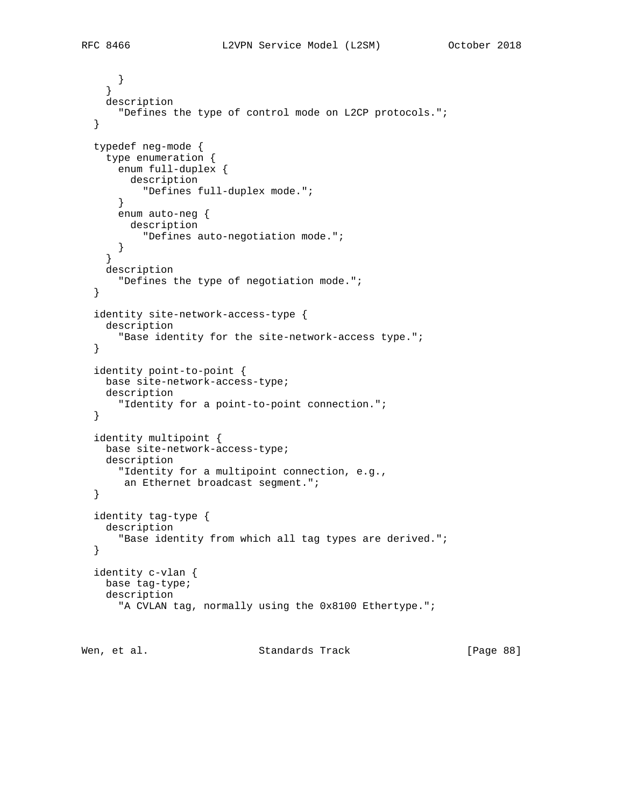```
 }
   }
   description
    "Defines the type of control mode on L2CP protocols.";
 }
 typedef neg-mode {
   type enumeration {
    enum full-duplex {
       description
         "Defines full-duplex mode.";
     }
     enum auto-neg {
      description
         "Defines auto-negotiation mode.";
     }
   }
   description
     "Defines the type of negotiation mode.";
 }
 identity site-network-access-type {
   description
     "Base identity for the site-network-access type.";
 }
 identity point-to-point {
  base site-network-access-type;
  description
     "Identity for a point-to-point connection.";
 }
 identity multipoint {
  base site-network-access-type;
  description
     "Identity for a multipoint connection, e.g.,
     an Ethernet broadcast segment.";
 }
 identity tag-type {
  description
     "Base identity from which all tag types are derived.";
 }
 identity c-vlan {
  base tag-type;
  description
     "A CVLAN tag, normally using the 0x8100 Ethertype.";
```
Wen, et al. Standards Track [Page 88]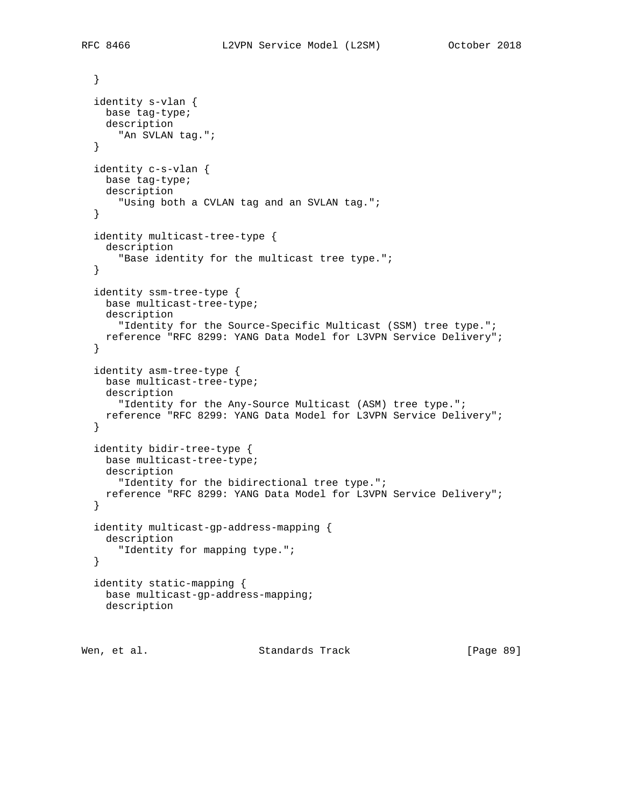```
 }
 identity s-vlan {
  base tag-type;
  description
     "An SVLAN tag.";
 }
 identity c-s-vlan {
  base tag-type;
  description
     "Using both a CVLAN tag and an SVLAN tag.";
 }
 identity multicast-tree-type {
  description
    "Base identity for the multicast tree type.";
 }
 identity ssm-tree-type {
  base multicast-tree-type;
  description
     "Identity for the Source-Specific Multicast (SSM) tree type.";
  reference "RFC 8299: YANG Data Model for L3VPN Service Delivery";
 }
 identity asm-tree-type {
  base multicast-tree-type;
  description
     "Identity for the Any-Source Multicast (ASM) tree type.";
  reference "RFC 8299: YANG Data Model for L3VPN Service Delivery";
 }
 identity bidir-tree-type {
  base multicast-tree-type;
  description
    "Identity for the bidirectional tree type.";
  reference "RFC 8299: YANG Data Model for L3VPN Service Delivery";
 }
 identity multicast-gp-address-mapping {
  description
     "Identity for mapping type.";
 }
 identity static-mapping {
  base multicast-gp-address-mapping;
  description
```
Wen, et al. Standards Track [Page 89]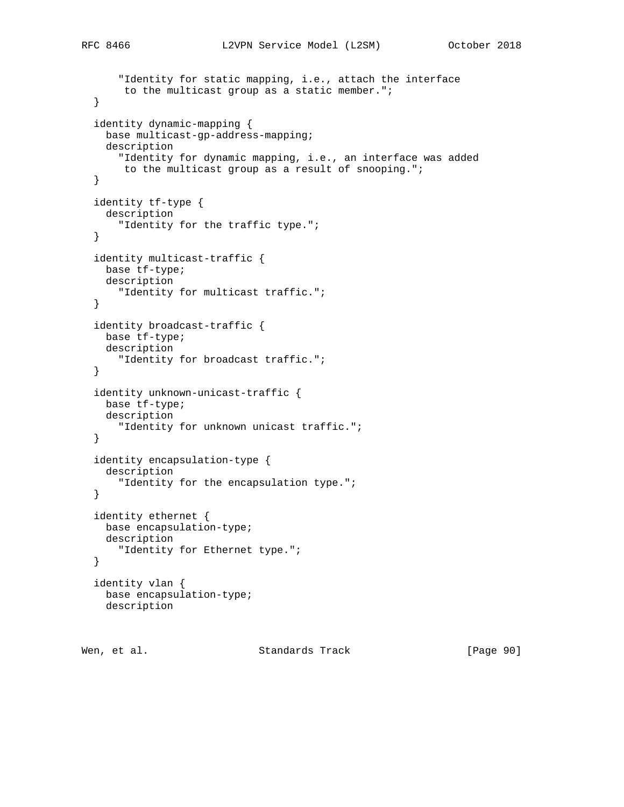```
 "Identity for static mapping, i.e., attach the interface
      to the multicast group as a static member.";
 }
 identity dynamic-mapping {
  base multicast-gp-address-mapping;
   description
     "Identity for dynamic mapping, i.e., an interface was added
     to the multicast group as a result of snooping.";
 }
 identity tf-type {
  description
    "Identity for the traffic type.";
 }
 identity multicast-traffic {
  base tf-type;
  description
     "Identity for multicast traffic.";
 }
 identity broadcast-traffic {
  base tf-type;
  description
     "Identity for broadcast traffic.";
 }
 identity unknown-unicast-traffic {
  base tf-type;
  description
     "Identity for unknown unicast traffic.";
 }
 identity encapsulation-type {
  description
     "Identity for the encapsulation type.";
 }
 identity ethernet {
  base encapsulation-type;
  description
     "Identity for Ethernet type.";
 }
 identity vlan {
  base encapsulation-type;
  description
```
Wen, et al. Standards Track [Page 90]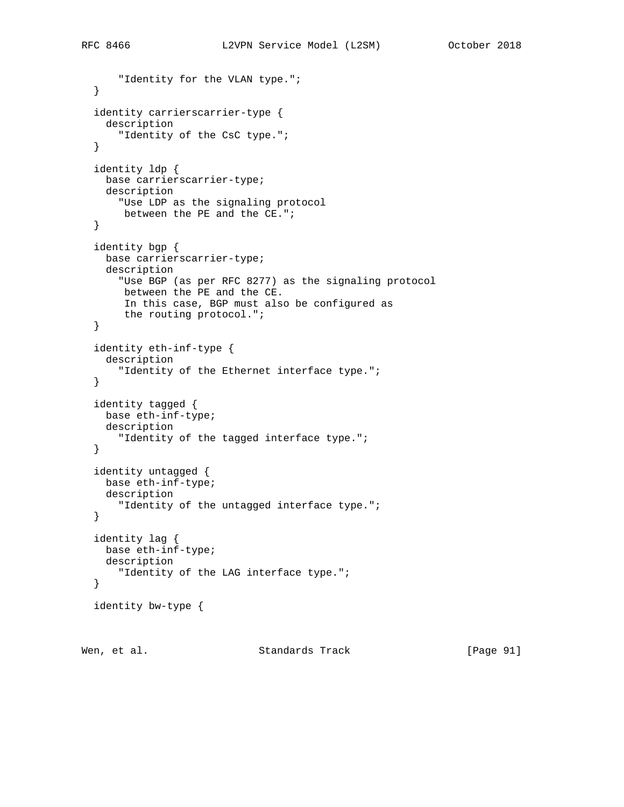```
 "Identity for the VLAN type.";
 }
 identity carrierscarrier-type {
   description
     "Identity of the CsC type.";
 }
 identity ldp {
  base carrierscarrier-type;
  description
    "Use LDP as the signaling protocol
     between the PE and the CE.";
 }
 identity bgp {
  base carrierscarrier-type;
  description
     "Use BGP (as per RFC 8277) as the signaling protocol
     between the PE and the CE.
      In this case, BGP must also be configured as
      the routing protocol.";
 }
 identity eth-inf-type {
   description
     "Identity of the Ethernet interface type.";
 }
 identity tagged {
  base eth-inf-type;
  description
     "Identity of the tagged interface type.";
 }
 identity untagged {
  base eth-inf-type;
  description
    "Identity of the untagged interface type.";
 }
 identity lag {
  base eth-inf-type;
  description
     "Identity of the LAG interface type.";
 }
 identity bw-type {
```
Wen, et al. Standards Track [Page 91]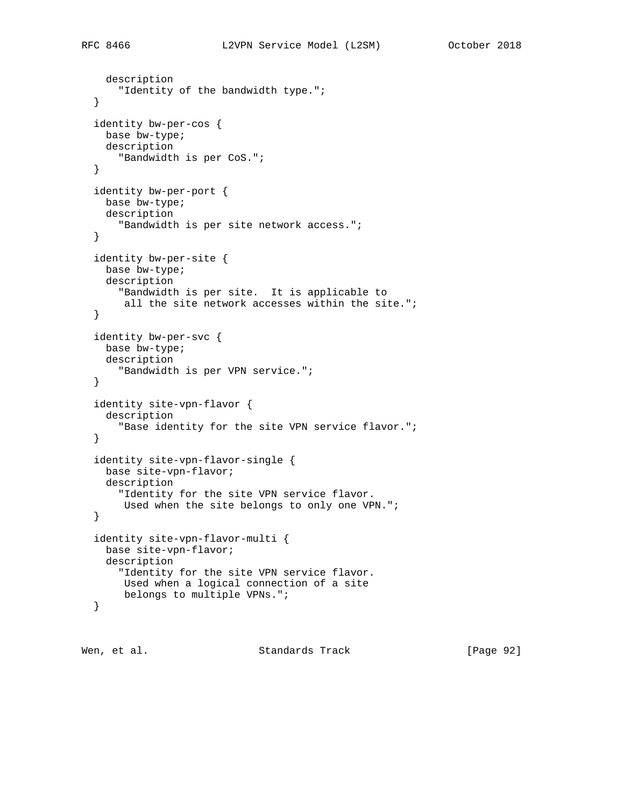description

```
 "Identity of the bandwidth type.";
 }
 identity bw-per-cos {
  base bw-type;
  description
     "Bandwidth is per CoS.";
 }
 identity bw-per-port {
  base bw-type;
  description
    "Bandwidth is per site network access.";
 }
 identity bw-per-site {
  base bw-type;
  description
    "Bandwidth is per site. It is applicable to
     all the site network accesses within the site.";
 }
 identity bw-per-svc {
  base bw-type;
   description
     "Bandwidth is per VPN service.";
 }
 identity site-vpn-flavor {
   description
     "Base identity for the site VPN service flavor.";
 }
 identity site-vpn-flavor-single {
  base site-vpn-flavor;
  description
     "Identity for the site VPN service flavor.
      Used when the site belongs to only one VPN.";
 }
 identity site-vpn-flavor-multi {
  base site-vpn-flavor;
   description
     "Identity for the site VPN service flavor.
     Used when a logical connection of a site
     belongs to multiple VPNs.";
 }
```
Wen, et al. Standards Track [Page 92]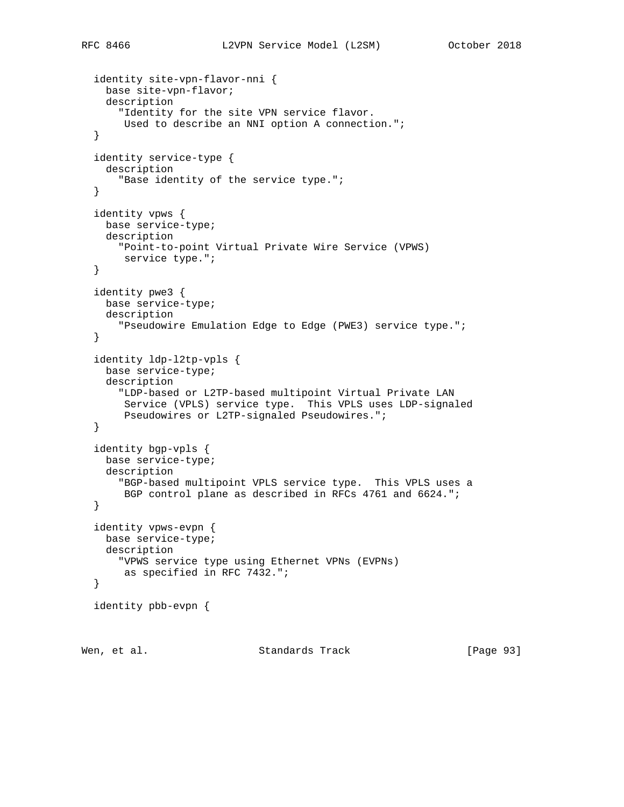```
 identity site-vpn-flavor-nni {
    base site-vpn-flavor;
    description
       "Identity for the site VPN service flavor.
       Used to describe an NNI option A connection.";
   }
   identity service-type {
    description
       "Base identity of the service type.";
   }
   identity vpws {
    base service-type;
    description
      "Point-to-point Virtual Private Wire Service (VPWS)
       service type.";
   }
   identity pwe3 {
    base service-type;
    description
       "Pseudowire Emulation Edge to Edge (PWE3) service type.";
   }
   identity ldp-l2tp-vpls {
    base service-type;
    description
       "LDP-based or L2TP-based multipoint Virtual Private LAN
       Service (VPLS) service type. This VPLS uses LDP-signaled
       Pseudowires or L2TP-signaled Pseudowires.";
   }
   identity bgp-vpls {
    base service-type;
    description
      "BGP-based multipoint VPLS service type. This VPLS uses a
       BGP control plane as described in RFCs 4761 and 6624.";
   }
   identity vpws-evpn {
    base service-type;
    description
      "VPWS service type using Ethernet VPNs (EVPNs)
       as specified in RFC 7432.";
   }
   identity pbb-evpn {
Wen, et al. Standards Track [Page 93]
```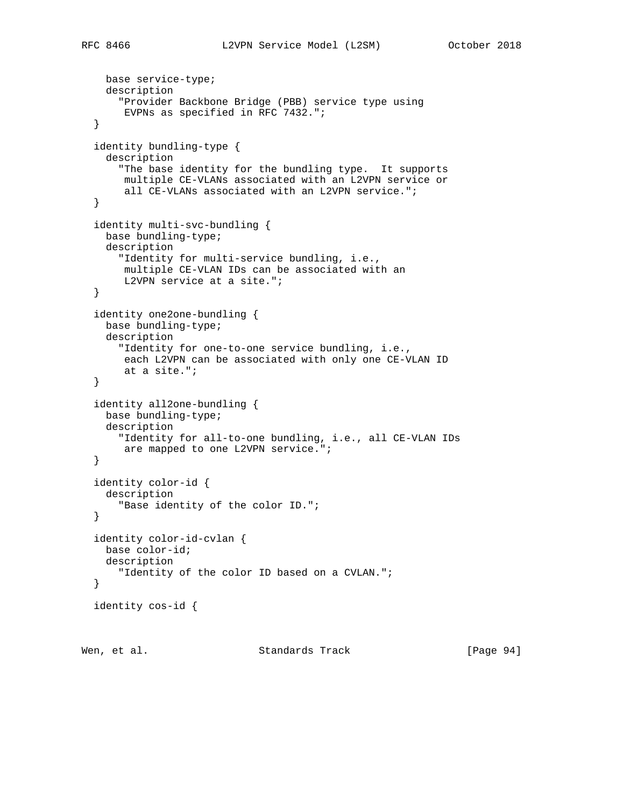```
 base service-type;
  description
     "Provider Backbone Bridge (PBB) service type using
      EVPNs as specified in RFC 7432.";
 }
 identity bundling-type {
  description
     "The base identity for the bundling type. It supports
     multiple CE-VLANs associated with an L2VPN service or
      all CE-VLANs associated with an L2VPN service.";
 }
 identity multi-svc-bundling {
  base bundling-type;
  description
     "Identity for multi-service bundling, i.e.,
     multiple CE-VLAN IDs can be associated with an
     L2VPN service at a site.";
 }
 identity one2one-bundling {
  base bundling-type;
  description
     "Identity for one-to-one service bundling, i.e.,
     each L2VPN can be associated with only one CE-VLAN ID
      at a site.";
 }
 identity all2one-bundling {
  base bundling-type;
  description
     "Identity for all-to-one bundling, i.e., all CE-VLAN IDs
     are mapped to one L2VPN service.";
 }
 identity color-id {
  description
     "Base identity of the color ID.";
 }
 identity color-id-cvlan {
  base color-id;
  description
     "Identity of the color ID based on a CVLAN.";
 }
 identity cos-id {
```

```
Wen, et al. Standards Track [Page 94]
```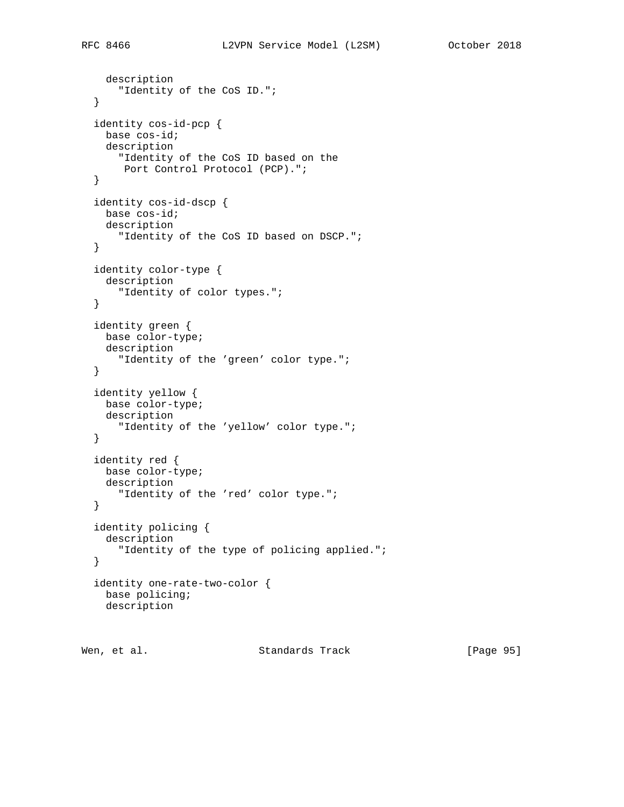```
 description
    "Identity of the CoS ID.";
 identity cos-id-pcp {
  base cos-id;
  description
     "Identity of the CoS ID based on the
     Port Control Protocol (PCP).";
 identity cos-id-dscp {
```

```
 base cos-id;
  description
    "Identity of the CoS ID based on DSCP.";
 }
 identity color-type {
  description
    "Identity of color types.";
 }
 identity green {
  base color-type;
  description
     "Identity of the 'green' color type.";
 }
 identity yellow {
  base color-type;
  description
     "Identity of the 'yellow' color type.";
 }
```

```
 identity red {
  base color-type;
  description
    "Identity of the 'red' color type.";
 }
 identity policing {
  description
     "Identity of the type of policing applied.";
 }
 identity one-rate-two-color {
  base policing;
  description
```

```
Wen, et al. Standards Track [Page 95]
```
}

}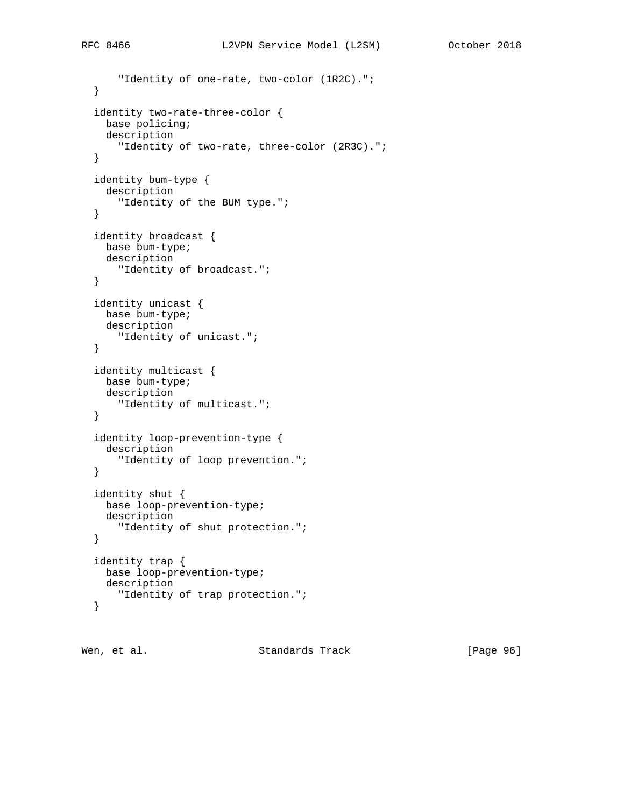```
 "Identity of one-rate, two-color (1R2C).";
 }
 identity two-rate-three-color {
  base policing;
  description
     "Identity of two-rate, three-color (2R3C).";
 }
 identity bum-type {
  description
     "Identity of the BUM type.";
 }
 identity broadcast {
  base bum-type;
  description
    "Identity of broadcast.";
 }
 identity unicast {
  base bum-type;
  description
     "Identity of unicast.";
 }
 identity multicast {
  base bum-type;
  description
     "Identity of multicast.";
 }
 identity loop-prevention-type {
  description
     "Identity of loop prevention.";
 }
 identity shut {
  base loop-prevention-type;
  description
    "Identity of shut protection.";
 }
 identity trap {
  base loop-prevention-type;
  description
     "Identity of trap protection.";
 }
```
Wen, et al. Standards Track [Page 96]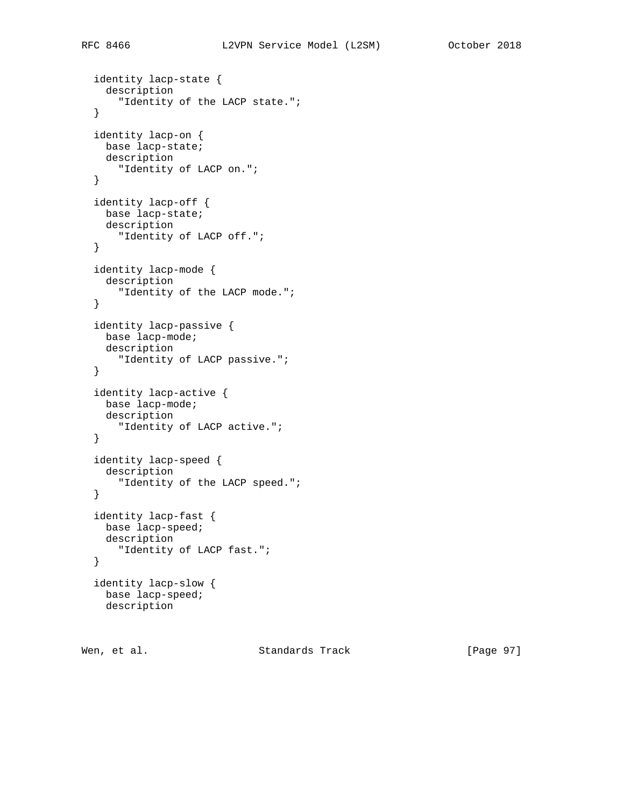```
 identity lacp-state {
   description
     "Identity of the LACP state.";
 }
 identity lacp-on {
  base lacp-state;
  description
     "Identity of LACP on.";
 }
 identity lacp-off {
  base lacp-state;
  description
    "Identity of LACP off.";
 }
 identity lacp-mode {
  description
    "Identity of the LACP mode.";
 }
 identity lacp-passive {
  base lacp-mode;
  description
     "Identity of LACP passive.";
 }
 identity lacp-active {
  base lacp-mode;
  description
     "Identity of LACP active.";
 }
 identity lacp-speed {
  description
     "Identity of the LACP speed.";
 }
 identity lacp-fast {
  base lacp-speed;
  description
     "Identity of LACP fast.";
 }
 identity lacp-slow {
  base lacp-speed;
  description
```
Wen, et al. Standards Track [Page 97]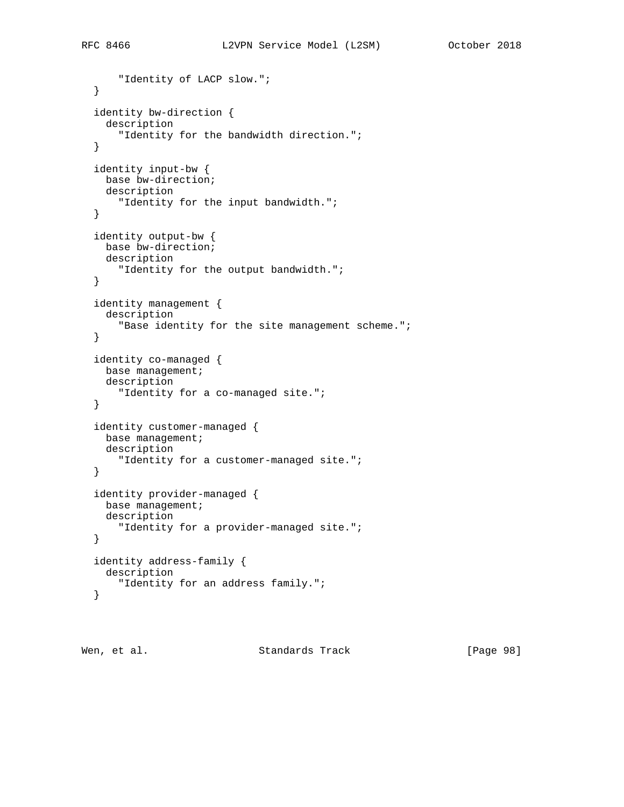```
 "Identity of LACP slow.";
 }
 identity bw-direction {
   description
     "Identity for the bandwidth direction.";
 }
 identity input-bw {
  base bw-direction;
  description
     "Identity for the input bandwidth.";
 }
 identity output-bw {
  base bw-direction;
  description
    "Identity for the output bandwidth.";
 }
 identity management {
   description
     "Base identity for the site management scheme.";
 }
 identity co-managed {
  base management;
  description
     "Identity for a co-managed site.";
 }
 identity customer-managed {
  base management;
  description
     "Identity for a customer-managed site.";
 }
 identity provider-managed {
  base management;
  description
    "Identity for a provider-managed site.";
 }
 identity address-family {
  description
     "Identity for an address family.";
 }
```
Wen, et al. Standards Track [Page 98]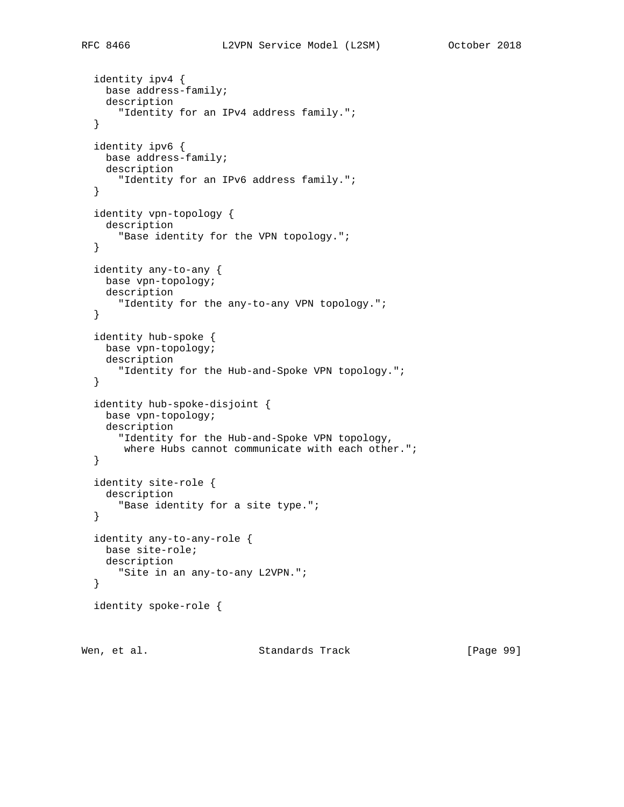```
 identity ipv4 {
  base address-family;
   description
     "Identity for an IPv4 address family.";
 }
 identity ipv6 {
  base address-family;
  description
     "Identity for an IPv6 address family.";
 }
 identity vpn-topology {
   description
     "Base identity for the VPN topology.";
 }
 identity any-to-any {
  base vpn-topology;
  description
     "Identity for the any-to-any VPN topology.";
 }
 identity hub-spoke {
  base vpn-topology;
   description
     "Identity for the Hub-and-Spoke VPN topology.";
 }
 identity hub-spoke-disjoint {
  base vpn-topology;
   description
     "Identity for the Hub-and-Spoke VPN topology,
    where Hubs cannot communicate with each other.";
 }
 identity site-role {
  description
     "Base identity for a site type.";
 }
 identity any-to-any-role {
  base site-role;
  description
     "Site in an any-to-any L2VPN.";
 }
 identity spoke-role {
```
Wen, et al. Standards Track [Page 99]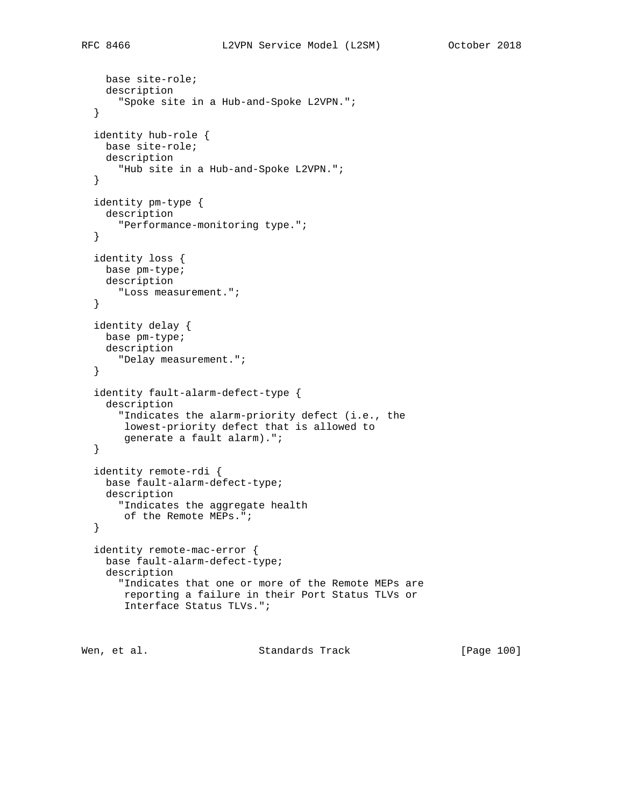```
 base site-role;
   description
     "Spoke site in a Hub-and-Spoke L2VPN.";
 }
 identity hub-role {
  base site-role;
  description
     "Hub site in a Hub-and-Spoke L2VPN.";
 }
 identity pm-type {
  description
    "Performance-monitoring type.";
 }
 identity loss {
  base pm-type;
  description
    "Loss measurement.";
 }
 identity delay {
  base pm-type;
  description
     "Delay measurement.";
 }
 identity fault-alarm-defect-type {
   description
     "Indicates the alarm-priority defect (i.e., the
     lowest-priority defect that is allowed to
     generate a fault alarm).";
 }
 identity remote-rdi {
  base fault-alarm-defect-type;
   description
    "Indicates the aggregate health
     of the Remote MEPs.";
 }
 identity remote-mac-error {
  base fault-alarm-defect-type;
   description
     "Indicates that one or more of the Remote MEPs are
     reporting a failure in their Port Status TLVs or
      Interface Status TLVs.";
```
Wen, et al. Standards Track [Page 100]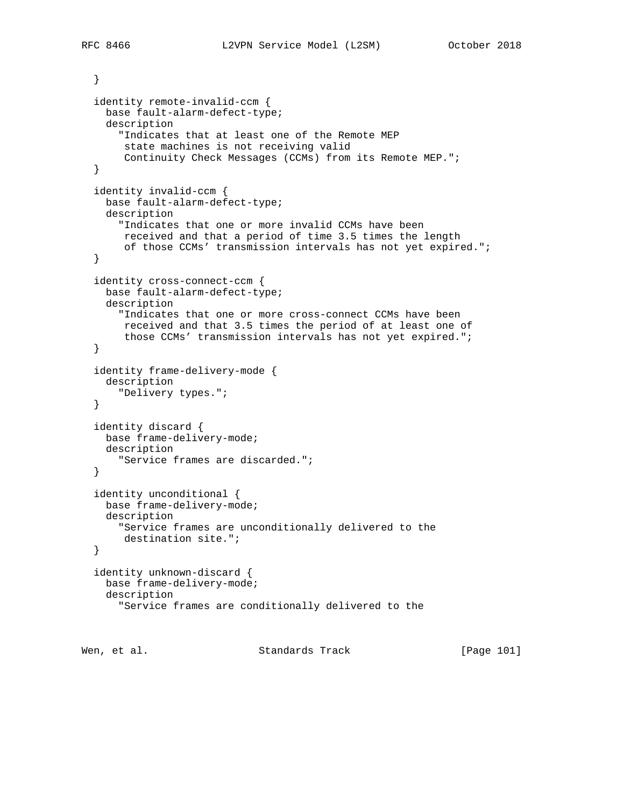```
 }
 identity remote-invalid-ccm {
  base fault-alarm-defect-type;
  description
     "Indicates that at least one of the Remote MEP
     state machines is not receiving valid
      Continuity Check Messages (CCMs) from its Remote MEP.";
 }
 identity invalid-ccm {
  base fault-alarm-defect-type;
  description
     "Indicates that one or more invalid CCMs have been
      received and that a period of time 3.5 times the length
      of those CCMs' transmission intervals has not yet expired.";
 }
 identity cross-connect-ccm {
  base fault-alarm-defect-type;
  description
     "Indicates that one or more cross-connect CCMs have been
     received and that 3.5 times the period of at least one of
      those CCMs' transmission intervals has not yet expired.";
 }
 identity frame-delivery-mode {
  description
     "Delivery types.";
 }
 identity discard {
  base frame-delivery-mode;
  description
     "Service frames are discarded.";
 }
 identity unconditional {
  base frame-delivery-mode;
  description
    "Service frames are unconditionally delivered to the
     destination site.";
 }
 identity unknown-discard {
  base frame-delivery-mode;
  description
     "Service frames are conditionally delivered to the
```
Wen, et al. Standards Track [Page 101]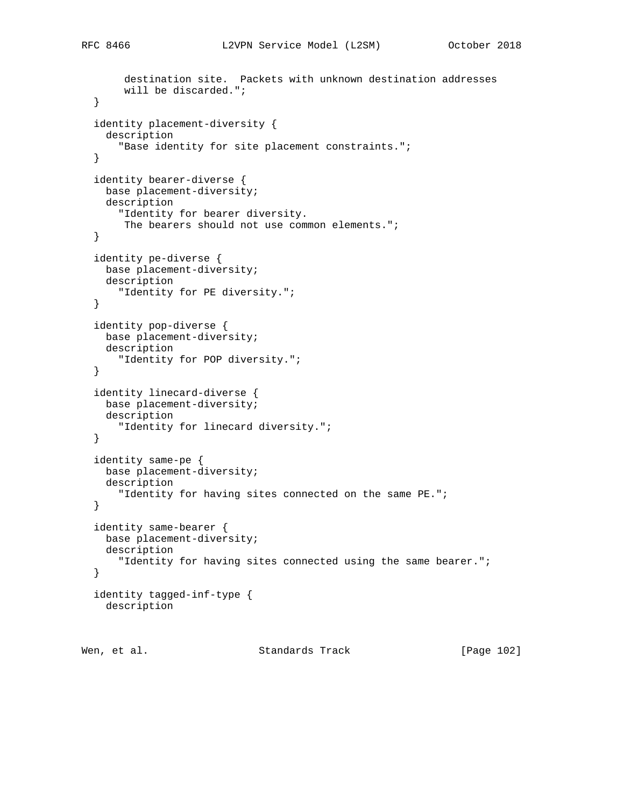```
 destination site. Packets with unknown destination addresses
      will be discarded.";
 }
 identity placement-diversity {
   description
     "Base identity for site placement constraints.";
 }
 identity bearer-diverse {
  base placement-diversity;
  description
     "Identity for bearer diversity.
     The bearers should not use common elements.";
 }
 identity pe-diverse {
  base placement-diversity;
  description
     "Identity for PE diversity.";
 }
 identity pop-diverse {
  base placement-diversity;
  description
     "Identity for POP diversity.";
 }
 identity linecard-diverse {
  base placement-diversity;
  description
     "Identity for linecard diversity.";
 }
 identity same-pe {
  base placement-diversity;
  description
    "Identity for having sites connected on the same PE.";
 }
 identity same-bearer {
  base placement-diversity;
  description
     "Identity for having sites connected using the same bearer.";
 }
 identity tagged-inf-type {
   description
```
Wen, et al. Standards Track [Page 102]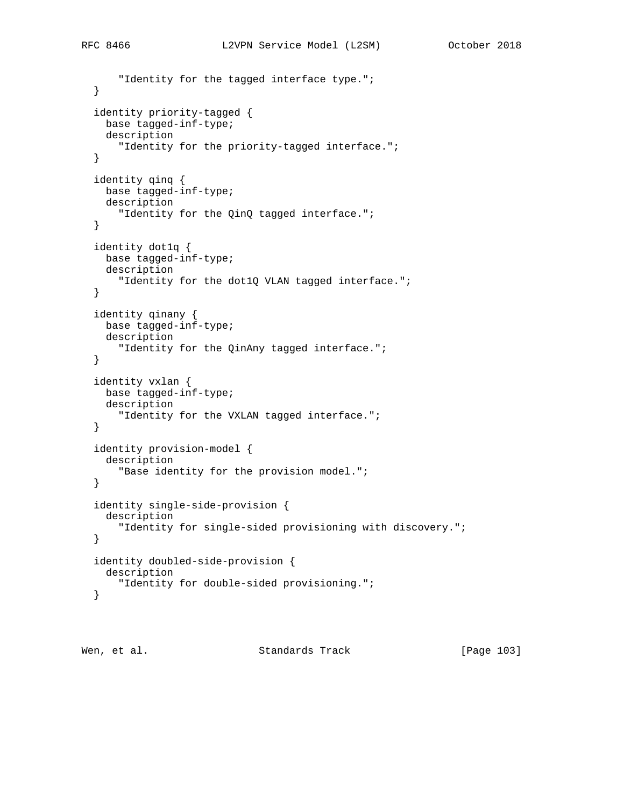```
 "Identity for the tagged interface type.";
 }
 identity priority-tagged {
  base tagged-inf-type;
   description
     "Identity for the priority-tagged interface.";
 }
 identity qinq {
  base tagged-inf-type;
  description
     "Identity for the QinQ tagged interface.";
 }
 identity dot1q {
  base tagged-inf-type;
  description
     "Identity for the dot1Q VLAN tagged interface.";
 }
 identity qinany {
  base tagged-inf-type;
  description
     "Identity for the QinAny tagged interface.";
 }
 identity vxlan {
  base tagged-inf-type;
   description
     "Identity for the VXLAN tagged interface.";
 }
 identity provision-model {
   description
     "Base identity for the provision model.";
 }
 identity single-side-provision {
  description
     "Identity for single-sided provisioning with discovery.";
 }
 identity doubled-side-provision {
  description
     "Identity for double-sided provisioning.";
 }
```
Wen, et al. Standards Track [Page 103]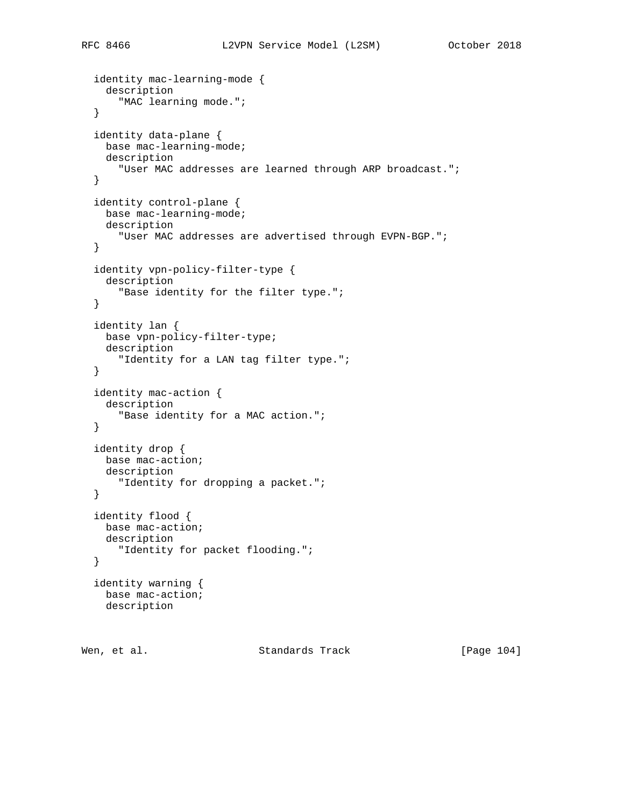```
 identity mac-learning-mode {
   description
     "MAC learning mode.";
 }
 identity data-plane {
  base mac-learning-mode;
  description
     "User MAC addresses are learned through ARP broadcast.";
 }
 identity control-plane {
  base mac-learning-mode;
  description
     "User MAC addresses are advertised through EVPN-BGP.";
 }
 identity vpn-policy-filter-type {
  description
     "Base identity for the filter type.";
 }
 identity lan {
  base vpn-policy-filter-type;
  description
     "Identity for a LAN tag filter type.";
 }
 identity mac-action {
  description
     "Base identity for a MAC action.";
 }
 identity drop {
  base mac-action;
  description
    "Identity for dropping a packet.";
 }
 identity flood {
  base mac-action;
  description
     "Identity for packet flooding.";
 }
 identity warning {
  base mac-action;
  description
```
Wen, et al. Standards Track [Page 104]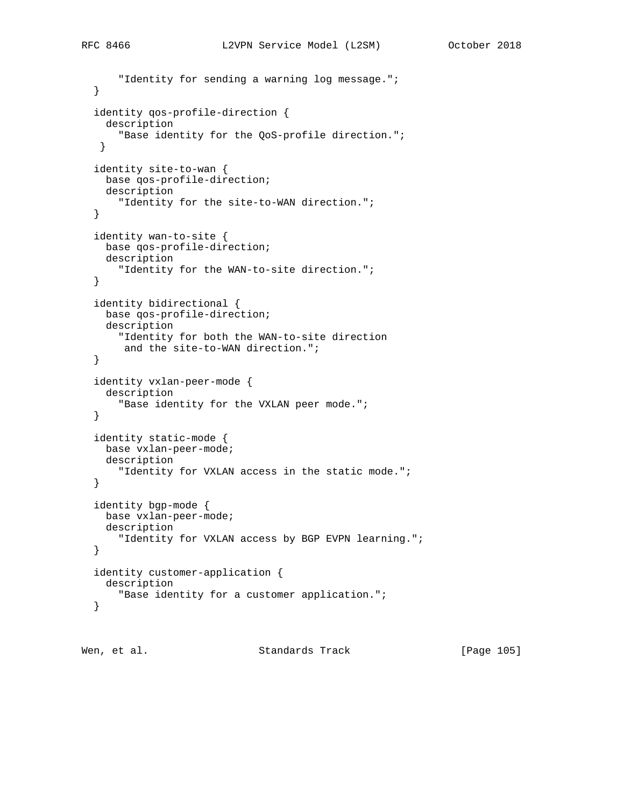```
 "Identity for sending a warning log message.";
 }
 identity qos-profile-direction {
   description
     "Base identity for the QoS-profile direction.";
  }
 identity site-to-wan {
  base qos-profile-direction;
  description
     "Identity for the site-to-WAN direction.";
 }
 identity wan-to-site {
  base qos-profile-direction;
  description
    "Identity for the WAN-to-site direction.";
 }
 identity bidirectional {
  base qos-profile-direction;
  description
     "Identity for both the WAN-to-site direction
     and the site-to-WAN direction.";
 }
 identity vxlan-peer-mode {
   description
     "Base identity for the VXLAN peer mode.";
 }
 identity static-mode {
  base vxlan-peer-mode;
  description
     "Identity for VXLAN access in the static mode.";
 }
 identity bgp-mode {
  base vxlan-peer-mode;
  description
     "Identity for VXLAN access by BGP EVPN learning.";
 }
 identity customer-application {
   description
     "Base identity for a customer application.";
 }
```
Wen, et al. Standards Track [Page 105]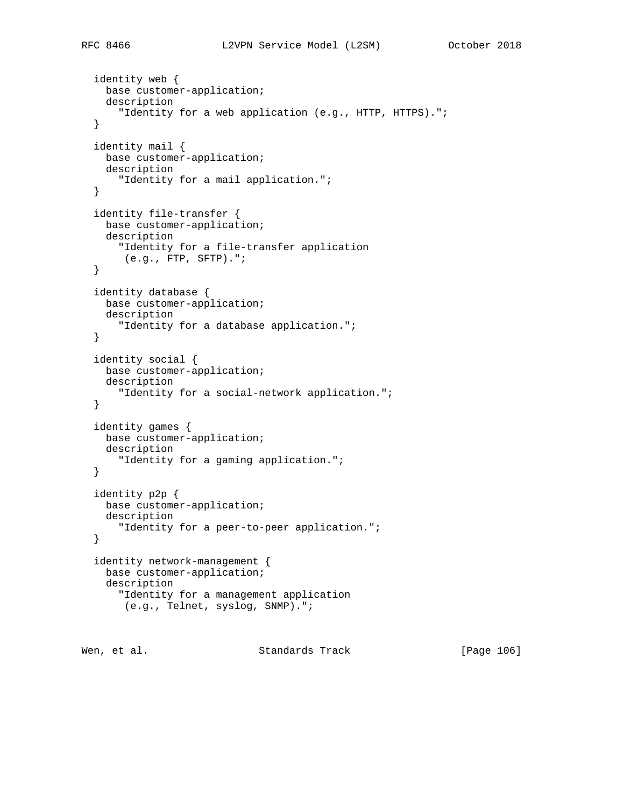```
 identity web {
  base customer-application;
  description
     "Identity for a web application (e.g., HTTP, HTTPS).";
 identity mail {
  base customer-application;
  description
     "Identity for a mail application.";
 identity file-transfer {
  base customer-application;
  description
    "Identity for a file-transfer application
     (e.g., FTP, SFTP).";
 identity database {
  base customer-application;
  description
     "Identity for a database application.";
 identity social {
  base customer-application;
  description
     "Identity for a social-network application.";
 identity games {
  base customer-application;
  description
     "Identity for a gaming application.";
```

```
 identity p2p {
  base customer-application;
  description
    "Identity for a peer-to-peer application.";
 }
 identity network-management {
  base customer-application;
  description
     "Identity for a management application
     (e.g., Telnet, syslog, SNMP).";
```
Wen, et al. Standards Track [Page 106]

}

}

}

}

}

}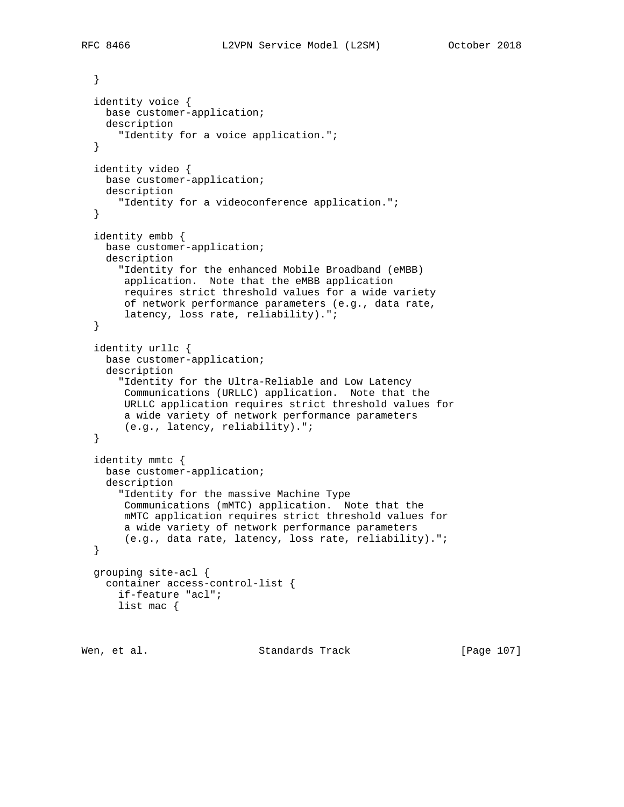```
 }
   identity voice {
    base customer-application;
    description
       "Identity for a voice application.";
   }
   identity video {
    base customer-application;
    description
       "Identity for a videoconference application.";
   }
   identity embb {
    base customer-application;
    description
       "Identity for the enhanced Mobile Broadband (eMBB)
       application. Note that the eMBB application
       requires strict threshold values for a wide variety
       of network performance parameters (e.g., data rate,
       latency, loss rate, reliability).";
   }
   identity urllc {
    base customer-application;
    description
       "Identity for the Ultra-Reliable and Low Latency
       Communications (URLLC) application. Note that the
       URLLC application requires strict threshold values for
       a wide variety of network performance parameters
        (e.g., latency, reliability).";
   }
   identity mmtc {
    base customer-application;
    description
       "Identity for the massive Machine Type
       Communications (mMTC) application. Note that the
       mMTC application requires strict threshold values for
       a wide variety of network performance parameters
       (e.g., data rate, latency, loss rate, reliability).";
   }
   grouping site-acl {
    container access-control-list {
       if-feature "acl";
      list mac {
Wen, et al. Standards Track [Page 107]
```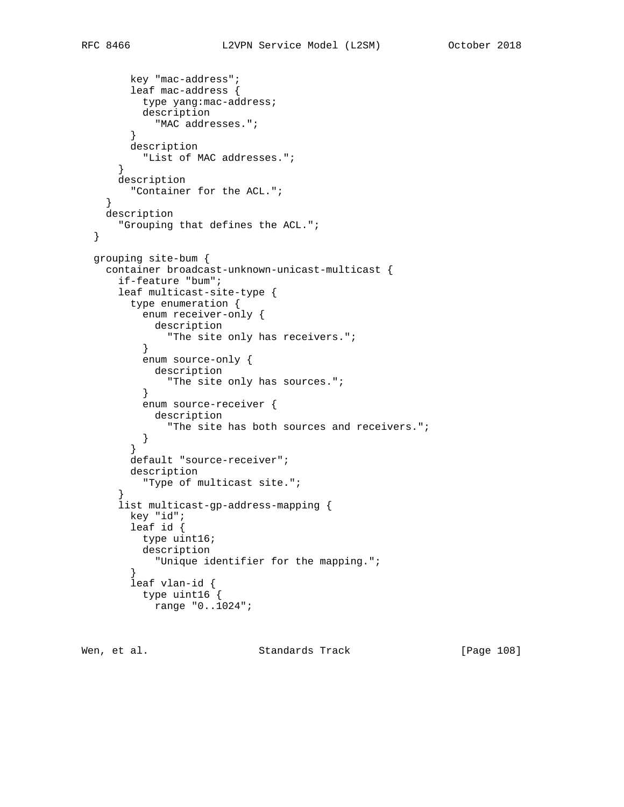```
 key "mac-address";
         leaf mac-address {
          type yang:mac-address;
          description
            "MAC addresses.";
         }
        description
          "List of MAC addresses.";
       }
      description
        "Container for the ACL.";
     }
    description
      "Grouping that defines the ACL.";
  }
  grouping site-bum {
    container broadcast-unknown-unicast-multicast {
      if-feature "bum";
      leaf multicast-site-type {
        type enumeration {
          enum receiver-only {
             description
               "The site only has receivers.";
           }
           enum source-only {
            description
               "The site only has sources.";
           }
           enum source-receiver {
           description
               "The site has both sources and receivers.";
           }
         }
        default "source-receiver";
        description
          "Type of multicast site.";
 }
       list multicast-gp-address-mapping {
        key "id";
        leaf id {
          type uint16;
           description
         "Unique identifier for the mapping.";
 }
         leaf vlan-id {
           type uint16 {
            range "0..1024";
```
Wen, et al. Standards Track [Page 108]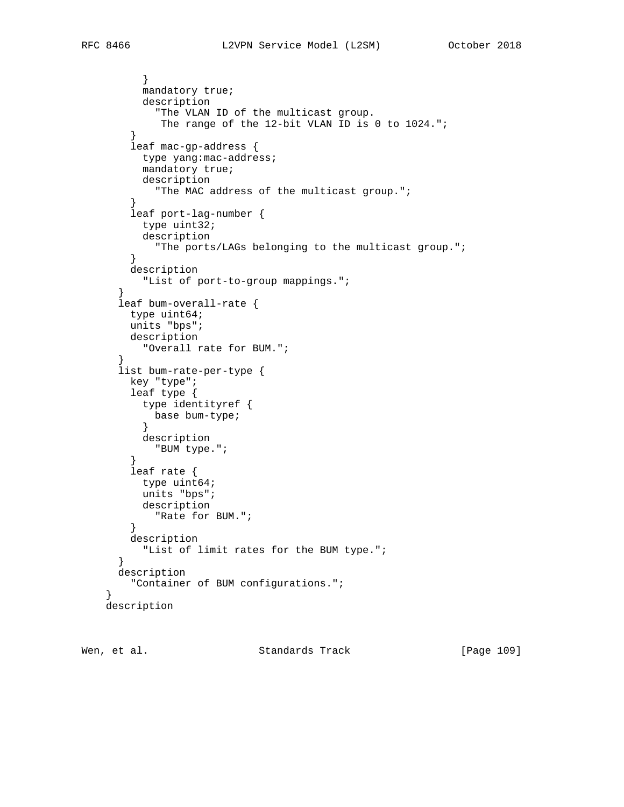```
 }
         mandatory true;
         description
            "The VLAN ID of the multicast group.
           The range of the 12-bit VLAN ID is 0 to 1024.";
}
       leaf mac-gp-address {
         type yang:mac-address;
         mandatory true;
         description
           "The MAC address of the multicast group.";
        }
       leaf port-lag-number {
         type uint32;
         description
           "The ports/LAGs belonging to the multicast group.";
        }
       description
         "List of port-to-group mappings.";
      }
     leaf bum-overall-rate {
       type uint64;
       units "bps";
       description
         "Overall rate for BUM.";
}
     list bum-rate-per-type {
       key "type";
       leaf type {
         type identityref {
          base bum-type;
}
         description
           "BUM type.";
}
       leaf rate {
         type uint64;
         units "bps";
         description
           "Rate for BUM.";
        }
       description
         "List of limit rates for the BUM type.";
      }
     description
        "Container of BUM configurations.";
   description
```
Wen, et al. Standards Track [Page 109]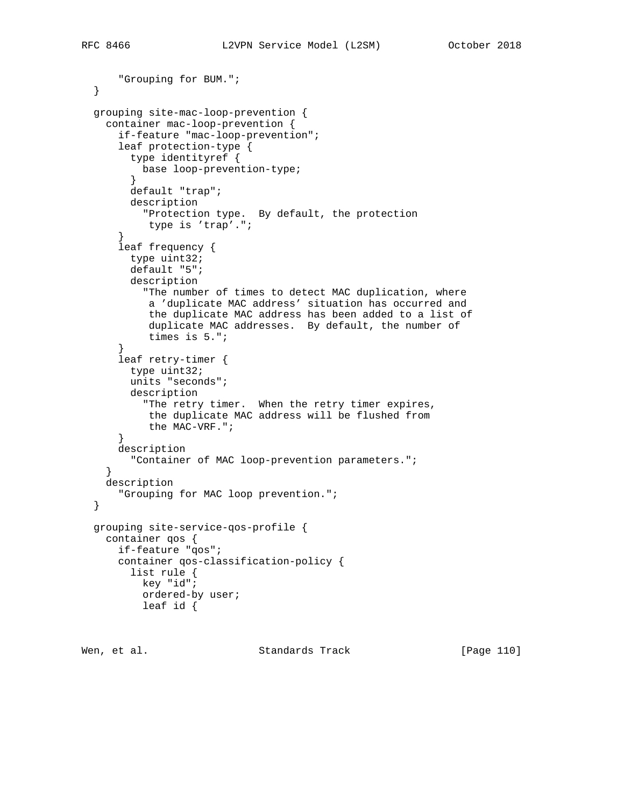```
 "Grouping for BUM.";
 }
 grouping site-mac-loop-prevention {
   container mac-loop-prevention {
      if-feature "mac-loop-prevention";
      leaf protection-type {
        type identityref {
         base loop-prevention-type;
        }
       default "trap";
       description
         "Protection type. By default, the protection
          type is 'trap'.";
      }
      leaf frequency {
       type uint32;
       default "5";
       description
          "The number of times to detect MAC duplication, where
           a 'duplicate MAC address' situation has occurred and
           the duplicate MAC address has been added to a list of
           duplicate MAC addresses. By default, the number of
           times is 5.";
}
      leaf retry-timer {
       type uint32;
       units "seconds";
       description
          "The retry timer. When the retry timer expires,
          the duplicate MAC address will be flushed from
          the MAC-VRF.";
      }
      description
        "Container of MAC loop-prevention parameters.";
    }
   description
     "Grouping for MAC loop prevention.";
 }
 grouping site-service-qos-profile {
   container qos {
     if-feature "qos";
      container qos-classification-policy {
        list rule {
         key "id";
          ordered-by user;
          leaf id {
```
Wen, et al. Standards Track [Page 110]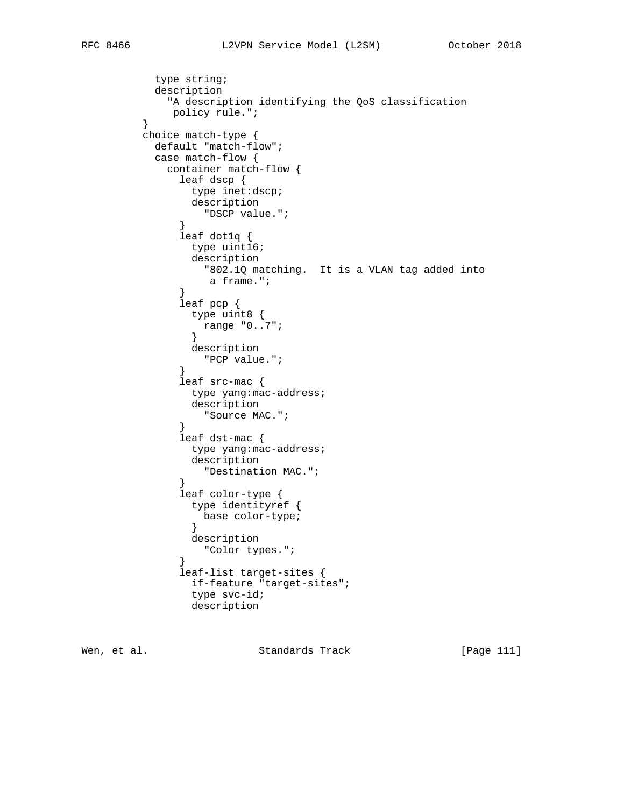```
 type string;
          description
            "A description identifying the QoS classification
       policy rule.";<br>}
}
        choice match-type {
          default "match-flow";
          case match-flow {
            container match-flow {
              leaf dscp {
               type inet:dscp;
               description
              "DSCP value.";
}
              leaf dot1q {
               type uint16;
               description
                "802.1Q matching. It is a VLAN tag added into
                 a frame.";
}
              leaf pcp {
               type uint8 {
              range "0..7";<br>}
}
               description
              "PCP value.";
}
              leaf src-mac {
               type yang:mac-address;
               description
                "Source MAC.";
}
              leaf dst-mac {
               type yang:mac-address;
               description
              "Destination MAC.";
}
              leaf color-type {
               type identityref {
                base color-type;
}
               description
                "Color types.";
}
              leaf-list target-sites {
               if-feature "target-sites";
               type svc-id;
               description
```
Wen, et al. Standards Track [Page 111]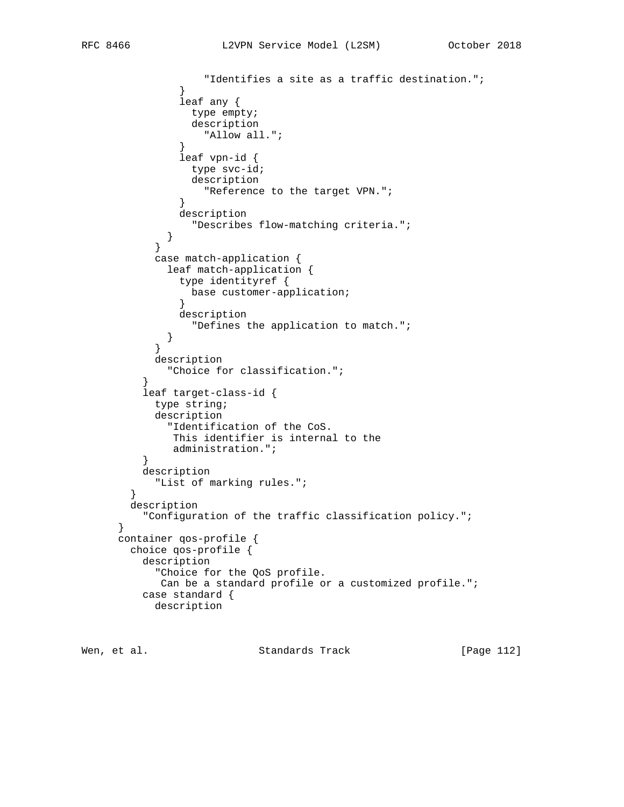```
 "Identifies a site as a traffic destination.";
}
              leaf any {
                type empty;
                description
                  "Allow all.";
}
              leaf vpn-id {
                type svc-id;
                description
             "Reference to the target VPN.";<br>}
}
              description
            "Describes flow-matching criteria.";
}
}
          case match-application {
            leaf match-application {
              type identityref {
               base customer-application;
}
              description
           "Defines the application to match.";<br>}
}
}
          description
            "Choice for classification.";
}
        leaf target-class-id {
          type string;
          description
            "Identification of the CoS.
            This identifier is internal to the
        administration.";<br>}
}
        description
          "List of marking rules.";
}
      description
        "Configuration of the traffic classification policy.";
     container qos-profile {
      choice qos-profile {
        description
          "Choice for the QoS profile.
           Can be a standard profile or a customized profile.";
        case standard {
          description
```
Wen, et al. Standards Track [Page 112]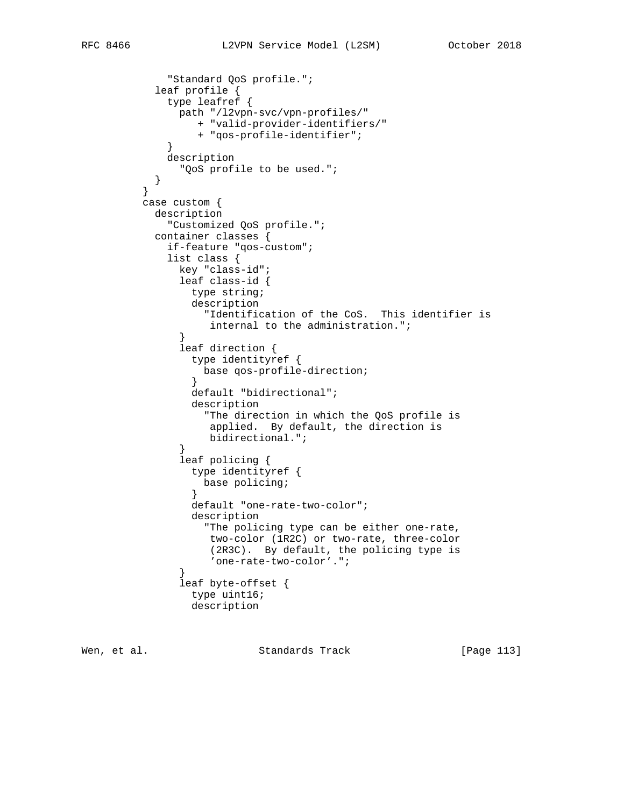```
 "Standard QoS profile.";
           leaf profile {
            type leafref {
             path "/l2vpn-svc/vpn-profiles/"
                 + "valid-provider-identifiers/"
                 + "qos-profile-identifier";
}
            description
           "QoS profile to be used.";
}
}
         case custom {
          description
            "Customized QoS profile.";
          container classes {
            if-feature "qos-custom";
            list class {
              key "class-id";
              leaf class-id {
                type string;
                description
                  "Identification of the CoS. This identifier is
                  internal to the administration.";
}
              leaf direction {
                type identityref {
                  base qos-profile-direction;
}
                default "bidirectional";
                description
                  "The direction in which the QoS profile is
                   applied. By default, the direction is
                   bidirectional.";
}
              leaf policing {
                type identityref {
                  base policing;
}
                default "one-rate-two-color";
                description
                  "The policing type can be either one-rate,
                   two-color (1R2C) or two-rate, three-color
                   (2R3C). By default, the policing type is
                   'one-rate-two-color'.";
}
              leaf byte-offset {
                type uint16;
                description
```
Wen, et al. Standards Track [Page 113]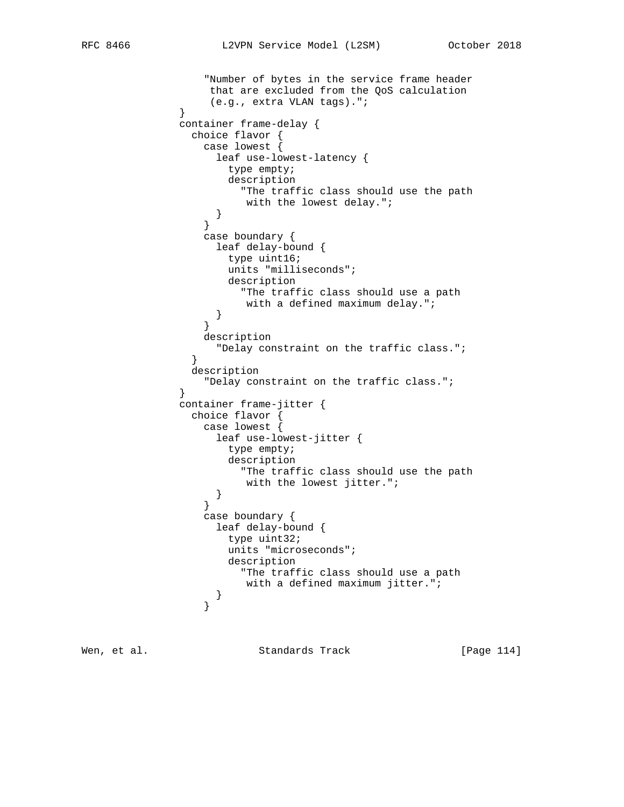```
 "Number of bytes in the service frame header
                 that are excluded from the QoS calculation
                 (e.g., extra VLAN tags).";
}
             container frame-delay {
               choice flavor {
                 case lowest {
                  leaf use-lowest-latency {
                    type empty;
                    description
                      "The traffic class should use the path
                 with the lowest delay.";<br>}
}
}
                 case boundary {
                  leaf delay-bound {
                    type uint16;
                    units "milliseconds";
                    description
                     "The traffic class should use a path
                     with a defined maximum delay.";
}
}
                 description
                  "Delay constraint on the traffic class.";
}
               description
                 "Delay constraint on the traffic class.";
}
             container frame-jitter {
               choice flavor {
                 case lowest {
                  leaf use-lowest-jitter {
                    type empty;
                    description
                      "The traffic class should use the path
                 with the lowest jitter.";<br>}
}
}
                 case boundary {
                  leaf delay-bound {
                    type uint32;
                    units "microseconds";
                    description
                      "The traffic class should use a path
                      with a defined maximum jitter.";
}
}
```
Wen, et al. Standards Track [Page 114]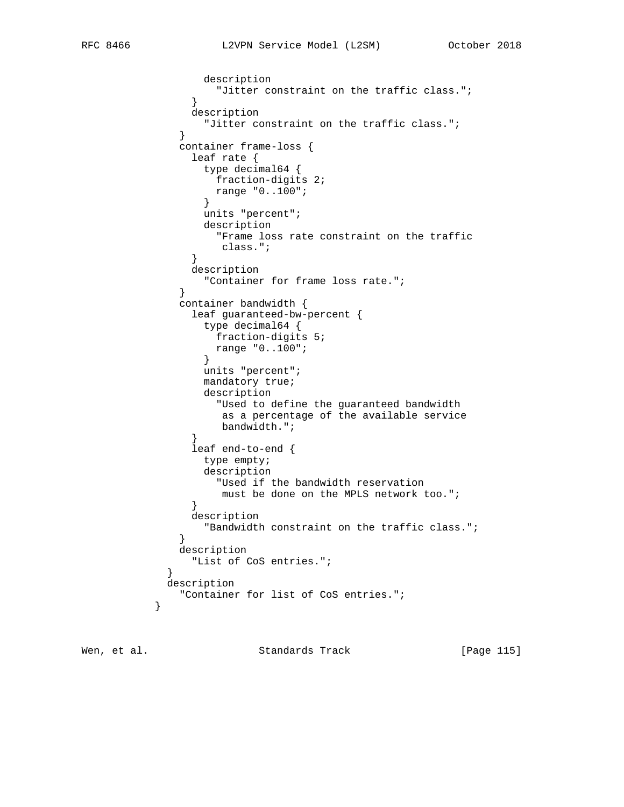```
 description
              "Jitter constraint on the traffic class.";<br>}
}
               description
                 "Jitter constraint on the traffic class.";
}
             container frame-loss {
               leaf rate {
                 type decimal64 {
                  fraction-digits 2;
                 range "0..100";
}
                 units "percent";
                 description
                  "Frame loss rate constraint on the traffic
                   class.";
}
               description
                 "Container for frame loss rate.";
}
             container bandwidth {
               leaf guaranteed-bw-percent {
                 type decimal64 {
                  fraction-digits 5;
                 range "0..100";
}
                 units "percent";
                 mandatory true;
                 description
                   "Used to define the guaranteed bandwidth
                   as a percentage of the available service
              bandwidth.";<br>}
}
               leaf end-to-end {
                 type empty;
                 description
                  "Used if the bandwidth reservation
              must be done on the MPLS network too.";<br>}
}
               description
                 "Bandwidth constraint on the traffic class.";
}
             description
              "List of CoS entries.";
}
           description
          "Container for list of CoS entries.";
}
```
Wen, et al. Standards Track [Page 115]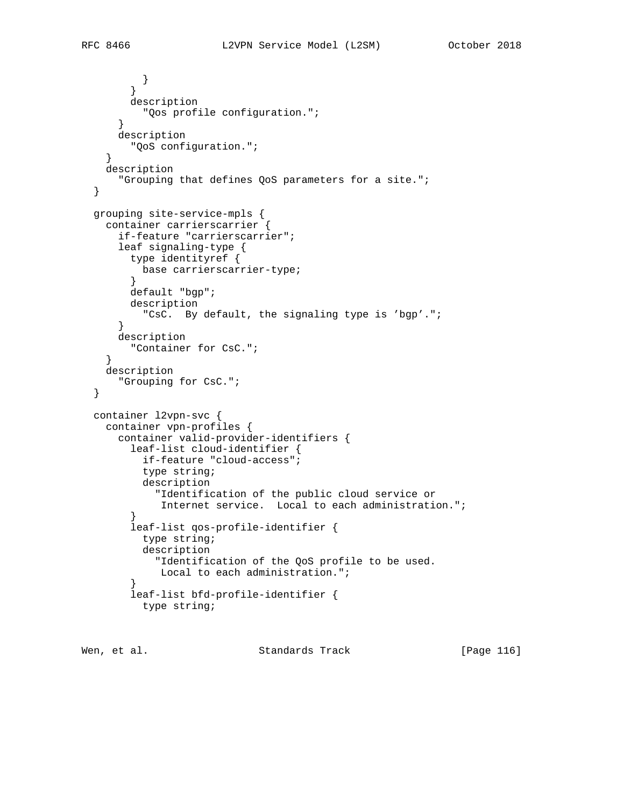```
\begin{matrix} \end{matrix} }
        description
        "Qos profile configuration.";
      }
      description
       "QoS configuration.";
    }
   description
      "Grouping that defines QoS parameters for a site.";
 }
 grouping site-service-mpls {
   container carrierscarrier {
      if-feature "carrierscarrier";
      leaf signaling-type {
       type identityref {
         base carrierscarrier-type;
        }
        default "bgp";
        description
         "CsC. By default, the signaling type is 'bgp'.";
      }
     description
        "Container for CsC.";
}
   description
      "Grouping for CsC.";
 }
 container l2vpn-svc {
   container vpn-profiles {
      container valid-provider-identifiers {
        leaf-list cloud-identifier {
          if-feature "cloud-access";
          type string;
          description
            "Identification of the public cloud service or
             Internet service. Local to each administration.";
}
        leaf-list qos-profile-identifier {
          type string;
          description
            "Identification of the QoS profile to be used.
           Local to each administration.";
}
        leaf-list bfd-profile-identifier {
          type string;
```
Wen, et al. Standards Track [Page 116]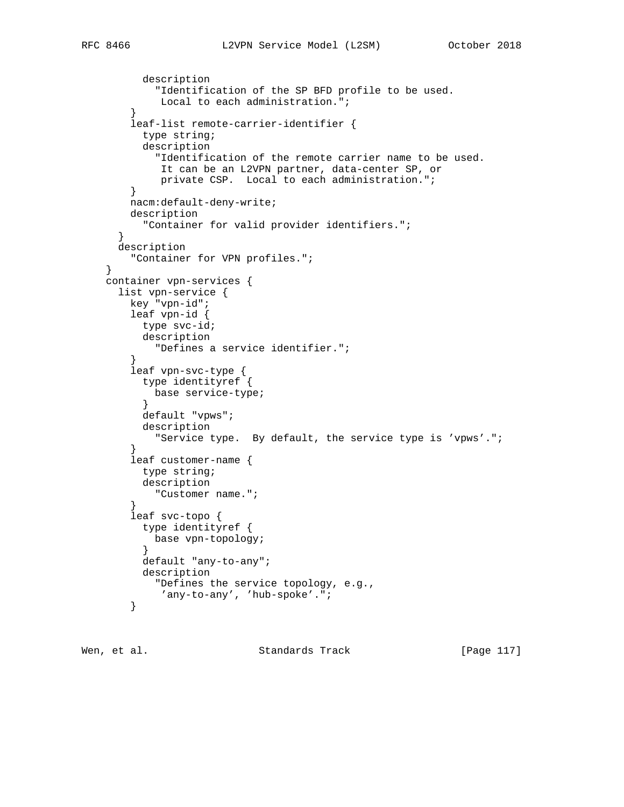```
 description
           "Identification of the SP BFD profile to be used.
           Local to each administration.";
}
       leaf-list remote-carrier-identifier {
         type string;
         description
           "Identification of the remote carrier name to be used.
            It can be an L2VPN partner, data-center SP, or
            private CSP. Local to each administration.";
       }
       nacm:default-deny-write;
       description
         "Container for valid provider identifiers.";
     }
     description
       "Container for VPN profiles.";
   }
   container vpn-services {
     list vpn-service {
       key "vpn-id";
       leaf vpn-id {
         type svc-id;
         description
           "Defines a service identifier.";
}
       leaf vpn-svc-type {
         type identityref {
          base service-type;
}
         default "vpws";
         description
           "Service type. By default, the service type is 'vpws'.";
}
       leaf customer-name {
         type string;
         description
        "Customer name.";
}
       leaf svc-topo {
         type identityref {
          base vpn-topology;
         }
         default "any-to-any";
         description
           "Defines the service topology, e.g.,
            'any-to-any', 'hub-spoke'.";
        }
```
Wen, et al. Standards Track [Page 117]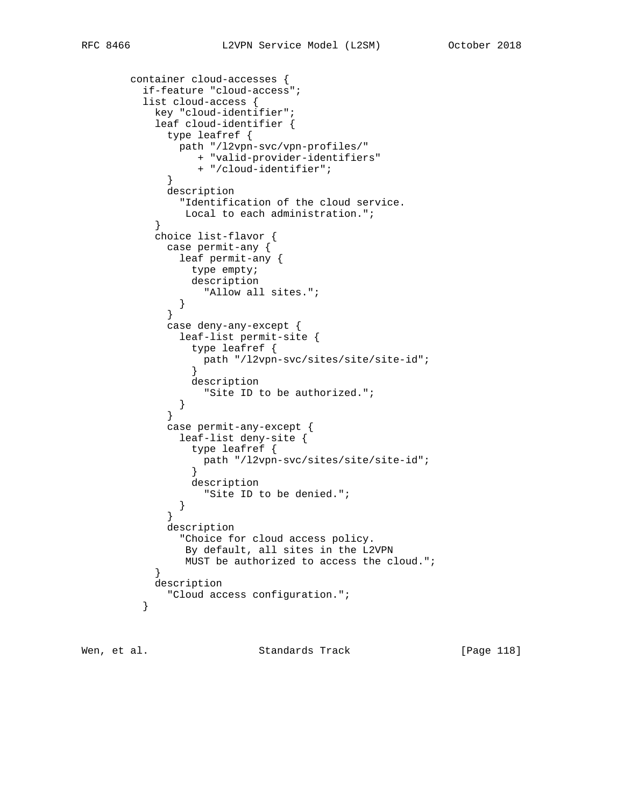```
 container cloud-accesses {
        if-feature "cloud-access";
        list cloud-access {
          key "cloud-identifier";
          leaf cloud-identifier {
            type leafref {
              path "/l2vpn-svc/vpn-profiles/"
                + "valid-provider-identifiers"
                + "/cloud-identifier";
}
            description
              "Identification of the cloud service.
              Local to each administration.";
}
          choice list-flavor {
            case permit-any {
             leaf permit-any {
               type empty;
               description
             "Allow all sites.";<br>}
}
}
            case deny-any-except {
              leaf-list permit-site {
               type leafref {
               path "/l2vpn-svc/sites/site/site-id";<br>}
}
               description
                 "Site ID to be authorized.";
}
}
            case permit-any-except {
             leaf-list deny-site {
                type leafref {
               path "/l2vpn-svc/sites/site/site-id";<br>}
}
               description
```
"Site ID to be denied.";<br>}

"Cloud access configuration.";

 "Choice for cloud access policy. By default, all sites in the L2VPN MUST be authorized to access the cloud.";<br>}

description

description

}

}

 } }

Wen, et al. Standards Track [Page 118]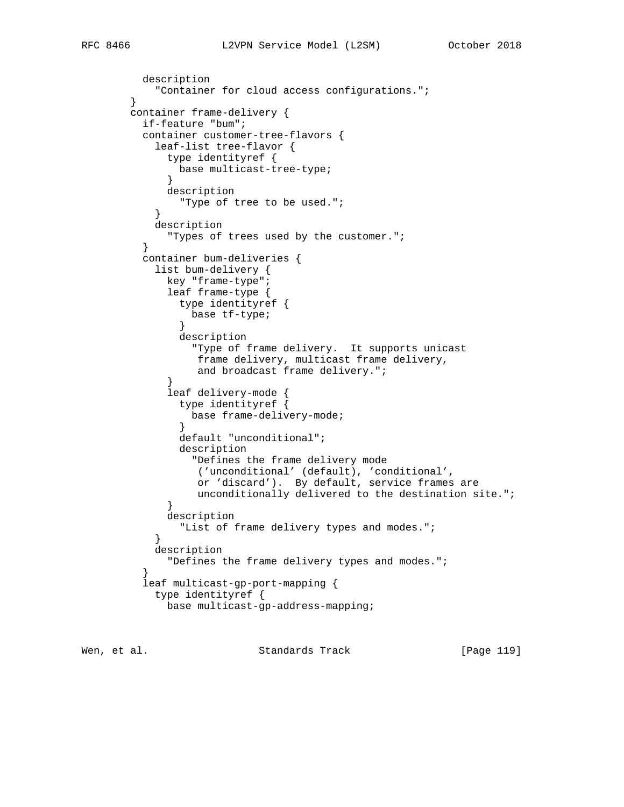```
 description
           "Container for cloud access configurations.";
       }
       container frame-delivery {
         if-feature "bum";
         container customer-tree-flavors {
           leaf-list tree-flavor {
             type identityref {
              base multicast-tree-type;
}
            description
           "Type of tree to be used.";
}
           description
            "Types of trees used by the customer.";
}
         container bum-deliveries {
           list bum-delivery {
            key "frame-type";
             leaf frame-type {
              type identityref {
                base tf-type;
}
              description
                "Type of frame delivery. It supports unicast
                 frame delivery, multicast frame delivery,
                 and broadcast frame delivery.";
}
             leaf delivery-mode {
              type identityref {
                base frame-delivery-mode;
}
              default "unconditional";
              description
                "Defines the frame delivery mode
                 ('unconditional' (default), 'conditional',
                 or 'discard'). By default, service frames are
                 unconditionally delivered to the destination site.";
}
            description
              "List of frame delivery types and modes.";
}
           description
            "Defines the frame delivery types and modes.";
}
         leaf multicast-gp-port-mapping {
           type identityref {
            base multicast-gp-address-mapping;
```
Wen, et al. Standards Track [Page 119]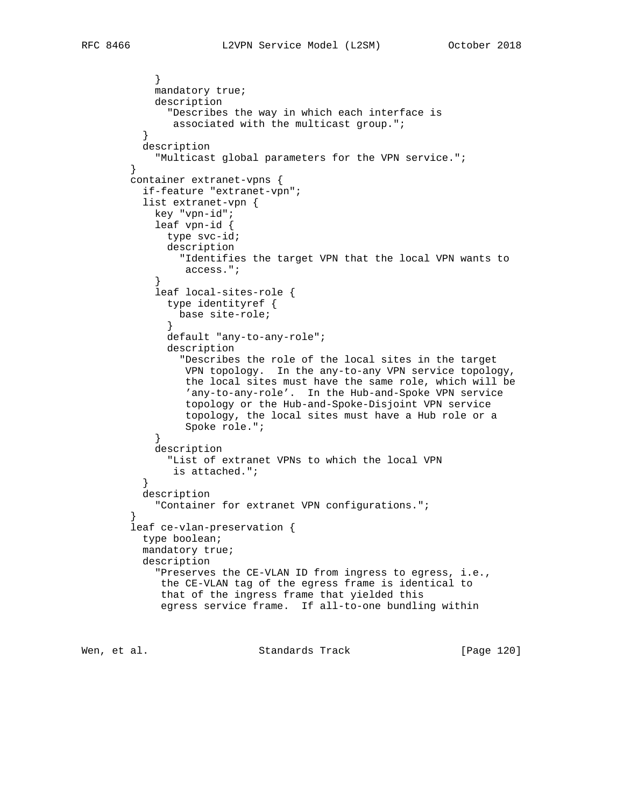```
 }
           mandatory true;
           description
             "Describes the way in which each interface is
              associated with the multicast group.";
}
         description
           "Multicast global parameters for the VPN service.";
       }
       container extranet-vpns {
         if-feature "extranet-vpn";
         list extranet-vpn {
           key "vpn-id";
           leaf vpn-id {
             type svc-id;
             description
               "Identifies the target VPN that the local VPN wants to
                access.";
}
           leaf local-sites-role {
             type identityref {
              base site-role;
}
             default "any-to-any-role";
             description
               "Describes the role of the local sites in the target
                VPN topology. In the any-to-any VPN service topology,
                the local sites must have the same role, which will be
                'any-to-any-role'. In the Hub-and-Spoke VPN service
                topology or the Hub-and-Spoke-Disjoint VPN service
                topology, the local sites must have a Hub role or a
                Spoke role.";
}
           description
             "List of extranet VPNs to which the local VPN
        is attached.";<br>}
}
         description
           "Container for extranet VPN configurations.";
}
       leaf ce-vlan-preservation {
         type boolean;
         mandatory true;
         description
           "Preserves the CE-VLAN ID from ingress to egress, i.e.,
            the CE-VLAN tag of the egress frame is identical to
            that of the ingress frame that yielded this
            egress service frame. If all-to-one bundling within
```
Wen, et al. Standards Track [Page 120]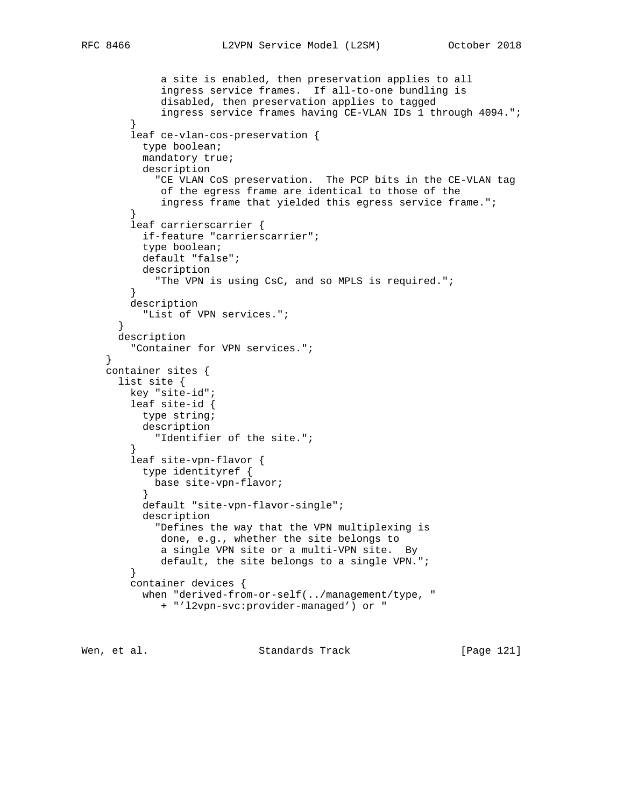```
 a site is enabled, then preservation applies to all
            ingress service frames. If all-to-one bundling is
            disabled, then preservation applies to tagged
            ingress service frames having CE-VLAN IDs 1 through 4094.";
}
       leaf ce-vlan-cos-preservation {
         type boolean;
         mandatory true;
         description
            "CE VLAN CoS preservation. The PCP bits in the CE-VLAN tag
            of the egress frame are identical to those of the
            ingress frame that yielded this egress service frame.";
}
       leaf carrierscarrier {
         if-feature "carrierscarrier";
         type boolean;
         default "false";
         description
           "The VPN is using CsC, and so MPLS is required.";
}
       description
         "List of VPN services.";
}
     description
        "Container for VPN services.";
   container sites {
     list site {
       key "site-id";
       leaf site-id {
         type string;
         description
           "Identifier of the site.";
}
       leaf site-vpn-flavor {
         type identityref {
           base site-vpn-flavor;
}
         default "site-vpn-flavor-single";
         description
            "Defines the way that the VPN multiplexing is
            done, e.g., whether the site belongs to
            a single VPN site or a multi-VPN site. By
            default, the site belongs to a single VPN.";
        }
       container devices {
         when "derived-from-or-self(../management/type, "
            + "'l2vpn-svc:provider-managed') or "
```
Wen, et al. Standards Track [Page 121]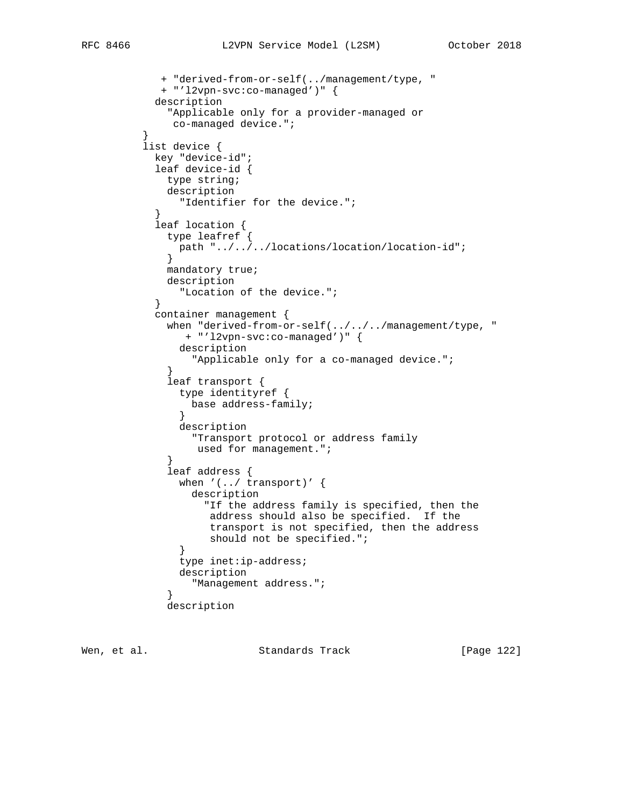```
 + "derived-from-or-self(../management/type, "
            + "'l2vpn-svc:co-managed')" {
           description
             "Applicable only for a provider-managed or
             co-managed device.";
}
         list device {
          key "device-id";
           leaf device-id {
            type string;
            description
              "Identifier for the device.";
}
           leaf location {
            type leafref {
              path "../../../locations/location/location-id";
}
            mandatory true;
            description
              "Location of the device.";
}
           container management {
           when "derived-from-or-self(../../../management/type, "
               + "'l2vpn-svc:co-managed')" {
              description
                "Applicable only for a co-managed device.";
}
            leaf transport {
              type identityref {
                base address-family;
}
              description
                "Transport protocol or address family
                used for management.";
}
            leaf address {
              when '(../ transport)' {
                description
                  "If the address family is specified, then the
                   address should also be specified. If the
                   transport is not specified, then the address
             should not be specified.";<br>}
}
              type inet:ip-address;
              description
                "Management address.";
}
            description
```
Wen, et al. Standards Track [Page 122]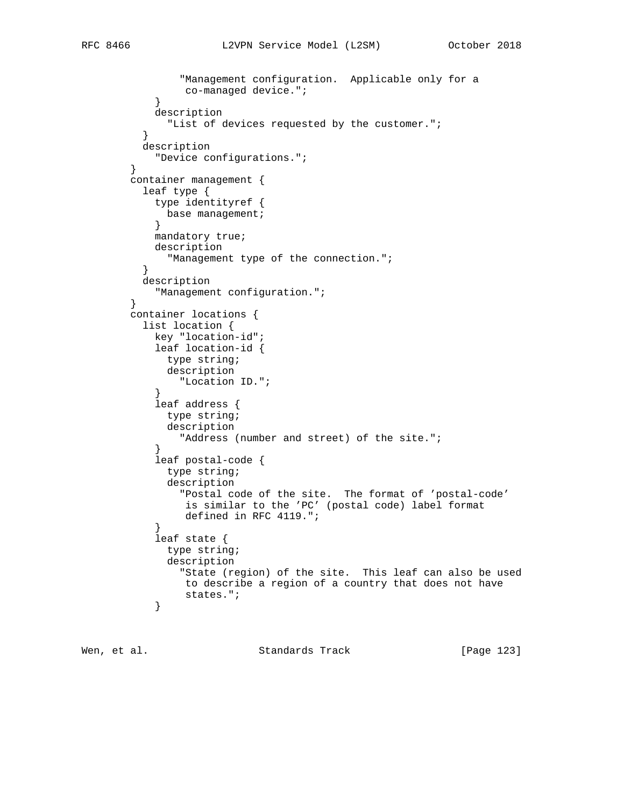```
 "Management configuration. Applicable only for a
          co-managed device.";<br>}
}
           description
             "List of devices requested by the customer.";
}
         description
           "Device configurations.";
       }
       container management {
         leaf type {
           type identityref {
           base management;
}
           mandatory true;
           description
            "Management type of the connection.";
}
         description
           "Management configuration.";
       }
       container locations {
         list location {
           key "location-id";
           leaf location-id {
            type string;
             description
               "Location ID.";
}
           leaf address {
            type string;
             description
               "Address (number and street) of the site.";
}
           leaf postal-code {
             type string;
             description
               "Postal code of the site. The format of 'postal-code'
                is similar to the 'PC' (postal code) label format
               defined in RFC 4119.";
}
           leaf state {
             type string;
             description
               "State (region) of the site. This leaf can also be used
               to describe a region of a country that does not have
          states.";<br>}
}
```
Wen, et al. Standards Track [Page 123]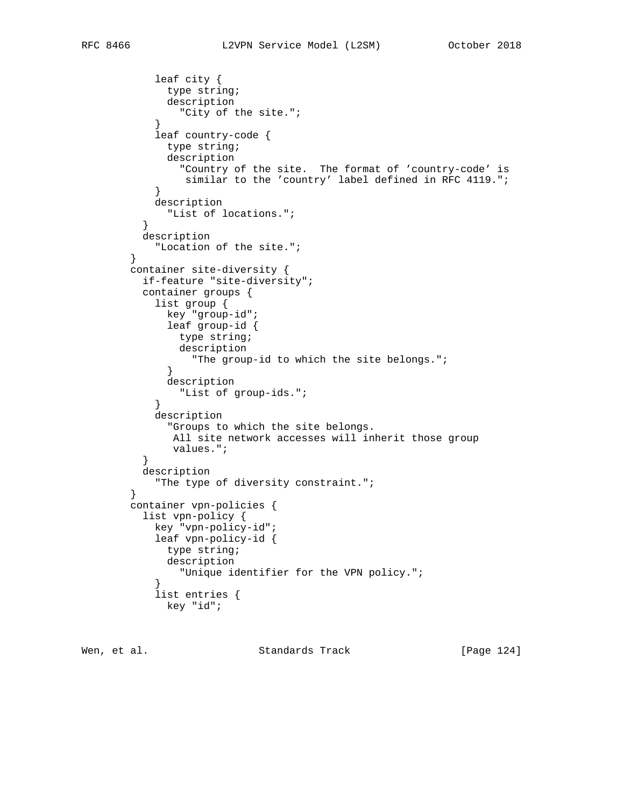```
 leaf city {
            type string;
             description
               "City of the site.";
}
           leaf country-code {
            type string;
             description
              "Country of the site. The format of 'country-code' is
          similar to the 'country' label defined in RFC 4119.";<br>}
}
           description
            "List of locations.";
}
         description
           "Location of the site.";
       }
       container site-diversity {
         if-feature "site-diversity";
         container groups {
           list group {
            key "group-id";
             leaf group-id {
              type string;
              description
                "The group-id to which the site belongs.";
}
             description
               "List of group-ids.";
}
           description
            "Groups to which the site belongs.
             All site network accesses will inherit those group
        values.";
}
         description
           "The type of diversity constraint.";
}
       container vpn-policies {
         list vpn-policy {
          key "vpn-policy-id";
           leaf vpn-policy-id {
            type string;
             description
              "Unique identifier for the VPN policy.";
}
           list entries {
            key "id";
```
Wen, et al. Standards Track [Page 124]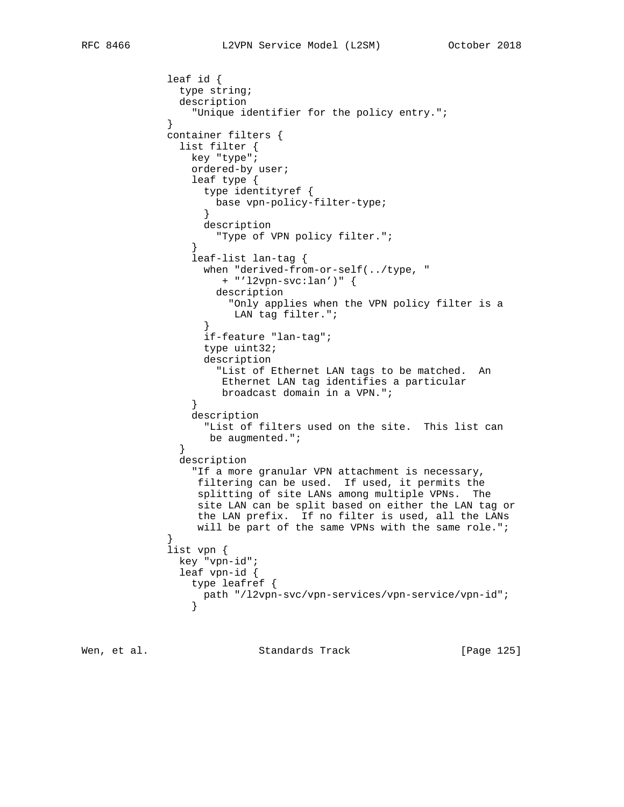```
 leaf id {
              type string;
              description
                "Unique identifier for the policy entry.";
}
            container filters {
              list filter {
                key "type";
                ordered-by user;
                leaf type {
                  type identityref {
                   base vpn-policy-filter-type;
}
                  description
                    "Type of VPN policy filter.";
}
                leaf-list lan-tag {
                  when "derived-from-or-self(../type, "
                     + "'l2vpn-svc:lan')" {
                    description
                      "Only applies when the VPN policy filter is a
                      LAN tag filter.";
}
                  if-feature "lan-tag";
                  type uint32;
                  description
                    "List of Ethernet LAN tags to be matched. An
                     Ethernet LAN tag identifies a particular
                    broadcast domain in a VPN.";
}
                description
                  "List of filters used on the site. This list can
                  be augmented.";
}
              description
                "If a more granular VPN attachment is necessary,
                 filtering can be used. If used, it permits the
                 splitting of site LANs among multiple VPNs. The
                 site LAN can be split based on either the LAN tag or
                 the LAN prefix. If no filter is used, all the LANs
                will be part of the same VPNs with the same role.";
}
            list vpn {
              key "vpn-id";
              leaf vpn-id {
                type leafref {
                path "/l2vpn-svc/vpn-services/vpn-service/vpn-id";
}
```
Wen, et al. Standards Track [Page 125]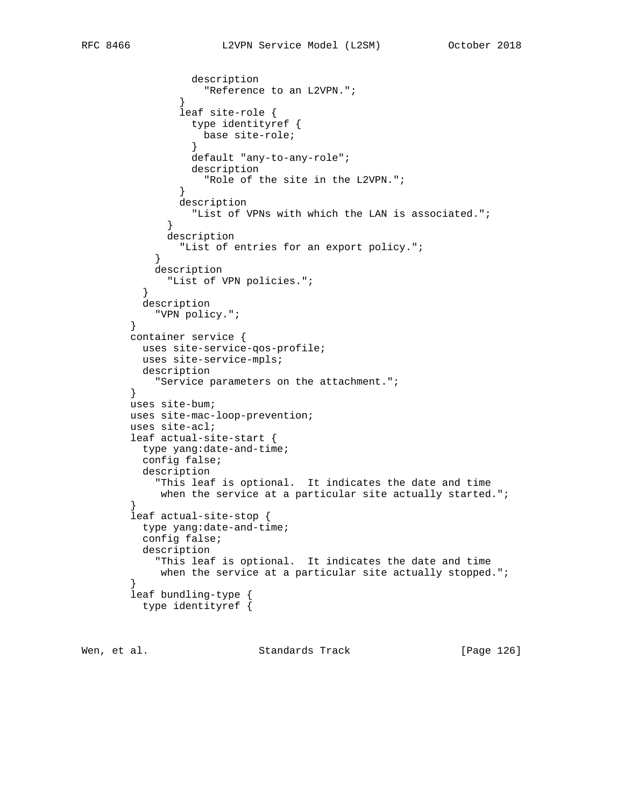```
 description
              "Reference to an L2VPN.";<br>}
}
               leaf site-role {
                 type identityref {
                  base site-role;
}
                default "any-to-any-role";
                description
                  "Role of the site in the L2VPN.";
}
               description
                "List of VPNs with which the LAN is associated.";
}
             description
               "List of entries for an export policy.";
}
           description
            "List of VPN policies.";
}
         description
           "VPN policy.";
       }
       container service {
        uses site-service-qos-profile;
         uses site-service-mpls;
         description
           "Service parameters on the attachment.";
       }
       uses site-bum;
       uses site-mac-loop-prevention;
       uses site-acl;
       leaf actual-site-start {
        type yang:date-and-time;
        config false;
         description
          "This leaf is optional. It indicates the date and time
      when the service at a particular site actually started.";<br>}
}
       leaf actual-site-stop {
        type yang:date-and-time;
         config false;
         description
          "This leaf is optional. It indicates the date and time
          when the service at a particular site actually stopped.";
}
       leaf bundling-type {
         type identityref {
```
Wen, et al. Standards Track [Page 126]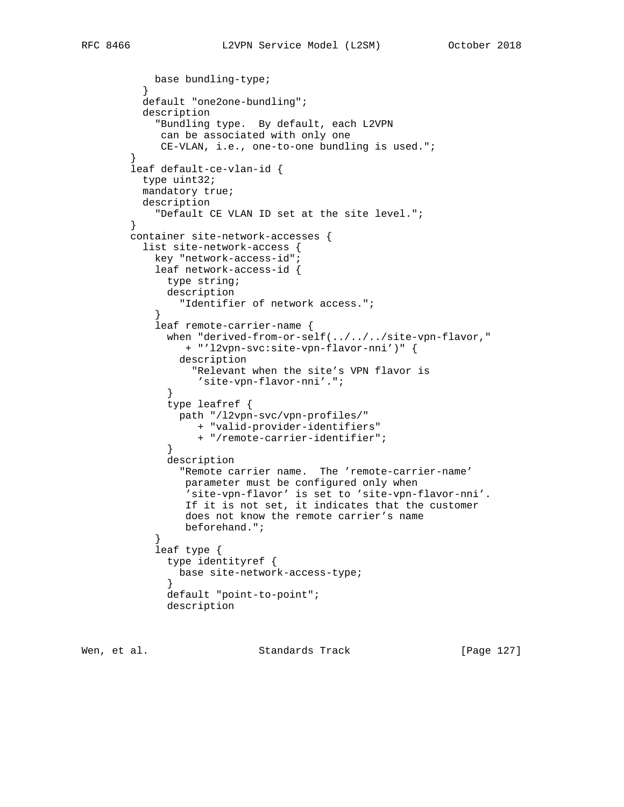```
 base bundling-type;
  default "one2one-bundling";
  description
    "Bundling type. By default, each L2VPN
     can be associated with only one
     CE-VLAN, i.e., one-to-one bundling is used.";
leaf default-ce-vlan-id {
 type uint32;
 mandatory true;
 description
    "Default CE VLAN ID set at the site level.";
container site-network-accesses {
 list site-network-access {
    key "network-access-id";
    leaf network-access-id {
      type string;
      description
        "Identifier of network access.";
    leaf remote-carrier-name {
```

```
when "derived-from-or-self(../../../site-vpn-flavor,"
                + "'l2vpn-svc:site-vpn-flavor-nni')" {
               description
                 "Relevant when the site's VPN flavor is
                  'site-vpn-flavor-nni'.";
}
             type leafref {
             path "/l2vpn-svc/vpn-profiles/"
                 + "valid-provider-identifiers"
                  + "/remote-carrier-identifier";
}
```

```
 description
              "Remote carrier name. The 'remote-carrier-name'
              parameter must be configured only when
'site-vpn-flavor' is set to 'site-vpn-flavor-nni'.
If it is not set, it indicates that the customer
               does not know the remote carrier's name
              beforehand.";
}
          leaf type {
            type identityref {
```

```
 base site-network-access-type;
}
            default "point-to-point";
            description
```
Wen, et al. Standards Track [Page 127]

}

}

}

}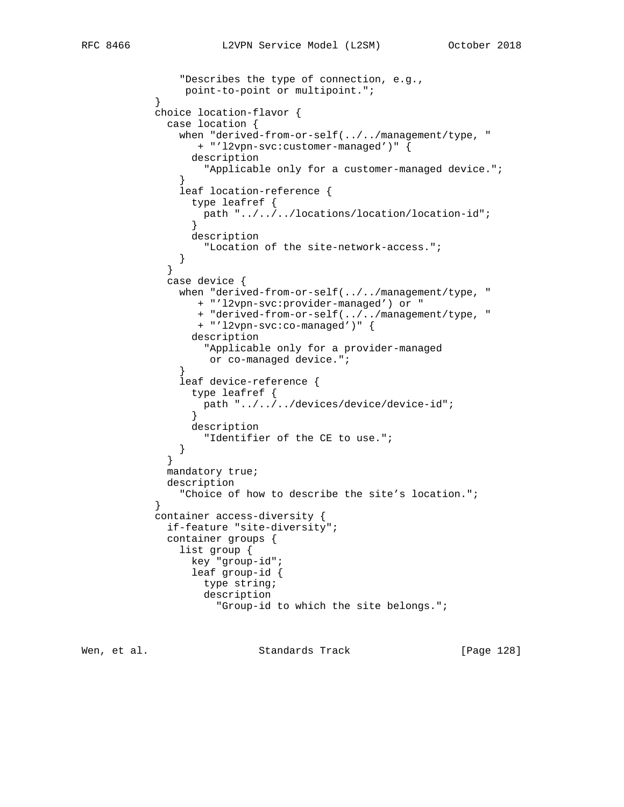```
 "Describes the type of connection, e.g.,
          point-to-point or multipoint.";<br>}
}
          choice location-flavor {
            case location {
              when "derived-from-or-self(../../management/type, "
                 + "'l2vpn-svc:customer-managed')" {
                description
                  "Applicable only for a customer-managed device.";
}
              leaf location-reference {
                type leafref {
                 path "../../../locations/location/location-id";
}
                description
                  "Location of the site-network-access.";
}
}
            case device {
              when "derived-from-or-self(../../management/type, "
                 + "'l2vpn-svc:provider-managed') or "
                 + "derived-from-or-self(../../management/type, "
                 + "'l2vpn-svc:co-managed')" {
                description
                  "Applicable only for a provider-managed
                   or co-managed device.";
}
              leaf device-reference {
                type leafref {
                  path "../../../devices/device/device-id";
}
                description
                  "Identifier of the CE to use.";
}
}
            mandatory true;
            description
              "Choice of how to describe the site's location.";
}
          container access-diversity {
            if-feature "site-diversity";
            container groups {
              list group {
                key "group-id";
                leaf group-id {
                  type string;
                  description
                    "Group-id to which the site belongs.";
```
Wen, et al. Standards Track [Page 128]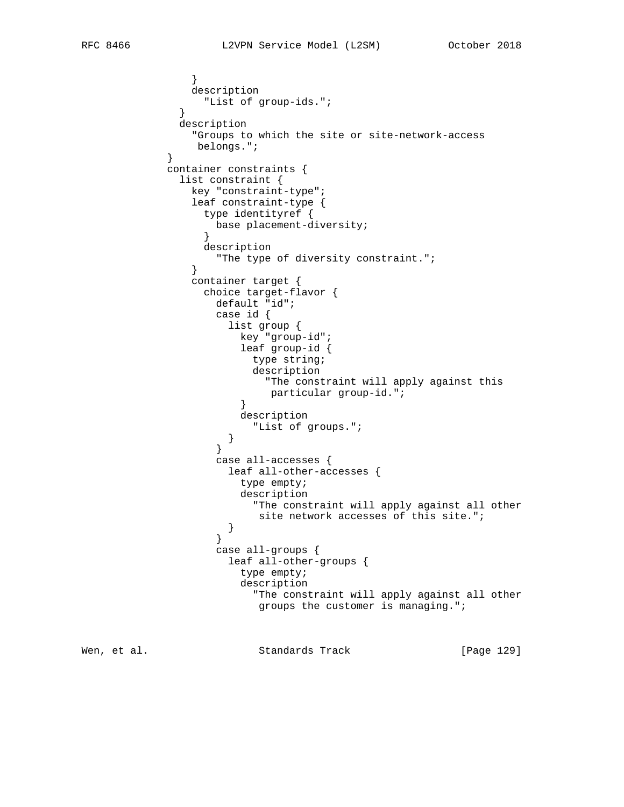} description "List of group-ids."; } description "Groups to which the site or site-network-access belongs."; } container constraints { list constraint { key "constraint-type"; leaf constraint-type { type identityref { base placement-diversity; } description "The type of diversity constraint."; } container target { choice target-flavor { default "id"; case id { list group { key "group-id"; leaf group-id { type string; description "The constraint will apply against this particular group-id.";<br>} } description "List of groups."; } } case all-accesses { leaf all-other-accesses { type empty; description "The constraint will apply against all other site network accesses of this site.";<br>} } } case all-groups { leaf all-other-groups { type empty; description "The constraint will apply against all other groups the customer is managing."; Wen, et al. Standards Track [Page 129]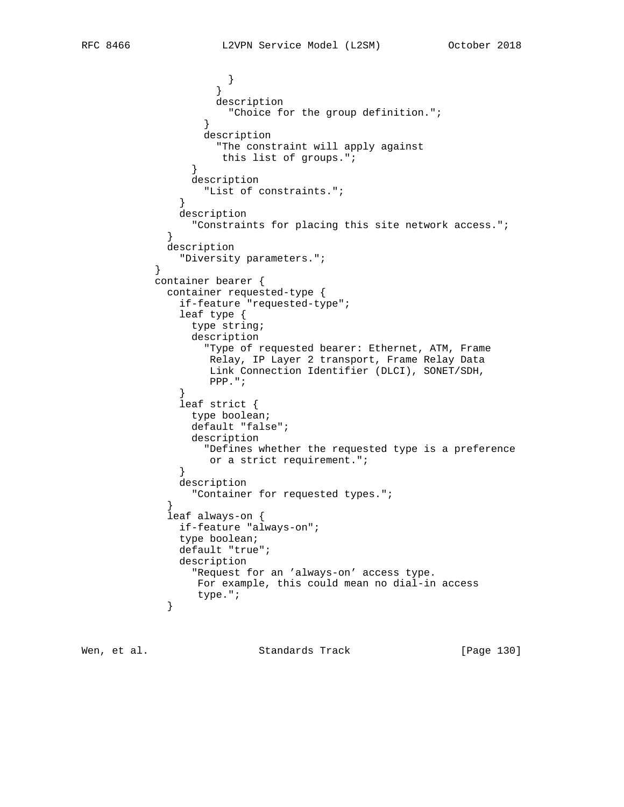```
 }
}
                   description
                     "Choice for the group definition.";
}
                 description
                   "The constraint will apply against
                   this list of groups.";
}
               description
                 "List of constraints.";
}
             description
           "Constraints for placing this site network access.";<br>}
}
            description
          "Diversity parameters.";
}
          container bearer {
            container requested-type {
             if-feature "requested-type";
              leaf type {
               type string;
               description
                 "Type of requested bearer: Ethernet, ATM, Frame
                  Relay, IP Layer 2 transport, Frame Relay Data
                  Link Connection Identifier (DLCI), SONET/SDH,
                  PPP.";
}
              leaf strict {
               type boolean;
               default "false";
               description
                 "Defines whether the requested type is a preference
             or a strict requirement.";<br>}
}
             description
               "Container for requested types.";
}
            leaf always-on {
             if-feature "always-on";
             type boolean;
             default "true";
             description
               "Request for an 'always-on' access type.
                For example, this could mean no dial-in access
           type.";<br>}
}
```
Wen, et al. Standards Track [Page 130]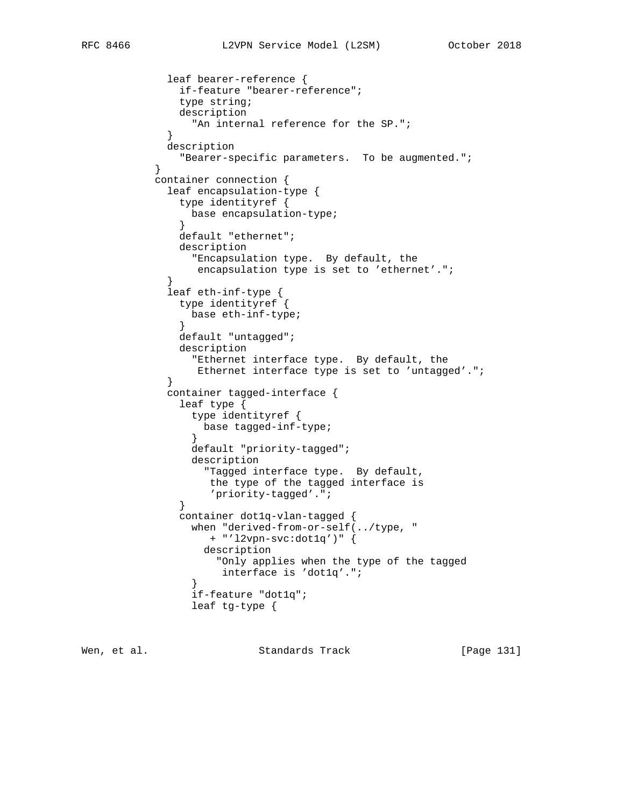```
 leaf bearer-reference {
              if-feature "bearer-reference";
              type string;
              description
               "An internal reference for the SP.";
}
            description
              "Bearer-specific parameters. To be augmented.";
}
          container connection {
            leaf encapsulation-type {
              type identityref {
               base encapsulation-type;
}
              default "ethernet";
              description
                "Encapsulation type. By default, the
                 encapsulation type is set to 'ethernet'.";
}
            leaf eth-inf-type {
              type identityref {
               base eth-inf-type;
}
              default "untagged";
              description
                "Ethernet interface type. By default, the
                 Ethernet interface type is set to 'untagged'.";
}
            container tagged-interface {
              leaf type {
                type identityref {
                 base tagged-inf-type;
}
                default "priority-tagged";
                description
                  "Tagged interface type. By default,
                   the type of the tagged interface is
                   'priority-tagged'.";
}
              container dot1q-vlan-tagged {
                when "derived-from-or-self(../type, "
                   + "'l2vpn-svc:dot1q')" {
                  description
                    "Only applies when the type of the tagged
                    interface is 'dot1q'.";
}
                if-feature "dot1q";
                leaf tg-type {
```
Wen, et al. Standards Track [Page 131]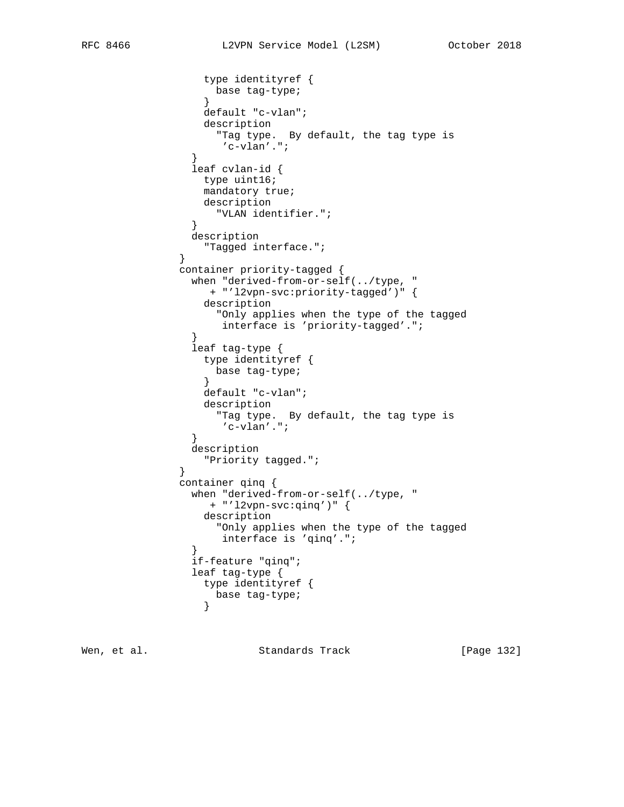```
 type identityref {
                base tag-type;
}
                default "c-vlan";
                 description
                   "Tag type. By default, the tag type is
                   'c-vlan'.";
}
               leaf cvlan-id {
                type uint16;
                mandatory true;
                description
                  "VLAN identifier.";
}
               description
                 "Tagged interface.";
}
             container priority-tagged {
               when "derived-from-or-self(../type, "
                 + "'l2vpn-svc:priority-tagged')" {
                 description
                  "Only applies when the type of the tagged
                   interface is 'priority-tagged'.";
}
               leaf tag-type {
                type identityref {
                  base tag-type;
}
                default "c-vlan";
                 description
                  "Tag type. By default, the tag type is
                   'c-vlan'.";
}
               description
             "Priority tagged.";
}
             container qinq {
               when "derived-from-or-self(../type, "
                 + "'l2vpn-svc:qinq')" {
                 description
                  "Only applies when the type of the tagged
                   interface is 'qinq'.";
}
               if-feature "qinq";
               leaf tag-type {
                type identityref {
                base tag-type;
}
```
Wen, et al. Standards Track [Page 132]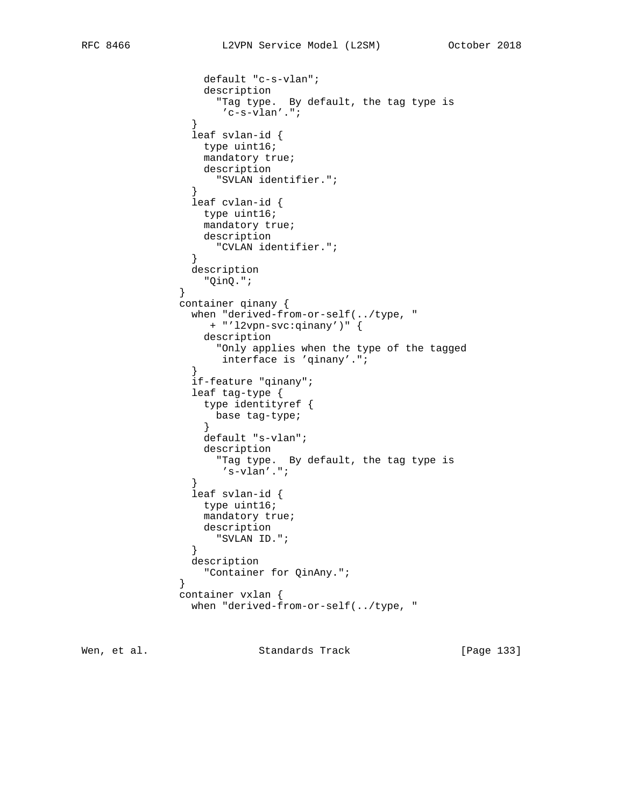```
 default "c-s-vlan";
                 description
                   "Tag type. By default, the tag type is
                    'c-s-vlan'.";
}
               leaf svlan-id {
                 type uint16;
                 mandatory true;
                 description
                   "SVLAN identifier.";
}
               leaf cvlan-id {
                 type uint16;
                 mandatory true;
                 description
                  "CVLAN identifier.";
}
               description
                 "QinQ.";
}
              container qinany {
               when "derived-from-or-self(../type, "
                  + "'l2vpn-svc:qinany')" {
                 description
                   "Only applies when the type of the tagged
              interface is 'qinany'.";<br>}
}
               if-feature "qinany";
               leaf tag-type {
                 type identityref {
                  base tag-type;
}
                 default "s-vlan";
                 description
                   "Tag type. By default, the tag type is
              's -vlan'.";<br> \} }
               leaf svlan-id {
                 type uint16;
                 mandatory true;
                 description
                  "SVLAN ID.";
}
               description
                 "Container for QinAny.";
}
              container vxlan {
               when "derived-from-or-self(../type, "
```
Wen, et al. Standards Track [Page 133]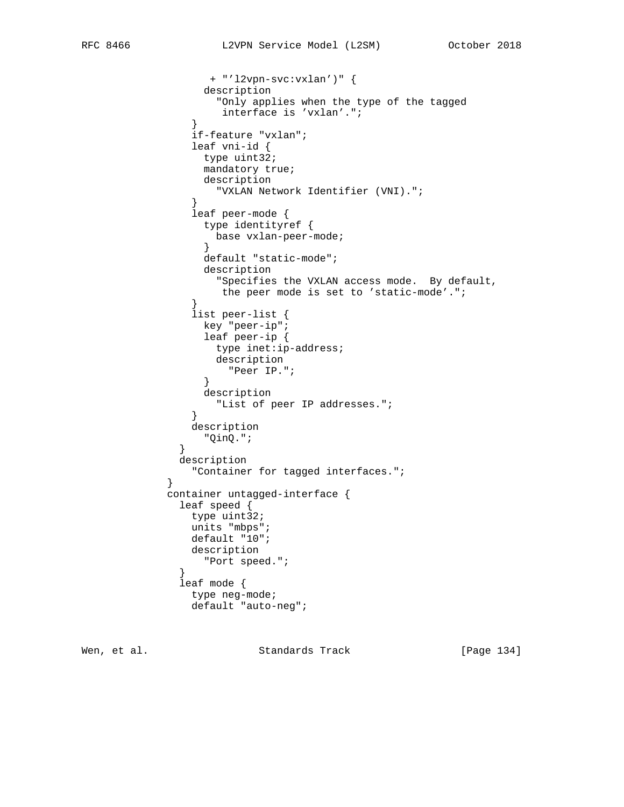```
 + "'l2vpn-svc:vxlan')" {
                 description
                  "Only applies when the type of the tagged
                   interface is 'vxlan'.";
}
               if-feature "vxlan";
               leaf vni-id {
                type uint32;
                mandatory true;
                description
                  "VXLAN Network Identifier (VNI).";
}
               leaf peer-mode {
                type identityref {
                  base vxlan-peer-mode;
}
                 default "static-mode";
                 description
                  "Specifies the VXLAN access mode. By default,
                   the peer mode is set to 'static-mode'.";
}
               list peer-list {
key "peer-ip";
leaf peer-ip {
                  type inet:ip-address;
                  description
                   "Peer IP.";
}
                 description
                  "List of peer IP addresses.";
}
               description
                "QinQ.";
}
             description
           "Container for tagged interfaces.";<br>}
           container untagged-interface {
             leaf speed {
              type uint32;
               units "mbps";
               default "10";
               description
             "Port speed.";
}
             leaf mode {
               type neg-mode;
               default "auto-neg";
```
Wen, et al. Standards Track [Page 134]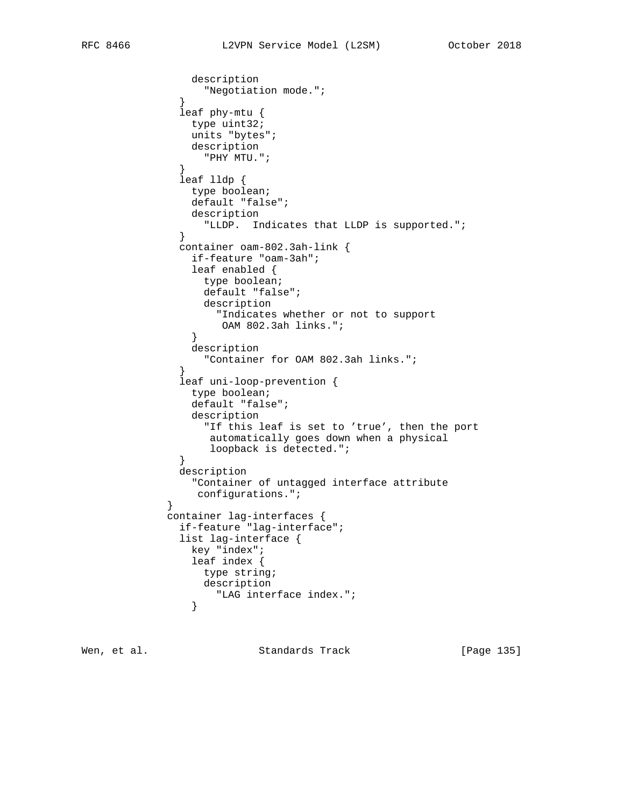```
 description
              "Negotiation mode.";
}
              leaf phy-mtu {
               type uint32;
                units "bytes";
               description
                 "PHY MTU.";
}
              leaf lldp {
               type boolean;
                default "false";
               description
                 "LLDP. Indicates that LLDP is supported.";
}
              container oam-802.3ah-link {
                if-feature "oam-3ah";
                leaf enabled {
                 type boolean;
                 default "false";
                 description
                   "Indicates whether or not to support
                OAM 802.3ah links.";
}
                description
                 "Container for OAM 802.3ah links.";
}
              leaf uni-loop-prevention {
                type boolean;
                default "false";
                description
                 "If this leaf is set to 'true', then the port
                  automatically goes down when a physical
             loopback is detected.";<br>}
}
              description
               "Container of untagged interface attribute
           configurations.";<br>}
}
            container lag-interfaces {
              if-feature "lag-interface";
              list lag-interface {
               key "index";
                leaf index {
                 type string;
                 description
                "LAG interface index.";
}
```
Wen, et al. Standards Track [Page 135]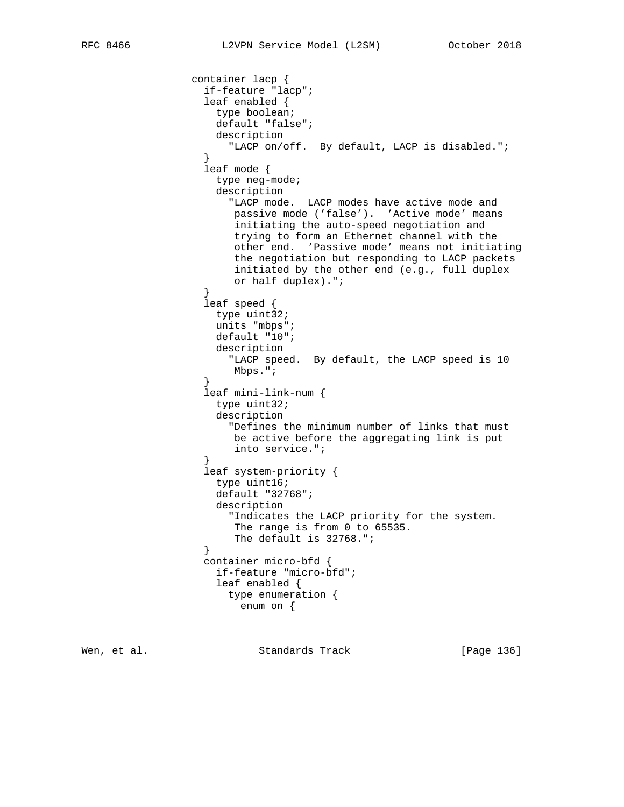```
 container lacp {
                   if-feature "lacp";
                   leaf enabled {
                    type boolean;
                    default "false";
                    description
                      "LACP on/off. By default, LACP is disabled.";
}
                   leaf mode {
                    type neg-mode;
                    description
                       "LACP mode. LACP modes have active mode and
                       passive mode ('false'). 'Active mode' means
                       initiating the auto-speed negotiation and
                       trying to form an Ethernet channel with the
                       other end. 'Passive mode' means not initiating
                       the negotiation but responding to LACP packets
                       initiated by the other end (e.g., full duplex
                       or half duplex).";
}
                   leaf speed {
                    type uint32;
                    units "mbps";
                    default "10";
                    description
                       "LACP speed. By default, the LACP speed is 10
                       Mbps.";
}
                   leaf mini-link-num {
                    type uint32;
                    description
                      "Defines the minimum number of links that must
                       be active before the aggregating link is put
                       into service.";
}
                   leaf system-priority {
                    type uint16;
                    default "32768";
                    description
                       "Indicates the LACP priority for the system.
                       The range is from 0 to 65535.
                       The default is 32768.";
}
                   container micro-bfd {
                    if-feature "micro-bfd";
                    leaf enabled {
                      type enumeration {
                        enum on {
```
Wen, et al. Standards Track [Page 136]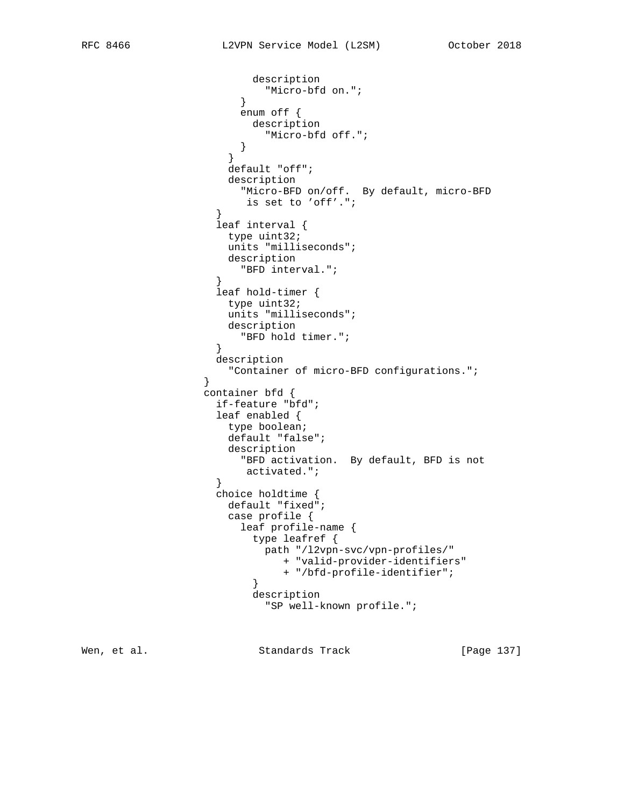```
 description
                      "Micro-bfd on.";
}
                     enum off {
                       description
                         "Micro-bfd off.";
}
}
                    default "off";
                    description
                     "Micro-BFD on/off. By default, micro-BFD
                 is set to 'off'.";<br>}
}
                  leaf interval {
                   type uint32;
                    units "milliseconds";
                   description
                     "BFD interval.";
}
                  leaf hold-timer {
                   type uint32;
                   units "milliseconds";
                   description
                  "BFD hold timer.";
}
                  description
                    "Container of micro-BFD configurations.";
                container bfd {
                  if-feature "bfd";
                  leaf enabled {
                   type boolean;
                   default "false";
                    description
                     "BFD activation. By default, BFD is not
                 activated.";<br>}
}
                  choice holdtime {
                    default "fixed";
                    case profile {
                     leaf profile-name {
                       type leafref {
                         path "/l2vpn-svc/vpn-profiles/"
                           + "valid-provider-identifiers"
                           + "/bfd-profile-identifier";
}
                       description
                         "SP well-known profile.";
```
Wen, et al. Standards Track [Page 137]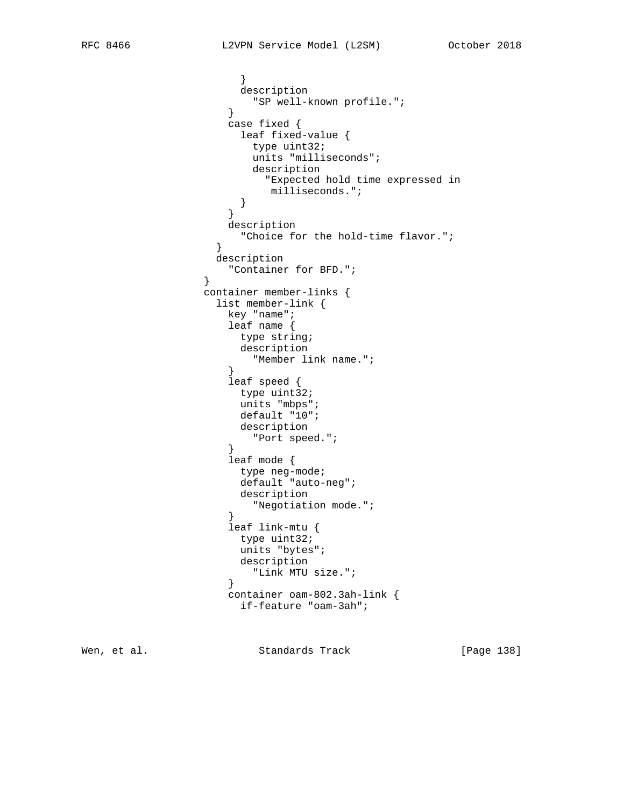```
 }
                    description
                   "SP well-known profile.";
}
                  case fixed {
                    leaf fixed-value {
                     type uint32;
                     units "milliseconds";
                     description
                       "Expected hold time expressed in
                  milliseconds.";<br>}
}
}
                  description
                   "Choice for the hold-time flavor.";
}
                 description
               "Container for BFD.";
               container member-links {
                 list member-link {
                  key "name";
                  leaf name {
                   type string;
                    description
                   "Member link name.";
}
                  leaf speed {
                    type uint32;
                    units "mbps";
                    default "10";
                    description
                   "Port speed.";
}
                  leaf mode {
                    type neg-mode;
                    default "auto-neg";
                   description
                   "Negotiation mode.";
}
                  leaf link-mtu {
                    type uint32;
                    units "bytes";
                    description
                   "Link MTU size.";
}
                  container oam-802.3ah-link {
                    if-feature "oam-3ah";
```
Wen, et al. Standards Track [Page 138]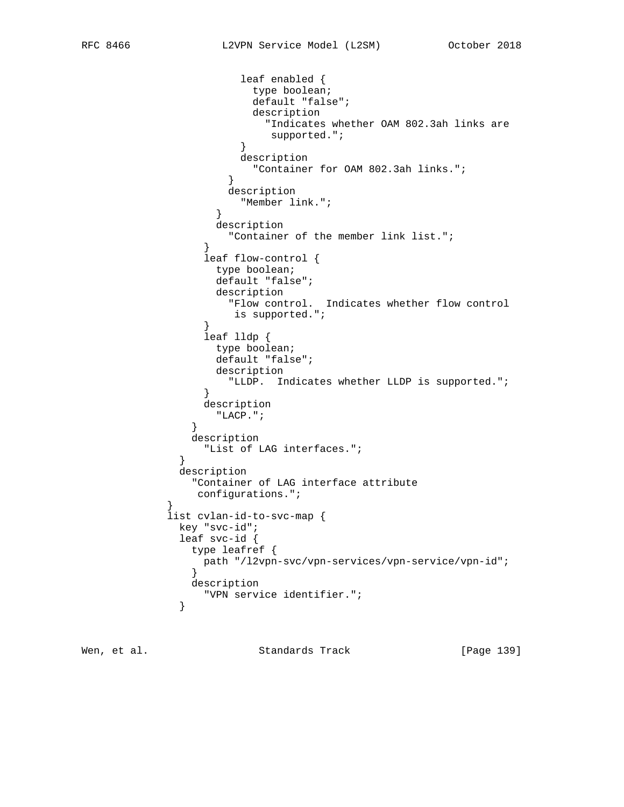```
 leaf enabled {
                       type boolean;
                       default "false";
                       description
                         "Indicates whether OAM 802.3ah links are
                         supported.";
}
                     description
                       "Container for OAM 802.3ah links.";
}
                    description
                  "Member link.";
}
                  description
                   "Container of the member link list.";
}
                leaf flow-control {
                  type boolean;
                  default "false";
                  description
                    "Flow control. Indicates whether flow control
                    is supported.";
}
                leaf lldp {
                  type boolean;
                  default "false";
                  description
                    "LLDP. Indicates whether LLDP is supported.";
}
                description
                 "LACP.";
}
               description
                "List of LAG interfaces.";
}
             description
              "Container of LAG interface attribute
          configurations.";<br>}
           list cvlan-id-to-svc-map {
             key "svc-id";
             leaf svc-id {
              type leafref {
               path "/l2vpn-svc/vpn-services/vpn-service/vpn-id";
}
              description
             "VPN service identifier.";
}
```
Wen, et al. Standards Track [Page 139]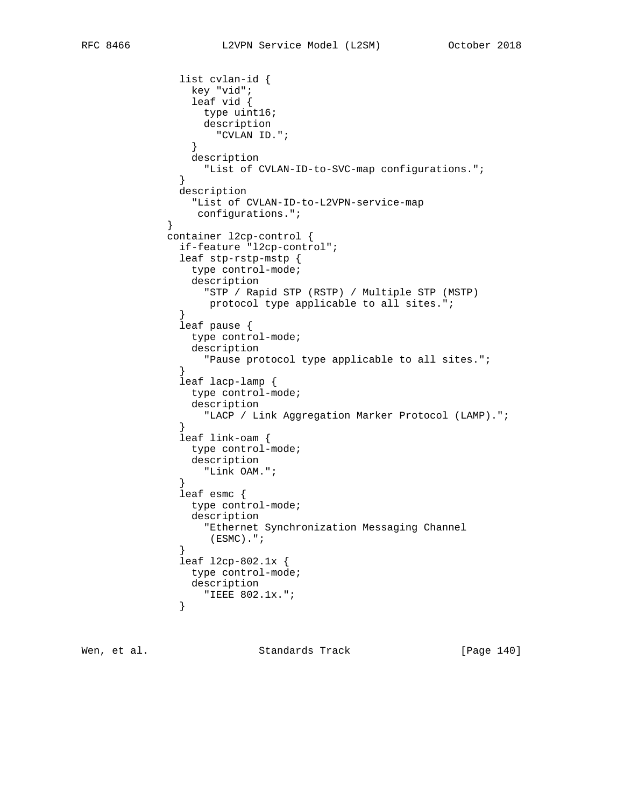```
 list cvlan-id {
               key "vid";
                leaf vid {
                 type uint16;
                 description
                  "CVLAN ID.";
}
                description
                 "List of CVLAN-ID-to-SVC-map configurations.";
}
              description
               "List of CVLAN-ID-to-L2VPN-service-map
           configurations.";<br>}
}
            container l2cp-control {
              if-feature "l2cp-control";
              leaf stp-rstp-mstp {
               type control-mode;
               description
                 "STP / Rapid STP (RSTP) / Multiple STP (MSTP)
                  protocol type applicable to all sites.";
}
              leaf pause {
               type control-mode;
               description
                  "Pause protocol type applicable to all sites.";
}
              leaf lacp-lamp {
               type control-mode;
               description
                 "LACP / Link Aggregation Marker Protocol (LAMP).";
}
              leaf link-oam {
               type control-mode;
               description
              "Link OAM.";
}
              leaf esmc {
               type control-mode;
               description
                 "Ethernet Synchronization Messaging Channel
                  (ESMC).";
}
              leaf l2cp-802.1x {
               type control-mode;
               description
             "IEEE 802.1x.";
}
```
Wen, et al. Standards Track [Page 140]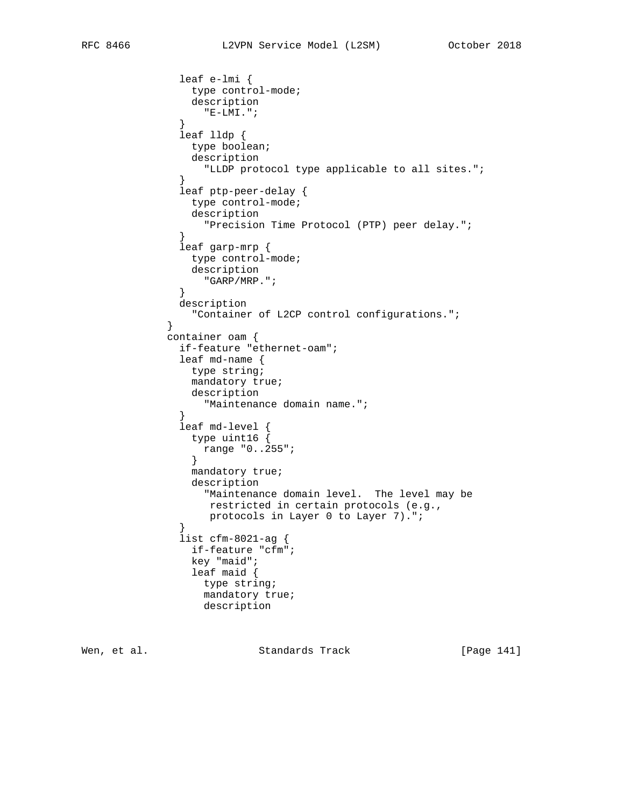```
 leaf e-lmi {
                type control-mode;
                description
                  "E-LMI.";
}
              leaf lldp {
               type boolean;
                description
                  "LLDP protocol type applicable to all sites.";
}
              leaf ptp-peer-delay {
               type control-mode;
                description
                 "Precision Time Protocol (PTP) peer delay.";
}
              leaf garp-mrp {
               type control-mode;
                description
                 "GARP/MRP.";
}
              description
                "Container of L2CP control configurations.";
}
            container oam {
              if-feature "ethernet-oam";
              leaf md-name {
               type string;
                mandatory true;
               description
                 "Maintenance domain name.";
}
              leaf md-level {
               type uint16 {
                range "0..255";
}
                mandatory true;
                description
                 "Maintenance domain level. The level may be
                  restricted in certain protocols (e.g.,
                 protocols in Layer 0 to Layer 7).";
}
              list cfm-8021-ag {
                if-feature "cfm";
                key "maid";
                leaf maid {
                 type string;
                 mandatory true;
                 description
```
Wen, et al. Standards Track [Page 141]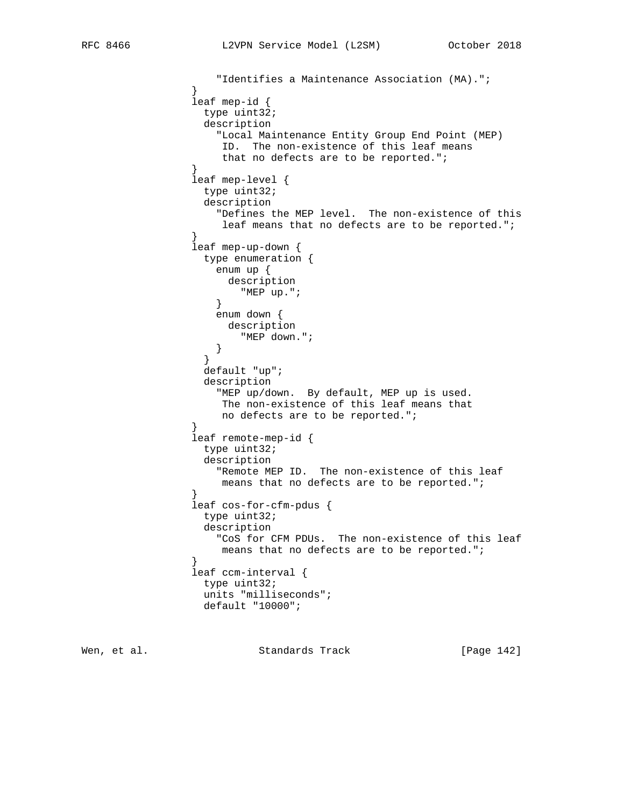```
 "Identifies a Maintenance Association (MA).";
}
                leaf mep-id {
                 type uint32;
                 description
                   "Local Maintenance Entity Group End Point (MEP)
                    ID. The non-existence of this leaf means
                    that no defects are to be reported.";
}
                leaf mep-level {
                 type uint32;
                 description
                   "Defines the MEP level. The non-existence of this
                    leaf means that no defects are to be reported.";
}
                leaf mep-up-down {
                 type enumeration {
                   enum up {
                    description
                  "MEP up.";
}
                   enum down {
                    description
                  "MEP down.";<br>}
}
}
                 default "up";
                 description
                   "MEP up/down. By default, MEP up is used.
                    The non-existence of this leaf means that
                    no defects are to be reported.";
}
                leaf remote-mep-id {
                 type uint32;
                 description
                   "Remote MEP ID. The non-existence of this leaf
                   means that no defects are to be reported.";
}
                leaf cos-for-cfm-pdus {
                 type uint32;
                 description
                   "CoS for CFM PDUs. The non-existence of this leaf
                  means that no defects are to be reported.";
}
                leaf ccm-interval {
                 type uint32;
                 units "milliseconds";
                 default "10000";
```
Wen, et al. Standards Track [Page 142]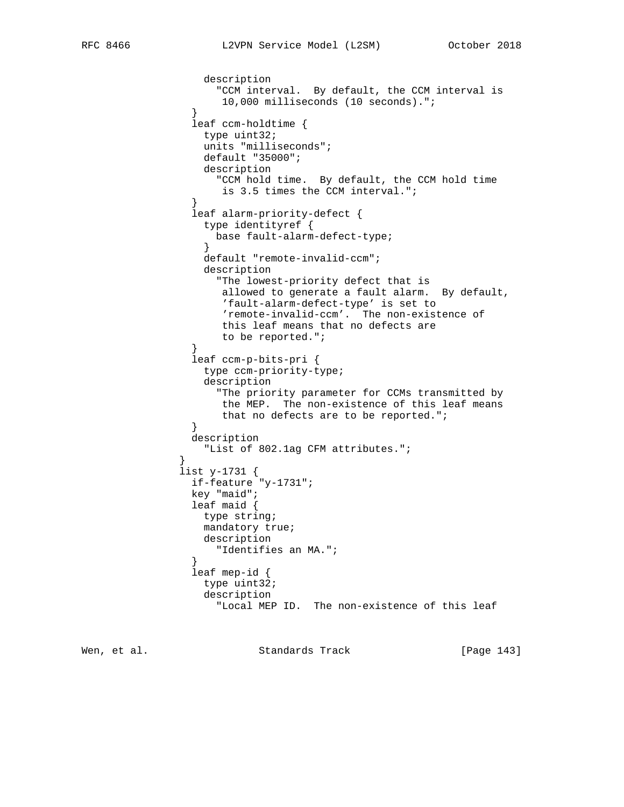```
 description
                    "CCM interval. By default, the CCM interval is
                     10,000 milliseconds (10 seconds).";
}
                leaf ccm-holdtime {
                  type uint32;
                  units "milliseconds";
                  default "35000";
                  description
                    "CCM hold time. By default, the CCM hold time
               is 3.5 times the CCM interval.";<br>}
}
                leaf alarm-priority-defect {
                  type identityref {
                    base fault-alarm-defect-type;
}
                  default "remote-invalid-ccm";
                  description
                    "The lowest-priority defect that is
                    allowed to generate a fault alarm. By default,
                     'fault-alarm-defect-type' is set to
                     'remote-invalid-ccm'. The non-existence of
                     this leaf means that no defects are
                     to be reported.";
}
                leaf ccm-p-bits-pri {
                  type ccm-priority-type;
                  description
                    "The priority parameter for CCMs transmitted by
                    the MEP. The non-existence of this leaf means
                     that no defects are to be reported.";
}
                description
                  "List of 802.1ag CFM attributes.";
}
              list y-1731 {
                if-feature "y-1731";
                key "maid";
                leaf maid {
                  type string;
                  mandatory true;
                  description
                    "Identifies an MA.";
}
                leaf mep-id {
                  type uint32;
                  description
                    "Local MEP ID. The non-existence of this leaf
```
Wen, et al. Standards Track [Page 143]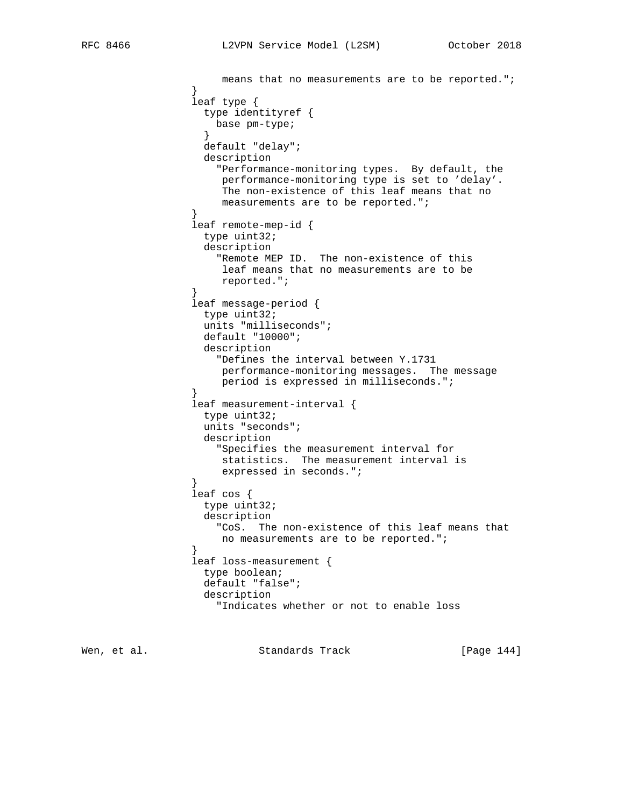```
 means that no measurements are to be reported.";
}
                leaf type {
                  type identityref {
                   base pm-type;
}
                  default "delay";
                  description
                    "Performance-monitoring types. By default, the
                    performance-monitoring type is set to 'delay'.
                     The non-existence of this leaf means that no
                     measurements are to be reported.";
}
                leaf remote-mep-id {
                  type uint32;
                  description
                    "Remote MEP ID. The non-existence of this
                     leaf means that no measurements are to be
                    reported.";
}
                leaf message-period {
                  type uint32;
                  units "milliseconds";
                  default "10000";
                  description
                    "Defines the interval between Y.1731
                     performance-monitoring messages. The message
                    period is expressed in milliseconds.";
}
                leaf measurement-interval {
                  type uint32;
                  units "seconds";
                  description
                    "Specifies the measurement interval for
                    statistics. The measurement interval is
               expressed in seconds.";<br>}
}
                leaf cos {
                  type uint32;
                  description
                    "CoS. The non-existence of this leaf means that
                    no measurements are to be reported.";
}
                leaf loss-measurement {
                  type boolean;
                  default "false";
                  description
                    "Indicates whether or not to enable loss
```
Wen, et al. Standards Track [Page 144]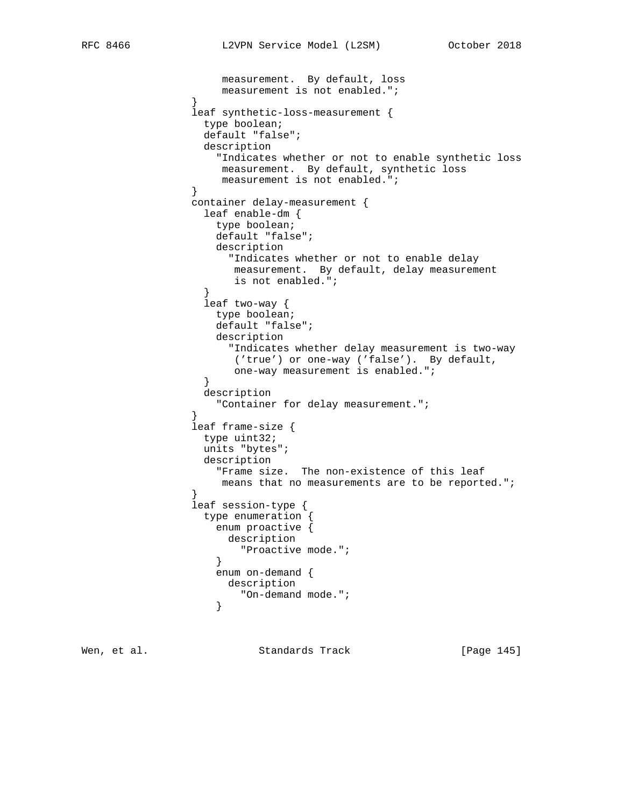```
 measurement. By default, loss
                measurement is not enabled.";<br>}
 }
                 leaf synthetic-loss-measurement {
                  type boolean;
                  default "false";
                  description
                    "Indicates whether or not to enable synthetic loss
                    measurement. By default, synthetic loss
                measurement is not enabled.";<br>}
 }
                 container delay-measurement {
                  leaf enable-dm {
                    type boolean;
                    default "false";
                    description
                      "Indicates whether or not to enable delay
                      measurement. By default, delay measurement
                       is not enabled.";
 }
                   leaf two-way {
                    type boolean;
                    default "false";
                    description
                      "Indicates whether delay measurement is two-way
                       ('true') or one-way ('false'). By default,
                       one-way measurement is enabled.";
 }
                  description
                    "Container for delay measurement.";
 }
                 leaf frame-size {
                  type uint32;
                  units "bytes";
                  description
                    "Frame size. The non-existence of this leaf
                     means that no measurements are to be reported.";
 }
                 leaf session-type {
                  type enumeration {
                    enum proactive {
                     description
                    "Proactive mode.";
 }
                    enum on-demand {
                     description
                   "On-demand mode.";<br>}
 }
```
Wen, et al. Standards Track [Page 145]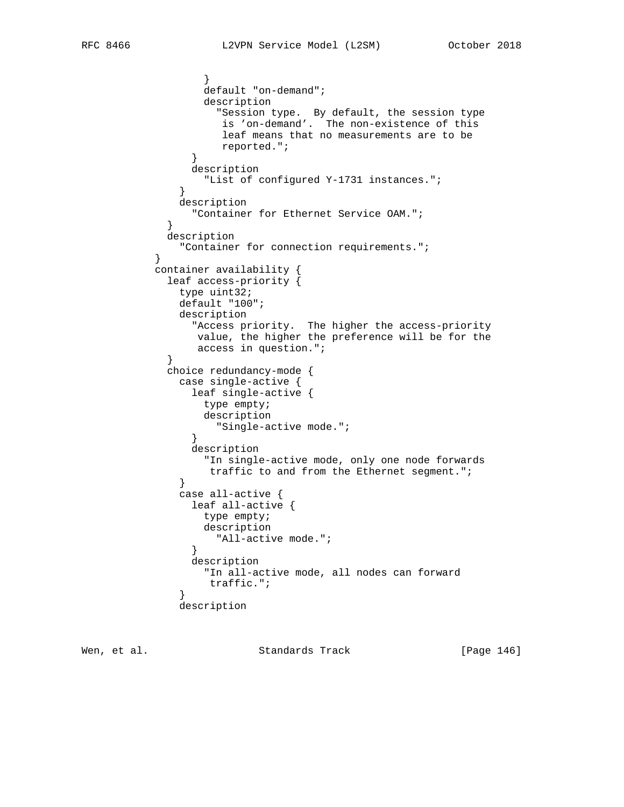}

```
 }
                  default "on-demand";
                  description
                     "Session type. By default, the session type
                     is 'on-demand'. The non-existence of this
                     leaf means that no measurements are to be
                     reported.";
 }
                 description
                   "List of configured Y-1731 instances.";
 }
               description
                "Container for Ethernet Service OAM.";
 }
             description
               "Container for connection requirements.";
           container availability {
             leaf access-priority {
               type uint32;
               default "100";
               description
                 "Access priority. The higher the access-priority
                 value, the higher the preference will be for the
                 access in question.";
 }
             choice redundancy-mode {
               case single-active {
                 leaf single-active {
                  type empty;
                  description
                    "Single-active mode.";
 }
                 description
                   "In single-active mode, only one node forwards
              traffic to and from the Ethernet segment.";<br>}
 }
               case all-active {
                 leaf all-active {
                  type empty;
                  description
                    "All-active mode.";
 }
                 description
                  "In all-active mode, all nodes can forward
                   traffic.";
 }
               description
```
Wen, et al. Standards Track [Page 146]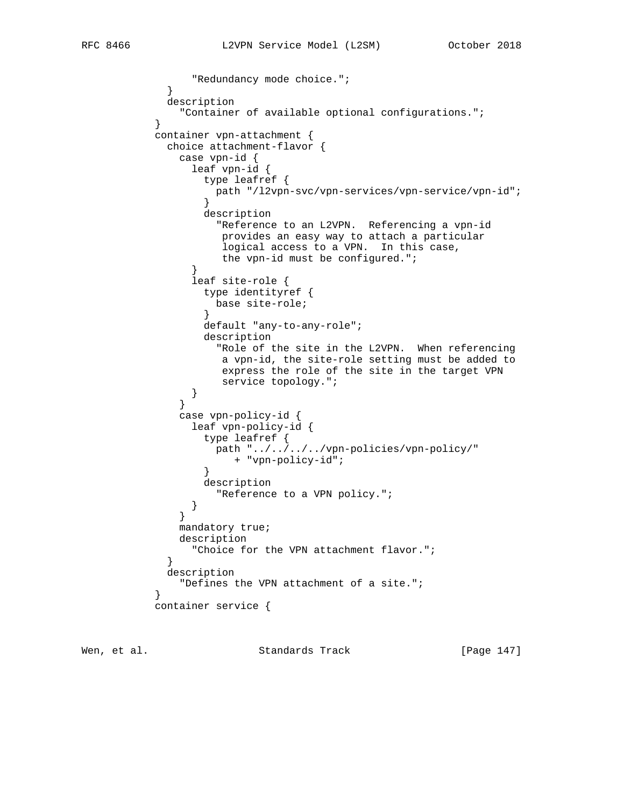```
 "Redundancy mode choice.";
 }
             description
               "Container of available optional configurations.";
 }
           container vpn-attachment {
             choice attachment-flavor {
              case vpn-id {
                leaf vpn-id {
                  type leafref {
                   path "/l2vpn-svc/vpn-services/vpn-service/vpn-id";
 }
                  description
                    "Reference to an L2VPN. Referencing a vpn-id
                    provides an easy way to attach a particular
                     logical access to a VPN. In this case,
                    the vpn-id must be configured.";
 }
                leaf site-role {
                  type identityref {
                   base site-role;
 }
                  default "any-to-any-role";
                  description
                    "Role of the site in the L2VPN. When referencing
                     a vpn-id, the site-role setting must be added to
                    express the role of the site in the target VPN
                     service topology.";
 }
 }
               case vpn-policy-id {
                leaf vpn-policy-id {
                  type leafref {
                   path "../../../../vpn-policies/vpn-policy/"
                  + "vpn-policy-id";
 }
                  description
               "Reference to a VPN policy.";<br>}
 }
 }
              mandatory true;
              description
                "Choice for the VPN attachment flavor.";
 }
             description
               "Defines the VPN attachment of a site.";
 }
           container service {
```
Wen, et al. Standards Track [Page 147]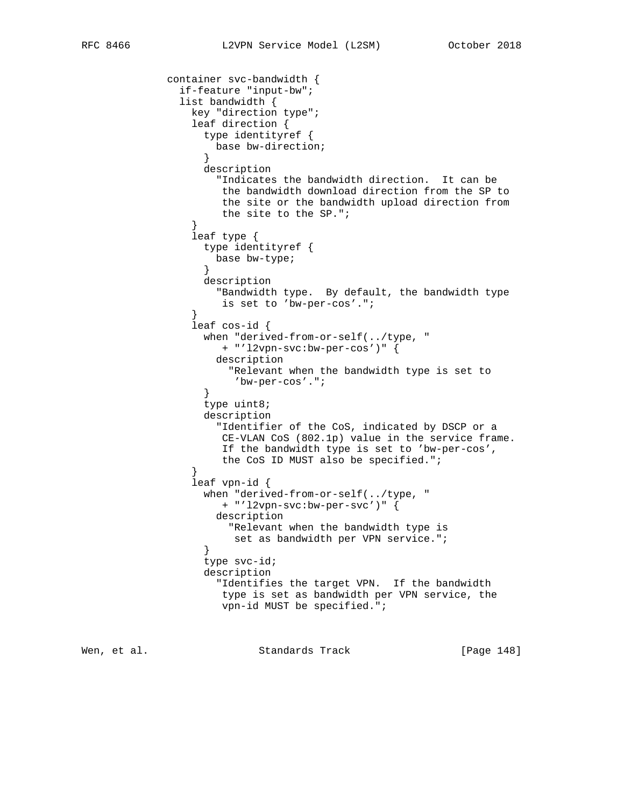```
 container svc-bandwidth {
               if-feature "input-bw";
               list bandwidth {
                 key "direction type";
                 leaf direction {
                   type identityref {
                    base bw-direction;
 }
                   description
                     "Indicates the bandwidth direction. It can be
                     the bandwidth download direction from the SP to
                      the site or the bandwidth upload direction from
                      the site to the SP.";
 }
                 leaf type {
                   type identityref {
                    base bw-type;
 }
                   description
                     "Bandwidth type. By default, the bandwidth type
                     is set to 'bw-per-cos'.";
 }
                 leaf cos-id {
                   when "derived-from-or-self(../type, "
                      + "'l2vpn-svc:bw-per-cos')" {
                     description
                       "Relevant when the bandwidth type is set to
                        'bw-per-cos'.";
 }
                   type uint8;
                   description
                     "Identifier of the CoS, indicated by DSCP or a
                     CE-VLAN CoS (802.1p) value in the service frame.
                      If the bandwidth type is set to 'bw-per-cos',
                      the CoS ID MUST also be specified.";
 }
                 leaf vpn-id {
                   when "derived-from-or-self(../type, "
                     + "'l2vpn-svc:bw-per-svc')" {
                     description
                       "Relevant when the bandwidth type is
                  set as bandwidth per VPN service.";<br>}
 }
                   type svc-id;
                   description
                     "Identifies the target VPN. If the bandwidth
                      type is set as bandwidth per VPN service, the
                      vpn-id MUST be specified.";
```
Wen, et al. Standards Track [Page 148]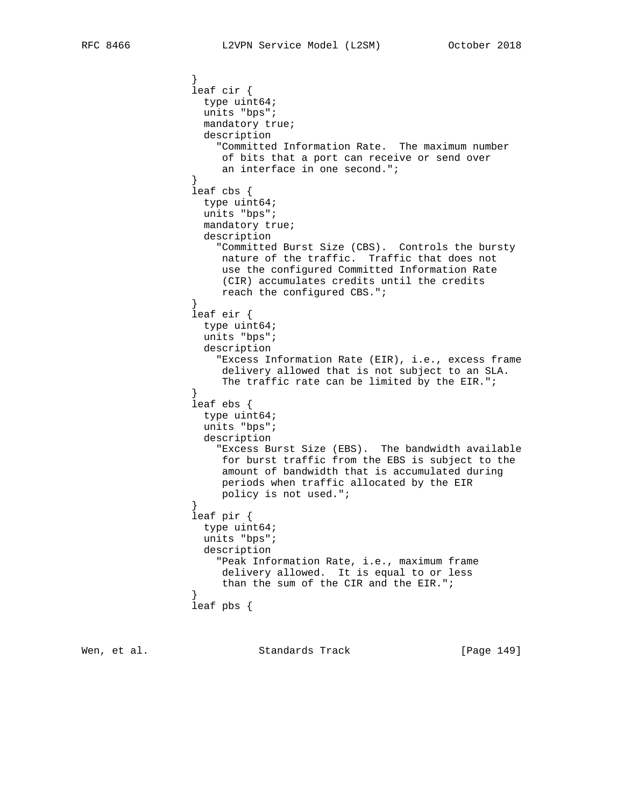```
 }
                  leaf cir {
                   type uint64;
                   units "bps";
                   mandatory true;
                   description
                     "Committed Information Rate. The maximum number
                      of bits that a port can receive or send over
                      an interface in one second.";
 }
                  leaf cbs {
                   type uint64;
                   units "bps";
                   mandatory true;
                   description
                     "Committed Burst Size (CBS). Controls the bursty
                      nature of the traffic. Traffic that does not
                      use the configured Committed Information Rate
                      (CIR) accumulates credits until the credits
                      reach the configured CBS.";
 }
                  leaf eir {
                   type uint64;
                   units "bps";
                   description
                      "Excess Information Rate (EIR), i.e., excess frame
                      delivery allowed that is not subject to an SLA.
                     The traffic rate can be limited by the EIR.";
 }
                  leaf ebs {
                   type uint64;
                   units "bps";
                   description
                     "Excess Burst Size (EBS). The bandwidth available
                      for burst traffic from the EBS is subject to the
                      amount of bandwidth that is accumulated during
                      periods when traffic allocated by the EIR
                 policy is not used.";<br>}
 }
                  leaf pir {
                   type uint64;
                   units "bps";
                   description
                     "Peak Information Rate, i.e., maximum frame
                      delivery allowed. It is equal to or less
                      than the sum of the CIR and the EIR.";
 }
                  leaf pbs {
```
Wen, et al. Standards Track [Page 149]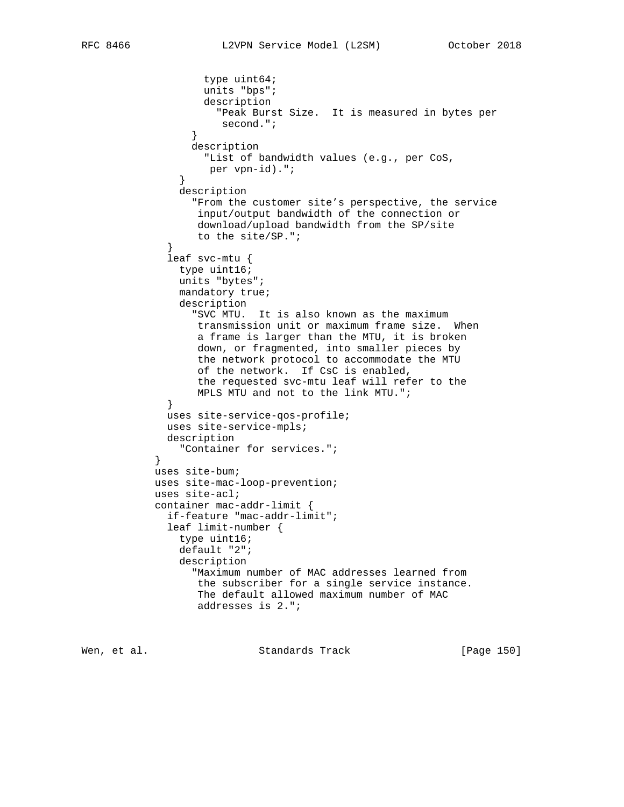```
 type uint64;
                    units "bps";
                    description
                      "Peak Burst Size. It is measured in bytes per
                       second.";
 }
                  description
                    "List of bandwidth values (e.g., per CoS,
                    per vpn-id).";
 }
                description
                  "From the customer site's perspective, the service
                   input/output bandwidth of the connection or
                   download/upload bandwidth from the SP/site
             to the site/SP.";<br>}
 }
              leaf svc-mtu {
                type uint16;
                units "bytes";
                mandatory true;
                description
                  "SVC MTU. It is also known as the maximum
                   transmission unit or maximum frame size. When
                   a frame is larger than the MTU, it is broken
                   down, or fragmented, into smaller pieces by
                   the network protocol to accommodate the MTU
                   of the network. If CsC is enabled,
                   the requested svc-mtu leaf will refer to the
                   MPLS MTU and not to the link MTU.";
 }
              uses site-service-qos-profile;
              uses site-service-mpls;
              description
           "Container for services.";<br>}
            uses site-bum;
            uses site-mac-loop-prevention;
            uses site-acl;
            container mac-addr-limit {
              if-feature "mac-addr-limit";
              leaf limit-number {
                type uint16;
                default "2";
                description
                  "Maximum number of MAC addresses learned from
                   the subscriber for a single service instance.
                   The default allowed maximum number of MAC
                   addresses is 2.";
```
}

Wen, et al. Standards Track [Page 150]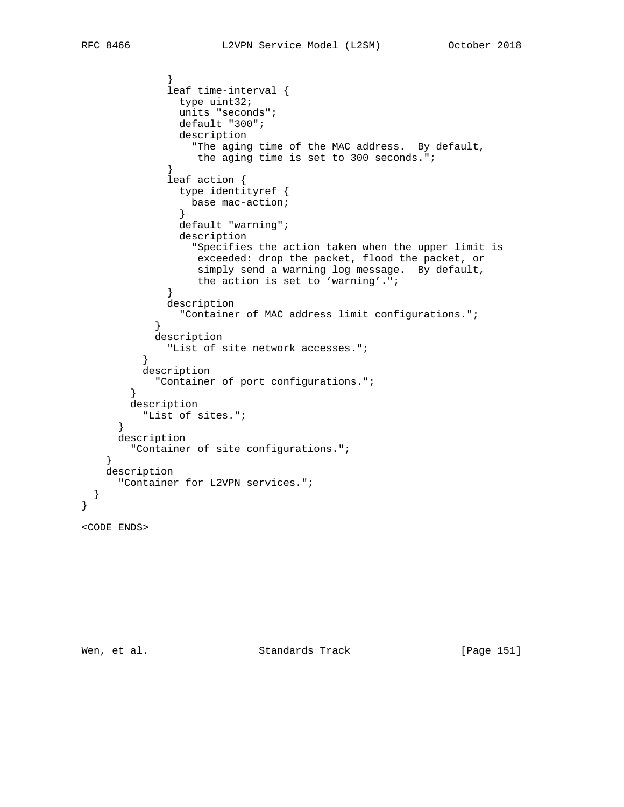```
 }
              leaf time-interval {
               type uint32;
               units "seconds";
               default "300";
                description
                  "The aging time of the MAC address. By default,
                  the aging time is set to 300 seconds.";
 }
              leaf action {
                type identityref {
                 base mac-action;
 }
                default "warning";
                description
                  "Specifies the action taken when the upper limit is
                  exceeded: drop the packet, flood the packet, or
                  simply send a warning log message. By default,
                  the action is set to 'warning'.";
 }
              description
                "Container of MAC address limit configurations.";
 }
            description
              "List of site network accesses.";
 }
          description
            "Container of port configurations.";
 }
        description
         "List of sites.";
      }
      description
        "Container of site configurations.";
    }
    description
      "Container for L2VPN services.";
  }
}
```

```
<CODE ENDS>
```
Wen, et al. Standards Track [Page 151]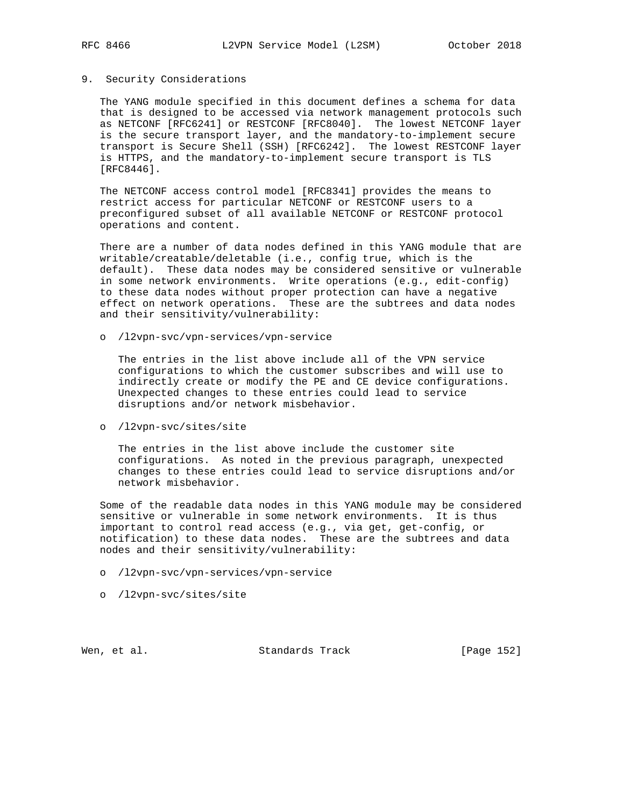## 9. Security Considerations

 The YANG module specified in this document defines a schema for data that is designed to be accessed via network management protocols such as NETCONF [RFC6241] or RESTCONF [RFC8040]. The lowest NETCONF layer is the secure transport layer, and the mandatory-to-implement secure transport is Secure Shell (SSH) [RFC6242]. The lowest RESTCONF layer is HTTPS, and the mandatory-to-implement secure transport is TLS [RFC8446].

 The NETCONF access control model [RFC8341] provides the means to restrict access for particular NETCONF or RESTCONF users to a preconfigured subset of all available NETCONF or RESTCONF protocol operations and content.

 There are a number of data nodes defined in this YANG module that are writable/creatable/deletable (i.e., config true, which is the default). These data nodes may be considered sensitive or vulnerable in some network environments. Write operations (e.g., edit-config) to these data nodes without proper protection can have a negative effect on network operations. These are the subtrees and data nodes and their sensitivity/vulnerability:

o /l2vpn-svc/vpn-services/vpn-service

 The entries in the list above include all of the VPN service configurations to which the customer subscribes and will use to indirectly create or modify the PE and CE device configurations. Unexpected changes to these entries could lead to service disruptions and/or network misbehavior.

o /l2vpn-svc/sites/site

 The entries in the list above include the customer site configurations. As noted in the previous paragraph, unexpected changes to these entries could lead to service disruptions and/or network misbehavior.

 Some of the readable data nodes in this YANG module may be considered sensitive or vulnerable in some network environments. It is thus important to control read access (e.g., via get, get-config, or notification) to these data nodes. These are the subtrees and data nodes and their sensitivity/vulnerability:

- o /l2vpn-svc/vpn-services/vpn-service
- o /l2vpn-svc/sites/site

Wen, et al. Standards Track [Page 152]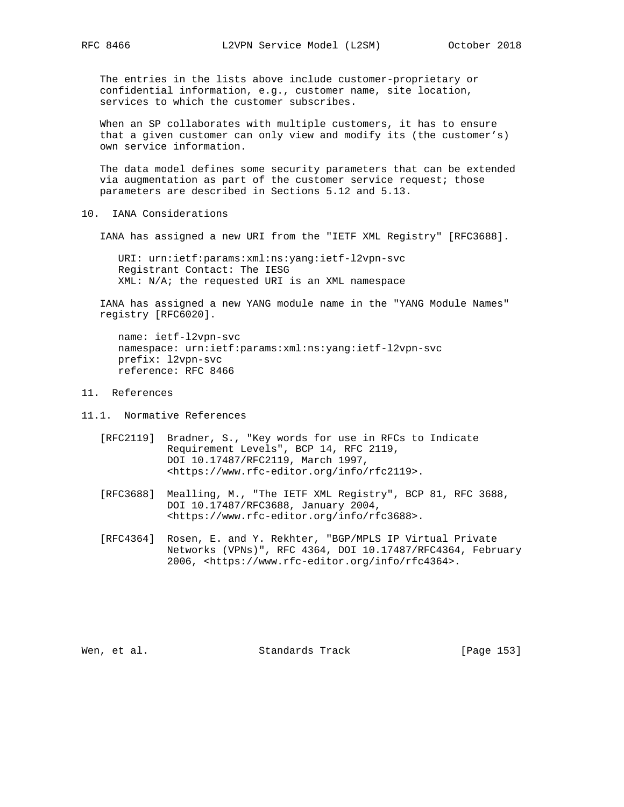The entries in the lists above include customer-proprietary or confidential information, e.g., customer name, site location, services to which the customer subscribes.

 When an SP collaborates with multiple customers, it has to ensure that a given customer can only view and modify its (the customer's) own service information.

 The data model defines some security parameters that can be extended via augmentation as part of the customer service request; those parameters are described in Sections 5.12 and 5.13.

## 10. IANA Considerations

IANA has assigned a new URI from the "IETF XML Registry" [RFC3688].

 URI: urn:ietf:params:xml:ns:yang:ietf-l2vpn-svc Registrant Contact: The IESG XML: N/A; the requested URI is an XML namespace

 IANA has assigned a new YANG module name in the "YANG Module Names" registry [RFC6020].

 name: ietf-l2vpn-svc namespace: urn:ietf:params:xml:ns:yang:ietf-l2vpn-svc prefix: l2vpn-svc reference: RFC 8466

## 11. References

11.1. Normative References

- [RFC2119] Bradner, S., "Key words for use in RFCs to Indicate Requirement Levels", BCP 14, RFC 2119, DOI 10.17487/RFC2119, March 1997, <https://www.rfc-editor.org/info/rfc2119>.
- [RFC3688] Mealling, M., "The IETF XML Registry", BCP 81, RFC 3688, DOI 10.17487/RFC3688, January 2004, <https://www.rfc-editor.org/info/rfc3688>.
- [RFC4364] Rosen, E. and Y. Rekhter, "BGP/MPLS IP Virtual Private Networks (VPNs)", RFC 4364, DOI 10.17487/RFC4364, February 2006, <https://www.rfc-editor.org/info/rfc4364>.

Wen, et al. Standards Track [Page 153]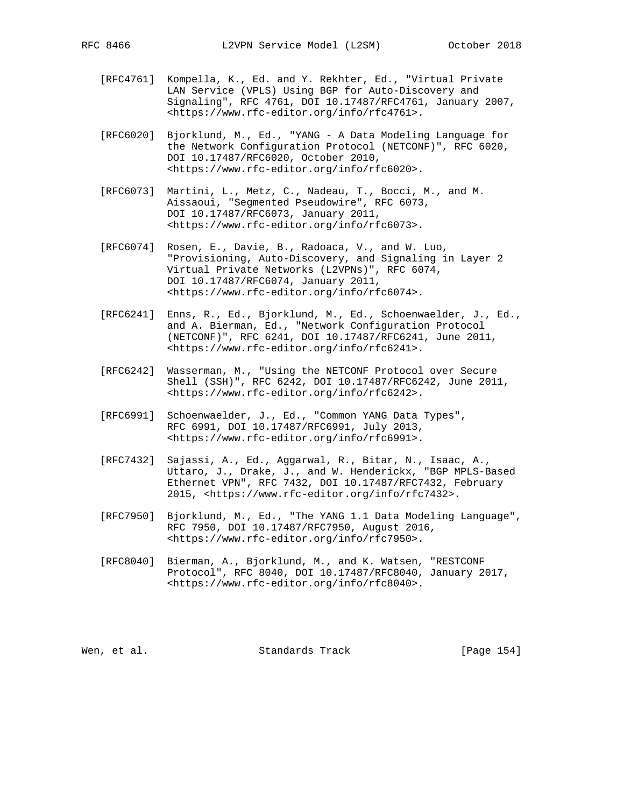- [RFC4761] Kompella, K., Ed. and Y. Rekhter, Ed., "Virtual Private LAN Service (VPLS) Using BGP for Auto-Discovery and Signaling", RFC 4761, DOI 10.17487/RFC4761, January 2007, <https://www.rfc-editor.org/info/rfc4761>.
- [RFC6020] Bjorklund, M., Ed., "YANG A Data Modeling Language for the Network Configuration Protocol (NETCONF)", RFC 6020, DOI 10.17487/RFC6020, October 2010, <https://www.rfc-editor.org/info/rfc6020>.
- [RFC6073] Martini, L., Metz, C., Nadeau, T., Bocci, M., and M. Aissaoui, "Segmented Pseudowire", RFC 6073, DOI 10.17487/RFC6073, January 2011, <https://www.rfc-editor.org/info/rfc6073>.
- [RFC6074] Rosen, E., Davie, B., Radoaca, V., and W. Luo, "Provisioning, Auto-Discovery, and Signaling in Layer 2 Virtual Private Networks (L2VPNs)", RFC 6074, DOI 10.17487/RFC6074, January 2011, <https://www.rfc-editor.org/info/rfc6074>.
- [RFC6241] Enns, R., Ed., Bjorklund, M., Ed., Schoenwaelder, J., Ed., and A. Bierman, Ed., "Network Configuration Protocol (NETCONF)", RFC 6241, DOI 10.17487/RFC6241, June 2011, <https://www.rfc-editor.org/info/rfc6241>.
- [RFC6242] Wasserman, M., "Using the NETCONF Protocol over Secure Shell (SSH)", RFC 6242, DOI 10.17487/RFC6242, June 2011, <https://www.rfc-editor.org/info/rfc6242>.
- [RFC6991] Schoenwaelder, J., Ed., "Common YANG Data Types", RFC 6991, DOI 10.17487/RFC6991, July 2013, <https://www.rfc-editor.org/info/rfc6991>.
- [RFC7432] Sajassi, A., Ed., Aggarwal, R., Bitar, N., Isaac, A., Uttaro, J., Drake, J., and W. Henderickx, "BGP MPLS-Based Ethernet VPN", RFC 7432, DOI 10.17487/RFC7432, February 2015, <https://www.rfc-editor.org/info/rfc7432>.
- [RFC7950] Bjorklund, M., Ed., "The YANG 1.1 Data Modeling Language", RFC 7950, DOI 10.17487/RFC7950, August 2016, <https://www.rfc-editor.org/info/rfc7950>.
- [RFC8040] Bierman, A., Bjorklund, M., and K. Watsen, "RESTCONF Protocol", RFC 8040, DOI 10.17487/RFC8040, January 2017, <https://www.rfc-editor.org/info/rfc8040>.

Wen, et al. Standards Track [Page 154]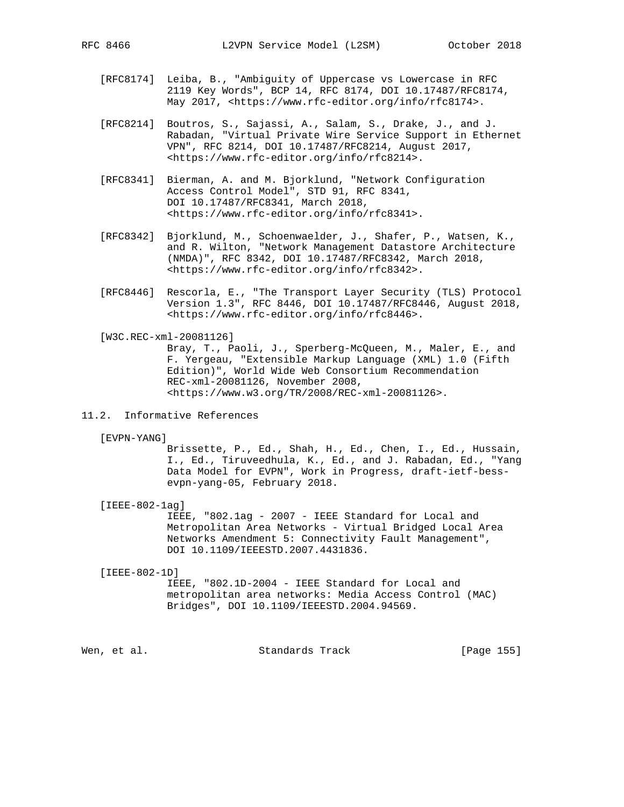- [RFC8174] Leiba, B., "Ambiguity of Uppercase vs Lowercase in RFC 2119 Key Words", BCP 14, RFC 8174, DOI 10.17487/RFC8174, May 2017, <https://www.rfc-editor.org/info/rfc8174>.
- [RFC8214] Boutros, S., Sajassi, A., Salam, S., Drake, J., and J. Rabadan, "Virtual Private Wire Service Support in Ethernet VPN", RFC 8214, DOI 10.17487/RFC8214, August 2017, <https://www.rfc-editor.org/info/rfc8214>.
- [RFC8341] Bierman, A. and M. Bjorklund, "Network Configuration Access Control Model", STD 91, RFC 8341, DOI 10.17487/RFC8341, March 2018, <https://www.rfc-editor.org/info/rfc8341>.
- [RFC8342] Bjorklund, M., Schoenwaelder, J., Shafer, P., Watsen, K., and R. Wilton, "Network Management Datastore Architecture (NMDA)", RFC 8342, DOI 10.17487/RFC8342, March 2018, <https://www.rfc-editor.org/info/rfc8342>.
- [RFC8446] Rescorla, E., "The Transport Layer Security (TLS) Protocol Version 1.3", RFC 8446, DOI 10.17487/RFC8446, August 2018, <https://www.rfc-editor.org/info/rfc8446>.
- [W3C.REC-xml-20081126] Bray, T., Paoli, J., Sperberg-McQueen, M., Maler, E., and F. Yergeau, "Extensible Markup Language (XML) 1.0 (Fifth Edition)", World Wide Web Consortium Recommendation REC-xml-20081126, November 2008, <https://www.w3.org/TR/2008/REC-xml-20081126>.
- 11.2. Informative References
	- [EVPN-YANG]

 Brissette, P., Ed., Shah, H., Ed., Chen, I., Ed., Hussain, I., Ed., Tiruveedhula, K., Ed., and J. Rabadan, Ed., "Yang Data Model for EVPN", Work in Progress, draft-ietf-bess evpn-yang-05, February 2018.

[IEEE-802-1ag]

 IEEE, "802.1ag - 2007 - IEEE Standard for Local and Metropolitan Area Networks - Virtual Bridged Local Area Networks Amendment 5: Connectivity Fault Management", DOI 10.1109/IEEESTD.2007.4431836.

[IEEE-802-1D]

 IEEE, "802.1D-2004 - IEEE Standard for Local and metropolitan area networks: Media Access Control (MAC) Bridges", DOI 10.1109/IEEESTD.2004.94569.

Wen, et al. Standards Track [Page 155]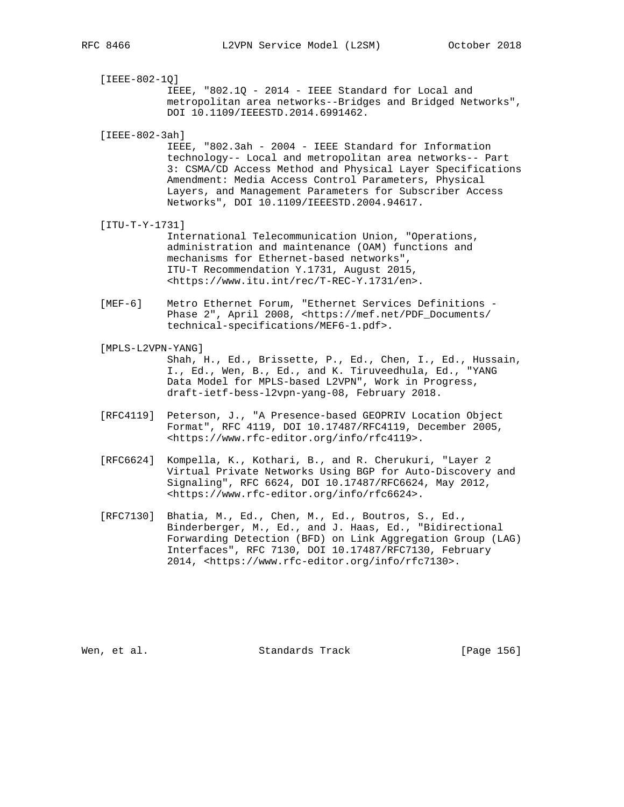| RFC 8466 |  |
|----------|--|
|          |  |

 [IEEE-802-1Q] IEEE, "802.1Q - 2014 - IEEE Standard for Local and metropolitan area networks--Bridges and Bridged Networks", DOI 10.1109/IEEESTD.2014.6991462.

[IEEE-802-3ah]

 IEEE, "802.3ah - 2004 - IEEE Standard for Information technology-- Local and metropolitan area networks-- Part 3: CSMA/CD Access Method and Physical Layer Specifications Amendment: Media Access Control Parameters, Physical Layers, and Management Parameters for Subscriber Access Networks", DOI 10.1109/IEEESTD.2004.94617.

[ITU-T-Y-1731]

 International Telecommunication Union, "Operations, administration and maintenance (OAM) functions and mechanisms for Ethernet-based networks", ITU-T Recommendation Y.1731, August 2015, <https://www.itu.int/rec/T-REC-Y.1731/en>.

- [MEF-6] Metro Ethernet Forum, "Ethernet Services Definitions Phase 2", April 2008, <https://mef.net/PDF\_Documents/ technical-specifications/MEF6-1.pdf>.
- [MPLS-L2VPN-YANG] Shah, H., Ed., Brissette, P., Ed., Chen, I., Ed., Hussain, I., Ed., Wen, B., Ed., and K. Tiruveedhula, Ed., "YANG Data Model for MPLS-based L2VPN", Work in Progress, draft-ietf-bess-l2vpn-yang-08, February 2018.
	- [RFC4119] Peterson, J., "A Presence-based GEOPRIV Location Object Format", RFC 4119, DOI 10.17487/RFC4119, December 2005, <https://www.rfc-editor.org/info/rfc4119>.
	- [RFC6624] Kompella, K., Kothari, B., and R. Cherukuri, "Layer 2 Virtual Private Networks Using BGP for Auto-Discovery and Signaling", RFC 6624, DOI 10.17487/RFC6624, May 2012, <https://www.rfc-editor.org/info/rfc6624>.
	- [RFC7130] Bhatia, M., Ed., Chen, M., Ed., Boutros, S., Ed., Binderberger, M., Ed., and J. Haas, Ed., "Bidirectional Forwarding Detection (BFD) on Link Aggregation Group (LAG) Interfaces", RFC 7130, DOI 10.17487/RFC7130, February 2014, <https://www.rfc-editor.org/info/rfc7130>.

Wen, et al. Standards Track [Page 156]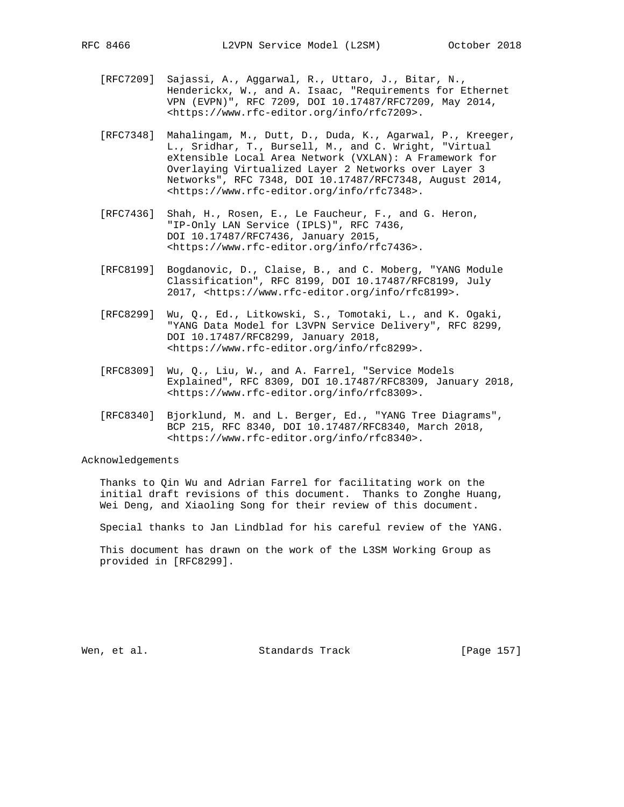- [RFC7209] Sajassi, A., Aggarwal, R., Uttaro, J., Bitar, N., Henderickx, W., and A. Isaac, "Requirements for Ethernet VPN (EVPN)", RFC 7209, DOI 10.17487/RFC7209, May 2014, <https://www.rfc-editor.org/info/rfc7209>.
- [RFC7348] Mahalingam, M., Dutt, D., Duda, K., Agarwal, P., Kreeger, L., Sridhar, T., Bursell, M., and C. Wright, "Virtual eXtensible Local Area Network (VXLAN): A Framework for Overlaying Virtualized Layer 2 Networks over Layer 3 Networks", RFC 7348, DOI 10.17487/RFC7348, August 2014, <https://www.rfc-editor.org/info/rfc7348>.
- [RFC7436] Shah, H., Rosen, E., Le Faucheur, F., and G. Heron, "IP-Only LAN Service (IPLS)", RFC 7436, DOI 10.17487/RFC7436, January 2015, <https://www.rfc-editor.org/info/rfc7436>.
- [RFC8199] Bogdanovic, D., Claise, B., and C. Moberg, "YANG Module Classification", RFC 8199, DOI 10.17487/RFC8199, July 2017, <https://www.rfc-editor.org/info/rfc8199>.
- [RFC8299] Wu, Q., Ed., Litkowski, S., Tomotaki, L., and K. Ogaki, "YANG Data Model for L3VPN Service Delivery", RFC 8299, DOI 10.17487/RFC8299, January 2018, <https://www.rfc-editor.org/info/rfc8299>.
- [RFC8309] Wu, Q., Liu, W., and A. Farrel, "Service Models Explained", RFC 8309, DOI 10.17487/RFC8309, January 2018, <https://www.rfc-editor.org/info/rfc8309>.
- [RFC8340] Bjorklund, M. and L. Berger, Ed., "YANG Tree Diagrams", BCP 215, RFC 8340, DOI 10.17487/RFC8340, March 2018, <https://www.rfc-editor.org/info/rfc8340>.

Acknowledgements

 Thanks to Qin Wu and Adrian Farrel for facilitating work on the initial draft revisions of this document. Thanks to Zonghe Huang, Wei Deng, and Xiaoling Song for their review of this document.

Special thanks to Jan Lindblad for his careful review of the YANG.

 This document has drawn on the work of the L3SM Working Group as provided in [RFC8299].

Wen, et al. Standards Track [Page 157]